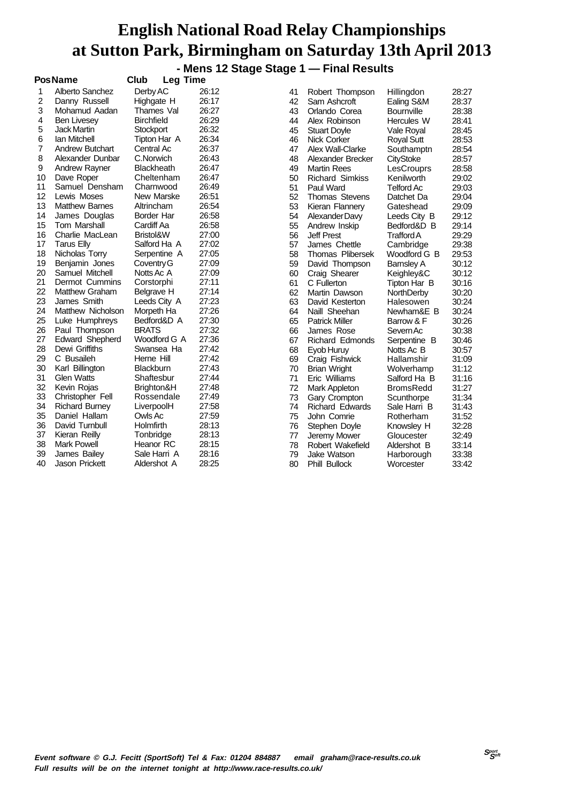**- Mens 12 Stage Stage 1 — Final Results**

|                  | <b>PosName</b>         | Club<br><b>Leg Time</b> |       |    |                        |                   |       |
|------------------|------------------------|-------------------------|-------|----|------------------------|-------------------|-------|
| 1                | Alberto Sanchez        | Derby AC                | 26:12 | 41 | Robert Thompson        | Hillingdon        | 28:27 |
| 2                | Danny Russell          | Highgate H              | 26:17 | 42 | Sam Ashcroft           | Ealing S&M        | 28:37 |
| 3                | Mohamud Aadan          | Thames Val              | 26:27 | 43 | Orlando Corea          | <b>Bournville</b> | 28:38 |
| 4                | <b>Ben Livesey</b>     | <b>Birchfield</b>       | 26:29 | 44 | Alex Robinson          | Hercules W        | 28:41 |
| 5                | <b>Jack Martin</b>     | Stockport               | 26:32 | 45 | <b>Stuart Doyle</b>    | Vale Royal        | 28:45 |
| 6                | Ian Mitchell           | Tipton Har A            | 26:34 | 46 | Nick Corker            | <b>Royal Sutt</b> | 28:53 |
| $\overline{7}$   | <b>Andrew Butchart</b> | Central Ac              | 26:37 | 47 | Alex Wall-Clarke       | Southamptn        | 28:54 |
| 8                | Alexander Dunbar       | C.Norwich               | 26:43 | 48 | Alexander Brecker      | <b>CityStoke</b>  | 28:57 |
| $\boldsymbol{9}$ | <b>Andrew Rayner</b>   | <b>Blackheath</b>       | 26:47 | 49 | <b>Martin Rees</b>     | LesCrouprs        | 28:58 |
| 10               | Dave Roper             | Cheltenham              | 26:47 | 50 | <b>Richard Simkiss</b> | Kenilworth        | 29:02 |
| 11               | Samuel Densham         | Charnwood               | 26:49 | 51 | Paul Ward              | <b>Telford Ac</b> | 29:03 |
| 12               | Lewis Moses            | New Marske              | 26:51 | 52 | <b>Thomas Stevens</b>  | Datchet Da        | 29:04 |
| 13               | <b>Matthew Barnes</b>  | Altrincham              | 26:54 | 53 | Kieran Flannery        | Gateshead         | 29:09 |
| 14               | James Douglas          | Border Har              | 26:58 | 54 | AlexanderDavy          | Leeds City B      | 29:12 |
| 15               | <b>Tom Marshall</b>    | Cardiff Aa              | 26:58 | 55 | Andrew Inskip          | Bedford&D B       | 29:14 |
| 16               | Charlie MacLean        | Bristol&W               | 27:00 | 56 | <b>Jeff Prest</b>      | <b>Trafford A</b> | 29:29 |
| 17               | <b>Tarus Elly</b>      | Salford Ha A            | 27:02 | 57 | James Chettle          | Cambridge         | 29:38 |
| 18               | Nicholas Torry         | Serpentine A            | 27:05 | 58 | Thomas Plibersek       | Woodford G B      | 29:53 |
| 19               | Benjamin Jones         | Coventry G              | 27:09 | 59 | David Thompson         | <b>Barnsley A</b> | 30:12 |
| 20               | Samuel Mitchell        | Notts Ac A              | 27:09 | 60 | Craig Shearer          | Keighley&C        | 30:12 |
| 21               | Dermot Cummins         | Corstorphi              | 27:11 | 61 | C Fullerton            | Tipton Har B      | 30:16 |
| 22               | <b>Matthew Graham</b>  | <b>Belgrave H</b>       | 27:14 | 62 | Martin Dawson          | NorthDerby        | 30:20 |
| 23               | James Smith            | Leeds City A            | 27:23 | 63 | David Kesterton        | Halesowen         | 30:24 |
| 24               | Matthew Nicholson      | Morpeth Ha              | 27:26 | 64 | Naill Sheehan          | Newham&E B        | 30:24 |
| 25               | Luke Humphreys         | Bedford&D A             | 27:30 | 65 | <b>Patrick Miller</b>  | Barrow & F        | 30:26 |
| 26               | Paul Thompson          | <b>BRATS</b>            | 27:32 | 66 | James Rose             | Severn Ac         | 30:38 |
| 27               | <b>Edward Shepherd</b> | Woodford G A            | 27:36 | 67 | <b>Richard Edmonds</b> | Serpentine B      | 30:46 |
| 28               | Dewi Griffiths         | Swansea Ha              | 27:42 | 68 | Eyob Huruy             | Notts Ac B        | 30:57 |
| 29               | C Busaileh             | Herne Hill              | 27:42 | 69 | Craig Fishwick         | Hallamshir        | 31:09 |
| 30               | Karl Billington        | <b>Blackburn</b>        | 27:43 | 70 | <b>Brian Wright</b>    | Wolverhamp        | 31:12 |
| 31               | <b>Glen Watts</b>      | Shaftesbur              | 27:44 | 71 | Eric Williams          | Salford Ha B      | 31:16 |
| 32               | Kevin Rojas            | Brighton&H              | 27:48 | 72 | Mark Appleton          | <b>BromsRedd</b>  | 31:27 |
| 33               | Christopher Fell       | Rossendale              | 27:49 | 73 | Gary Crompton          | Scunthorpe        | 31:34 |
| 34               | <b>Richard Burney</b>  | LiverpoolH              | 27:58 | 74 | Richard Edwards        | Sale Harri B      | 31:43 |
| 35               | Daniel Hallam          | Owls Ac                 | 27:59 | 75 | John Comrie            | Rotherham         | 31:52 |
| 36               | David Turnbull         | Holmfirth               | 28:13 | 76 | Stephen Doyle          | Knowsley H        | 32:28 |
| 37               | Kieran Reilly          | Tonbridge               | 28:13 | 77 | Jeremy Mower           | Gloucester        | 32:49 |
| 38               | <b>Mark Powell</b>     | <b>Heanor RC</b>        | 28:15 | 78 | Robert Wakefield       | Aldershot B       | 33:14 |
| 39               | James Bailey           | Sale Harri A            | 28:16 | 79 | Jake Watson            | Harborough        | 33:38 |
| 40               | Jason Prickett         | Aldershot A             | 28:25 | 80 | <b>Phill Bullock</b>   | Worcester         | 33:42 |
|                  |                        |                         |       |    |                        |                   |       |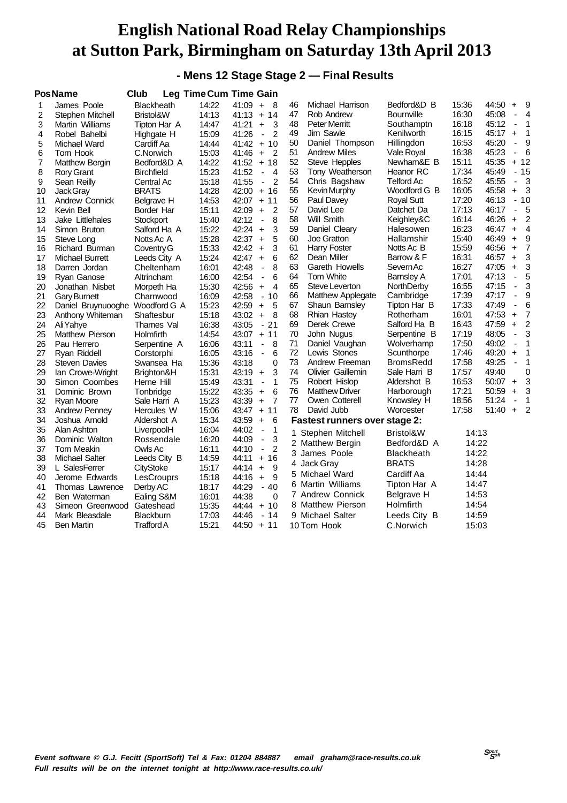#### **- Mens 12 Stage Stage 2 — Final Results**

| <b>PosName</b>         |                                                                                                                                                                                                                                                                                                                                                                                                                                                                                               |                                                                                                                                                                                                                                                                                                                                                                                                                                                                        |                                                                                                                                                                                                                                                                                                                        |                                                                                                                                                                                                                                                                                                                                                                                                                                    |                          |                                                                                                                                                                                                                                                                                                                                                   |                                                                                                                                                                                                                               |                                                                                        |                                                                                                                                                       |                                                                                                                                                          |
|------------------------|-----------------------------------------------------------------------------------------------------------------------------------------------------------------------------------------------------------------------------------------------------------------------------------------------------------------------------------------------------------------------------------------------------------------------------------------------------------------------------------------------|------------------------------------------------------------------------------------------------------------------------------------------------------------------------------------------------------------------------------------------------------------------------------------------------------------------------------------------------------------------------------------------------------------------------------------------------------------------------|------------------------------------------------------------------------------------------------------------------------------------------------------------------------------------------------------------------------------------------------------------------------------------------------------------------------|------------------------------------------------------------------------------------------------------------------------------------------------------------------------------------------------------------------------------------------------------------------------------------------------------------------------------------------------------------------------------------------------------------------------------------|--------------------------|---------------------------------------------------------------------------------------------------------------------------------------------------------------------------------------------------------------------------------------------------------------------------------------------------------------------------------------------------|-------------------------------------------------------------------------------------------------------------------------------------------------------------------------------------------------------------------------------|----------------------------------------------------------------------------------------|-------------------------------------------------------------------------------------------------------------------------------------------------------|----------------------------------------------------------------------------------------------------------------------------------------------------------|
| James Poole            | <b>Blackheath</b>                                                                                                                                                                                                                                                                                                                                                                                                                                                                             | 14:22                                                                                                                                                                                                                                                                                                                                                                                                                                                                  | 41:09<br>- 8<br>$\ddot{}$                                                                                                                                                                                                                                                                                              | 46                                                                                                                                                                                                                                                                                                                                                                                                                                 | Michael Harrison         | Bedford&D B                                                                                                                                                                                                                                                                                                                                       | 15:36                                                                                                                                                                                                                         | 44:50                                                                                  | +                                                                                                                                                     | 9                                                                                                                                                        |
|                        | Bristol&W                                                                                                                                                                                                                                                                                                                                                                                                                                                                                     | 14:13                                                                                                                                                                                                                                                                                                                                                                                                                                                                  |                                                                                                                                                                                                                                                                                                                        | 47                                                                                                                                                                                                                                                                                                                                                                                                                                 | Rob Andrew               | <b>Bournville</b>                                                                                                                                                                                                                                                                                                                                 | 16:30                                                                                                                                                                                                                         | 45:08                                                                                  | $\overline{\phantom{a}}$                                                                                                                              | 4                                                                                                                                                        |
| Martin Williams        |                                                                                                                                                                                                                                                                                                                                                                                                                                                                                               | 14:47                                                                                                                                                                                                                                                                                                                                                                                                                                                                  | 41:21<br>3<br>$\ddot{}$                                                                                                                                                                                                                                                                                                | 48                                                                                                                                                                                                                                                                                                                                                                                                                                 | <b>Peter Merritt</b>     | Southamptn                                                                                                                                                                                                                                                                                                                                        | 16:18                                                                                                                                                                                                                         | 45:12                                                                                  | $\blacksquare$                                                                                                                                        | 1                                                                                                                                                        |
| Robel Bahelbi          | Highgate H                                                                                                                                                                                                                                                                                                                                                                                                                                                                                    | 15:09                                                                                                                                                                                                                                                                                                                                                                                                                                                                  | 41:26<br>2<br>$\blacksquare$                                                                                                                                                                                                                                                                                           | 49                                                                                                                                                                                                                                                                                                                                                                                                                                 | Jim Sawle                | Kenilworth                                                                                                                                                                                                                                                                                                                                        | 16:15                                                                                                                                                                                                                         | 45:17                                                                                  |                                                                                                                                                       | 1                                                                                                                                                        |
| Michael Ward           | Cardiff Aa                                                                                                                                                                                                                                                                                                                                                                                                                                                                                    | 14:44                                                                                                                                                                                                                                                                                                                                                                                                                                                                  | $41:42 + 10$                                                                                                                                                                                                                                                                                                           | 50                                                                                                                                                                                                                                                                                                                                                                                                                                 | Daniel Thompson          | Hillingdon                                                                                                                                                                                                                                                                                                                                        | 16:53                                                                                                                                                                                                                         | 45:20                                                                                  | $\blacksquare$                                                                                                                                        | 9                                                                                                                                                        |
| Tom Hook               |                                                                                                                                                                                                                                                                                                                                                                                                                                                                                               |                                                                                                                                                                                                                                                                                                                                                                                                                                                                        | 41:46<br>$\overline{2}$<br>$\ddot{}$                                                                                                                                                                                                                                                                                   | 51                                                                                                                                                                                                                                                                                                                                                                                                                                 | <b>Andrew Miles</b>      | Vale Royal                                                                                                                                                                                                                                                                                                                                        | 16:38                                                                                                                                                                                                                         | 45:23                                                                                  | $\overline{\phantom{0}}$                                                                                                                              | 6                                                                                                                                                        |
| <b>Matthew Bergin</b>  | Bedford&D A                                                                                                                                                                                                                                                                                                                                                                                                                                                                                   | 14:22                                                                                                                                                                                                                                                                                                                                                                                                                                                                  | $41:52 + 18$                                                                                                                                                                                                                                                                                                           | 52                                                                                                                                                                                                                                                                                                                                                                                                                                 | Steve Hepples            | Newham&E B                                                                                                                                                                                                                                                                                                                                        | 15:11                                                                                                                                                                                                                         | 45:35                                                                                  |                                                                                                                                                       | $+12$                                                                                                                                                    |
| <b>Rory Grant</b>      | Birchfield                                                                                                                                                                                                                                                                                                                                                                                                                                                                                    | 15:23                                                                                                                                                                                                                                                                                                                                                                                                                                                                  | 41:52<br>$\overline{4}$<br>$\blacksquare$                                                                                                                                                                                                                                                                              | 53                                                                                                                                                                                                                                                                                                                                                                                                                                 |                          | Heanor RC                                                                                                                                                                                                                                                                                                                                         | 17:34                                                                                                                                                                                                                         | 45:49                                                                                  |                                                                                                                                                       | $-15$                                                                                                                                                    |
|                        | Central Ac                                                                                                                                                                                                                                                                                                                                                                                                                                                                                    |                                                                                                                                                                                                                                                                                                                                                                                                                                                                        | $\overline{2}$<br>$\blacksquare$                                                                                                                                                                                                                                                                                       | 54                                                                                                                                                                                                                                                                                                                                                                                                                                 |                          | <b>Telford Ac</b>                                                                                                                                                                                                                                                                                                                                 | 16:52                                                                                                                                                                                                                         | 45:55                                                                                  | $\blacksquare$                                                                                                                                        | 3                                                                                                                                                        |
| Jack Gray              | <b>BRATS</b>                                                                                                                                                                                                                                                                                                                                                                                                                                                                                  | 14:28                                                                                                                                                                                                                                                                                                                                                                                                                                                                  | 42:00<br>+ 16                                                                                                                                                                                                                                                                                                          | 55                                                                                                                                                                                                                                                                                                                                                                                                                                 | Kevin Murphy             | Woodford G B                                                                                                                                                                                                                                                                                                                                      | 16:05                                                                                                                                                                                                                         | 45:58                                                                                  | $\ddot{}$                                                                                                                                             | 3                                                                                                                                                        |
| Andrew Connick         |                                                                                                                                                                                                                                                                                                                                                                                                                                                                                               |                                                                                                                                                                                                                                                                                                                                                                                                                                                                        | 42:07                                                                                                                                                                                                                                                                                                                  | 56                                                                                                                                                                                                                                                                                                                                                                                                                                 | Paul Davey               |                                                                                                                                                                                                                                                                                                                                                   | 17:20                                                                                                                                                                                                                         | 46:13                                                                                  |                                                                                                                                                       | $-10$                                                                                                                                                    |
| Kevin Bell             | Border Har                                                                                                                                                                                                                                                                                                                                                                                                                                                                                    | 15:11                                                                                                                                                                                                                                                                                                                                                                                                                                                                  | 42:09<br>$+$<br>2                                                                                                                                                                                                                                                                                                      | 57                                                                                                                                                                                                                                                                                                                                                                                                                                 | David Lee                | Datchet Da                                                                                                                                                                                                                                                                                                                                        | 17:13                                                                                                                                                                                                                         | 46:17                                                                                  | $\blacksquare$                                                                                                                                        | 5                                                                                                                                                        |
|                        |                                                                                                                                                                                                                                                                                                                                                                                                                                                                                               |                                                                                                                                                                                                                                                                                                                                                                                                                                                                        | 8<br>$\overline{a}$                                                                                                                                                                                                                                                                                                    | 58                                                                                                                                                                                                                                                                                                                                                                                                                                 | Will Smith               |                                                                                                                                                                                                                                                                                                                                                   | 16:14                                                                                                                                                                                                                         | 46:26                                                                                  | $\ddot{}$                                                                                                                                             | $\overline{2}$                                                                                                                                           |
|                        |                                                                                                                                                                                                                                                                                                                                                                                                                                                                                               |                                                                                                                                                                                                                                                                                                                                                                                                                                                                        | 3<br>$\ddot{}$                                                                                                                                                                                                                                                                                                         |                                                                                                                                                                                                                                                                                                                                                                                                                                    |                          | Halesowen                                                                                                                                                                                                                                                                                                                                         |                                                                                                                                                                                                                               | 46:47                                                                                  |                                                                                                                                                       | $\overline{4}$                                                                                                                                           |
|                        |                                                                                                                                                                                                                                                                                                                                                                                                                                                                                               |                                                                                                                                                                                                                                                                                                                                                                                                                                                                        | 5<br>$\ddot{}$                                                                                                                                                                                                                                                                                                         | 60                                                                                                                                                                                                                                                                                                                                                                                                                                 | Joe Gratton              | Hallamshir                                                                                                                                                                                                                                                                                                                                        | 15:40                                                                                                                                                                                                                         | 46:49                                                                                  |                                                                                                                                                       | 9                                                                                                                                                        |
|                        |                                                                                                                                                                                                                                                                                                                                                                                                                                                                                               |                                                                                                                                                                                                                                                                                                                                                                                                                                                                        | 3                                                                                                                                                                                                                                                                                                                      |                                                                                                                                                                                                                                                                                                                                                                                                                                    |                          | Notts Ac B                                                                                                                                                                                                                                                                                                                                        |                                                                                                                                                                                                                               |                                                                                        |                                                                                                                                                       | 7                                                                                                                                                        |
|                        |                                                                                                                                                                                                                                                                                                                                                                                                                                                                                               |                                                                                                                                                                                                                                                                                                                                                                                                                                                                        | $\ddot{}$<br>6                                                                                                                                                                                                                                                                                                         | 62                                                                                                                                                                                                                                                                                                                                                                                                                                 | Dean Miller              | Barrow & F                                                                                                                                                                                                                                                                                                                                        |                                                                                                                                                                                                                               |                                                                                        |                                                                                                                                                       | 3                                                                                                                                                        |
|                        |                                                                                                                                                                                                                                                                                                                                                                                                                                                                                               |                                                                                                                                                                                                                                                                                                                                                                                                                                                                        | 8<br>÷,                                                                                                                                                                                                                                                                                                                | 63                                                                                                                                                                                                                                                                                                                                                                                                                                 | Gareth Howells           | Severn Ac                                                                                                                                                                                                                                                                                                                                         |                                                                                                                                                                                                                               |                                                                                        |                                                                                                                                                       | 3                                                                                                                                                        |
|                        |                                                                                                                                                                                                                                                                                                                                                                                                                                                                                               |                                                                                                                                                                                                                                                                                                                                                                                                                                                                        | 6<br>÷,                                                                                                                                                                                                                                                                                                                | 64                                                                                                                                                                                                                                                                                                                                                                                                                                 | Tom White                |                                                                                                                                                                                                                                                                                                                                                   | 17:01                                                                                                                                                                                                                         | 47:13                                                                                  | $\blacksquare$                                                                                                                                        | 5                                                                                                                                                        |
|                        |                                                                                                                                                                                                                                                                                                                                                                                                                                                                                               |                                                                                                                                                                                                                                                                                                                                                                                                                                                                        | $\overline{4}$<br>$\ddot{}$                                                                                                                                                                                                                                                                                            | 65                                                                                                                                                                                                                                                                                                                                                                                                                                 | Steve Leverton           |                                                                                                                                                                                                                                                                                                                                                   |                                                                                                                                                                                                                               |                                                                                        | $\blacksquare$                                                                                                                                        | 3                                                                                                                                                        |
|                        |                                                                                                                                                                                                                                                                                                                                                                                                                                                                                               |                                                                                                                                                                                                                                                                                                                                                                                                                                                                        | $\overline{\phantom{a}}$                                                                                                                                                                                                                                                                                               | 66                                                                                                                                                                                                                                                                                                                                                                                                                                 |                          |                                                                                                                                                                                                                                                                                                                                                   |                                                                                                                                                                                                                               |                                                                                        | ÷,                                                                                                                                                    | 9                                                                                                                                                        |
|                        |                                                                                                                                                                                                                                                                                                                                                                                                                                                                                               |                                                                                                                                                                                                                                                                                                                                                                                                                                                                        | 5<br>$+$                                                                                                                                                                                                                                                                                                               | 67                                                                                                                                                                                                                                                                                                                                                                                                                                 |                          | Tipton Har B                                                                                                                                                                                                                                                                                                                                      |                                                                                                                                                                                                                               | 47:49                                                                                  | $\blacksquare$                                                                                                                                        | 6                                                                                                                                                        |
|                        |                                                                                                                                                                                                                                                                                                                                                                                                                                                                                               |                                                                                                                                                                                                                                                                                                                                                                                                                                                                        | 8                                                                                                                                                                                                                                                                                                                      | 68                                                                                                                                                                                                                                                                                                                                                                                                                                 | Rhian Hastey             | Rotherham                                                                                                                                                                                                                                                                                                                                         | 16:01                                                                                                                                                                                                                         | 47:53                                                                                  |                                                                                                                                                       | 7                                                                                                                                                        |
|                        | Thames Val                                                                                                                                                                                                                                                                                                                                                                                                                                                                                    |                                                                                                                                                                                                                                                                                                                                                                                                                                                                        | 21<br>$\overline{\phantom{a}}$                                                                                                                                                                                                                                                                                         | 69                                                                                                                                                                                                                                                                                                                                                                                                                                 | Derek Crewe              | Salford Ha B                                                                                                                                                                                                                                                                                                                                      | 16:43                                                                                                                                                                                                                         | 47:59                                                                                  |                                                                                                                                                       | 2                                                                                                                                                        |
| <b>Matthew Pierson</b> | Holmfirth                                                                                                                                                                                                                                                                                                                                                                                                                                                                                     |                                                                                                                                                                                                                                                                                                                                                                                                                                                                        |                                                                                                                                                                                                                                                                                                                        | 70                                                                                                                                                                                                                                                                                                                                                                                                                                 |                          | Serpentine B                                                                                                                                                                                                                                                                                                                                      | 17:19                                                                                                                                                                                                                         | 48:05                                                                                  | $\blacksquare$                                                                                                                                        | 3                                                                                                                                                        |
| Pau Herrero            |                                                                                                                                                                                                                                                                                                                                                                                                                                                                                               | 16:06                                                                                                                                                                                                                                                                                                                                                                                                                                                                  | 8<br>43:11<br>$\blacksquare$                                                                                                                                                                                                                                                                                           | 71                                                                                                                                                                                                                                                                                                                                                                                                                                 | Daniel Vaughan           | Wolverhamp                                                                                                                                                                                                                                                                                                                                        | 17:50                                                                                                                                                                                                                         | 49:02                                                                                  | $\blacksquare$                                                                                                                                        | 1                                                                                                                                                        |
|                        |                                                                                                                                                                                                                                                                                                                                                                                                                                                                                               |                                                                                                                                                                                                                                                                                                                                                                                                                                                                        | 6<br>$\blacksquare$                                                                                                                                                                                                                                                                                                    | 72                                                                                                                                                                                                                                                                                                                                                                                                                                 | Lewis Stones             | Scunthorpe                                                                                                                                                                                                                                                                                                                                        | 17:46                                                                                                                                                                                                                         | 49:20                                                                                  |                                                                                                                                                       | 1                                                                                                                                                        |
|                        |                                                                                                                                                                                                                                                                                                                                                                                                                                                                                               |                                                                                                                                                                                                                                                                                                                                                                                                                                                                        | $\Omega$                                                                                                                                                                                                                                                                                                               | 73                                                                                                                                                                                                                                                                                                                                                                                                                                 |                          | <b>BromsRedd</b>                                                                                                                                                                                                                                                                                                                                  | 17:58                                                                                                                                                                                                                         | 49:25                                                                                  | $\blacksquare$                                                                                                                                        | 1                                                                                                                                                        |
|                        |                                                                                                                                                                                                                                                                                                                                                                                                                                                                                               |                                                                                                                                                                                                                                                                                                                                                                                                                                                                        | 3<br>$\ddot{}$                                                                                                                                                                                                                                                                                                         | 74                                                                                                                                                                                                                                                                                                                                                                                                                                 | <b>Olivier Gaillemin</b> | Sale Harri B                                                                                                                                                                                                                                                                                                                                      | 17:57                                                                                                                                                                                                                         | 49:40                                                                                  |                                                                                                                                                       | 0                                                                                                                                                        |
| Simon Coombes          | Herne Hill                                                                                                                                                                                                                                                                                                                                                                                                                                                                                    | 15:49                                                                                                                                                                                                                                                                                                                                                                                                                                                                  | 1<br>ä,                                                                                                                                                                                                                                                                                                                | 75                                                                                                                                                                                                                                                                                                                                                                                                                                 | Robert Hislop            | Aldershot B                                                                                                                                                                                                                                                                                                                                       |                                                                                                                                                                                                                               | 50:07                                                                                  |                                                                                                                                                       | 3                                                                                                                                                        |
| Dominic Brown          |                                                                                                                                                                                                                                                                                                                                                                                                                                                                                               |                                                                                                                                                                                                                                                                                                                                                                                                                                                                        | 6<br>$\ddot{}$                                                                                                                                                                                                                                                                                                         | 76                                                                                                                                                                                                                                                                                                                                                                                                                                 | <b>Matthew Driver</b>    | Harborough                                                                                                                                                                                                                                                                                                                                        | 17:21                                                                                                                                                                                                                         | 50:59                                                                                  |                                                                                                                                                       | 3                                                                                                                                                        |
|                        |                                                                                                                                                                                                                                                                                                                                                                                                                                                                                               |                                                                                                                                                                                                                                                                                                                                                                                                                                                                        | $\overline{7}$                                                                                                                                                                                                                                                                                                         | 77                                                                                                                                                                                                                                                                                                                                                                                                                                 | Owen Cotterell           |                                                                                                                                                                                                                                                                                                                                                   |                                                                                                                                                                                                                               |                                                                                        | $\overline{\phantom{a}}$                                                                                                                              | 1                                                                                                                                                        |
|                        |                                                                                                                                                                                                                                                                                                                                                                                                                                                                                               |                                                                                                                                                                                                                                                                                                                                                                                                                                                                        | 11                                                                                                                                                                                                                                                                                                                     |                                                                                                                                                                                                                                                                                                                                                                                                                                    | David Jubb               | Worcester                                                                                                                                                                                                                                                                                                                                         |                                                                                                                                                                                                                               |                                                                                        |                                                                                                                                                       | $\overline{c}$                                                                                                                                           |
|                        | Aldershot A                                                                                                                                                                                                                                                                                                                                                                                                                                                                                   | 15:34                                                                                                                                                                                                                                                                                                                                                                                                                                                                  | 6<br>$\ddot{}$                                                                                                                                                                                                                                                                                                         |                                                                                                                                                                                                                                                                                                                                                                                                                                    |                          |                                                                                                                                                                                                                                                                                                                                                   |                                                                                                                                                                                                                               |                                                                                        |                                                                                                                                                       |                                                                                                                                                          |
| Alan Ashton            |                                                                                                                                                                                                                                                                                                                                                                                                                                                                                               |                                                                                                                                                                                                                                                                                                                                                                                                                                                                        | 1<br>$\overline{\phantom{a}}$                                                                                                                                                                                                                                                                                          |                                                                                                                                                                                                                                                                                                                                                                                                                                    |                          |                                                                                                                                                                                                                                                                                                                                                   |                                                                                                                                                                                                                               |                                                                                        |                                                                                                                                                       |                                                                                                                                                          |
|                        |                                                                                                                                                                                                                                                                                                                                                                                                                                                                                               |                                                                                                                                                                                                                                                                                                                                                                                                                                                                        | $\blacksquare$                                                                                                                                                                                                                                                                                                         |                                                                                                                                                                                                                                                                                                                                                                                                                                    |                          |                                                                                                                                                                                                                                                                                                                                                   |                                                                                                                                                                                                                               |                                                                                        |                                                                                                                                                       |                                                                                                                                                          |
| <b>Tom Meakin</b>      | Owls Ac                                                                                                                                                                                                                                                                                                                                                                                                                                                                                       | 16:11                                                                                                                                                                                                                                                                                                                                                                                                                                                                  | $\overline{2}$<br>44:10<br>$\blacksquare$                                                                                                                                                                                                                                                                              |                                                                                                                                                                                                                                                                                                                                                                                                                                    |                          |                                                                                                                                                                                                                                                                                                                                                   |                                                                                                                                                                                                                               |                                                                                        |                                                                                                                                                       |                                                                                                                                                          |
|                        |                                                                                                                                                                                                                                                                                                                                                                                                                                                                                               |                                                                                                                                                                                                                                                                                                                                                                                                                                                                        | 16                                                                                                                                                                                                                                                                                                                     |                                                                                                                                                                                                                                                                                                                                                                                                                                    |                          |                                                                                                                                                                                                                                                                                                                                                   |                                                                                                                                                                                                                               |                                                                                        |                                                                                                                                                       |                                                                                                                                                          |
|                        |                                                                                                                                                                                                                                                                                                                                                                                                                                                                                               |                                                                                                                                                                                                                                                                                                                                                                                                                                                                        | 9                                                                                                                                                                                                                                                                                                                      |                                                                                                                                                                                                                                                                                                                                                                                                                                    |                          |                                                                                                                                                                                                                                                                                                                                                   |                                                                                                                                                                                                                               |                                                                                        |                                                                                                                                                       |                                                                                                                                                          |
|                        |                                                                                                                                                                                                                                                                                                                                                                                                                                                                                               |                                                                                                                                                                                                                                                                                                                                                                                                                                                                        | 9                                                                                                                                                                                                                                                                                                                      |                                                                                                                                                                                                                                                                                                                                                                                                                                    |                          |                                                                                                                                                                                                                                                                                                                                                   |                                                                                                                                                                                                                               |                                                                                        |                                                                                                                                                       |                                                                                                                                                          |
|                        |                                                                                                                                                                                                                                                                                                                                                                                                                                                                                               |                                                                                                                                                                                                                                                                                                                                                                                                                                                                        | 40<br>$\blacksquare$                                                                                                                                                                                                                                                                                                   |                                                                                                                                                                                                                                                                                                                                                                                                                                    |                          | Tipton Har A                                                                                                                                                                                                                                                                                                                                      |                                                                                                                                                                                                                               |                                                                                        |                                                                                                                                                       |                                                                                                                                                          |
|                        |                                                                                                                                                                                                                                                                                                                                                                                                                                                                                               |                                                                                                                                                                                                                                                                                                                                                                                                                                                                        | 0                                                                                                                                                                                                                                                                                                                      |                                                                                                                                                                                                                                                                                                                                                                                                                                    |                          | Belgrave H                                                                                                                                                                                                                                                                                                                                        |                                                                                                                                                                                                                               |                                                                                        |                                                                                                                                                       |                                                                                                                                                          |
|                        |                                                                                                                                                                                                                                                                                                                                                                                                                                                                                               |                                                                                                                                                                                                                                                                                                                                                                                                                                                                        | 44:44<br>$+10$                                                                                                                                                                                                                                                                                                         |                                                                                                                                                                                                                                                                                                                                                                                                                                    |                          | Holmfirth                                                                                                                                                                                                                                                                                                                                         |                                                                                                                                                                                                                               |                                                                                        |                                                                                                                                                       |                                                                                                                                                          |
|                        |                                                                                                                                                                                                                                                                                                                                                                                                                                                                                               |                                                                                                                                                                                                                                                                                                                                                                                                                                                                        | $-14$                                                                                                                                                                                                                                                                                                                  |                                                                                                                                                                                                                                                                                                                                                                                                                                    |                          |                                                                                                                                                                                                                                                                                                                                                   |                                                                                                                                                                                                                               |                                                                                        |                                                                                                                                                       |                                                                                                                                                          |
| <b>Ben Martin</b>      | Trafford A                                                                                                                                                                                                                                                                                                                                                                                                                                                                                    | 15:21                                                                                                                                                                                                                                                                                                                                                                                                                                                                  | 44:50<br>$+11$                                                                                                                                                                                                                                                                                                         |                                                                                                                                                                                                                                                                                                                                                                                                                                    |                          | C.Norwich                                                                                                                                                                                                                                                                                                                                         |                                                                                                                                                                                                                               |                                                                                        |                                                                                                                                                       |                                                                                                                                                          |
|                        | Stephen Mitchell<br>Sean Reilly<br>Jake Littlehales<br>Simon Bruton<br>Steve Long<br>Richard Burman<br>Michael Burrett<br>Darren Jordan<br><b>Ryan Ganose</b><br>Jonathan Nisbet<br><b>Gary Burnett</b><br>Anthony Whiteman<br><b>AliYahye</b><br>Ryan Riddell<br><b>Steven Davies</b><br>lan Crowe-Wright<br>Ryan Moore<br><b>Andrew Penney</b><br>Joshua Arnold<br>Dominic Walton<br>Michael Salter<br>L SalesFerrer<br>Jerome Edwards<br>Thomas Lawrence<br>Ben Waterman<br>Mark Bleasdale | <b>Club</b><br>Tipton Har A<br>C.Norwich<br>Belgrave H<br>Stockport<br>Salford Ha A<br>Notts Ac A<br>Coventry G<br>Leeds City A<br>Cheltenham<br>Altrincham<br>Morpeth Ha<br>Charnwood<br>Shaftesbur<br>Serpentine A<br>Corstorphi<br>Swansea Ha<br>Brighton&H<br>Tonbridge<br>Sale Harri A<br><b>Hercules W</b><br>LiverpoolH<br>Rossendale<br>Leeds City B<br><b>CityStoke</b><br>LesCrouprs<br>Derby AC<br>Ealing S&M<br>Simeon Greenwood<br>Gateshead<br>Blackburn | 15:03<br>15:18<br>14:53<br>15:40<br>15:22<br>15:28<br>15:33<br>15:24<br>16:01<br>16:00<br>15:30<br>16:09<br>15:23<br>Daniel Bruynuooghe Woodford G A<br>15:18<br>16:38<br>14:54<br>16:05<br>15:36<br>15:31<br>15:22<br>15:23<br>15:06<br>16:04<br>16:20<br>14:59<br>15:17<br>15:18<br>18:17<br>16:01<br>15:35<br>17:03 | <b>Leg Time Cum Time Gain</b><br>$41:13 + 14$<br>41:55<br>$+ 11$<br>42:12<br>42:24<br>42:37<br>42:42<br>$\ddot{}$<br>42:47<br>42:48<br>42:54<br>42:56<br>42:58<br>10<br>42:59<br>43:02<br>$+$<br>43:05<br>43:07<br>$+11$<br>43:16<br>43:18<br>43:19<br>43:31<br>43:35<br>43:39<br>$\ddot{}$<br>43:47<br>$+$<br>43:59<br>44:02<br>3<br>44:09<br>44:11<br>$+$<br>44:14<br>$\ddot{}$<br>44:16<br>$\ddot{}$<br>44:29<br>44:38<br>44:46 | 59<br>61<br>78<br>4      | Tony Weatherson<br>Chris Bagshaw<br>Daniel Cleary<br><b>Harry Foster</b><br><b>Matthew Applegate</b><br>Shaun Barnsley<br>John Nugus<br>Andrew Freeman<br>1 Stephen Mitchell<br>2 Matthew Bergin<br>3 James Poole<br>Jack Gray<br>5 Michael Ward<br>6 Martin Williams<br>7 Andrew Connick<br>8 Matthew Pierson<br>9 Michael Salter<br>10 Tom Hook | <b>Royal Sutt</b><br>Keighley&C<br><b>Barnsley A</b><br>NorthDerby<br>Cambridge<br>Knowsley H<br><b>Fastest runners over stage 2:</b><br>Bristol&W<br>Bedford&D A<br>Blackheath<br><b>BRATS</b><br>Cardiff Aa<br>Leeds City B | 16:23<br>15:59<br>16:31<br>16:27<br>16:55<br>17:39<br>17:33<br>16:53<br>18:56<br>17:58 | 46:56<br>46:57<br>47:05<br>47:15<br>47:17<br>51:24<br>51:40<br>14:13<br>14:22<br>14:22<br>14:28<br>14:44<br>14:47<br>14:53<br>14:54<br>14:59<br>15:03 | $\ddot{}$<br>$\ddot{}$<br>$\ddot{}$<br>$\ddot{}$<br>$\ddot{}$<br>$\ddot{}$<br>$\ddot{}$<br>$\ddot{}$<br>$\ddot{}$<br>$\ddot{}$<br>$\ddot{}$<br>$\ddot{}$ |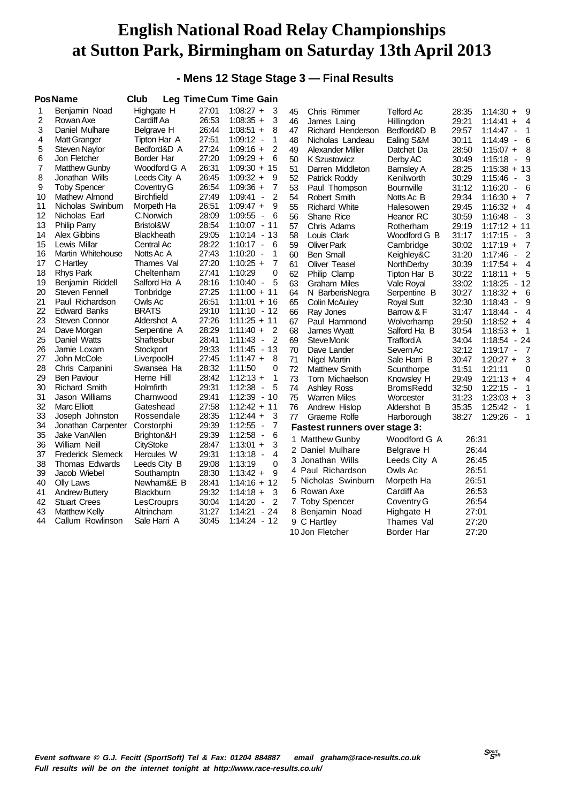#### **- Mens 12 Stage Stage 3 — Final Results**

|    | <b>PosName</b>        | Club              |       | <b>Leg Time Cum Time Gain</b>             |    |                                      |                   |       |                                                      |
|----|-----------------------|-------------------|-------|-------------------------------------------|----|--------------------------------------|-------------------|-------|------------------------------------------------------|
| 1  | Benjamin Noad         | Highgate H        | 27:01 | $1:08:27 +$<br>3                          | 45 | Chris Rimmer                         | Telford Ac        | 28:35 | $1:14:30 +$<br>- 9                                   |
| 2  | Rowan Axe             | Cardiff Aa        | 26:53 | $1:08:35 +$<br>3                          | 46 | James Laing                          | Hillingdon        | 29:21 | $1:14:41 +$<br>- 4                                   |
| 3  | Daniel Mulhare        | Belgrave H        | 26:44 | $1:08:51 +$<br>8                          | 47 | Richard Henderson                    | Bedford&D B       | 29:57 | $1:14:47 -$<br>$\overline{1}$                        |
| 4  | <b>Matt Granger</b>   | Tipton Har A      | 27:51 | $1:09:12 -$<br>1                          | 48 | Nicholas Landeau                     | Ealing S&M        | 30:11 | $1:14:49 -$<br>6                                     |
| 5  | <b>Steven Naylor</b>  | Bedford&D A       | 27:24 | $1:09:16 +$<br>2                          | 49 | Alexander Miller                     | Datchet Da        | 28:50 | $1:15:07 +$<br>8                                     |
| 6  | Jon Fletcher          | Border Har        | 27:20 | 6<br>$1:09:29 +$                          | 50 | <b>K Szustowicz</b>                  | Derby AC          | 30:49 | 1:15:18<br>- 9<br>$\blacksquare$                     |
| 7  | <b>Matthew Gunby</b>  | Woodford G A      | 26:31 | $1:09:30 + 15$                            | 51 | Darren Middleton                     | <b>Barnsley A</b> | 28:25 | $1:15:38 + 13$                                       |
| 8  | Jonathan Wills        | Leeds City A      | 26:45 | $1:09:32 +$<br>9                          | 52 | Patrick Roddy                        | Kenilworth        | 30:29 | 3<br>$1:15:46 -$                                     |
| 9  | <b>Toby Spencer</b>   | Coventry G        | 26:54 | $1:09:36 +$<br>7                          | 53 | Paul Thompson                        | <b>Bournville</b> | 31:12 | 6<br>$1:16:20 -$                                     |
| 10 | Mathew Almond         | <b>Birchfield</b> | 27:49 | 2<br>$1:09:41 -$                          | 54 | Robert Smith                         | Notts Ac B        | 29:34 | $1:16:30 +$<br>7                                     |
| 11 | Nicholas Swinburn     | Morpeth Ha        | 26:51 | $1:09:47 +$<br>9                          | 55 | <b>Richard White</b>                 | Halesowen         | 29:45 | $\overline{4}$<br>$1:16:32 +$                        |
| 12 | Nicholas Earl         | C.Norwich         | 28:09 | $1:09:55 -$<br>6                          | 56 | Shane Rice                           | Heanor RC         | 30:59 | 1:16:48<br>$\overline{\mathbf{3}}$<br>$\blacksquare$ |
| 13 | <b>Philip Parry</b>   | Bristol&W         | 28:54 | $1:10:07 - 11$                            | 57 | Chris Adams                          | Rotherham         | 29:19 | $1:17:12 + 11$                                       |
| 14 | Alex Gibbins          | <b>Blackheath</b> | 29:05 | $1:10:14 - 13$                            | 58 | Louis Clark                          | Woodford G B      | 31:17 | $1:17:15 - 3$                                        |
| 15 | Lewis Millar          | Central Ac        | 28:22 | $1:10:17 -$<br>6                          | 59 | <b>Oliver Park</b>                   | Cambridge         | 30:02 | $1:17:19 +$<br>7                                     |
| 16 | Martin Whitehouse     | Notts Ac A        | 27:43 | $1:10:20 -$<br>1                          | 60 | <b>Ben Small</b>                     | Keighley&C        | 31:20 | 2<br>$1:17:46 -$                                     |
| 17 | C Hartley             | Thames Val        | 27:20 | $\overline{7}$<br>$1:10:25 +$             | 61 | <b>Oliver Teasel</b>                 | NorthDerby        | 30:39 | $1:17:54 +$<br>$\overline{4}$                        |
| 18 | <b>Rhys Park</b>      | Cheltenham        | 27:41 | 1:10:29<br>0                              | 62 | Philip Clamp                         | Tipton Har B      | 30:22 | $1:18:11 +$<br>- 5                                   |
| 19 | Benjamin Riddell      | Salford Ha A      | 28:16 | 1:10:40<br>5<br>$\blacksquare$            | 63 | <b>Graham Miles</b>                  | Vale Royal        | 33:02 | $1:18:25 - 12$                                       |
| 20 | Steven Fennell        | Tonbridge         | 27:25 | $1:11:00 + 11$                            | 64 | N BarberisNegra                      | Serpentine B      | 30:27 | $1:18:32 +$<br>- 6                                   |
| 21 | Paul Richardson       | Owls Ac           | 26:51 | $1:11:01 + 16$                            | 65 | <b>Colin McAuley</b>                 | <b>Royal Sutt</b> | 32:30 | $1:18:43 -$<br>9                                     |
| 22 | <b>Edward Banks</b>   | <b>BRATS</b>      | 29:10 | $1:11:10 - 12$                            | 66 | Ray Jones                            | Barrow & F        | 31:47 | $1:18:44 -$<br>$\overline{4}$                        |
| 23 | Steven Connor         | Aldershot A       | 27:26 | $1:11:25 + 11$                            | 67 | Paul Hammond                         | Wolverhamp        | 29:50 | $1:18:52 +$<br>$\overline{4}$                        |
| 24 | Dave Morgan           | Serpentine A      | 28:29 | $1:11:40 +$<br>2                          | 68 | James Wyatt                          | Salford Ha B      | 30:54 | $\overline{1}$<br>$1:18:53 +$                        |
| 25 | Daniel Watts          | Shaftesbur        | 28:41 | $1:11:43 -$<br>$\overline{\phantom{0}}^2$ | 69 | Steve Monk                           | <b>Trafford A</b> | 34:04 | $1:18:54 - 24$                                       |
| 26 | Jamie Loxam           | Stockport         | 29:33 | 1:11:45 - 13                              | 70 | Dave Lander                          | Severn Ac         | 32:12 | $1:19:17 -$<br>- 7                                   |
| 27 | John McCole           | LiverpoolH        | 27:45 | $1:11:47 +$<br>8                          | 71 | Nigel Martin                         | Sale Harri B      | 30:47 | 3<br>$1:20:27 +$                                     |
| 28 | Chris Carpanini       | Swansea Ha        | 28:32 | 1:11:50<br>0                              | 72 | <b>Matthew Smith</b>                 | Scunthorpe        | 31:51 | 1:21:11<br>0                                         |
| 29 | <b>Ben Paviour</b>    | Herne Hill        | 28:42 | $1:12:13 +$<br>1                          | 73 | Tom Michaelson                       | Knowsley H        | 29:49 | $1:21:13 +$<br>4                                     |
| 30 | <b>Richard Smith</b>  | Holmfirth         | 29:31 | 1:12:38<br>5<br>$\overline{\phantom{a}}$  | 74 | Ashley Ross                          | <b>BromsRedd</b>  | 32:50 | $1:22:15 -$<br>$\mathbf{1}$                          |
| 31 | Jason Williams        | Charnwood         | 29:41 | 1:12:39 - 10                              | 75 | Warren Miles                         | Worcester         | 31:23 | $1:23:03 +$<br>3                                     |
| 32 | <b>Marc Elliott</b>   | Gateshead         | 27:58 | $1:12:42 + 11$                            | 76 | Andrew Hislop                        | Aldershot B       | 35:35 | $1:25:42 -$<br>$\mathbf 1$                           |
| 33 | Joseph Johnston       | Rossendale        | 28:35 | $1:12:44 +$<br>3                          | 77 | Graeme Rolfe                         | Harborough        | 38:27 | $1:29:26 -$<br>$\overline{1}$                        |
| 34 | Jonathan Carpenter    | Corstorphi        | 29:39 | $1:12:55 -$<br>7                          |    | <b>Fastest runners over stage 3:</b> |                   |       |                                                      |
| 35 | Jake VanAllen         | Brighton&H        | 29:39 | $1:12:58 -$<br>6                          |    | 1 Matthew Gunby                      | Woodford G A      | 26:31 |                                                      |
| 36 | William Neill         | CityStoke         | 28:47 | 3<br>$1:13:01 +$                          |    | 2 Daniel Mulhare                     |                   | 26:44 |                                                      |
| 37 | Frederick Slemeck     | Hercules W        | 29:31 | $1:13:18 -$<br>4                          |    |                                      | Belgrave H        |       |                                                      |
| 38 | Thomas Edwards        | Leeds City B      | 29:08 | 1:13:19<br>0                              |    | 3 Jonathan Wills                     | Leeds City A      | 26:45 |                                                      |
| 39 | Jacob Wiebel          | Southamptn        | 28:30 | $1:13:42 +$<br>9                          |    | 4 Paul Richardson                    | Owls Ac           | 26:51 |                                                      |
| 40 | <b>Olly Laws</b>      | Newham&E B        | 28:41 | $1:14:16 + 12$                            |    | 5 Nicholas Swinburn                  | Morpeth Ha        | 26:51 |                                                      |
| 41 | <b>Andrew Buttery</b> | Blackburn         | 29:32 | $1:14:18 +$<br>3                          |    | 6 Rowan Axe                          | Cardiff Aa        | 26:53 |                                                      |
| 42 | <b>Stuart Crees</b>   | LesCrouprs        | 30:04 | $1:14:20 -$<br>2                          |    | 7 Toby Spencer                       | Coventry G        | 26:54 |                                                      |
| 43 | <b>Matthew Kelly</b>  | Altrincham        | 31:27 | $1:14:21 - 24$                            |    | 8 Benjamin Noad                      | Highgate H        | 27:01 |                                                      |
| 44 | Callum Rowlinson      | Sale Harri A      | 30:45 | $1:14:24 - 12$                            |    | 9 C Hartley                          | Thames Val        | 27:20 |                                                      |
|    |                       |                   |       |                                           |    | 10 Jon Fletcher                      | Border Har        | 27:20 |                                                      |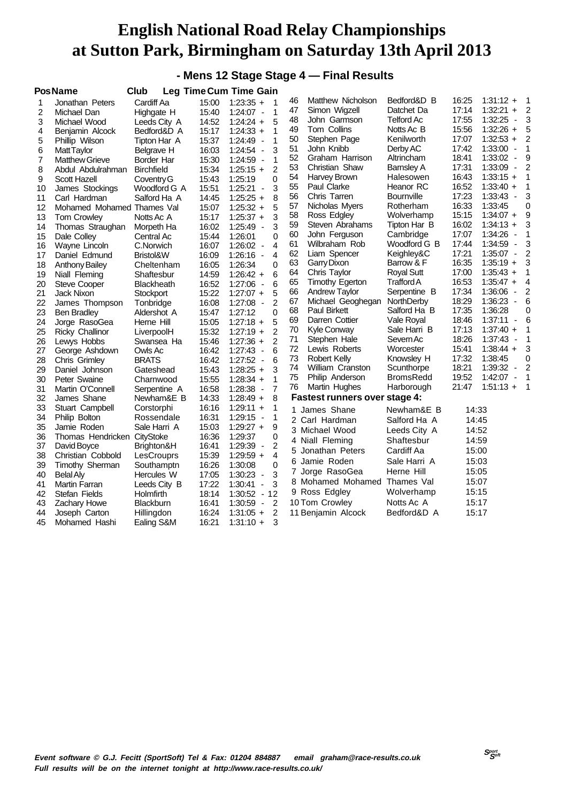#### **- Mens 12 Stage Stage 4 — Final Results**

|    | <b>PosName</b>              | <b>Club</b>       |       | <b>Leg Time Cum Time Gain</b>       |                |    |                                      |                   |       |                                     |                |
|----|-----------------------------|-------------------|-------|-------------------------------------|----------------|----|--------------------------------------|-------------------|-------|-------------------------------------|----------------|
| 1  | Jonathan Peters             | Cardiff Aa        | 15:00 | $1:23:35 +$                         | 1              | 46 | Matthew Nicholson                    | Bedford&D B       | 16:25 | $1:31:12 +$                         | 1              |
| 2  | Michael Dan                 | Highgate H        | 15:40 | 1:24:07 -                           | 1              | 47 | Simon Wigzell                        | Datchet Da        | 17:14 | $1:32:21 +$                         | 2              |
| 3  | Michael Wood                | Leeds City A      | 14:52 | $1:24:24 +$                         | 5              | 48 | John Garmson                         | <b>Telford Ac</b> | 17:55 | 1:32:25<br>$\overline{\phantom{a}}$ | 3              |
| 4  | Benjamin Alcock             | Bedford&D A       | 15:17 | $1:24:33 +$                         | 1              | 49 | Tom Collins                          | Notts Ac B        | 15:56 | $1:32:26 +$                         | 5              |
| 5  | Phillip Wilson              | Tipton Har A      | 15:37 | $1:24:49 -$                         | 1              | 50 | Stephen Page                         | Kenilworth        | 17:07 | $1:32:53 +$                         | 2              |
| 6  | <b>MattTaylor</b>           | Belgrave H        | 16:03 | $1:24:54 -$                         | 3              | 51 | John Knibb                           | Derby AC          | 17:42 | 1:33:00<br>$\overline{\phantom{a}}$ | 1              |
| 7  | <b>Matthew Grieve</b>       | Border Har        | 15:30 | 1:24:59<br>$\overline{\phantom{a}}$ | 1              | 52 | Graham Harrison                      | Altrincham        | 18:41 | 1:33:02<br>$\overline{\phantom{a}}$ | 9              |
| 8  | Abdul Abdulrahman           | <b>Birchfield</b> | 15:34 | $1:25:15 +$                         | $\overline{2}$ | 53 | Christian Shaw                       | <b>Barnsley A</b> | 17:31 | 1:33:09<br>$\overline{\phantom{a}}$ | 2              |
| 9  | Scott Hazell                | Coventry G        | 15:43 | 1:25:19                             | 0              | 54 | Harvey Brown                         | Halesowen         | 16:43 | $1:33:15 +$                         | 1              |
| 10 | James Stockings             | Woodford G A      | 15:51 | $1:25:21 -$                         | 3              | 55 | Paul Clarke                          | Heanor RC         | 16:52 | $1:33:40 +$                         | 1              |
| 11 | Carl Hardman                | Salford Ha A      | 14:45 | $1:25:25 +$                         | 8              | 56 | Chris Tarren                         | Bournville        | 17:23 | 1:33:43<br>$\overline{\phantom{a}}$ | 3              |
| 12 | Mohamed Mohamed Thames Val  |                   | 15:07 | $1:25:32 +$                         | 5              | 57 | Nicholas Myers                       | Rotherham         | 16:33 | 1:33:45                             | 0              |
| 13 | <b>Tom Crowley</b>          | Notts Ac A        | 15:17 | $1:25:37 +$                         | 3              | 58 | Ross Edgley                          | Wolverhamp        | 15:15 | $1:34:07 +$                         | 9              |
| 14 | Thomas Straughan            | Morpeth Ha        | 16:02 | $1:25:49 -$                         | 3              | 59 | Steven Abrahams                      | Tipton Har B      | 16:02 | $1:34:13 +$                         | 3              |
| 15 | Dale Colley                 | Central Ac        | 15:44 | 1:26:01                             | 0              | 60 | John Ferguson                        | Cambridge         | 17:07 | $1:34:26 -$                         | 1              |
| 16 | Wayne Lincoln               | C.Norwich         | 16:07 | $1:26:02 -$                         | 4              | 61 | Wilbraham Rob                        | Woodford G B      | 17:44 | 1:34:59<br>$\overline{\phantom{a}}$ | 3              |
| 17 | Daniel Edmund               | Bristol&W         | 16:09 | 1:26:16<br>$\sim$                   | $\overline{4}$ | 62 | Liam Spencer                         | Keighley&C        | 17:21 | $1:35:07 -$                         | 2              |
| 18 | <b>Anthony Bailey</b>       | Cheltenham        | 16:05 | 1:26:34                             | $\Omega$       | 63 | Garry Dixon                          | Barrow & F        | 16:35 | $1:35:19 +$                         | 3              |
| 19 | Niall Fleming               | Shaftesbur        | 14:59 | $1:26:42 +$                         | 6              | 64 | Chris Taylor                         | <b>Royal Sutt</b> | 17:00 | $1:35:43 +$                         | 1              |
| 20 | <b>Steve Cooper</b>         | Blackheath        | 16:52 | 1:27:06<br>$\overline{\phantom{a}}$ | 6              | 65 | <b>Timothy Egerton</b>               | TraffordA         | 16:53 | $1:35:47 +$                         | 4              |
| 21 | Jack Nixon                  | Stockport         | 15:22 | $1:27:07 +$                         | 5              | 66 | <b>Andrew Taylor</b>                 | Serpentine B      | 17:34 | 1:36:06<br>$\overline{\phantom{a}}$ | 2              |
| 22 | James Thompson              | Tonbridge         | 16:08 | $1:27:08 -$                         | $\overline{2}$ | 67 | Michael Geoghegan                    | NorthDerby        | 18:29 | $1:36:23 -$                         | 6              |
| 23 | <b>Ben Bradley</b>          | Aldershot A       | 15:47 | 1:27:12                             | 0              | 68 | <b>Paul Birkett</b>                  | Salford Ha B      | 17:35 | 1:36:28                             | 0              |
| 24 | Jorge RasoGea               | Herne Hill        | 15:05 | $1:27:18 +$                         | 5              | 69 | Darren Cottier                       | Vale Royal        | 18:46 | 1:37:11<br>$\overline{\phantom{a}}$ | 6              |
| 25 | <b>Ricky Challinor</b>      | LiverpoolH        | 15:32 | $1:27:19 +$                         | $\overline{2}$ | 70 | Kyle Conway                          | Sale Harri B      | 17:13 | $1:37:40 +$                         | 1              |
| 26 | Lewys Hobbs                 | Swansea Ha        | 15:46 | $1:27:36 +$                         | $\overline{2}$ | 71 | Stephen Hale                         | Severn Ac         | 18:26 | 1:37:43<br>$\overline{\phantom{a}}$ | 1              |
| 27 | George Ashdown              | Owls Ac           | 16:42 | $1:27:43 -$                         | 6              | 72 | Lewis Roberts                        | Worcester         | 15:41 | $1:38:44 +$                         | 3              |
| 28 | Chris Grimley               | <b>BRATS</b>      | 16:42 | 1:27:52 -                           | 6              | 73 | Robert Kelly                         | Knowsley H        | 17:32 | 1:38:45                             | 0              |
| 29 | Daniel Johnson              | Gateshead         | 15:43 | $1:28:25 +$                         | 3              | 74 | William Cranston                     | Scunthorpe        | 18:21 | $1:39:32 -$                         | $\overline{2}$ |
| 30 | Peter Swaine                | Charnwood         | 15:55 | $1:28:34 +$                         | 1              | 75 | Philip Anderson                      | <b>BromsRedd</b>  | 19:52 | $1:42:07 -$                         | 1              |
| 31 | Martin O'Connell            | Serpentine A      | 16:58 | 1:28:38<br>$\overline{\phantom{a}}$ | 7              | 76 | Martin Hughes                        | Harborough        | 21:47 | $1:51:13 +$                         | $\overline{1}$ |
| 32 | James Shane                 | Newham&E B        | 14:33 | $1:28:49 +$                         | 8              |    | <b>Fastest runners over stage 4:</b> |                   |       |                                     |                |
| 33 | Stuart Campbell             | Corstorphi        | 16:16 | $1:29:11 +$                         | 1              |    | 1 James Shane                        | Newham&E B        | 14:33 |                                     |                |
| 34 | Philip Bolton               | Rossendale        | 16:31 | 1:29:15 -                           | 1              |    | 2 Carl Hardman                       | Salford Ha A      | 14:45 |                                     |                |
| 35 | Jamie Roden                 | Sale Harri A      | 15:03 | $1:29:27 +$                         | 9              |    | 3 Michael Wood                       | Leeds City A      | 14:52 |                                     |                |
| 36 | Thomas Hendricken CityStoke |                   | 16:36 | 1:29:37                             | $\Omega$       |    | 4 Niall Fleming                      | Shaftesbur        | 14:59 |                                     |                |
| 37 | David Boyce                 | Brighton&H        | 16:41 | 1:29:39<br>$\overline{\phantom{a}}$ | 2              |    | 5 Jonathan Peters                    | Cardiff Aa        | 15:00 |                                     |                |
| 38 | Christian Cobbold           | LesCrouprs        | 15:39 | $1:29:59 +$                         | 4              |    | 6 Jamie Roden                        | Sale Harri A      | 15:03 |                                     |                |
| 39 | Timothy Sherman             | Southamptn        | 16:26 | 1:30:08                             | 0              |    |                                      |                   |       |                                     |                |
| 40 | <b>Belal Aly</b>            | Hercules W        | 17:05 | $1:30:23 -$                         | 3              |    | 7 Jorge RasoGea                      | Herne Hill        | 15:05 |                                     |                |
| 41 | Martin Farran               | Leeds City B      | 17:22 | 1:30:41<br>$\blacksquare$           | 3              |    | 8 Mohamed Mohamed Thames Val         |                   | 15:07 |                                     |                |
| 42 | Stefan Fields               | Holmfirth         | 18:14 | $1:30:52 -$                         | 12             |    | 9 Ross Edgley                        | Wolverhamp        | 15:15 |                                     |                |
| 43 | <b>Zachary Howe</b>         | Blackburn         | 16:41 | 1:30:59<br>$\overline{\phantom{a}}$ | 2              |    | 10 Tom Crowley                       | Notts Ac A        | 15:17 |                                     |                |
| 44 | Joseph Carton               | Hillingdon        | 16:24 | $1:31:05 +$                         | $\overline{c}$ |    | 11 Benjamin Alcock                   | Bedford&D A       | 15:17 |                                     |                |
| 45 | Mohamed Hashi               | Ealing S&M        | 16:21 | $1:31:10 +$                         | 3              |    |                                      |                   |       |                                     |                |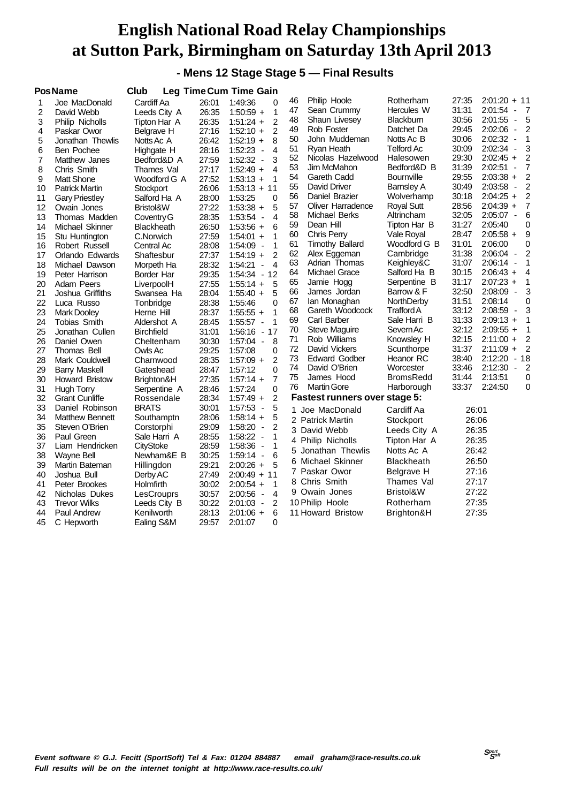#### **- Mens 12 Stage Stage 5 — Final Results**

| 27:35<br>$2:01:20 + 11$<br>46<br>Philip Hoole<br>Rotherham<br>Cardiff Aa<br>26:01<br>1:49:36<br>$\mathbf 0$<br>Joe MacDonald<br>1<br>31:31<br>47<br><b>Hercules W</b><br>$2:01:54 -$<br>$\overline{7}$<br>Sean Crummy<br>2<br>26:35<br>1<br>David Webb<br>Leeds City A<br>$1:50:59 +$<br>30:56<br>5<br>48<br>2:01:55<br>Shaun Livesey<br>Blackburn<br>$\blacksquare$<br>$\overline{2}$<br>3<br>Tipton Har A<br>26:35<br>Philip Nicholls<br>$1:51:24 +$<br>49<br>Rob Foster<br>29:45<br>2:02:06<br>2<br>Datchet Da<br>$\blacksquare$<br>27:16<br>$\overline{2}$<br>4<br>Belgrave H<br>$1:52:10 +$<br>Paskar Owor<br>1<br>50<br>John Muddeman<br>30:06<br>2:02:32<br>Notts Ac B<br>$\blacksquare$<br>5<br>8<br>26:42<br>$1:52:19 +$<br>Jonathan Thewlis<br>Notts Ac A<br>3<br>51<br><b>Telford Ac</b><br>30:09<br>2:02:34<br>Ryan Heath<br>$\overline{\phantom{a}}$<br>6<br><b>Ben Pochee</b><br>28:16<br>1:52:23<br>4<br>Highgate H<br>$\overline{\phantom{a}}$<br>29:30<br>$\overline{c}$<br>52<br>$2:02:45 +$<br>Nicolas Hazelwood<br>Halesowen<br>7<br>27:59<br>1:52:32 -<br>3<br>Bedford&D A<br>Matthew Janes<br>31:39<br>$\overline{7}$<br>53<br>Bedford&D B<br>2:02:51<br>Jim McMahon<br>$\overline{\phantom{a}}$<br>8<br>27:17<br>Chris Smith<br>$1:52:49 +$<br>4<br>Thames Val<br>54<br>29:55<br>$2:03:38 +$<br>2<br>Gareth Cadd<br>Bournville<br>9<br><b>Matt Shone</b><br>Woodford G A<br>27:52<br>$1:53:13 +$<br>1<br>$\overline{c}$<br>30:49<br>55<br>2:03:58<br>David Driver<br><b>Barnsley A</b><br>$\blacksquare$<br>$1:53:13 + 11$<br>10<br>26:06<br><b>Patrick Martin</b><br>Stockport<br>30:18<br>$2:04:25 +$<br>$\overline{c}$<br>56<br>Daniel Brazier<br>Wolverhamp<br>1:53:25<br>$\Omega$<br>11<br>28:00<br><b>Gary Priestley</b><br>Salford Ha A<br>$\overline{7}$<br>57<br>28:56<br>$2:04:39 +$<br>Oliver Harradence<br><b>Royal Sutt</b><br>12<br>27:22<br>Bristol&W<br>$1:53:38 +$<br>5<br>Owain Jones<br>$6\phantom{1}6$<br>58<br>32:05<br>2:05:07<br>Michael Berks<br>Altrincham<br>$\blacksquare$<br>28:35<br>13<br>1:53:54 -<br>$\overline{4}$<br>Thomas Madden<br>Coventry G<br>59<br>31:27<br>2:05:40<br>0<br>Dean Hill<br>Tipton Har B<br>26:50<br>$1:53:56 +$<br>14<br>Michael Skinner<br>6<br><b>Blackheath</b><br>9<br>28:47<br>$2:05:58 +$<br>60<br>Chris Perry<br>Vale Royal<br>15<br>1<br>Stu Huntington<br>C.Norwich<br>27:59<br>$1:54:01 +$<br>31:01<br>2:06:00<br>0<br>61<br><b>Timothy Ballard</b><br>Woodford G B<br>$\mathbf{1}$<br>16<br>28:08<br>1:54:09 -<br>Robert Russell<br>Central Ac<br>$\overline{c}$<br>31:38<br>2:06:04 -<br>62<br>Alex Eggeman<br>Cambridge<br>$\overline{2}$<br>17<br>27:37<br>Orlando Edwards<br>Shaftesbur<br>$1:54:19 +$<br>31:07<br>1<br>63<br>2:06:14<br>Adrian Thomas<br>Keighley&C<br>$\overline{\phantom{a}}$<br>18<br>28:32<br>Michael Dawson<br>Morpeth Ha<br>1:54:21<br>4<br>$\overline{\phantom{a}}$<br>30:15<br>$2:06:43 +$<br>4<br>64<br>Salford Ha B<br>Michael Grace<br>19<br>29:35<br>1:54:34 - 12<br>Peter Harrison<br>Border Har<br>1<br>65<br>31:17<br>$2:07:23 +$<br>Jamie Hogg<br>Serpentine B<br>20<br>27:55<br>$1:55:14 +$<br>5<br>Adam Peers<br>LiverpoolH<br>32:50<br>2:08:09<br>3<br>66<br>Barrow & F<br>James Jordan<br>$\blacksquare$<br>5<br>21<br>28:04<br>Joshua Griffiths<br>$1:55:40 +$<br>Swansea Ha<br>31:51<br>0<br>67<br>2:08:14<br>lan Monaghan<br>NorthDerby<br>22<br>28:38<br>0<br>Luca Russo<br>Tonbridge<br>1:55:46<br>3<br>68<br>Gareth Woodcock<br>Trafford A<br>33:12<br>2:08:59<br>$\overline{\phantom{a}}$<br>23<br>28:37<br>1<br>$1:55:55 +$<br><b>Mark Dooley</b><br>Herne Hill<br>31:33<br>1<br>69<br>Carl Barber<br>Sale Harri B<br>$2:09:13 +$<br>24<br>1<br><b>Tobias Smith</b><br>28:45<br>1:55:57<br>Aldershot A<br>$\blacksquare$<br>32:12<br>70<br>Steve Maguire<br>Severn Ac<br>$2:09:55 +$<br>1<br>25<br>31:01<br>17<br>Jonathan Cullen<br><b>Birchfield</b><br>$1:56:16 -$<br>32:15<br>$\overline{2}$<br>71<br>Rob Williams<br>$2:11:00 +$<br>Knowsley H<br>30:30<br>1:57:04 -<br>8<br>26<br>Daniel Owen<br>Cheltenham<br>2<br>72<br>31:37<br>David Vickers<br>Scunthorpe<br>$2:11:09 +$<br>29:25<br>27<br>Thomas Bell<br>Owls Ac<br>1:57:08<br>0<br>$-18$<br>73<br><b>Edward Godber</b><br>38:40<br>2:12:20<br>Heanor RC<br>28<br>28:35<br>2<br>Charnwood<br>$1:57:09 +$<br>Mark Couldwell<br>2<br>74<br>33:46<br>2:12:30<br>David O'Brien<br>Worcester<br>$\blacksquare$<br>$\Omega$<br>28:47<br>29<br><b>Barry Maskell</b><br>Gateshead<br>1:57:12<br>0<br>75<br>James Hood<br><b>BromsRedd</b><br>31:44<br>2:13:51<br>$\overline{7}$<br>30<br>27:35<br>$1:57:14 +$<br>Howard Bristow<br>Brighton&H<br>2:24:50<br>76<br><b>Martin Gore</b><br>33:37<br>0<br>Harborough<br>0<br>31<br>28:46<br>1:57:24<br>Hugh Torry<br>Serpentine A<br><b>Fastest runners over stage 5:</b><br>32<br>28:34<br>$1:57:49 +$<br>2<br><b>Grant Cunliffe</b><br>Rossendale<br>33<br>5<br><b>BRATS</b><br>30:01<br>$1:57:53 -$<br>Daniel Robinson<br>1 Joe MacDonald<br>Cardiff Aa<br>26:01<br>34<br>28:06<br>$1:58:14 +$<br>5<br><b>Matthew Bennett</b><br>Southamptn<br>2 Patrick Martin<br>26:06<br>Stockport<br>2<br>35<br>Steven O'Brien<br>29:09<br>$1:58:20 -$<br>Corstorphi<br>3 David Webb<br>26:35<br>Leeds City A<br>36<br>Paul Green<br>Sale Harri A<br>28:55<br>$1:58:22 -$<br>1<br>26:35<br>4 Philip Nicholls<br>Tipton Har A<br>37<br>CityStoke<br>28:59<br>$1:58:36 -$<br>1<br>Liam Hendricken<br>26:42<br>5 Jonathan Thewlis<br>Notts Ac A<br>6<br>38<br>30:25<br>Wayne Bell<br>Newham&E B<br>$1:59:14 -$<br>6 Michael Skinner<br>26:50<br><b>Blackheath</b><br>29:21<br>39<br>$2:00:26 +$<br>5<br>Martin Bateman<br>Hillingdon<br>27:16<br>7 Paskar Owor<br>Belgrave H<br>40<br>27:49<br>$2:00:49 + 11$<br>Joshua Bull<br>Derby AC<br>8 Chris Smith<br>27:17<br>Thames Val<br>30:02<br>$2:00:54 +$<br>1<br>41<br>Peter Brookes<br>Holmfirth<br>Bristol&W<br>27:22<br>9 Owain Jones<br>42<br>30:57<br>$2:00:56 -$<br>4<br>Nicholas Dukes<br>LesCrouprs<br>27:35<br>10 Philip Hoole<br>Rotherham<br>43<br>30:22<br>2<br><b>Trevor Wilks</b><br>Leeds City B<br>$2:01:03 -$<br>6<br>44<br>28:13<br>$2:01:06 +$<br>27:35<br>Paul Andrew<br>Kenilworth<br>11 Howard Bristow<br>Brighton&H<br>45<br>29:57<br>0<br>Ealing S&M<br>2:01:07<br>C Hepworth | <b>PosName</b> | <b>Club</b> | <b>Leg Time Cum Time Gain</b> |  |  |  |
|-------------------------------------------------------------------------------------------------------------------------------------------------------------------------------------------------------------------------------------------------------------------------------------------------------------------------------------------------------------------------------------------------------------------------------------------------------------------------------------------------------------------------------------------------------------------------------------------------------------------------------------------------------------------------------------------------------------------------------------------------------------------------------------------------------------------------------------------------------------------------------------------------------------------------------------------------------------------------------------------------------------------------------------------------------------------------------------------------------------------------------------------------------------------------------------------------------------------------------------------------------------------------------------------------------------------------------------------------------------------------------------------------------------------------------------------------------------------------------------------------------------------------------------------------------------------------------------------------------------------------------------------------------------------------------------------------------------------------------------------------------------------------------------------------------------------------------------------------------------------------------------------------------------------------------------------------------------------------------------------------------------------------------------------------------------------------------------------------------------------------------------------------------------------------------------------------------------------------------------------------------------------------------------------------------------------------------------------------------------------------------------------------------------------------------------------------------------------------------------------------------------------------------------------------------------------------------------------------------------------------------------------------------------------------------------------------------------------------------------------------------------------------------------------------------------------------------------------------------------------------------------------------------------------------------------------------------------------------------------------------------------------------------------------------------------------------------------------------------------------------------------------------------------------------------------------------------------------------------------------------------------------------------------------------------------------------------------------------------------------------------------------------------------------------------------------------------------------------------------------------------------------------------------------------------------------------------------------------------------------------------------------------------------------------------------------------------------------------------------------------------------------------------------------------------------------------------------------------------------------------------------------------------------------------------------------------------------------------------------------------------------------------------------------------------------------------------------------------------------------------------------------------------------------------------------------------------------------------------------------------------------------------------------------------------------------------------------------------------------------------------------------------------------------------------------------------------------------------------------------------------------------------------------------------------------------------------------------------------------------------------------------------------------------------------------------------------------------------------------------------------------------------------------------------------------------------------------------------------------------------------------------------------------------------------------------------------------------------------------------------------------------------------------------------------------------------------------------------------------------------------------------------------------------------------------------------------------------------------------------------------------------------------------------------------------------------------------------------------------------------------------------------------------------------------------------------------------------------------------------------------------------------------------------------------------------------------------------------------------------------------------------------------------------------------------------------------------------------------------------------------------------------------------------------------------------------------------------------------------------------------------------------------------------------------------------------------------------------------------------------------------------------------------------------------------------------------------------------------------------------------------------------------------------------------------------------------------------------------------------------------------------------------------|----------------|-------------|-------------------------------|--|--|--|
|                                                                                                                                                                                                                                                                                                                                                                                                                                                                                                                                                                                                                                                                                                                                                                                                                                                                                                                                                                                                                                                                                                                                                                                                                                                                                                                                                                                                                                                                                                                                                                                                                                                                                                                                                                                                                                                                                                                                                                                                                                                                                                                                                                                                                                                                                                                                                                                                                                                                                                                                                                                                                                                                                                                                                                                                                                                                                                                                                                                                                                                                                                                                                                                                                                                                                                                                                                                                                                                                                                                                                                                                                                                                                                                                                                                                                                                                                                                                                                                                                                                                                                                                                                                                                                                                                                                                                                                                                                                                                                                                                                                                                                                                                                                                                                                                                                                                                                                                                                                                                                                                                                                                                                                                                                                                                                                                                                                                                                                                                                                                                                                                                                                                                                                                                                                                                                                                                                                                                                                                                                                                                                                                                                                                                                                                                     |                |             |                               |  |  |  |
|                                                                                                                                                                                                                                                                                                                                                                                                                                                                                                                                                                                                                                                                                                                                                                                                                                                                                                                                                                                                                                                                                                                                                                                                                                                                                                                                                                                                                                                                                                                                                                                                                                                                                                                                                                                                                                                                                                                                                                                                                                                                                                                                                                                                                                                                                                                                                                                                                                                                                                                                                                                                                                                                                                                                                                                                                                                                                                                                                                                                                                                                                                                                                                                                                                                                                                                                                                                                                                                                                                                                                                                                                                                                                                                                                                                                                                                                                                                                                                                                                                                                                                                                                                                                                                                                                                                                                                                                                                                                                                                                                                                                                                                                                                                                                                                                                                                                                                                                                                                                                                                                                                                                                                                                                                                                                                                                                                                                                                                                                                                                                                                                                                                                                                                                                                                                                                                                                                                                                                                                                                                                                                                                                                                                                                                                                     |                |             |                               |  |  |  |
|                                                                                                                                                                                                                                                                                                                                                                                                                                                                                                                                                                                                                                                                                                                                                                                                                                                                                                                                                                                                                                                                                                                                                                                                                                                                                                                                                                                                                                                                                                                                                                                                                                                                                                                                                                                                                                                                                                                                                                                                                                                                                                                                                                                                                                                                                                                                                                                                                                                                                                                                                                                                                                                                                                                                                                                                                                                                                                                                                                                                                                                                                                                                                                                                                                                                                                                                                                                                                                                                                                                                                                                                                                                                                                                                                                                                                                                                                                                                                                                                                                                                                                                                                                                                                                                                                                                                                                                                                                                                                                                                                                                                                                                                                                                                                                                                                                                                                                                                                                                                                                                                                                                                                                                                                                                                                                                                                                                                                                                                                                                                                                                                                                                                                                                                                                                                                                                                                                                                                                                                                                                                                                                                                                                                                                                                                     |                |             |                               |  |  |  |
|                                                                                                                                                                                                                                                                                                                                                                                                                                                                                                                                                                                                                                                                                                                                                                                                                                                                                                                                                                                                                                                                                                                                                                                                                                                                                                                                                                                                                                                                                                                                                                                                                                                                                                                                                                                                                                                                                                                                                                                                                                                                                                                                                                                                                                                                                                                                                                                                                                                                                                                                                                                                                                                                                                                                                                                                                                                                                                                                                                                                                                                                                                                                                                                                                                                                                                                                                                                                                                                                                                                                                                                                                                                                                                                                                                                                                                                                                                                                                                                                                                                                                                                                                                                                                                                                                                                                                                                                                                                                                                                                                                                                                                                                                                                                                                                                                                                                                                                                                                                                                                                                                                                                                                                                                                                                                                                                                                                                                                                                                                                                                                                                                                                                                                                                                                                                                                                                                                                                                                                                                                                                                                                                                                                                                                                                                     |                |             |                               |  |  |  |
|                                                                                                                                                                                                                                                                                                                                                                                                                                                                                                                                                                                                                                                                                                                                                                                                                                                                                                                                                                                                                                                                                                                                                                                                                                                                                                                                                                                                                                                                                                                                                                                                                                                                                                                                                                                                                                                                                                                                                                                                                                                                                                                                                                                                                                                                                                                                                                                                                                                                                                                                                                                                                                                                                                                                                                                                                                                                                                                                                                                                                                                                                                                                                                                                                                                                                                                                                                                                                                                                                                                                                                                                                                                                                                                                                                                                                                                                                                                                                                                                                                                                                                                                                                                                                                                                                                                                                                                                                                                                                                                                                                                                                                                                                                                                                                                                                                                                                                                                                                                                                                                                                                                                                                                                                                                                                                                                                                                                                                                                                                                                                                                                                                                                                                                                                                                                                                                                                                                                                                                                                                                                                                                                                                                                                                                                                     |                |             |                               |  |  |  |
|                                                                                                                                                                                                                                                                                                                                                                                                                                                                                                                                                                                                                                                                                                                                                                                                                                                                                                                                                                                                                                                                                                                                                                                                                                                                                                                                                                                                                                                                                                                                                                                                                                                                                                                                                                                                                                                                                                                                                                                                                                                                                                                                                                                                                                                                                                                                                                                                                                                                                                                                                                                                                                                                                                                                                                                                                                                                                                                                                                                                                                                                                                                                                                                                                                                                                                                                                                                                                                                                                                                                                                                                                                                                                                                                                                                                                                                                                                                                                                                                                                                                                                                                                                                                                                                                                                                                                                                                                                                                                                                                                                                                                                                                                                                                                                                                                                                                                                                                                                                                                                                                                                                                                                                                                                                                                                                                                                                                                                                                                                                                                                                                                                                                                                                                                                                                                                                                                                                                                                                                                                                                                                                                                                                                                                                                                     |                |             |                               |  |  |  |
|                                                                                                                                                                                                                                                                                                                                                                                                                                                                                                                                                                                                                                                                                                                                                                                                                                                                                                                                                                                                                                                                                                                                                                                                                                                                                                                                                                                                                                                                                                                                                                                                                                                                                                                                                                                                                                                                                                                                                                                                                                                                                                                                                                                                                                                                                                                                                                                                                                                                                                                                                                                                                                                                                                                                                                                                                                                                                                                                                                                                                                                                                                                                                                                                                                                                                                                                                                                                                                                                                                                                                                                                                                                                                                                                                                                                                                                                                                                                                                                                                                                                                                                                                                                                                                                                                                                                                                                                                                                                                                                                                                                                                                                                                                                                                                                                                                                                                                                                                                                                                                                                                                                                                                                                                                                                                                                                                                                                                                                                                                                                                                                                                                                                                                                                                                                                                                                                                                                                                                                                                                                                                                                                                                                                                                                                                     |                |             |                               |  |  |  |
|                                                                                                                                                                                                                                                                                                                                                                                                                                                                                                                                                                                                                                                                                                                                                                                                                                                                                                                                                                                                                                                                                                                                                                                                                                                                                                                                                                                                                                                                                                                                                                                                                                                                                                                                                                                                                                                                                                                                                                                                                                                                                                                                                                                                                                                                                                                                                                                                                                                                                                                                                                                                                                                                                                                                                                                                                                                                                                                                                                                                                                                                                                                                                                                                                                                                                                                                                                                                                                                                                                                                                                                                                                                                                                                                                                                                                                                                                                                                                                                                                                                                                                                                                                                                                                                                                                                                                                                                                                                                                                                                                                                                                                                                                                                                                                                                                                                                                                                                                                                                                                                                                                                                                                                                                                                                                                                                                                                                                                                                                                                                                                                                                                                                                                                                                                                                                                                                                                                                                                                                                                                                                                                                                                                                                                                                                     |                |             |                               |  |  |  |
|                                                                                                                                                                                                                                                                                                                                                                                                                                                                                                                                                                                                                                                                                                                                                                                                                                                                                                                                                                                                                                                                                                                                                                                                                                                                                                                                                                                                                                                                                                                                                                                                                                                                                                                                                                                                                                                                                                                                                                                                                                                                                                                                                                                                                                                                                                                                                                                                                                                                                                                                                                                                                                                                                                                                                                                                                                                                                                                                                                                                                                                                                                                                                                                                                                                                                                                                                                                                                                                                                                                                                                                                                                                                                                                                                                                                                                                                                                                                                                                                                                                                                                                                                                                                                                                                                                                                                                                                                                                                                                                                                                                                                                                                                                                                                                                                                                                                                                                                                                                                                                                                                                                                                                                                                                                                                                                                                                                                                                                                                                                                                                                                                                                                                                                                                                                                                                                                                                                                                                                                                                                                                                                                                                                                                                                                                     |                |             |                               |  |  |  |
|                                                                                                                                                                                                                                                                                                                                                                                                                                                                                                                                                                                                                                                                                                                                                                                                                                                                                                                                                                                                                                                                                                                                                                                                                                                                                                                                                                                                                                                                                                                                                                                                                                                                                                                                                                                                                                                                                                                                                                                                                                                                                                                                                                                                                                                                                                                                                                                                                                                                                                                                                                                                                                                                                                                                                                                                                                                                                                                                                                                                                                                                                                                                                                                                                                                                                                                                                                                                                                                                                                                                                                                                                                                                                                                                                                                                                                                                                                                                                                                                                                                                                                                                                                                                                                                                                                                                                                                                                                                                                                                                                                                                                                                                                                                                                                                                                                                                                                                                                                                                                                                                                                                                                                                                                                                                                                                                                                                                                                                                                                                                                                                                                                                                                                                                                                                                                                                                                                                                                                                                                                                                                                                                                                                                                                                                                     |                |             |                               |  |  |  |
|                                                                                                                                                                                                                                                                                                                                                                                                                                                                                                                                                                                                                                                                                                                                                                                                                                                                                                                                                                                                                                                                                                                                                                                                                                                                                                                                                                                                                                                                                                                                                                                                                                                                                                                                                                                                                                                                                                                                                                                                                                                                                                                                                                                                                                                                                                                                                                                                                                                                                                                                                                                                                                                                                                                                                                                                                                                                                                                                                                                                                                                                                                                                                                                                                                                                                                                                                                                                                                                                                                                                                                                                                                                                                                                                                                                                                                                                                                                                                                                                                                                                                                                                                                                                                                                                                                                                                                                                                                                                                                                                                                                                                                                                                                                                                                                                                                                                                                                                                                                                                                                                                                                                                                                                                                                                                                                                                                                                                                                                                                                                                                                                                                                                                                                                                                                                                                                                                                                                                                                                                                                                                                                                                                                                                                                                                     |                |             |                               |  |  |  |
|                                                                                                                                                                                                                                                                                                                                                                                                                                                                                                                                                                                                                                                                                                                                                                                                                                                                                                                                                                                                                                                                                                                                                                                                                                                                                                                                                                                                                                                                                                                                                                                                                                                                                                                                                                                                                                                                                                                                                                                                                                                                                                                                                                                                                                                                                                                                                                                                                                                                                                                                                                                                                                                                                                                                                                                                                                                                                                                                                                                                                                                                                                                                                                                                                                                                                                                                                                                                                                                                                                                                                                                                                                                                                                                                                                                                                                                                                                                                                                                                                                                                                                                                                                                                                                                                                                                                                                                                                                                                                                                                                                                                                                                                                                                                                                                                                                                                                                                                                                                                                                                                                                                                                                                                                                                                                                                                                                                                                                                                                                                                                                                                                                                                                                                                                                                                                                                                                                                                                                                                                                                                                                                                                                                                                                                                                     |                |             |                               |  |  |  |
|                                                                                                                                                                                                                                                                                                                                                                                                                                                                                                                                                                                                                                                                                                                                                                                                                                                                                                                                                                                                                                                                                                                                                                                                                                                                                                                                                                                                                                                                                                                                                                                                                                                                                                                                                                                                                                                                                                                                                                                                                                                                                                                                                                                                                                                                                                                                                                                                                                                                                                                                                                                                                                                                                                                                                                                                                                                                                                                                                                                                                                                                                                                                                                                                                                                                                                                                                                                                                                                                                                                                                                                                                                                                                                                                                                                                                                                                                                                                                                                                                                                                                                                                                                                                                                                                                                                                                                                                                                                                                                                                                                                                                                                                                                                                                                                                                                                                                                                                                                                                                                                                                                                                                                                                                                                                                                                                                                                                                                                                                                                                                                                                                                                                                                                                                                                                                                                                                                                                                                                                                                                                                                                                                                                                                                                                                     |                |             |                               |  |  |  |
|                                                                                                                                                                                                                                                                                                                                                                                                                                                                                                                                                                                                                                                                                                                                                                                                                                                                                                                                                                                                                                                                                                                                                                                                                                                                                                                                                                                                                                                                                                                                                                                                                                                                                                                                                                                                                                                                                                                                                                                                                                                                                                                                                                                                                                                                                                                                                                                                                                                                                                                                                                                                                                                                                                                                                                                                                                                                                                                                                                                                                                                                                                                                                                                                                                                                                                                                                                                                                                                                                                                                                                                                                                                                                                                                                                                                                                                                                                                                                                                                                                                                                                                                                                                                                                                                                                                                                                                                                                                                                                                                                                                                                                                                                                                                                                                                                                                                                                                                                                                                                                                                                                                                                                                                                                                                                                                                                                                                                                                                                                                                                                                                                                                                                                                                                                                                                                                                                                                                                                                                                                                                                                                                                                                                                                                                                     |                |             |                               |  |  |  |
|                                                                                                                                                                                                                                                                                                                                                                                                                                                                                                                                                                                                                                                                                                                                                                                                                                                                                                                                                                                                                                                                                                                                                                                                                                                                                                                                                                                                                                                                                                                                                                                                                                                                                                                                                                                                                                                                                                                                                                                                                                                                                                                                                                                                                                                                                                                                                                                                                                                                                                                                                                                                                                                                                                                                                                                                                                                                                                                                                                                                                                                                                                                                                                                                                                                                                                                                                                                                                                                                                                                                                                                                                                                                                                                                                                                                                                                                                                                                                                                                                                                                                                                                                                                                                                                                                                                                                                                                                                                                                                                                                                                                                                                                                                                                                                                                                                                                                                                                                                                                                                                                                                                                                                                                                                                                                                                                                                                                                                                                                                                                                                                                                                                                                                                                                                                                                                                                                                                                                                                                                                                                                                                                                                                                                                                                                     |                |             |                               |  |  |  |
|                                                                                                                                                                                                                                                                                                                                                                                                                                                                                                                                                                                                                                                                                                                                                                                                                                                                                                                                                                                                                                                                                                                                                                                                                                                                                                                                                                                                                                                                                                                                                                                                                                                                                                                                                                                                                                                                                                                                                                                                                                                                                                                                                                                                                                                                                                                                                                                                                                                                                                                                                                                                                                                                                                                                                                                                                                                                                                                                                                                                                                                                                                                                                                                                                                                                                                                                                                                                                                                                                                                                                                                                                                                                                                                                                                                                                                                                                                                                                                                                                                                                                                                                                                                                                                                                                                                                                                                                                                                                                                                                                                                                                                                                                                                                                                                                                                                                                                                                                                                                                                                                                                                                                                                                                                                                                                                                                                                                                                                                                                                                                                                                                                                                                                                                                                                                                                                                                                                                                                                                                                                                                                                                                                                                                                                                                     |                |             |                               |  |  |  |
|                                                                                                                                                                                                                                                                                                                                                                                                                                                                                                                                                                                                                                                                                                                                                                                                                                                                                                                                                                                                                                                                                                                                                                                                                                                                                                                                                                                                                                                                                                                                                                                                                                                                                                                                                                                                                                                                                                                                                                                                                                                                                                                                                                                                                                                                                                                                                                                                                                                                                                                                                                                                                                                                                                                                                                                                                                                                                                                                                                                                                                                                                                                                                                                                                                                                                                                                                                                                                                                                                                                                                                                                                                                                                                                                                                                                                                                                                                                                                                                                                                                                                                                                                                                                                                                                                                                                                                                                                                                                                                                                                                                                                                                                                                                                                                                                                                                                                                                                                                                                                                                                                                                                                                                                                                                                                                                                                                                                                                                                                                                                                                                                                                                                                                                                                                                                                                                                                                                                                                                                                                                                                                                                                                                                                                                                                     |                |             |                               |  |  |  |
|                                                                                                                                                                                                                                                                                                                                                                                                                                                                                                                                                                                                                                                                                                                                                                                                                                                                                                                                                                                                                                                                                                                                                                                                                                                                                                                                                                                                                                                                                                                                                                                                                                                                                                                                                                                                                                                                                                                                                                                                                                                                                                                                                                                                                                                                                                                                                                                                                                                                                                                                                                                                                                                                                                                                                                                                                                                                                                                                                                                                                                                                                                                                                                                                                                                                                                                                                                                                                                                                                                                                                                                                                                                                                                                                                                                                                                                                                                                                                                                                                                                                                                                                                                                                                                                                                                                                                                                                                                                                                                                                                                                                                                                                                                                                                                                                                                                                                                                                                                                                                                                                                                                                                                                                                                                                                                                                                                                                                                                                                                                                                                                                                                                                                                                                                                                                                                                                                                                                                                                                                                                                                                                                                                                                                                                                                     |                |             |                               |  |  |  |
|                                                                                                                                                                                                                                                                                                                                                                                                                                                                                                                                                                                                                                                                                                                                                                                                                                                                                                                                                                                                                                                                                                                                                                                                                                                                                                                                                                                                                                                                                                                                                                                                                                                                                                                                                                                                                                                                                                                                                                                                                                                                                                                                                                                                                                                                                                                                                                                                                                                                                                                                                                                                                                                                                                                                                                                                                                                                                                                                                                                                                                                                                                                                                                                                                                                                                                                                                                                                                                                                                                                                                                                                                                                                                                                                                                                                                                                                                                                                                                                                                                                                                                                                                                                                                                                                                                                                                                                                                                                                                                                                                                                                                                                                                                                                                                                                                                                                                                                                                                                                                                                                                                                                                                                                                                                                                                                                                                                                                                                                                                                                                                                                                                                                                                                                                                                                                                                                                                                                                                                                                                                                                                                                                                                                                                                                                     |                |             |                               |  |  |  |
|                                                                                                                                                                                                                                                                                                                                                                                                                                                                                                                                                                                                                                                                                                                                                                                                                                                                                                                                                                                                                                                                                                                                                                                                                                                                                                                                                                                                                                                                                                                                                                                                                                                                                                                                                                                                                                                                                                                                                                                                                                                                                                                                                                                                                                                                                                                                                                                                                                                                                                                                                                                                                                                                                                                                                                                                                                                                                                                                                                                                                                                                                                                                                                                                                                                                                                                                                                                                                                                                                                                                                                                                                                                                                                                                                                                                                                                                                                                                                                                                                                                                                                                                                                                                                                                                                                                                                                                                                                                                                                                                                                                                                                                                                                                                                                                                                                                                                                                                                                                                                                                                                                                                                                                                                                                                                                                                                                                                                                                                                                                                                                                                                                                                                                                                                                                                                                                                                                                                                                                                                                                                                                                                                                                                                                                                                     |                |             |                               |  |  |  |
|                                                                                                                                                                                                                                                                                                                                                                                                                                                                                                                                                                                                                                                                                                                                                                                                                                                                                                                                                                                                                                                                                                                                                                                                                                                                                                                                                                                                                                                                                                                                                                                                                                                                                                                                                                                                                                                                                                                                                                                                                                                                                                                                                                                                                                                                                                                                                                                                                                                                                                                                                                                                                                                                                                                                                                                                                                                                                                                                                                                                                                                                                                                                                                                                                                                                                                                                                                                                                                                                                                                                                                                                                                                                                                                                                                                                                                                                                                                                                                                                                                                                                                                                                                                                                                                                                                                                                                                                                                                                                                                                                                                                                                                                                                                                                                                                                                                                                                                                                                                                                                                                                                                                                                                                                                                                                                                                                                                                                                                                                                                                                                                                                                                                                                                                                                                                                                                                                                                                                                                                                                                                                                                                                                                                                                                                                     |                |             |                               |  |  |  |
|                                                                                                                                                                                                                                                                                                                                                                                                                                                                                                                                                                                                                                                                                                                                                                                                                                                                                                                                                                                                                                                                                                                                                                                                                                                                                                                                                                                                                                                                                                                                                                                                                                                                                                                                                                                                                                                                                                                                                                                                                                                                                                                                                                                                                                                                                                                                                                                                                                                                                                                                                                                                                                                                                                                                                                                                                                                                                                                                                                                                                                                                                                                                                                                                                                                                                                                                                                                                                                                                                                                                                                                                                                                                                                                                                                                                                                                                                                                                                                                                                                                                                                                                                                                                                                                                                                                                                                                                                                                                                                                                                                                                                                                                                                                                                                                                                                                                                                                                                                                                                                                                                                                                                                                                                                                                                                                                                                                                                                                                                                                                                                                                                                                                                                                                                                                                                                                                                                                                                                                                                                                                                                                                                                                                                                                                                     |                |             |                               |  |  |  |
|                                                                                                                                                                                                                                                                                                                                                                                                                                                                                                                                                                                                                                                                                                                                                                                                                                                                                                                                                                                                                                                                                                                                                                                                                                                                                                                                                                                                                                                                                                                                                                                                                                                                                                                                                                                                                                                                                                                                                                                                                                                                                                                                                                                                                                                                                                                                                                                                                                                                                                                                                                                                                                                                                                                                                                                                                                                                                                                                                                                                                                                                                                                                                                                                                                                                                                                                                                                                                                                                                                                                                                                                                                                                                                                                                                                                                                                                                                                                                                                                                                                                                                                                                                                                                                                                                                                                                                                                                                                                                                                                                                                                                                                                                                                                                                                                                                                                                                                                                                                                                                                                                                                                                                                                                                                                                                                                                                                                                                                                                                                                                                                                                                                                                                                                                                                                                                                                                                                                                                                                                                                                                                                                                                                                                                                                                     |                |             |                               |  |  |  |
|                                                                                                                                                                                                                                                                                                                                                                                                                                                                                                                                                                                                                                                                                                                                                                                                                                                                                                                                                                                                                                                                                                                                                                                                                                                                                                                                                                                                                                                                                                                                                                                                                                                                                                                                                                                                                                                                                                                                                                                                                                                                                                                                                                                                                                                                                                                                                                                                                                                                                                                                                                                                                                                                                                                                                                                                                                                                                                                                                                                                                                                                                                                                                                                                                                                                                                                                                                                                                                                                                                                                                                                                                                                                                                                                                                                                                                                                                                                                                                                                                                                                                                                                                                                                                                                                                                                                                                                                                                                                                                                                                                                                                                                                                                                                                                                                                                                                                                                                                                                                                                                                                                                                                                                                                                                                                                                                                                                                                                                                                                                                                                                                                                                                                                                                                                                                                                                                                                                                                                                                                                                                                                                                                                                                                                                                                     |                |             |                               |  |  |  |
|                                                                                                                                                                                                                                                                                                                                                                                                                                                                                                                                                                                                                                                                                                                                                                                                                                                                                                                                                                                                                                                                                                                                                                                                                                                                                                                                                                                                                                                                                                                                                                                                                                                                                                                                                                                                                                                                                                                                                                                                                                                                                                                                                                                                                                                                                                                                                                                                                                                                                                                                                                                                                                                                                                                                                                                                                                                                                                                                                                                                                                                                                                                                                                                                                                                                                                                                                                                                                                                                                                                                                                                                                                                                                                                                                                                                                                                                                                                                                                                                                                                                                                                                                                                                                                                                                                                                                                                                                                                                                                                                                                                                                                                                                                                                                                                                                                                                                                                                                                                                                                                                                                                                                                                                                                                                                                                                                                                                                                                                                                                                                                                                                                                                                                                                                                                                                                                                                                                                                                                                                                                                                                                                                                                                                                                                                     |                |             |                               |  |  |  |
|                                                                                                                                                                                                                                                                                                                                                                                                                                                                                                                                                                                                                                                                                                                                                                                                                                                                                                                                                                                                                                                                                                                                                                                                                                                                                                                                                                                                                                                                                                                                                                                                                                                                                                                                                                                                                                                                                                                                                                                                                                                                                                                                                                                                                                                                                                                                                                                                                                                                                                                                                                                                                                                                                                                                                                                                                                                                                                                                                                                                                                                                                                                                                                                                                                                                                                                                                                                                                                                                                                                                                                                                                                                                                                                                                                                                                                                                                                                                                                                                                                                                                                                                                                                                                                                                                                                                                                                                                                                                                                                                                                                                                                                                                                                                                                                                                                                                                                                                                                                                                                                                                                                                                                                                                                                                                                                                                                                                                                                                                                                                                                                                                                                                                                                                                                                                                                                                                                                                                                                                                                                                                                                                                                                                                                                                                     |                |             |                               |  |  |  |
|                                                                                                                                                                                                                                                                                                                                                                                                                                                                                                                                                                                                                                                                                                                                                                                                                                                                                                                                                                                                                                                                                                                                                                                                                                                                                                                                                                                                                                                                                                                                                                                                                                                                                                                                                                                                                                                                                                                                                                                                                                                                                                                                                                                                                                                                                                                                                                                                                                                                                                                                                                                                                                                                                                                                                                                                                                                                                                                                                                                                                                                                                                                                                                                                                                                                                                                                                                                                                                                                                                                                                                                                                                                                                                                                                                                                                                                                                                                                                                                                                                                                                                                                                                                                                                                                                                                                                                                                                                                                                                                                                                                                                                                                                                                                                                                                                                                                                                                                                                                                                                                                                                                                                                                                                                                                                                                                                                                                                                                                                                                                                                                                                                                                                                                                                                                                                                                                                                                                                                                                                                                                                                                                                                                                                                                                                     |                |             |                               |  |  |  |
|                                                                                                                                                                                                                                                                                                                                                                                                                                                                                                                                                                                                                                                                                                                                                                                                                                                                                                                                                                                                                                                                                                                                                                                                                                                                                                                                                                                                                                                                                                                                                                                                                                                                                                                                                                                                                                                                                                                                                                                                                                                                                                                                                                                                                                                                                                                                                                                                                                                                                                                                                                                                                                                                                                                                                                                                                                                                                                                                                                                                                                                                                                                                                                                                                                                                                                                                                                                                                                                                                                                                                                                                                                                                                                                                                                                                                                                                                                                                                                                                                                                                                                                                                                                                                                                                                                                                                                                                                                                                                                                                                                                                                                                                                                                                                                                                                                                                                                                                                                                                                                                                                                                                                                                                                                                                                                                                                                                                                                                                                                                                                                                                                                                                                                                                                                                                                                                                                                                                                                                                                                                                                                                                                                                                                                                                                     |                |             |                               |  |  |  |
|                                                                                                                                                                                                                                                                                                                                                                                                                                                                                                                                                                                                                                                                                                                                                                                                                                                                                                                                                                                                                                                                                                                                                                                                                                                                                                                                                                                                                                                                                                                                                                                                                                                                                                                                                                                                                                                                                                                                                                                                                                                                                                                                                                                                                                                                                                                                                                                                                                                                                                                                                                                                                                                                                                                                                                                                                                                                                                                                                                                                                                                                                                                                                                                                                                                                                                                                                                                                                                                                                                                                                                                                                                                                                                                                                                                                                                                                                                                                                                                                                                                                                                                                                                                                                                                                                                                                                                                                                                                                                                                                                                                                                                                                                                                                                                                                                                                                                                                                                                                                                                                                                                                                                                                                                                                                                                                                                                                                                                                                                                                                                                                                                                                                                                                                                                                                                                                                                                                                                                                                                                                                                                                                                                                                                                                                                     |                |             |                               |  |  |  |
|                                                                                                                                                                                                                                                                                                                                                                                                                                                                                                                                                                                                                                                                                                                                                                                                                                                                                                                                                                                                                                                                                                                                                                                                                                                                                                                                                                                                                                                                                                                                                                                                                                                                                                                                                                                                                                                                                                                                                                                                                                                                                                                                                                                                                                                                                                                                                                                                                                                                                                                                                                                                                                                                                                                                                                                                                                                                                                                                                                                                                                                                                                                                                                                                                                                                                                                                                                                                                                                                                                                                                                                                                                                                                                                                                                                                                                                                                                                                                                                                                                                                                                                                                                                                                                                                                                                                                                                                                                                                                                                                                                                                                                                                                                                                                                                                                                                                                                                                                                                                                                                                                                                                                                                                                                                                                                                                                                                                                                                                                                                                                                                                                                                                                                                                                                                                                                                                                                                                                                                                                                                                                                                                                                                                                                                                                     |                |             |                               |  |  |  |
|                                                                                                                                                                                                                                                                                                                                                                                                                                                                                                                                                                                                                                                                                                                                                                                                                                                                                                                                                                                                                                                                                                                                                                                                                                                                                                                                                                                                                                                                                                                                                                                                                                                                                                                                                                                                                                                                                                                                                                                                                                                                                                                                                                                                                                                                                                                                                                                                                                                                                                                                                                                                                                                                                                                                                                                                                                                                                                                                                                                                                                                                                                                                                                                                                                                                                                                                                                                                                                                                                                                                                                                                                                                                                                                                                                                                                                                                                                                                                                                                                                                                                                                                                                                                                                                                                                                                                                                                                                                                                                                                                                                                                                                                                                                                                                                                                                                                                                                                                                                                                                                                                                                                                                                                                                                                                                                                                                                                                                                                                                                                                                                                                                                                                                                                                                                                                                                                                                                                                                                                                                                                                                                                                                                                                                                                                     |                |             |                               |  |  |  |
|                                                                                                                                                                                                                                                                                                                                                                                                                                                                                                                                                                                                                                                                                                                                                                                                                                                                                                                                                                                                                                                                                                                                                                                                                                                                                                                                                                                                                                                                                                                                                                                                                                                                                                                                                                                                                                                                                                                                                                                                                                                                                                                                                                                                                                                                                                                                                                                                                                                                                                                                                                                                                                                                                                                                                                                                                                                                                                                                                                                                                                                                                                                                                                                                                                                                                                                                                                                                                                                                                                                                                                                                                                                                                                                                                                                                                                                                                                                                                                                                                                                                                                                                                                                                                                                                                                                                                                                                                                                                                                                                                                                                                                                                                                                                                                                                                                                                                                                                                                                                                                                                                                                                                                                                                                                                                                                                                                                                                                                                                                                                                                                                                                                                                                                                                                                                                                                                                                                                                                                                                                                                                                                                                                                                                                                                                     |                |             |                               |  |  |  |
|                                                                                                                                                                                                                                                                                                                                                                                                                                                                                                                                                                                                                                                                                                                                                                                                                                                                                                                                                                                                                                                                                                                                                                                                                                                                                                                                                                                                                                                                                                                                                                                                                                                                                                                                                                                                                                                                                                                                                                                                                                                                                                                                                                                                                                                                                                                                                                                                                                                                                                                                                                                                                                                                                                                                                                                                                                                                                                                                                                                                                                                                                                                                                                                                                                                                                                                                                                                                                                                                                                                                                                                                                                                                                                                                                                                                                                                                                                                                                                                                                                                                                                                                                                                                                                                                                                                                                                                                                                                                                                                                                                                                                                                                                                                                                                                                                                                                                                                                                                                                                                                                                                                                                                                                                                                                                                                                                                                                                                                                                                                                                                                                                                                                                                                                                                                                                                                                                                                                                                                                                                                                                                                                                                                                                                                                                     |                |             |                               |  |  |  |
|                                                                                                                                                                                                                                                                                                                                                                                                                                                                                                                                                                                                                                                                                                                                                                                                                                                                                                                                                                                                                                                                                                                                                                                                                                                                                                                                                                                                                                                                                                                                                                                                                                                                                                                                                                                                                                                                                                                                                                                                                                                                                                                                                                                                                                                                                                                                                                                                                                                                                                                                                                                                                                                                                                                                                                                                                                                                                                                                                                                                                                                                                                                                                                                                                                                                                                                                                                                                                                                                                                                                                                                                                                                                                                                                                                                                                                                                                                                                                                                                                                                                                                                                                                                                                                                                                                                                                                                                                                                                                                                                                                                                                                                                                                                                                                                                                                                                                                                                                                                                                                                                                                                                                                                                                                                                                                                                                                                                                                                                                                                                                                                                                                                                                                                                                                                                                                                                                                                                                                                                                                                                                                                                                                                                                                                                                     |                |             |                               |  |  |  |
|                                                                                                                                                                                                                                                                                                                                                                                                                                                                                                                                                                                                                                                                                                                                                                                                                                                                                                                                                                                                                                                                                                                                                                                                                                                                                                                                                                                                                                                                                                                                                                                                                                                                                                                                                                                                                                                                                                                                                                                                                                                                                                                                                                                                                                                                                                                                                                                                                                                                                                                                                                                                                                                                                                                                                                                                                                                                                                                                                                                                                                                                                                                                                                                                                                                                                                                                                                                                                                                                                                                                                                                                                                                                                                                                                                                                                                                                                                                                                                                                                                                                                                                                                                                                                                                                                                                                                                                                                                                                                                                                                                                                                                                                                                                                                                                                                                                                                                                                                                                                                                                                                                                                                                                                                                                                                                                                                                                                                                                                                                                                                                                                                                                                                                                                                                                                                                                                                                                                                                                                                                                                                                                                                                                                                                                                                     |                |             |                               |  |  |  |
|                                                                                                                                                                                                                                                                                                                                                                                                                                                                                                                                                                                                                                                                                                                                                                                                                                                                                                                                                                                                                                                                                                                                                                                                                                                                                                                                                                                                                                                                                                                                                                                                                                                                                                                                                                                                                                                                                                                                                                                                                                                                                                                                                                                                                                                                                                                                                                                                                                                                                                                                                                                                                                                                                                                                                                                                                                                                                                                                                                                                                                                                                                                                                                                                                                                                                                                                                                                                                                                                                                                                                                                                                                                                                                                                                                                                                                                                                                                                                                                                                                                                                                                                                                                                                                                                                                                                                                                                                                                                                                                                                                                                                                                                                                                                                                                                                                                                                                                                                                                                                                                                                                                                                                                                                                                                                                                                                                                                                                                                                                                                                                                                                                                                                                                                                                                                                                                                                                                                                                                                                                                                                                                                                                                                                                                                                     |                |             |                               |  |  |  |
|                                                                                                                                                                                                                                                                                                                                                                                                                                                                                                                                                                                                                                                                                                                                                                                                                                                                                                                                                                                                                                                                                                                                                                                                                                                                                                                                                                                                                                                                                                                                                                                                                                                                                                                                                                                                                                                                                                                                                                                                                                                                                                                                                                                                                                                                                                                                                                                                                                                                                                                                                                                                                                                                                                                                                                                                                                                                                                                                                                                                                                                                                                                                                                                                                                                                                                                                                                                                                                                                                                                                                                                                                                                                                                                                                                                                                                                                                                                                                                                                                                                                                                                                                                                                                                                                                                                                                                                                                                                                                                                                                                                                                                                                                                                                                                                                                                                                                                                                                                                                                                                                                                                                                                                                                                                                                                                                                                                                                                                                                                                                                                                                                                                                                                                                                                                                                                                                                                                                                                                                                                                                                                                                                                                                                                                                                     |                |             |                               |  |  |  |
|                                                                                                                                                                                                                                                                                                                                                                                                                                                                                                                                                                                                                                                                                                                                                                                                                                                                                                                                                                                                                                                                                                                                                                                                                                                                                                                                                                                                                                                                                                                                                                                                                                                                                                                                                                                                                                                                                                                                                                                                                                                                                                                                                                                                                                                                                                                                                                                                                                                                                                                                                                                                                                                                                                                                                                                                                                                                                                                                                                                                                                                                                                                                                                                                                                                                                                                                                                                                                                                                                                                                                                                                                                                                                                                                                                                                                                                                                                                                                                                                                                                                                                                                                                                                                                                                                                                                                                                                                                                                                                                                                                                                                                                                                                                                                                                                                                                                                                                                                                                                                                                                                                                                                                                                                                                                                                                                                                                                                                                                                                                                                                                                                                                                                                                                                                                                                                                                                                                                                                                                                                                                                                                                                                                                                                                                                     |                |             |                               |  |  |  |
|                                                                                                                                                                                                                                                                                                                                                                                                                                                                                                                                                                                                                                                                                                                                                                                                                                                                                                                                                                                                                                                                                                                                                                                                                                                                                                                                                                                                                                                                                                                                                                                                                                                                                                                                                                                                                                                                                                                                                                                                                                                                                                                                                                                                                                                                                                                                                                                                                                                                                                                                                                                                                                                                                                                                                                                                                                                                                                                                                                                                                                                                                                                                                                                                                                                                                                                                                                                                                                                                                                                                                                                                                                                                                                                                                                                                                                                                                                                                                                                                                                                                                                                                                                                                                                                                                                                                                                                                                                                                                                                                                                                                                                                                                                                                                                                                                                                                                                                                                                                                                                                                                                                                                                                                                                                                                                                                                                                                                                                                                                                                                                                                                                                                                                                                                                                                                                                                                                                                                                                                                                                                                                                                                                                                                                                                                     |                |             |                               |  |  |  |
|                                                                                                                                                                                                                                                                                                                                                                                                                                                                                                                                                                                                                                                                                                                                                                                                                                                                                                                                                                                                                                                                                                                                                                                                                                                                                                                                                                                                                                                                                                                                                                                                                                                                                                                                                                                                                                                                                                                                                                                                                                                                                                                                                                                                                                                                                                                                                                                                                                                                                                                                                                                                                                                                                                                                                                                                                                                                                                                                                                                                                                                                                                                                                                                                                                                                                                                                                                                                                                                                                                                                                                                                                                                                                                                                                                                                                                                                                                                                                                                                                                                                                                                                                                                                                                                                                                                                                                                                                                                                                                                                                                                                                                                                                                                                                                                                                                                                                                                                                                                                                                                                                                                                                                                                                                                                                                                                                                                                                                                                                                                                                                                                                                                                                                                                                                                                                                                                                                                                                                                                                                                                                                                                                                                                                                                                                     |                |             |                               |  |  |  |
|                                                                                                                                                                                                                                                                                                                                                                                                                                                                                                                                                                                                                                                                                                                                                                                                                                                                                                                                                                                                                                                                                                                                                                                                                                                                                                                                                                                                                                                                                                                                                                                                                                                                                                                                                                                                                                                                                                                                                                                                                                                                                                                                                                                                                                                                                                                                                                                                                                                                                                                                                                                                                                                                                                                                                                                                                                                                                                                                                                                                                                                                                                                                                                                                                                                                                                                                                                                                                                                                                                                                                                                                                                                                                                                                                                                                                                                                                                                                                                                                                                                                                                                                                                                                                                                                                                                                                                                                                                                                                                                                                                                                                                                                                                                                                                                                                                                                                                                                                                                                                                                                                                                                                                                                                                                                                                                                                                                                                                                                                                                                                                                                                                                                                                                                                                                                                                                                                                                                                                                                                                                                                                                                                                                                                                                                                     |                |             |                               |  |  |  |
|                                                                                                                                                                                                                                                                                                                                                                                                                                                                                                                                                                                                                                                                                                                                                                                                                                                                                                                                                                                                                                                                                                                                                                                                                                                                                                                                                                                                                                                                                                                                                                                                                                                                                                                                                                                                                                                                                                                                                                                                                                                                                                                                                                                                                                                                                                                                                                                                                                                                                                                                                                                                                                                                                                                                                                                                                                                                                                                                                                                                                                                                                                                                                                                                                                                                                                                                                                                                                                                                                                                                                                                                                                                                                                                                                                                                                                                                                                                                                                                                                                                                                                                                                                                                                                                                                                                                                                                                                                                                                                                                                                                                                                                                                                                                                                                                                                                                                                                                                                                                                                                                                                                                                                                                                                                                                                                                                                                                                                                                                                                                                                                                                                                                                                                                                                                                                                                                                                                                                                                                                                                                                                                                                                                                                                                                                     |                |             |                               |  |  |  |
|                                                                                                                                                                                                                                                                                                                                                                                                                                                                                                                                                                                                                                                                                                                                                                                                                                                                                                                                                                                                                                                                                                                                                                                                                                                                                                                                                                                                                                                                                                                                                                                                                                                                                                                                                                                                                                                                                                                                                                                                                                                                                                                                                                                                                                                                                                                                                                                                                                                                                                                                                                                                                                                                                                                                                                                                                                                                                                                                                                                                                                                                                                                                                                                                                                                                                                                                                                                                                                                                                                                                                                                                                                                                                                                                                                                                                                                                                                                                                                                                                                                                                                                                                                                                                                                                                                                                                                                                                                                                                                                                                                                                                                                                                                                                                                                                                                                                                                                                                                                                                                                                                                                                                                                                                                                                                                                                                                                                                                                                                                                                                                                                                                                                                                                                                                                                                                                                                                                                                                                                                                                                                                                                                                                                                                                                                     |                |             |                               |  |  |  |
|                                                                                                                                                                                                                                                                                                                                                                                                                                                                                                                                                                                                                                                                                                                                                                                                                                                                                                                                                                                                                                                                                                                                                                                                                                                                                                                                                                                                                                                                                                                                                                                                                                                                                                                                                                                                                                                                                                                                                                                                                                                                                                                                                                                                                                                                                                                                                                                                                                                                                                                                                                                                                                                                                                                                                                                                                                                                                                                                                                                                                                                                                                                                                                                                                                                                                                                                                                                                                                                                                                                                                                                                                                                                                                                                                                                                                                                                                                                                                                                                                                                                                                                                                                                                                                                                                                                                                                                                                                                                                                                                                                                                                                                                                                                                                                                                                                                                                                                                                                                                                                                                                                                                                                                                                                                                                                                                                                                                                                                                                                                                                                                                                                                                                                                                                                                                                                                                                                                                                                                                                                                                                                                                                                                                                                                                                     |                |             |                               |  |  |  |
|                                                                                                                                                                                                                                                                                                                                                                                                                                                                                                                                                                                                                                                                                                                                                                                                                                                                                                                                                                                                                                                                                                                                                                                                                                                                                                                                                                                                                                                                                                                                                                                                                                                                                                                                                                                                                                                                                                                                                                                                                                                                                                                                                                                                                                                                                                                                                                                                                                                                                                                                                                                                                                                                                                                                                                                                                                                                                                                                                                                                                                                                                                                                                                                                                                                                                                                                                                                                                                                                                                                                                                                                                                                                                                                                                                                                                                                                                                                                                                                                                                                                                                                                                                                                                                                                                                                                                                                                                                                                                                                                                                                                                                                                                                                                                                                                                                                                                                                                                                                                                                                                                                                                                                                                                                                                                                                                                                                                                                                                                                                                                                                                                                                                                                                                                                                                                                                                                                                                                                                                                                                                                                                                                                                                                                                                                     |                |             |                               |  |  |  |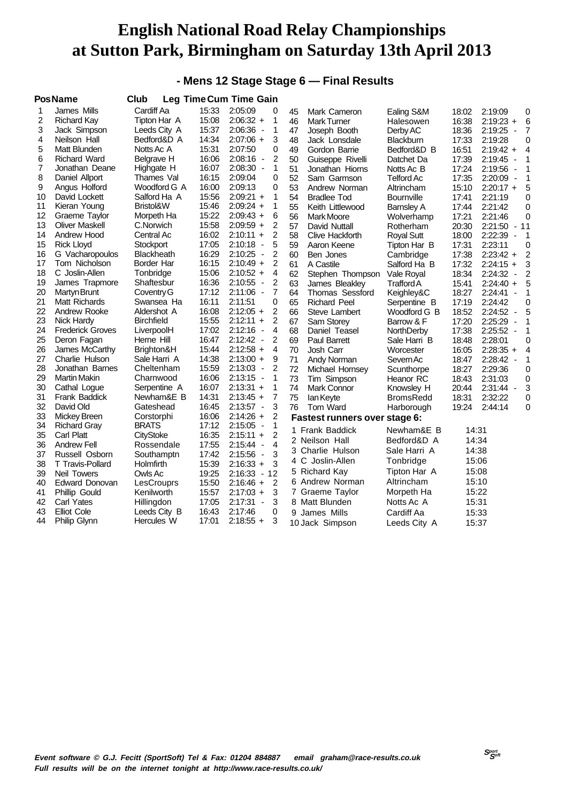#### **- Mens 12 Stage Stage 6 — Final Results**

|    | <b>PosName</b>          | Club              |       | Leg Time Cum Time Gain                   |    |                               |                   |       |                                     |   |
|----|-------------------------|-------------------|-------|------------------------------------------|----|-------------------------------|-------------------|-------|-------------------------------------|---|
| 1  | James Mills             | Cardiff Aa        | 15:33 | 2:05:09<br>0                             | 45 | Mark Cameron                  | Ealing S&M        | 18:02 | 2:19:09                             | 0 |
| 2  | <b>Richard Kay</b>      | Tipton Har A      | 15:08 | $2:06:32 +$<br>1                         | 46 | <b>Mark Turner</b>            | Halesowen         | 16:38 | $2:19:23 +$                         | 6 |
| 3  | Jack Simpson            | Leeds City A      | 15:37 | $2:06:36 -$<br>1                         | 47 | Joseph Booth                  | Derby AC          | 18:36 | 2:19:25 -                           | 7 |
| 4  | Neilson Hall            | Bedford&D A       | 14:34 | 3<br>$2:07:06 +$                         | 48 | Jack Lonsdale                 | <b>Blackburn</b>  | 17:33 | 2:19:28                             | 0 |
| 5  | Matt Blunden            | Notts Ac A        | 15:31 | 2:07:50<br>0                             | 49 | Gordon Barrie                 | Bedford&D B       | 16:51 | $2:19:42 +$                         | 4 |
| 6  | Richard Ward            | Belgrave H        | 16:06 | $2:08:16 -$<br>2                         | 50 | Guiseppe Rivelli              | Datchet Da        | 17:39 | 2:19:45<br>$\overline{\phantom{a}}$ |   |
| 7  | Jonathan Deane          | Highgate H        | 16:07 | $\mathbf{1}$<br>$2:08:30 -$              | 51 | Jonathan Hiorns               | Notts Ac B        | 17:24 | 2:19:56<br>$\overline{\phantom{a}}$ | 1 |
| 8  | Daniel Allport          | Thames Val        | 16:15 | 2:09:04<br>0                             | 52 | Sam Garmson                   | Telford Ac        | 17:35 | 2:20:09 -                           | 1 |
| 9  | Angus Holford           | Woodford G A      | 16:00 | 2:09:13<br>0                             | 53 | Andrew Norman                 | Altrincham        | 15:10 | $2:20:17 +$                         | 5 |
| 10 | David Lockett           | Salford Ha A      | 15:56 | 1<br>$2:09:21 +$                         | 54 | <b>Bradlee Tod</b>            | Bournville        | 17:41 | 2:21:19                             | 0 |
| 11 | Kieran Young            | Bristol&W         | 15:46 | $2:09:24 +$<br>1                         | 55 | Keith Littlewood              | <b>Barnsley A</b> | 17:44 | 2:21:42                             | 0 |
| 12 | Graeme Taylor           | Morpeth Ha        | 15:22 | $2:09:43 +$<br>6                         | 56 | Mark Moore                    | Wolverhamp        | 17:21 | 2:21:46                             | 0 |
| 13 | <b>Oliver Maskell</b>   | C.Norwich         | 15:58 | $2:09:59 +$<br>2                         | 57 | David Nuttall                 | Rotherham         | 20:30 | $2:21:50 - 11$                      |   |
| 14 | Andrew Hood             | Central Ac        | 16:02 | 2<br>$2:10:11 +$                         | 58 | Clive Hackforth               | <b>Royal Sutt</b> | 18:00 | 2:22:39<br>$\overline{\phantom{a}}$ | 1 |
| 15 | <b>Rick Lloyd</b>       | Stockport         | 17:05 | $2:10:18 -$<br>5                         | 59 | Aaron Keene                   | Tipton Har B      | 17:31 | 2:23:11                             | 0 |
| 16 | G Vacharopoulos         | Blackheath        | 16:29 | $2:10:25 -$<br>2                         | 60 | Ben Jones                     | Cambridge         | 17:38 | $2:23:42 +$                         | 2 |
| 17 | Tom Nicholson           | Border Har        | 16:15 | 2<br>$2:10:49 +$                         | 61 | A Castile                     | Salford Ha B      | 17:32 | $2:24:15 +$                         | 3 |
| 18 | C Joslin-Allen          | Tonbridge         | 15:06 | $2:10:52 +$<br>4                         | 62 | Stephen Thompson              | Vale Royal        | 18:34 | $2:24:32 -$                         | 2 |
| 19 | James Trapmore          | Shaftesbur        | 16:36 | 2<br>$2:10:55 -$                         | 63 | James Bleakley                | <b>Trafford A</b> | 15:41 | $2:24:40 +$                         | 5 |
| 20 | Martyn Brunt            | Coventry G        | 17:12 | $2:11:06 -$<br>7                         | 64 | Thomas Sessford               | Keighley&C        | 18:27 | $2:24:41 -$                         |   |
| 21 | Matt Richards           | Swansea Ha        | 16:11 | 0<br>2:11:51                             | 65 | <b>Richard Peel</b>           | Serpentine B      | 17:19 | 2:24:42                             | 0 |
| 22 | Andrew Rooke            | Aldershot A       | 16:08 | 2<br>$2:12:05 +$                         | 66 | Steve Lambert                 | Woodford G B      | 18:52 | $2:24:52 -$                         | 5 |
| 23 | <b>Nick Hardy</b>       | <b>Birchfield</b> | 15:55 | $2:12:11 +$<br>$\overline{2}$            | 67 | Sam Storey                    | Barrow & F        | 17:20 | 2:25:29<br>$\overline{\phantom{a}}$ | 1 |
| 24 | <b>Frederick Groves</b> | LiverpoolH        | 17:02 | $2:12:16 -$<br>4                         | 68 | Daniel Teasel                 | NorthDerby        | 17:38 | $2:25:52 -$                         | 1 |
| 25 | Deron Fagan             | Herne Hill        | 16:47 | $2:12:42 -$<br>2                         | 69 | <b>Paul Barrett</b>           | Sale Harri B      | 18:48 | 2:28:01                             | 0 |
| 26 | James McCarthy          | Brighton&H        | 15:44 | $2:12:58 +$<br>4                         | 70 | Josh Carr                     | Worcester         | 16:05 | $2:28:35 +$                         | 4 |
| 27 | Charlie Hulson          | Sale Harri A      | 14:38 | $2:13:00 +$<br>9                         | 71 | Andy Norman                   | Severn Ac         | 18:47 | 2:28:42<br>$\sim$                   | 1 |
| 28 | Jonathan Barnes         | Cheltenham        | 15:59 | $2:13:03 -$<br>2                         | 72 | Michael Hornsey               | Scunthorpe        | 18:27 | 2:29:36                             | 0 |
| 29 | <b>Martin Makin</b>     | Charnwood         | 16:06 | $2:13:15 -$<br>1                         | 73 | Tim Simpson                   | Heanor RC         | 18:43 | 2:31:03                             | 0 |
| 30 | Cathal Logue            | Serpentine A      | 16:07 | $2:13:31 +$<br>1                         | 74 | <b>Mark Connor</b>            | Knowsley H        | 20:44 | 2:31:44<br>$\overline{\phantom{a}}$ | 3 |
| 31 | Frank Baddick           | Newham&E B        | 14:31 | 7<br>2:13:45 +                           | 75 | lan Keyte                     | <b>BromsRedd</b>  | 18:31 | 2:32:22                             | 0 |
| 32 | David Old               | Gateshead         | 16:45 | $2:13:57 -$<br>3                         | 76 | Tom Ward                      | Harborough        | 19:24 | 2:44:14                             | 0 |
| 33 | Mickey Breen            | Corstorphi        | 16:06 | 2<br>$2:14:26 +$                         |    | Fastest runners over stage 6: |                   |       |                                     |   |
| 34 | <b>Richard Gray</b>     | <b>BRATS</b>      | 17:12 | 1<br>$2:15:05 -$                         |    | 1 Frank Baddick               | Newham&E B        | 14:31 |                                     |   |
| 35 | Carl Platt              | CityStoke         | 16:35 | 2<br>$2:15:11 +$                         |    | 2 Neilson Hall                | Bedford&D A       | 14:34 |                                     |   |
| 36 | Andrew Fell             | Rossendale        | 17:55 | $2:15:44 -$<br>4                         |    | 3 Charlie Hulson              | Sale Harri A      | 14:38 |                                     |   |
| 37 | Russell Osborn          | Southamptn        | 17:42 | $2:15:56 -$<br>3                         |    |                               |                   |       |                                     |   |
| 38 | T Travis-Pollard        | Holmfirth         | 15:39 | 3<br>$2:16:33 +$                         |    | 4 C Joslin-Allen              | Tonbridge         | 15:06 |                                     |   |
| 39 | Neil Towers             | Owls Ac           | 19:25 | $2:16:33 - 12$                           |    | 5 Richard Kay                 | Tipton Har A      | 15:08 |                                     |   |
| 40 | Edward Donovan          | LesCrouprs        | 15:50 | 2<br>$2:16:46 +$                         |    | 6 Andrew Norman               | Altrincham        | 15:10 |                                     |   |
| 41 | <b>Phillip Gould</b>    | Kenilworth        | 15:57 | 3<br>$2:17:03 +$                         |    | 7 Graeme Taylor               | Morpeth Ha        | 15:22 |                                     |   |
| 42 | Carl Yates              | Hillingdon        | 17:05 | 2:17:31<br>3<br>$\overline{\phantom{a}}$ |    | 8 Matt Blunden                | Notts Ac A        | 15:31 |                                     |   |
| 43 | <b>Elliot Cole</b>      | Leeds City B      | 16:43 | 2:17:46<br>0                             |    | 9 James Mills                 | Cardiff Aa        | 15:33 |                                     |   |
| 44 | Philip Glynn            | Hercules W        | 17:01 | $2:18:55 +$<br>3                         |    | 10 Jack Simpson               | Leeds City A      | 15:37 |                                     |   |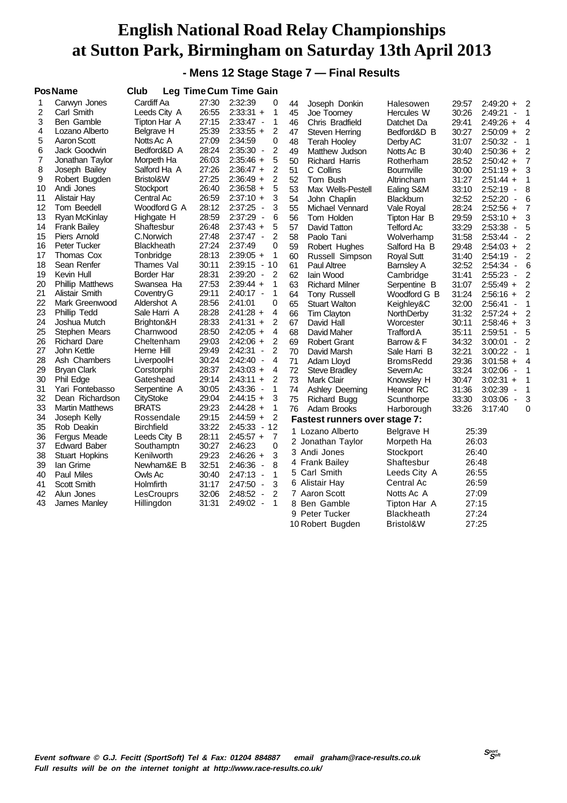#### **- Mens 12 Stage Stage 7 — Final Results**

|          | <b>PosName</b>                      | Club                            |                | <b>Leg Time Cum Time Gain</b>               |    |                               |                   |       |                                     |                |
|----------|-------------------------------------|---------------------------------|----------------|---------------------------------------------|----|-------------------------------|-------------------|-------|-------------------------------------|----------------|
| 1        | Carwyn Jones                        | Cardiff Aa                      | 27:30          | 2:32:39<br>0                                | 44 | Joseph Donkin                 | Halesowen         | 29:57 | $2:49:20 +$                         | 2              |
| 2        | Carl Smith                          | Leeds City A                    | 26:55          | $2:33:31 +$<br>1                            | 45 | Joe Toomey                    | Hercules W        | 30:26 | 2:49:21<br>$\blacksquare$           | 1              |
| 3        | Ben Gamble                          | Tipton Har A                    | 27:15          | $2:33:47 -$<br>1                            | 46 | Chris Bradfield               | Datchet Da        | 29:41 | 2:49:26 +                           | 4              |
| 4        | Lozano Alberto                      | Belgrave H                      | 25:39          | $2:33:55 +$<br>2                            | 47 | <b>Steven Herring</b>         | Bedford&D B       | 30:27 | $2:50:09 +$                         | 2              |
| 5        | Aaron Scott                         | Notts Ac A                      | 27:09          | 2:34:59<br>0                                | 48 | <b>Terah Hooley</b>           | Derby AC          | 31:07 | 2:50:32 -                           | 1              |
| 6        | Jack Goodwin                        | Bedford&D A                     | 28:24          | 2:35:30<br>2<br>$\overline{\phantom{a}}$    | 49 | Matthew Judson                | Notts Ac B        | 30:40 | $2:50:36 +$                         | 2              |
| 7        | Jonathan Taylor                     | Morpeth Ha                      | 26:03          | $2:35:46 +$<br>5                            | 50 | <b>Richard Harris</b>         | Rotherham         | 28:52 | $2:50:42 +$                         | 7              |
| 8        | Joseph Bailey                       | Salford Ha A                    | 27:26          | $2:36:47 +$<br>2                            | 51 | C Collins                     | <b>Bournville</b> | 30:00 | $2:51:19 +$                         | 3              |
| 9        | Robert Bugden                       | Bristol&W                       | 27:25          | 2<br>$2:36:49 +$                            | 52 | Tom Bush                      | Altrincham        | 31:27 | $2:51:44 +$                         | 1              |
| 10       | Andi Jones                          | Stockport                       | 26:40          | 5<br>$2:36:58 +$                            | 53 | Max Wells-Pestell             | Ealing S&M        | 33:10 | 2:52:19 -                           | 8              |
| 11       | <b>Alistair Hay</b>                 | Central Ac                      | 26:59          | $2:37:10 +$<br>3                            | 54 | John Chaplin                  | <b>Blackburn</b>  | 32:52 | 2:52:20<br>$\overline{\phantom{a}}$ | 6              |
| 12       | Tom Beedell                         | Woodford G A                    | 28:12          | $2:37:25 -$<br>3                            | 55 | Michael Vennard               | Vale Royal        | 28:24 | $2:52:56 +$                         | 7              |
| 13       | Ryan McKinlay                       | Highgate H                      | 28:59          | 2:37:29 -<br>6                              | 56 | Tom Holden                    | Tipton Har B      | 29:59 | $2:53:10 +$                         | 3              |
| 14       | <b>Frank Bailey</b>                 | Shaftesbur                      | 26:48          | $2:37:43 +$<br>5                            | 57 | David Tatton                  | Telford Ac        | 33:29 | 2:53:38<br>$\overline{\phantom{a}}$ | 5              |
| 15       | Piers Arnold                        | C.Norwich                       | 27:48          | $2:37:47 -$<br>2                            | 58 | Paolo Tani                    | Wolverhamp        | 31:58 | $2:53:44 -$                         | 2              |
| 16       | <b>Peter Tucker</b>                 | <b>Blackheath</b>               | 27:24          | 2:37:49<br>0                                | 59 | Robert Hughes                 | Salford Ha B      | 29:48 | $2:54:03 +$                         | $\overline{2}$ |
| 17       | <b>Thomas Cox</b>                   | Tonbridge                       | 28:13          | $2:39:05 +$<br>1                            | 60 | Russell Simpson               | <b>Royal Sutt</b> | 31:40 | 2:54:19<br>$\overline{\phantom{a}}$ | $\overline{2}$ |
| 18       | Sean Renfer                         | Thames Val                      | 30:11          | $2:39:15 - 10$                              | 61 | <b>Paul Altree</b>            | <b>Barnsley A</b> | 32:52 | 2:54:34<br>$\overline{\phantom{a}}$ | 6              |
| 19       | Kevin Hull                          | Border Har                      | 28:31          | 2:39:20<br>2<br>$\overline{\phantom{a}}$    | 62 | lain Wood                     | Cambridge         | 31:41 | 2:55:23<br>$\overline{\phantom{a}}$ | 2              |
| 20       | <b>Phillip Matthews</b>             | Swansea Ha                      | 27:53          | $2:39:44 +$<br>1                            | 63 | <b>Richard Milner</b>         | Serpentine B      | 31:07 | $2:55:49 +$                         | 2              |
| 21       | Alistair Smith                      | Coventry G                      | 29:11          | $2:40:17 -$<br>1                            | 64 | Tony Russell                  | Woodford G B      | 31:24 | $2:56:16 +$                         | 2              |
| 22       | Mark Greenwood                      | Aldershot A                     | 28:56          | 2:41:01<br>$\Omega$                         | 65 | <b>Stuart Walton</b>          | Keighley&C        | 32:00 | 2:56:41<br>$\overline{\phantom{a}}$ | 1              |
| 23       | Phillip Tedd                        | Sale Harri A                    | 28:28          | 4<br>$2:41:28 +$                            | 66 | Tim Clayton                   | NorthDerby        | 31:32 | $2:57:24 +$                         | 2              |
| 24       | Joshua Mutch                        | Brighton&H                      | 28:33          | 2<br>$2:41:31 +$                            | 67 | David Hall                    | Worcester         | 30:11 | $2:58:46 +$                         | 3              |
| 25       | Stephen Mears                       | Charnwood                       | 28:50          | $2:42:05 +$<br>4                            | 68 | David Maher                   | <b>Trafford A</b> | 35:11 | 2:59:51<br>$\blacksquare$           | 5              |
| 26       | <b>Richard Dare</b>                 | Cheltenham                      | 29:03          | $2:42:06 +$<br>2                            | 69 | <b>Robert Grant</b>           | Barrow & F        | 34:32 | 3:00:01<br>$\overline{\phantom{a}}$ | 2              |
| 27       | John Kettle                         | Herne Hill                      | 29:49          | 2:42:31<br>$\overline{2}$<br>$\blacksquare$ | 70 | David Marsh                   | Sale Harri B      | 32:21 | 3:00:22<br>$\overline{\phantom{a}}$ | 1              |
| 28       | Ash Chambers                        | LiverpoolH                      | 30:24          | 2:42:40<br>4<br>$\overline{\phantom{a}}$    | 71 | Adam Lloyd                    | <b>BromsRedd</b>  | 29:36 | $3:01:58 +$                         | 4              |
| 29       | <b>Bryan Clark</b>                  | Corstorphi                      | 28:37          | $2:43:03 +$<br>4                            | 72 | <b>Steve Bradley</b>          | Severn Ac         | 33:24 | 3:02:06<br>$\overline{\phantom{a}}$ | 1              |
| 30       | Phil Edge                           | Gateshead                       | 29:14          | $2:43:11 +$<br>2                            | 73 | Mark Clair                    | Knowsley H        | 30:47 | $3:02:31 +$                         | 1              |
| 31       | Yari Fontebasso                     | Serpentine A                    | 30:05          | 2:43:36 -<br>1                              | 74 | Ashley Deeming                | Heanor RC         | 31:36 | 3:02:39<br>$\overline{\phantom{a}}$ | 1              |
| 32       | Dean Richardson                     | CityStoke<br><b>BRATS</b>       | 29:04<br>29:23 | $2:44:15 +$<br>3<br>1                       | 75 | <b>Richard Bugg</b>           | Scunthorpe        | 33:30 | $3:03:06 -$                         | 3              |
| 33<br>34 | <b>Martin Matthews</b>              |                                 | 29:15          | $2:44:28 +$<br>2                            | 76 | Adam Brooks                   | Harborough        | 33:26 | 3:17:40                             | 0              |
| 35       | Joseph Kelly                        | Rossendale<br><b>Birchfield</b> | 33:22          | $2:44:59 +$<br>$2:45:33 - 12$               |    | Fastest runners over stage 7: |                   |       |                                     |                |
| 36       | Rob Deakin                          |                                 | 28:11          | $2:45:57 +$<br>7                            |    | 1 Lozano Alberto              | Belgrave H        | 25:39 |                                     |                |
| 37       | Fergus Meade<br><b>Edward Baber</b> | Leeds City B<br>Southamptn      | 30:27          | 2:46:23<br>$\Omega$                         |    | 2 Jonathan Taylor             | Morpeth Ha        | 26:03 |                                     |                |
| 38       | Stuart Hopkins                      | Kenilworth                      | 29:23          | $2:46:26 +$<br>3                            |    | 3 Andi Jones                  | Stockport         | 26:40 |                                     |                |
| 39       | lan Grime                           | Newham&E B                      | 32:51          | $2:46:36 -$<br>8                            |    | 4 Frank Bailey                | Shaftesbur        | 26:48 |                                     |                |
| 40       | Paul Miles                          | Owls Ac                         | 30:40          | $2:47:13 -$<br>1                            |    | 5 Carl Smith                  | Leeds City A      | 26:55 |                                     |                |
| 41       | Scott Smith                         | Holmfirth                       | 31:17          | 2:47:50 -<br>3                              |    | 6 Alistair Hay                | Central Ac        | 26:59 |                                     |                |
| 42       | Alun Jones                          | LesCrouprs                      | 32:06          | 2:48:52 -<br>2                              |    | 7 Aaron Scott                 | Notts Ac A        | 27:09 |                                     |                |
| 43       | James Manley                        | Hillingdon                      | 31:31          | $2:49:02 -$<br>1                            |    | 8 Ben Gamble                  | Tipton Har A      | 27:15 |                                     |                |
|          |                                     |                                 |                |                                             |    | 9 Peter Tucker                | Blackheath        | 27:24 |                                     |                |
|          |                                     |                                 |                |                                             |    |                               |                   |       |                                     |                |
|          |                                     |                                 |                |                                             |    | 10 Robert Bugden              | Bristol&W         | 27:25 |                                     |                |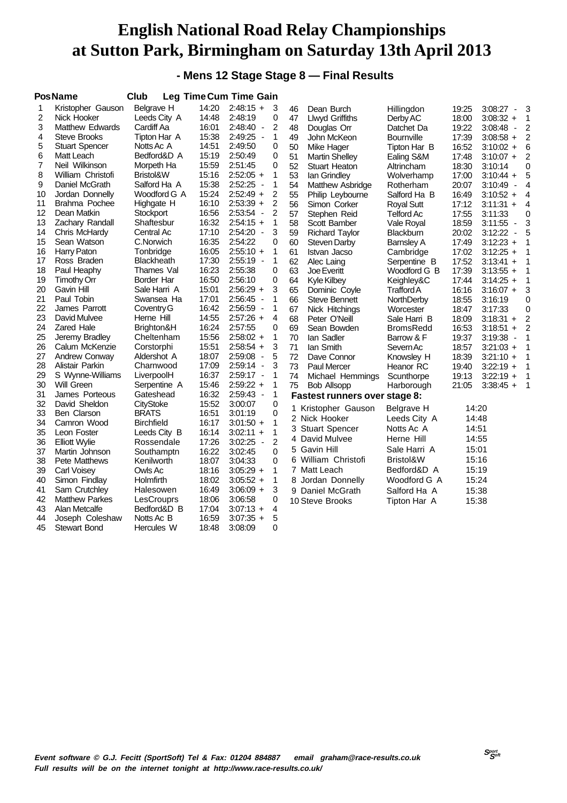#### **- Mens 12 Stage Stage 8 — Final Results**

|          | <b>PosName</b>                   | <b>Club</b>               |                | Leg Time Cum Time Gain              |                |    |                               |                   |       |                                     |   |
|----------|----------------------------------|---------------------------|----------------|-------------------------------------|----------------|----|-------------------------------|-------------------|-------|-------------------------------------|---|
| 1        | Kristopher Gauson                | Belgrave H                | 14:20          | $2:48:15 +$                         | 3              | 46 | Dean Burch                    | Hillingdon        | 19:25 | $3:08:27 -$                         | 3 |
| 2        | Nick Hooker                      | Leeds City A              | 14:48          | 2:48:19                             | 0              | 47 | <b>Llwyd Griffiths</b>        | Derby AC          | 18:00 | $3:08:32 +$                         | 1 |
| 3        | <b>Matthew Edwards</b>           | Cardiff Aa                | 16:01          | 2:48:40 -                           | 2              | 48 | Douglas Orr                   | Datchet Da        | 19:22 | $3:08:48 -$                         | 2 |
| 4        | <b>Steve Brooks</b>              | Tipton Har A              | 15:38          | $2:49:25 -$                         | 1              | 49 | John McKeon                   | <b>Bournville</b> | 17:39 | $3:08:58 +$                         | 2 |
| 5        | <b>Stuart Spencer</b>            | Notts Ac A                | 14:51          | 2:49:50                             | 0              | 50 | Mike Hager                    | Tipton Har B      | 16:52 | $3:10:02 +$                         | 6 |
| 6        | Matt Leach                       | Bedford&D A               | 15:19          | 2:50:49                             | 0              | 51 | <b>Martin Shelley</b>         | Ealing S&M        | 17:48 | $3:10:07 +$                         | 2 |
| 7        | Neil Wilkinson                   | Morpeth Ha                | 15:59          | 2:51:45                             | 0              | 52 | <b>Stuart Heaton</b>          | Altrincham        | 18:30 | 3:10:14                             | 0 |
| 8        | William Christofi                | Bristol&W                 | 15:16          | $2:52:05 +$                         | 1              | 53 | lan Grindley                  | Wolverhamp        | 17:00 | $3:10:44 +$                         | 5 |
| 9        | Daniel McGrath                   | Salford Ha A              | 15:38          | $2:52:25 -$                         | 1              | 54 | <b>Matthew Asbridge</b>       | Rotherham         | 20:07 | 3:10:49<br>$\overline{\phantom{a}}$ | 4 |
| 10       | Jordan Donnelly                  | Woodford G A              | 15:24          | $2:52:49 +$                         | 2              | 55 | Philip Leybourne              | Salford Ha B      | 16:49 | $3:10:52 +$                         | 4 |
| 11       | Brahma Pochee                    | Highgate H                | 16:10          | $2:53:39 +$                         | 2              | 56 | Simon Corker                  | <b>Royal Sutt</b> | 17:12 | $3:11:31 +$                         | 4 |
| 12       | Dean Matkin                      | Stockport                 | 16:56          | 2:53:54<br>$\overline{\phantom{a}}$ | $\overline{2}$ | 57 | Stephen Reid                  | Telford Ac        | 17:55 | 3:11:33                             | 0 |
| 13       | Zachary Randall                  | Shaftesbur                | 16:32          | $2:54:15 +$                         | 1              | 58 | Scott Bamber                  | Vale Royal        | 18:59 | 3:11:55<br>$\sim$                   | 3 |
| 14       | Chris McHardy                    | Central Ac                | 17:10          | 2:54:20<br>$\overline{\phantom{a}}$ | 3              | 59 | <b>Richard Taylor</b>         | <b>Blackburn</b>  | 20:02 | 3:12:22<br>$\overline{\phantom{a}}$ | 5 |
| 15       | Sean Watson                      | C.Norwich                 | 16:35          | 2:54:22                             | 0              | 60 | Steven Darby                  | <b>Barnsley A</b> | 17:49 | $3:12:23 +$                         | 1 |
| 16       | Harry Paton                      | Tonbridge                 | 16:05          | $2:55:10 +$                         | 1              | 61 | Istvan Jacso                  | Cambridge         | 17:02 | $3:12:25 +$                         |   |
| 17       | Ross Braden                      | Blackheath                | 17:30          | 2:55:19 -                           | 1              | 62 | Alec Laing                    | Serpentine B      | 17:52 | $3:13:41 +$                         | 1 |
| 18       | Paul Heaphy                      | Thames Val                | 16:23          | 2:55:38                             | 0              | 63 | Joe Everitt                   | Woodford G B      | 17:39 | $3:13:55 +$                         | 1 |
| 19       | <b>Timothy Orr</b>               | Border Har                | 16:50          | 2:56:10                             | 0              | 64 | <b>Kyle Kilbey</b>            | Keighley&C        | 17:44 | $3:14:25 +$                         | 1 |
| 20       | Gavin Hill                       | Sale Harri A              | 15:01          | $2:56:29 +$                         | 3              | 65 | Dominic Coyle                 | Trafford A        | 16:16 | $3:16:07 +$                         | 3 |
| 21       | Paul Tobin                       | Swansea Ha                | 17:01          | 2:56:45<br>$\overline{\phantom{a}}$ | 1              | 66 | <b>Steve Bennett</b>          | NorthDerby        | 18:55 | 3:16:19                             | 0 |
| 22       | James Parrott                    | Coventry G                | 16:42          | 2:56:59<br>$\overline{\phantom{a}}$ | 1              | 67 | Nick Hitchings                | Worcester         | 18:47 | 3:17:33                             | 0 |
| 23       | David Mulvee                     | Herne Hill                | 14:55          | $2:57:26 +$                         | 4              | 68 | Peter O'Neill                 | Sale Harri B      | 18:09 | $3:18:31 +$                         | 2 |
| 24       | <b>Zared Hale</b>                | Brighton&H                | 16:24          | 2:57:55                             | 0              | 69 | Sean Bowden                   | <b>BromsRedd</b>  | 16:53 | $3:18:51 +$                         | 2 |
| 25       | Jeremy Bradley                   | Cheltenham                | 15:56          | $2:58:02 +$                         | 1              | 70 | lan Sadler                    | Barrow & F        | 19:37 | 3:19:38<br>$\sim$                   | 1 |
| 26       | Calum McKenzie                   | Corstorphi                | 15:51          | $2:58:54 +$                         | 3              | 71 | lan Smith                     | Severn Ac         | 18:57 | $3:21:03 +$                         |   |
| 27       | Andrew Conway                    | Aldershot A               | 18:07          | 2:59:08<br>$\overline{\phantom{a}}$ | 5              | 72 | Dave Connor                   | Knowsley H        | 18:39 | $3:21:10 +$                         | 1 |
| 28       | Alistair Parkin                  | Charnwood                 | 17:09          | 2:59:14<br>$\overline{\phantom{a}}$ | 3              | 73 | <b>Paul Mercer</b>            | Heanor RC         | 19:40 | $3:22:19 +$                         | 1 |
| 29       | S Wynne-Williams                 | LiverpoolH                | 16:37          | $2:59:17 -$                         | 1              | 74 | Michael Hemmings              | Scunthorpe        | 19:13 | $3:22:19 +$                         | 1 |
| 30       | Will Green                       | Serpentine A              | 15:46          | $2:59:22 +$                         | 1              | 75 | <b>Bob Allsopp</b>            | Harborough        | 21:05 | $3:38:45 +$                         | 1 |
| 31       | James Porteous                   | Gateshead                 | 16:32          | 2:59:43 -                           | 1              |    | Fastest runners over stage 8: |                   |       |                                     |   |
| 32       | David Sheldon                    | CityStoke                 | 15:52          | 3:00:07                             | 0              |    | 1 Kristopher Gauson           | Belgrave H        | 14:20 |                                     |   |
| 33       | Ben Clarson                      | <b>BRATS</b>              | 16:51          | 3:01:19                             | 0              |    | 2 Nick Hooker                 | Leeds City A      | 14:48 |                                     |   |
| 34       | Camron Wood                      | <b>Birchfield</b>         | 16:17          | $3:01:50 +$                         | 1              |    | 3 Stuart Spencer              | Notts Ac A        | 14:51 |                                     |   |
| 35       | Leon Foster                      | Leeds City B              | 16:14          | $3:02:11 +$                         | $\mathbf{1}$   | 4  | David Mulvee                  | Herne Hill        | 14:55 |                                     |   |
| 36       | <b>Elliott Wylie</b>             | Rossendale                | 17:26          | $3:02:25 -$                         | $\overline{2}$ |    | 5 Gavin Hill                  | Sale Harri A      | 15:01 |                                     |   |
| 37       | Martin Johnson                   | Southamptn                | 16:22          | 3:02:45                             | $\Omega$       | 6  | William Christofi             | Bristol&W         | 15:16 |                                     |   |
| 38       | Pete Matthews                    | Kenilworth                | 18:07          | 3:04:33                             | 0              |    | 7 Matt Leach                  | Bedford&D A       | 15:19 |                                     |   |
| 39       | Carl Voisey                      | Owls Ac                   | 18:16          | $3:05:29 +$                         | 1              |    |                               |                   |       |                                     |   |
| 40       | Simon Findlay                    | Holmfirth                 | 18:02          | $3:05:52 +$                         | 1<br>3         | 8  | Jordan Donnelly               | Woodford G A      | 15:24 |                                     |   |
| 41       | Sam Crutchley                    | Halesowen                 | 16:49          | $3:06:09 +$                         |                |    | 9 Daniel McGrath              | Salford Ha A      | 15:38 |                                     |   |
| 42       | <b>Matthew Parkes</b>            | LesCrouprs                | 18:06          | 3:06:58                             | 0<br>4         |    | 10 Steve Brooks               | Tipton Har A      | 15:38 |                                     |   |
| 43<br>44 | Alan Metcalfe<br>Joseph Coleshaw | Bedford&D B<br>Notts Ac B | 17:04<br>16:59 | $3:07:13 +$<br>$3:07:35 +$          | 5              |    |                               |                   |       |                                     |   |
| 45       | <b>Stewart Bond</b>              | Hercules W                | 18:48          | 3:08:09                             | 0              |    |                               |                   |       |                                     |   |
|          |                                  |                           |                |                                     |                |    |                               |                   |       |                                     |   |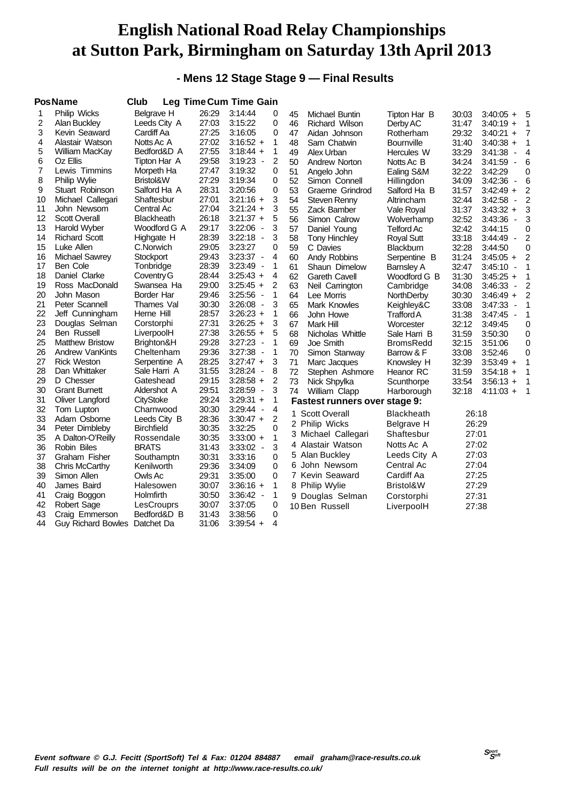#### **- Mens 12 Stage Stage 9 — Final Results**

|                | <b>PosName</b>                | Club              |       | Leg Time Cum Time Gain              |          |    |                                      |                   |       |                                     |   |
|----------------|-------------------------------|-------------------|-------|-------------------------------------|----------|----|--------------------------------------|-------------------|-------|-------------------------------------|---|
| 1              | <b>Philip Wicks</b>           | Belgrave H        | 26:29 | 3:14:44                             | $\Omega$ | 45 | Michael Buntin                       | Tipton Har B      | 30:03 | $3:40:05 +$                         | 5 |
| 2              | <b>Alan Buckley</b>           | Leeds City A      | 27:03 | 3:15:22                             | 0        | 46 | Richard Wilson                       | Derby AC          | 31:47 | $3:40:19 +$                         | 1 |
| 3              | Kevin Seaward                 | Cardiff Aa        | 27:25 | 3:16:05                             | 0        | 47 | Aidan Johnson                        | Rotherham         | 29:32 | $3:40:21 +$                         | 7 |
| 4              | Alastair Watson               | Notts Ac A        | 27:02 | $3:16:52 +$                         | 1        | 48 | Sam Chatwin                          | Bournville        | 31:40 | $3:40:38 +$                         | 1 |
| 5              | William MacKay                | Bedford&D A       | 27:55 | $3:18:44 +$                         | 1        | 49 | Alex Urban                           | Hercules W        | 33:29 | 3:41:38<br>$\overline{\phantom{a}}$ | 4 |
| 6              | Oz Ellis                      | Tipton Har A      | 29:58 | 3:19:23 -                           | 2        | 50 | Andrew Norton                        | Notts Ac B        | 34:24 | $3:41:59 -$                         | 6 |
| $\overline{7}$ | Lewis Timmins                 | Morpeth Ha        | 27:47 | 3:19:32                             | 0        | 51 | Angelo John                          | Ealing S&M        | 32:22 | 3:42:29                             | 0 |
| 8              | <b>Philip Wylie</b>           | Bristol&W         | 27:29 | 3:19:34                             | 0        | 52 | Simon Connell                        | Hillingdon        | 34:09 | 3:42:36<br>$\overline{\phantom{a}}$ | 6 |
| 9              | Stuart Robinson               | Salford Ha A      | 28:31 | 3:20:56                             | 0        | 53 | Graeme Grindrod                      | Salford Ha B      | 31:57 | $3:42:49 +$                         | 2 |
| 10             | Michael Callegari             | Shaftesbur        | 27:01 | $3:21:16 +$                         | 3        | 54 | Steven Renny                         | Altrincham        | 32:44 | 3:42:58<br>$\overline{\phantom{a}}$ | 2 |
| 11             | John Newsom                   | Central Ac        | 27:04 | $3:21:24 +$                         | 3        | 55 | Zack Bamber                          | Vale Royal        | 31:37 | $3:43:32 +$                         | 3 |
| 12             | <b>Scott Overall</b>          | <b>Blackheath</b> | 26:18 | $3:21:37 +$                         | 5        | 56 | Simon Calrow                         | Wolverhamp        | 32:52 | $3:43:36 -$                         | 3 |
| 13             | Harold Wyber                  | Woodford G A      | 29:17 | $3:22:06 -$                         | 3        | 57 | Daniel Young                         | Telford Ac        | 32:42 | 3:44:15                             | 0 |
| 14             | <b>Richard Scott</b>          | Highgate H        | 28:39 | $3:22:18 -$                         | 3        | 58 | <b>Tony Hinchley</b>                 | <b>Royal Sutt</b> | 33:18 | $3:44:49 -$                         | 2 |
| 15             | Luke Allen                    | C.Norwich         | 29:05 | 3:23:27                             | 0        | 59 | C Davies                             | Blackburn         | 32:28 | 3:44:50                             | 0 |
| 16             | Michael Sawrey                | Stockport         | 29:43 | $3:23:37 -$                         | 4        | 60 | Andy Robbins                         | Serpentine B      | 31:24 | $3:45:05 +$                         | 2 |
| 17             | Ben Cole                      | Tonbridge         | 28:39 | $3:23:49 -$                         | 1        | 61 | Shaun Dimelow                        | Barnsley A        | 32:47 | $3:45:10 -$                         |   |
| 18             | Daniel Clarke                 | Coventry G        | 28:44 | $3:25:43 +$                         | 4        | 62 | <b>Gareth Cavell</b>                 | Woodford G B      | 31:30 | $3:45:25 +$                         | 1 |
| 19             | Ross MacDonald                | Swansea Ha        | 29:00 | $3:25:45 +$                         | 2        | 63 | Neil Carrington                      | Cambridge         | 34:08 | 3:46:33<br>$\overline{\phantom{a}}$ | 2 |
| 20             | John Mason                    | Border Har        | 29:46 | 3:25:56<br>$\overline{\phantom{a}}$ | 1        | 64 | Lee Morris                           | NorthDerby        | 30:30 | $3:46:49 +$                         | 2 |
| 21             | Peter Scannell                | Thames Val        | 30:30 | $3:26:08 -$                         | 3        | 65 | <b>Mark Knowles</b>                  | Keighley&C        | 33:08 | 3:47:33<br>$\overline{\phantom{a}}$ | 1 |
| 22             | Jeff Cunningham               | Herne Hill        | 28:57 | $3:26:23 +$                         | 1        | 66 | John Howe                            | Trafford A        | 31:38 | 3:47:45 -                           | 1 |
| 23             | Douglas Selman                | Corstorphi        | 27:31 | $3:26:25 +$                         | 3        | 67 | Mark Hill                            | Worcester         | 32:12 | 3:49:45                             | 0 |
| 24             | <b>Ben Russell</b>            | LiverpoolH        | 27:38 | $3:26:55 +$                         | 5        | 68 | Nicholas Whittle                     | Sale Harri B      | 31:59 | 3:50:30                             | 0 |
| 25             | <b>Matthew Bristow</b>        | Brighton&H        | 29:28 | $3:27:23 -$                         | 1        | 69 | Joe Smith                            | BromsRedd         | 32:15 | 3:51:06                             | 0 |
| 26             | <b>Andrew VanKints</b>        | Cheltenham        | 29:36 | $3:27:38 -$                         | 1        | 70 | Simon Stanway                        | Barrow & F        | 33:08 | 3:52:46                             | 0 |
| 27             | <b>Rick Weston</b>            | Serpentine A      | 28:25 | $3:27:47 +$                         | 3        | 71 | Marc Jacques                         | Knowsley H        | 32:39 | $3:53:49 +$                         | 1 |
| 28             | Dan Whittaker                 | Sale Harri A      | 31:55 | $3:28:24 -$                         | 8        | 72 | Stephen Ashmore                      | Heanor RC         | 31:59 | $3:54:18 +$                         | 1 |
| 29             | D Chesser                     | Gateshead         | 29:15 | $3:28:58 +$                         | 2        | 73 | Nick Shpylka                         | Scunthorpe        | 33:54 | $3:56:13 +$                         | 1 |
| 30             | <b>Grant Burnett</b>          | Aldershot A       | 29:51 | 3:28:59 -                           | 3        | 74 | William Clapp                        | Harborough        | 32:18 | $4:11:03 +$                         | 1 |
| 31             | Oliver Langford               | CityStoke         | 29:24 | $3:29:31 +$                         | 1        |    | <b>Fastest runners over stage 9:</b> |                   |       |                                     |   |
| 32             | Tom Lupton                    | Charnwood         | 30:30 | 3:29:44<br>$\overline{\phantom{a}}$ | 4        |    | 1 Scott Overall                      | Blackheath        | 26:18 |                                     |   |
| 33             | Adam Osborne                  | Leeds City B      | 28:36 | $3:30:47 +$                         | 2        |    | 2 Philip Wicks                       | Belgrave H        | 26:29 |                                     |   |
| 34             | Peter Dimbleby                | <b>Birchfield</b> | 30:35 | 3:32:25                             | 0        |    | 3 Michael Callegari                  | Shaftesbur        | 27:01 |                                     |   |
| 35             | A Dalton-O'Reilly             | Rossendale        | 30:35 | $3:33:00 +$                         | 1        | 4  | Alastair Watson                      | Notts Ac A        | 27:02 |                                     |   |
| 36             | Robin Biles                   | <b>BRATS</b>      | 31:43 | $3:33:02 -$                         | 3        |    |                                      |                   | 27:03 |                                     |   |
| 37             | Graham Fisher                 | Southamptn        | 30:31 | 3:33:16                             | 0        |    | 5 Alan Buckley                       | Leeds City A      |       |                                     |   |
| 38             | Chris McCarthy                | Kenilworth        | 29:36 | 3:34:09                             | 0        | 6. | John Newsom                          | Central Ac        | 27:04 |                                     |   |
| 39             | Simon Allen                   | Owls Ac           | 29:31 | 3:35:00                             | 0        |    | 7 Kevin Seaward                      | Cardiff Aa        | 27:25 |                                     |   |
| 40             | James Baird                   | Halesowen         | 30:07 | $3:36:16 +$                         | 1        | 8  | Philip Wylie                         | Bristol&W         | 27:29 |                                     |   |
| 41             | Craig Boggon                  | Holmfirth         | 30:50 | $3:36:42 -$                         | 1        |    | 9 Douglas Selman                     | Corstorphi        | 27:31 |                                     |   |
| 42             | <b>Robert Sage</b>            | LesCrouprs        | 30:07 | 3:37:05                             | 0        |    | 10 Ben Russell                       | LiverpoolH        | 27:38 |                                     |   |
| 43             | Craig Emmerson                | Bedford&D B       | 31:43 | 3:38:56                             | 0        |    |                                      |                   |       |                                     |   |
| 44             | Guy Richard Bowles Datchet Da |                   | 31:06 | $3:39:54 +$                         | 4        |    |                                      |                   |       |                                     |   |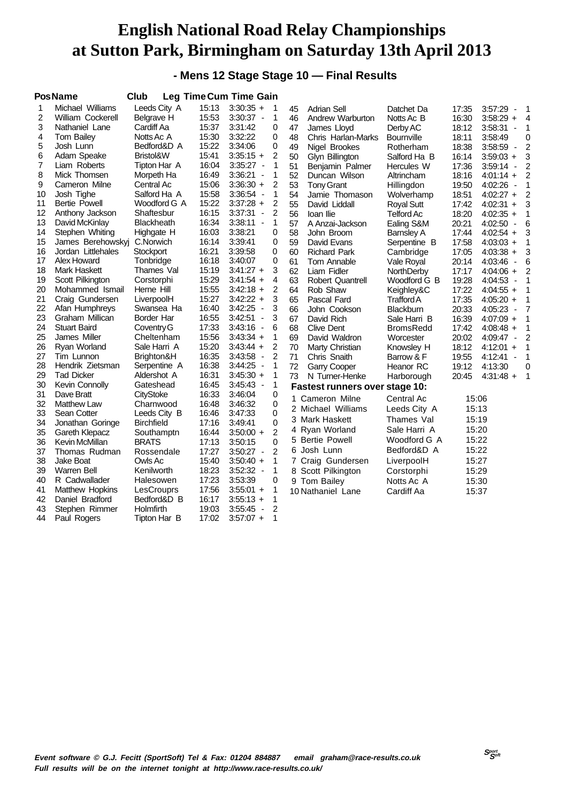#### **- Mens 12 Stage Stage 10 — Final Results**

|                | <b>PosName</b>                          | Club                   |                | <b>Leg Time Cum Time Gain</b>       |                |    |                                |                   |       |                                     |                |
|----------------|-----------------------------------------|------------------------|----------------|-------------------------------------|----------------|----|--------------------------------|-------------------|-------|-------------------------------------|----------------|
| 1              | Michael Williams                        | Leeds City A           | 15:13          | $3:30:35 +$                         | 1              | 45 | <b>Adrian Sell</b>             | Datchet Da        | 17:35 | 3:57:29<br>$\overline{\phantom{a}}$ | - 1            |
| $\overline{2}$ | William Cockerell                       | Belgrave H             | 15:53          | $3:30:37 -$                         | 1              | 46 | Andrew Warburton               | Notts Ac B        | 16:30 | $3:58:29 +$                         | $\overline{4}$ |
| 3              | Nathaniel Lane                          | Cardiff Aa             | 15:37          | 3:31:42                             | 0              | 47 | James Lloyd                    | Derby AC          | 18:12 | 3:58:31<br>$\blacksquare$           | $\mathbf{1}$   |
| 4              | <b>Tom Bailey</b>                       | Notts Ac A             | 15:30          | 3:32:22                             | 0              | 48 | Chris Harlan-Marks             | <b>Bournville</b> | 18:11 | 3:58:49                             | 0              |
| 5              | Josh Lunn                               | Bedford&D A            | 15:22          | 3:34:06                             | 0              | 49 | Nigel Brookes                  | Rotherham         | 18:38 | 3:58:59<br>$\overline{\phantom{a}}$ | $\overline{2}$ |
| 6              | Adam Speake                             | Bristol&W              | 15:41          | $3:35:15 +$                         | 2              | 50 | Glyn Billington                | Salford Ha B      | 16:14 | $3:59:03 +$                         | 3              |
| 7              | Liam Roberts                            | Tipton Har A           | 16:04          | 3:35:27<br>$\overline{\phantom{a}}$ | 1              | 51 | Benjamin Palmer                | Hercules W        | 17:36 | $3:59:14 -$                         | 2              |
| 8              | Mick Thomsen                            | Morpeth Ha             | 16:49          | 3:36:21<br>$\blacksquare$           | 1              | 52 | Duncan Wilson                  | Altrincham        | 18:16 | $4:01:14 +$                         | $\overline{2}$ |
| 9              | Cameron Milne                           | Central Ac             | 15:06          | $3:36:30 +$                         | 2              | 53 | <b>Tony Grant</b>              | Hillingdon        | 19:50 | 4:02:26<br>$\overline{\phantom{a}}$ | 1              |
| 10             | Josh Tighe                              | Salford Ha A           | 15:58          | $3:36:54 -$                         | 1              | 54 | Jamie Thomason                 | Wolverhamp        | 18:51 | $4:02:27 +$                         | 2              |
| 11             | <b>Bertie Powell</b>                    | Woodford G A           | 15:22          | $3:37:28 +$                         | 2              | 55 | David Liddall                  | <b>Royal Sutt</b> | 17:42 | $4:02:31 +$                         | 3              |
| 12             | Anthony Jackson                         | Shaftesbur             | 16:15          | 3:37:31<br>$\blacksquare$           | 2              | 56 | loan llie                      | <b>Telford Ac</b> | 18:20 | $4:02:35 +$                         | 1              |
| 13             | David McKinlay                          | Blackheath             | 16:34          | 3:38:11<br>$\overline{\phantom{a}}$ | 1              | 57 | A Anzai-Jackson                | Ealing S&M        | 20:21 | 4:02:50<br>$\overline{\phantom{a}}$ | 6              |
| 14             | Stephen Whiting                         | Highgate H             | 16:03          | 3:38:21                             | 0              | 58 | John Broom                     | <b>Barnsley A</b> | 17:44 | $4:02:54 +$                         | 3              |
| 15             | James Berehowskyj C.Norwich             |                        | 16:14          | 3:39:41                             | 0              | 59 | David Evans                    | Serpentine B      | 17:58 | $4:03:03 +$                         | 1              |
| 16             | Jordan Littlehales                      | Stockport              | 16:21          | 3:39:58                             | 0              | 60 | <b>Richard Park</b>            | Cambridge         | 17:05 | $4:03:38 +$                         | 3              |
| 17             | Alex Howard                             | Tonbridge              | 16:18          | 3:40:07                             | 0              | 61 | Tom Annable                    | Vale Royal        | 20:14 | 4:03:46 -                           | 6              |
| 18             | Mark Haskett                            | Thames Val             | 15:19          | $3:41:27 +$                         | 3              | 62 | Liam Fidler                    | NorthDerby        | 17:17 | $4:04:06 +$                         | 2              |
| 19             | Scott Pilkington                        | Corstorphi             | 15:29          | $3:41:54 +$                         | 4              | 63 | <b>Robert Quantrell</b>        | Woodford G B      | 19:28 | 4:04:53<br>$\overline{\phantom{a}}$ | $\mathbf{1}$   |
| 20             | Mohammed Ismail                         | Herne Hill             | 15:55          | $3:42:18 +$                         | 2              | 64 | Rob Shaw                       | Keighley&C        | 17:22 | $4:04:55 +$                         | 1              |
| 21             | Craig Gundersen                         | LiverpoolH             | 15:27          | $3:42:22 +$                         | 3              | 65 | Pascal Fard                    | <b>Trafford A</b> | 17:35 | $4:05:20 +$                         | 1              |
| 22             | Afan Humphreys                          | Swansea Ha             | 16:40          | 3:42:25<br>$\overline{\phantom{a}}$ | 3              | 66 | John Cookson                   | Blackburn         | 20:33 | 4:05:23<br>$\overline{\phantom{a}}$ | $\overline{7}$ |
| 23             | Graham Millican                         | <b>Border Har</b>      | 16:55          | 3:42:51<br>$\overline{\phantom{a}}$ | 3              | 67 | David Rich                     | Sale Harri B      | 16:39 | $4:07:09 +$                         | 1              |
| 24             | <b>Stuart Baird</b>                     | Coventry G             | 17:33          | 3:43:16<br>$\overline{\phantom{a}}$ | 6              | 68 | <b>Clive Dent</b>              | <b>BromsRedd</b>  | 17:42 | $4:08:48 +$                         | 1              |
| 25             | James Miller                            | Cheltenham             | 15:56          | $3:43:34 +$                         | 1              | 69 | David Waldron                  | Worcester         | 20:02 | 4:09:47 -                           | $\overline{2}$ |
| 26             | Ryan Worland                            | Sale Harri A           | 15:20          | $3:43:44 +$                         | $\overline{2}$ | 70 | Marty Christian                | Knowsley H        | 18:12 | $4:12:01 +$                         | 1              |
| 27             | Tim Lunnon                              | Brighton&H             | 16:35          | 3:43:58<br>$\overline{\phantom{a}}$ | $\overline{2}$ | 71 | Chris Snaith                   | Barrow & F        | 19:55 | 4:12:41<br>$\overline{\phantom{a}}$ | 1              |
| 28             | Hendrik Zietsman                        | Serpentine A           | 16:38          | 3:44:25<br>$\overline{\phantom{a}}$ | 1              | 72 | Garry Cooper                   | Heanor RC         | 19:12 | 4:13:30                             | 0              |
| 29             | <b>Tad Dicker</b>                       | Aldershot A            | 16:31          | $3:45:30 +$                         | 1              | 73 | N Turner-Henke                 | Harborough        | 20:45 | $4:31:48 +$                         | 1              |
| 30<br>31       | Kevin Connolly<br>Dave Bratt            | Gateshead              | 16:45<br>16:33 | $3:45:43 -$<br>3:46:04              | 1<br>0         |    | Fastest runners over stage 10: |                   |       |                                     |                |
| 32             | <b>Matthew Law</b>                      | CityStoke<br>Charnwood | 16:48          | 3:46:32                             | $\mathbf 0$    |    | 1 Cameron Milne                | Central Ac        | 15:06 |                                     |                |
| 33             | Sean Cotter                             | Leeds City B           | 16:46          | 3:47:33                             | 0              |    | 2 Michael Williams             | Leeds City A      | 15:13 |                                     |                |
| 34             | Jonathan Goringe                        | <b>Birchfield</b>      | 17:16          | 3:49:41                             | 0              |    | 3 Mark Haskett                 | Thames Val        | 15:19 |                                     |                |
| 35             | Gareth Klepacz                          | Southamptn             | 16:44          | $3:50:00 +$                         | 2              |    | 4 Ryan Worland                 | Sale Harri A      | 15:20 |                                     |                |
| 36             | Kevin McMillan                          | <b>BRATS</b>           | 17:13          | 3:50:15                             | $\Omega$       |    | 5 Bertie Powell                | Woodford G A      | 15:22 |                                     |                |
| 37             | Thomas Rudman                           | Rossendale             | 17:27          | $3:50:27 -$                         | $\overline{2}$ |    | 6 Josh Lunn                    | Bedford&D A       | 15:22 |                                     |                |
| 38             | Jake Boat                               | Owls Ac                | 15:40          | $3:50:40 +$                         | 1              |    | 7 Craig Gundersen              | LiverpoolH        | 15:27 |                                     |                |
| 39             | <b>Warren Bell</b>                      | Kenilworth             | 18:23          | $3:52:32 -$                         | 1              |    | 8 Scott Pilkington             | Corstorphi        | 15:29 |                                     |                |
| 40             |                                         | Halesowen              | 17:23          | 3:53:39                             | $\Omega$       |    |                                |                   |       |                                     |                |
| 41             | R Cadwallader<br><b>Matthew Hopkins</b> | LesCrouprs             | 17:56          | $3:55:01 +$                         | 1              |    | 9 Tom Bailey                   | Notts Ac A        | 15:30 |                                     |                |
| 42             | Daniel Bradford                         | Bedford&D B            | 16:17          | $3:55:13 +$                         | 1              |    | 10 Nathaniel Lane              | Cardiff Aa        | 15:37 |                                     |                |
| 43             | Stephen Rimmer                          | Holmfirth              | 19:03          | 3:55:45<br>÷,                       | 2              |    |                                |                   |       |                                     |                |
| 44             | Paul Rogers                             | Tipton Har B           | 17:02          | $3:57:07 +$                         | 1              |    |                                |                   |       |                                     |                |
|                |                                         |                        |                |                                     |                |    |                                |                   |       |                                     |                |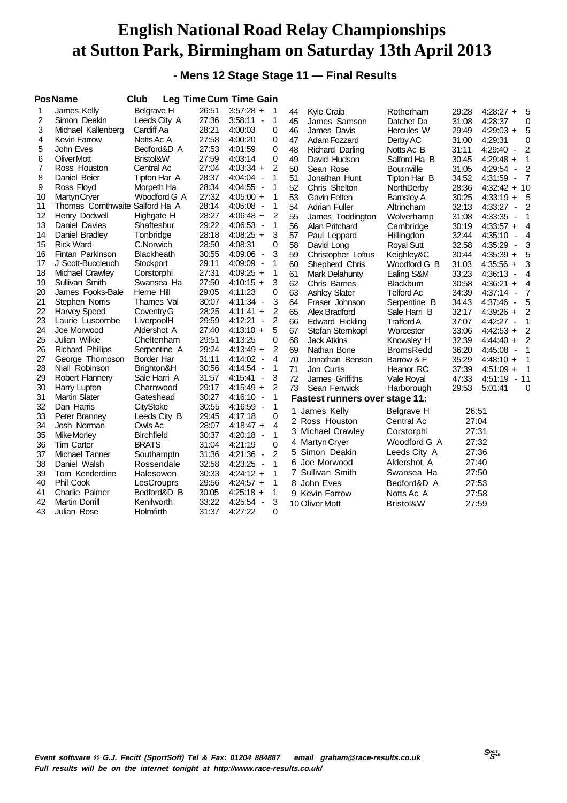#### **- Mens 12 Stage Stage 11 — Final Results**

|                | <b>PosName</b>                  | Club              |       | <b>Leg Time Cum Time Gain</b>       |                |    |                                       |                   |       |                                             |  |
|----------------|---------------------------------|-------------------|-------|-------------------------------------|----------------|----|---------------------------------------|-------------------|-------|---------------------------------------------|--|
| 1              | James Kelly                     | Belgrave H        | 26:51 | $3:57:28 +$                         | $\overline{1}$ | 44 | <b>Kyle Craib</b>                     | Rotherham         | 29:28 | $4:28:27 +$<br>5                            |  |
| $\overline{c}$ | Simon Deakin                    | Leeds City A      | 27:36 | 3:58:11<br>$\overline{\phantom{a}}$ | 1              | 45 | James Samson                          | Datchet Da        | 31:08 | 4:28:37<br>0                                |  |
| 3              | Michael Kallenberg              | Cardiff Aa        | 28:21 | 4:00:03                             | 0              | 46 | James Davis                           | Hercules W        | 29:49 | $4:29:03 +$<br>5                            |  |
| 4              | <b>Kevin Farrow</b>             | Notts Ac A        | 27:58 | 4:00:20                             | 0              | 47 | Adam Fozzard                          | Derby AC          | 31:00 | 4:29:31<br>0                                |  |
| 5              | John Eves                       | Bedford&D A       | 27:53 | 4:01:59                             | 0              | 48 | Richard Darling                       | Notts Ac B        | 31:11 | 4:29:40<br>2<br>$\overline{\phantom{a}}$    |  |
| 6              | Oliver Mott                     | Bristol&W         | 27:59 | 4:03:14                             | 0              | 49 | David Hudson                          | Salford Ha B      | 30:45 | 1<br>$4:29:48 +$                            |  |
| 7              | Ross Houston                    | Central Ac        | 27:04 | $4:03:34 +$                         | $\overline{2}$ | 50 | Sean Rose                             | Bournville        | 31:05 | $\overline{2}$<br>4:29:54 -                 |  |
| 8              | Daniel Beier                    | Tipton Har A      | 28:37 | 4:04:04<br>$\blacksquare$           | 1              | 51 | Jonathan Hunt                         | Tipton Har B      | 34:52 | $\overline{7}$<br>4:31:59<br>$\blacksquare$ |  |
| 9              | Ross Floyd                      | Morpeth Ha        | 28:34 | 4:04:55<br>$\overline{\phantom{a}}$ | 1              | 52 | Chris Shelton                         | NorthDerby        | 28:36 | $4:32:42 + 10$                              |  |
| 10             | <b>Martyn Cryer</b>             | Woodford G A      | 27:32 | $4:05:00 +$                         | 1              | 53 | Gavin Felten                          | <b>Barnsley A</b> | 30:25 | $4:33:19 +$<br>5                            |  |
| 11             | Thomas Cornthwaite Salford Ha A |                   | 28:14 | 4:05:08<br>$\overline{\phantom{a}}$ | 1              | 54 | <b>Adrian Fuller</b>                  | Altrincham        | 32:13 | $4:33:27 -$<br>$\overline{2}$               |  |
| 12             | Henry Dodwell                   | Highgate H        | 28:27 | $4:06:48 +$                         | $\overline{2}$ | 55 | James Toddington                      | Wolverhamp        | 31:08 | 4:33:35 -<br>1                              |  |
| 13             | Daniel Davies                   | Shaftesbur        | 29:22 | 4:06:53<br>$\overline{\phantom{a}}$ | 1              | 56 | Alan Pritchard                        | Cambridge         | 30:19 | $4:33:57 +$<br>4                            |  |
| 14             | Daniel Bradley                  | Tonbridge         | 28:18 | $4:08:25 +$                         | 3              | 57 | Paul Leppard                          | Hillingdon        | 32:44 | $4:35:10 -$<br>$\overline{4}$               |  |
| 15             | <b>Rick Ward</b>                | C.Norwich         | 28:50 | 4:08:31                             | 0              | 58 | David Long                            | <b>Royal Sutt</b> | 32:58 | 4:35:29 -<br>3                              |  |
| 16             | Fintan Parkinson                | <b>Blackheath</b> | 30:55 | 4:09:06<br>$\overline{\phantom{a}}$ | 3              | 59 | Christopher Loftus                    | Keighley&C        | 30:44 | $4:35:39 +$<br>5                            |  |
| 17             | J Scott-Buccleuch               | Stockport         | 29:11 | 4:09:09<br>$\overline{\phantom{a}}$ | 1              | 60 | Shepherd Chris                        | Woodford G B      | 31:03 | $4:35:56 +$<br>3                            |  |
| 18             | <b>Michael Crawley</b>          | Corstorphi        | 27:31 | $4:09:25 +$                         | 1              | 61 | Mark Delahunty                        | Ealing S&M        | 33:23 | 4:36:13<br>4<br>$\overline{\phantom{a}}$    |  |
| 19             | Sullivan Smith                  | Swansea Ha        | 27:50 | $4:10:15 +$                         | 3              | 62 | Chris Barnes                          | <b>Blackburn</b>  | 30:58 | $4:36:21 +$<br>4                            |  |
| 20             | James Fooks-Bale                | Herne Hill        | 29:05 | 4:11:23                             | 0              | 63 | <b>Ashley Slater</b>                  | <b>Telford Ac</b> | 34:39 | $4:37:14 -$<br>7                            |  |
| 21             | Stephen Norris                  | Thames Val        | 30:07 | 4:11:34<br>$\overline{\phantom{a}}$ | 3              | 64 | Fraser Johnson                        | Serpentine B      | 34:43 | 5<br>4:37:46<br>$\overline{\phantom{a}}$    |  |
| 22             | <b>Harvey Speed</b>             | Coventry G        | 28:25 | $4:11:41 +$                         | 2              | 65 | Alex Bradford                         | Sale Harri B      | 32:17 | $4:39:26 +$<br>2                            |  |
| 23             | Laurie Luscombe                 | LiverpoolH        | 29:59 | 4:12:21<br>$\overline{\phantom{a}}$ | 2              | 66 | Edward Hickling                       | Trafford A        | 37:07 | 4:42:27 -<br>1                              |  |
| 24             | Joe Morwood                     | Aldershot A       | 27:40 | $4:13:10 +$                         | 5              | 67 | Stefan Sternkopf                      | Worcester         | 33:06 | 2<br>$4:42:53 +$                            |  |
| 25             | Julian Wilkie                   | Cheltenham        | 29:51 | 4:13:25                             | 0              | 68 | <b>Jack Atkins</b>                    | Knowsley H        | 32:39 | $4:44:40 +$<br>2                            |  |
| 26             | <b>Richard Phillips</b>         | Serpentine A      | 29:24 | $4:13:49 +$                         | $\overline{c}$ | 69 | Nathan Bone                           | <b>BromsRedd</b>  | 36:20 | 1<br>4:45:08 -                              |  |
| 27             | George Thompson                 | <b>Border Har</b> | 31:11 | 4:14:02<br>$\overline{\phantom{a}}$ | $\overline{4}$ | 70 | Jonathan Benson                       | Barrow & F        | 35:29 | 1<br>$4:48:10 +$                            |  |
| 28             | Niall Robinson                  | Brighton&H        | 30:56 | $4:14:54 -$                         | 1              | 71 | Jon Curtis                            | Heanor RC         | 37:39 | $4:51:09 +$<br>$\mathbf 1$                  |  |
| 29             | <b>Robert Flannery</b>          | Sale Harri A      | 31:57 | 4:15:41<br>$\overline{\phantom{a}}$ | 3              | 72 | James Griffiths                       | Vale Royal        | 47:33 | $4:51:19 - 11$                              |  |
| 30             | Harry Lupton                    | Charnwood         | 29:17 | $4:15:49 +$                         | 2              | 73 | Sean Fenwick                          | Harborough        | 29:53 | 5:01:41<br>0                                |  |
| 31             | <b>Martin Slater</b>            | Gateshead         | 30:27 | 4:16:10<br>$\overline{\phantom{a}}$ | 1              |    | <b>Fastest runners over stage 11:</b> |                   |       |                                             |  |
| 32             | Dan Harris                      | <b>CityStoke</b>  | 30:55 | 4:16:59 -                           | 1              | 1  | James Kelly                           | Belgrave H        | 26:51 |                                             |  |
| 33             | Peter Branney                   | Leeds City B      | 29:45 | 4:17:18                             | 0              |    | 2 Ross Houston                        | Central Ac        | 27:04 |                                             |  |
| 34             | Josh Norman                     | Owls Ac           | 28:07 | $4:18:47 +$                         | 4              |    | 3 Michael Crawley                     | Corstorphi        | 27:31 |                                             |  |
| 35             | <b>MikeMorley</b>               | <b>Birchfield</b> | 30:37 | $4:20:18 -$                         | 1              |    |                                       | Woodford G A      | 27:32 |                                             |  |
| 36             | <b>Tim Carter</b>               | <b>BRATS</b>      | 31:04 | 4:21:19                             | 0              |    | 4 Martyn Cryer                        |                   |       |                                             |  |
| 37             | Michael Tanner                  | Southamptn        | 31:36 | 4:21:36<br>$\overline{\phantom{a}}$ | $\overline{2}$ |    | 5 Simon Deakin                        | Leeds City A      | 27:36 |                                             |  |
| 38             | Daniel Walsh                    | Rossendale        | 32:58 | 4:23:25<br>$\overline{\phantom{a}}$ | 1              |    | 6 Joe Morwood                         | Aldershot A       | 27:40 |                                             |  |
| 39             | Tom Kenderdine                  | Halesowen         | 30:33 | $4:24:12 +$                         | 1              |    | 7 Sullivan Smith                      | Swansea Ha        | 27:50 |                                             |  |
| 40             | <b>Phil Cook</b>                | LesCrouprs        | 29:56 | $4:24:57 +$                         | 1              |    | 8 John Eves                           | Bedford&D A       | 27:53 |                                             |  |
| 41             | Charlie Palmer                  | Bedford&D B       | 30:05 | $4:25:18 +$                         | 1              |    | 9 Kevin Farrow                        | Notts Ac A        | 27:58 |                                             |  |
| 42             | <b>Martin Dorrill</b>           | Kenilworth        | 33:22 | 4:25:54 -                           | 3              |    | 10 Oliver Mott                        | Bristol&W         | 27:59 |                                             |  |
| 43             | Julian Rose                     | Holmfirth         | 31:37 | 4:27:22                             | 0              |    |                                       |                   |       |                                             |  |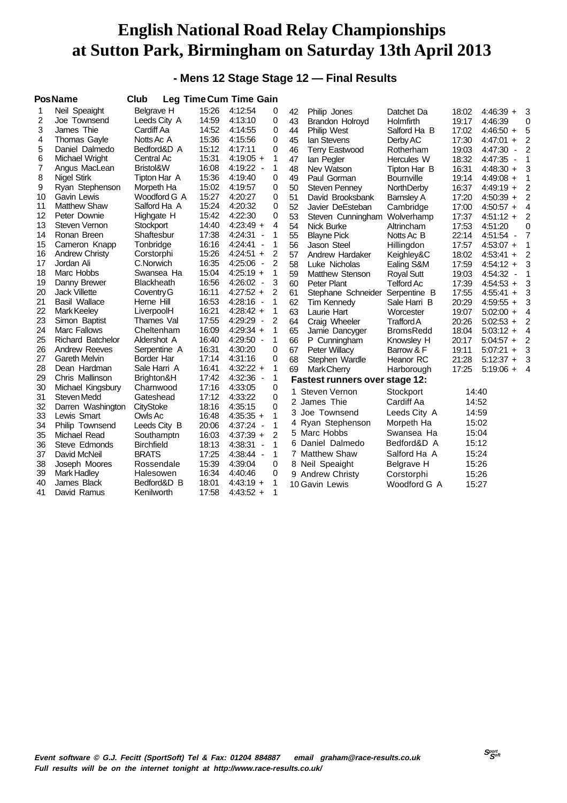#### **- Mens 12 Stage Stage 12 — Final Results**

|    | <b>PosName</b>           | Club              |       | <b>Leg Time Cum Time Gain</b>       |                |    |                                 |                   |       |                                     |                |
|----|--------------------------|-------------------|-------|-------------------------------------|----------------|----|---------------------------------|-------------------|-------|-------------------------------------|----------------|
| 1  | Neil Speaight            | Belgrave H        | 15:26 | 4:12:54                             | 0              | 42 | Philip Jones                    | Datchet Da        | 18:02 | $4:46:39 +$                         | 3              |
| 2  | Joe Townsend             | Leeds City A      | 14:59 | 4:13:10                             | $\Omega$       | 43 | Brandon Holroyd                 | Holmfirth         | 19:17 | 4:46:39                             | 0              |
| 3  | James Thie               | Cardiff Aa        | 14:52 | 4:14:55                             | $\Omega$       | 44 | <b>Philip West</b>              | Salford Ha B      | 17:02 | $4:46:50 +$                         | 5              |
| 4  | <b>Thomas Gayle</b>      | Notts Ac A        | 15:36 | 4:15:56                             | 0              | 45 | lan Stevens                     | Derby AC          | 17:30 | $4:47:01 +$                         | 2              |
| 5  | Daniel Dalmedo           | Bedford&D A       | 15:12 | 4:17:11                             | 0              | 46 | <b>Terry Eastwood</b>           | Rotherham         | 19:03 | 4:47:30<br>$\overline{\phantom{a}}$ | 2              |
| 6  | Michael Wright           | Central Ac        | 15:31 | $4:19:05 +$                         | $\mathbf{1}$   | 47 | lan Pegler                      | Hercules W        | 18:32 | 4:47:35 -                           | 1              |
| 7  | Angus MacLean            | Bristol&W         | 16:08 | $4:19:22 -$                         | 1              | 48 | Nev Watson                      | Tipton Har B      | 16:31 | $4:48:30 +$                         | 3              |
| 8  | Nigel Stirk              | Tipton Har A      | 15:36 | 4:19:40                             | 0              | 49 | Paul Gorman                     | <b>Bournville</b> | 19:14 | $4:49:08 +$                         | 1              |
| 9  | Ryan Stephenson          | Morpeth Ha        | 15:02 | 4:19:57                             | 0              | 50 | <b>Steven Penney</b>            | NorthDerby        | 16:37 | $4:49:19 +$                         | 2              |
| 10 | Gavin Lewis              | Woodford G A      | 15:27 | 4:20:27                             | 0              | 51 | David Brooksbank                | <b>Barnsley A</b> | 17:20 | $4:50:39 +$                         | $\overline{2}$ |
| 11 | <b>Matthew Shaw</b>      | Salford Ha A      | 15:24 | 4:20:32                             | 0              | 52 | Javier DeEsteban                | Cambridge         | 17:00 | $4:50:57 +$                         | $\overline{4}$ |
| 12 | Peter Downie             | Highgate H        | 15:42 | 4:22:30                             | 0              | 53 | Steven Cunningham Wolverhamp    |                   | 17:37 | $4:51:12 +$                         | 2              |
| 13 | Steven Vernon            | Stockport         | 14:40 | $4:23:49 +$                         | $\overline{4}$ | 54 | Nick Burke                      | Altrincham        | 17:53 | 4:51:20                             | 0              |
| 14 | Ronan Breen              | Shaftesbur        | 17:38 | 4:24:31<br>$\overline{\phantom{a}}$ | 1              | 55 | <b>Blayne Pick</b>              | Notts Ac B        | 22:14 | 4:51:54 -                           | $\overline{7}$ |
| 15 | Cameron Knapp            | Tonbridge         | 16:16 | 4:24:41<br>$\overline{\phantom{a}}$ | 1              | 56 | Jason Steel                     | Hillingdon        | 17:57 | $4:53:07 +$                         | 1              |
| 16 | <b>Andrew Christy</b>    | Corstorphi        | 15:26 | $4:24:51 +$                         | 2              | 57 | Andrew Hardaker                 | Keighley&C        | 18:02 | $4:53:41 +$                         | 2              |
| 17 | Jordan Ali               | C.Norwich         | 16:35 | $4:25:06 -$                         | 2              | 58 | Luke Nicholas                   | Ealing S&M        | 17:59 | $4:54:12 +$                         | 3              |
| 18 | Marc Hobbs               | Swansea Ha        | 15:04 | $4:25:19 +$                         | 1              | 59 | <b>Matthew Stenson</b>          | <b>Royal Sutt</b> | 19:03 | 4:54:32 -                           | 1              |
| 19 | Danny Brewer             | <b>Blackheath</b> | 16:56 | $4:26:02 -$                         | 3              | 60 | <b>Peter Plant</b>              | <b>Telford Ac</b> | 17:39 | $4:54:53 +$                         | 3              |
| 20 | <b>Jack Villette</b>     | Coventry G        | 16:11 | $4:27:52 +$                         | 2              | 61 | Stephane Schneider Serpentine B |                   | 17:55 | $4:55:41 +$                         | 3              |
| 21 | <b>Basil Wallace</b>     | Herne Hill        | 16:53 | $4:28:16 -$                         | 1              | 62 | Tim Kennedy                     | Sale Harri B      | 20:29 | $4:59:55 +$                         | 3              |
| 22 | Mark Keeley              | LiverpoolH        | 16:21 | $4:28:42 +$                         | 1              | 63 | Laurie Hart                     | Worcester         | 19:07 | $5:02:00 +$                         | 4              |
| 23 | Simon Baptist            | Thames Val        | 17:55 | 4:29:29<br>$\overline{\phantom{a}}$ | 2              | 64 | Craig Wheeler                   | Trafford A        | 20:26 | $5:02:53 +$                         | 2              |
| 24 | <b>Marc Fallows</b>      | Cheltenham        | 16:09 | $4:29:34 +$                         | 1              | 65 | Jamie Dancyger                  | <b>BromsRedd</b>  | 18:04 | $5:03:12 +$                         | 4              |
| 25 | <b>Richard Batchelor</b> | Aldershot A       | 16:40 | 4:29:50 -                           | 1              | 66 | P Cunningham                    | Knowsley H        | 20:17 | $5:04:57 +$                         | 2              |
| 26 | <b>Andrew Reeves</b>     | Serpentine A      | 16:31 | 4:30:20                             | 0              | 67 | Peter Willacy                   | Barrow & F        | 19:11 | $5:07:21 +$                         | 3              |
| 27 | <b>Gareth Melvin</b>     | <b>Border Har</b> | 17:14 | 4:31:16                             | 0              | 68 | Stephen Wardle                  | Heanor RC         | 21:28 | $5:12:37 +$                         | 3              |
| 28 | Dean Hardman             | Sale Harri A      | 16:41 | $4:32:22 +$                         | 1              | 69 | Mark Cherry                     | Harborough        | 17:25 | $5:19:06 +$                         | 4              |
| 29 | Chris Mallinson          | Brighton&H        | 17:42 | 4:32:36 -                           | 1              |    | Fastest runners over stage 12:  |                   |       |                                     |                |
| 30 | Michael Kingsbury        | Charnwood         | 17:16 | 4:33:05                             | 0              |    | 1 Steven Vernon                 | Stockport         | 14:40 |                                     |                |
| 31 | <b>Steven Medd</b>       | Gateshead         | 17:12 | 4:33:22                             | $\Omega$       |    | 2 James Thie                    | Cardiff Aa        | 14:52 |                                     |                |
| 32 | Darren Washington        | CityStoke         | 18:16 | 4:35:15                             | 0              |    | 3 Joe Townsend                  | Leeds City A      | 14:59 |                                     |                |
| 33 | Lewis Smart              | Owls Ac           | 16:48 | $4:35:35 +$                         | 1              |    | 4 Ryan Stephenson               |                   |       |                                     |                |
| 34 | Philip Townsend          | Leeds City B      | 20:06 | 4:37:24 -                           | 1              |    |                                 | Morpeth Ha        | 15:02 |                                     |                |
| 35 | Michael Read             | Southamptn        | 16:03 | $4:37:39 +$                         | $\overline{2}$ |    | 5 Marc Hobbs                    | Swansea Ha        | 15:04 |                                     |                |
| 36 | Steve Edmonds            | <b>Birchfield</b> | 18:13 | 4:38:31<br>$\overline{a}$           | 1              |    | 6 Daniel Dalmedo                | Bedford&D A       | 15:12 |                                     |                |
| 37 | David McNeil             | <b>BRATS</b>      | 17:25 | 4:38:44 -                           | 1              |    | 7 Matthew Shaw                  | Salford Ha A      | 15:24 |                                     |                |
| 38 | Joseph Moores            | Rossendale        | 15:39 | 4:39:04                             | 0              |    | 8 Neil Speaight                 | Belgrave H        | 15:26 |                                     |                |
| 39 | Mark Hadley              | Halesowen         | 16:34 | 4:40:46                             | 0              |    | 9 Andrew Christy                | Corstorphi        | 15:26 |                                     |                |
| 40 | James Black              | Bedford&D B       | 18:01 | $4:43:19 +$                         | 1              |    | 10 Gavin Lewis                  | Woodford G A      | 15:27 |                                     |                |
| 41 | David Ramus              | Kenilworth        | 17:58 | $4:43:52 +$                         | 1              |    |                                 |                   |       |                                     |                |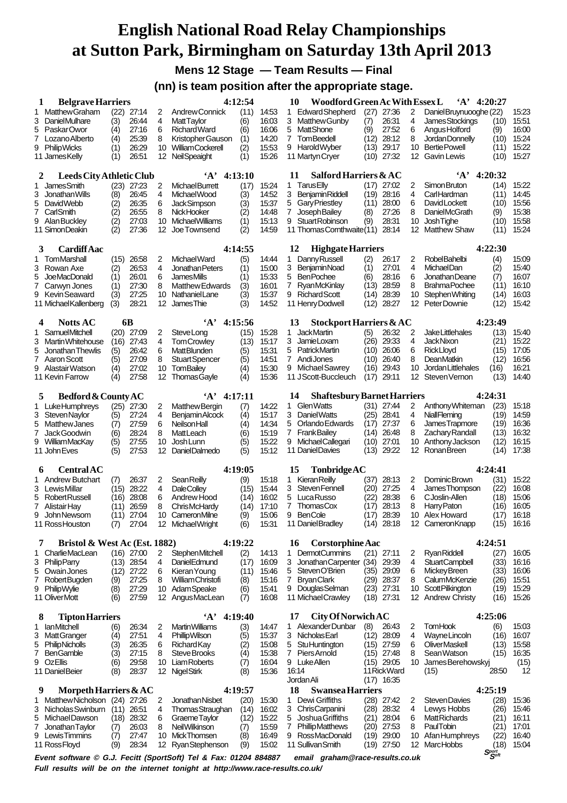**Mens 12 Stage — Team Results — Final**

**(nn) is team position after the appropriate stage.**

| <b>Belgrave Harriers</b><br>1 |                                    |              |                |                |                                                                  | 4:12:54     |                | 10               | Woodford Green Ac With Essex L              |              |                              |          | $\mathbf{A}$                                   | 4:20:27                       |                |
|-------------------------------|------------------------------------|--------------|----------------|----------------|------------------------------------------------------------------|-------------|----------------|------------------|---------------------------------------------|--------------|------------------------------|----------|------------------------------------------------|-------------------------------|----------------|
| 1                             | <b>MatthewGraham</b>               | (22)         | 27:14          | 2              | Andrew Connick                                                   | (11)        | 14:53          | 1                | <b>Edward Shepherd</b>                      | (27)         | 27:36                        | 2        | Daniel Bruynuooghe (22)                        |                               | 15:23          |
| 3                             | <b>DanielMulhare</b>               | (3)          | 26:44          | 4              | <b>MattTaylor</b>                                                | (6)         | 16:03          | 3                | Matthew Gunby                               | (7)          | 26:31                        | 4        | James Stockings                                | (10)                          | 15:51          |
| 5<br>7                        | PaskarOwor<br>Lozano Alberto       | (4)<br>(4)   | 27:16<br>25:39 | 6<br>8         | <b>Richard Ward</b><br>Kristopher Gauson                         | (6)<br>(1)  | 16:06<br>14:20 | 5<br>7           | <b>MattShone</b><br><b>TomBeedell</b>       | (9)<br>(12)  | 27:52<br>28:12               | 6<br>8   | Angus Holford<br>Jordan Donnelly               | (9)<br>(10)                   | 16:00<br>15:24 |
| 9                             | <b>PhilipWicks</b>                 | (1)          | 26:29          | 10             | <b>WilliamCockerell</b>                                          | (2)         | 15:53          | 9                | HaroldWyber                                 | (13)         | 29:17                        | 10       | <b>Bertie Powell</b>                           | (11)                          | 15:22          |
|                               | 11 JamesKelly                      | (1)          | 26:51          | 12             | NeilSpeaight                                                     | (1)         | 15:26          |                  | 11 Martyn Cryer                             | (10)         | 27:32                        | 12       | <b>Gavin Lewis</b>                             | (10)                          | 15:27          |
| 2                             | Leeds City Athletic Club           |              |                |                | $\mathbf{A}$                                                     | 4:13:10     |                | 11               | Salford Harriers & AC                       |              |                              |          | $\mathbf{A}$                                   | 4:20:32                       |                |
| 1                             | <b>JamesSmith</b>                  | (23)         | 27:23          | 2              | <b>MichaelBurrett</b>                                            | (17)        | 15:24          | 1                | <b>Tarus Elly</b>                           | (17)         | 27:02                        | 2        | Simon Bruton                                   | (14)                          | 15:22          |
| 3                             | Jonathan Wills                     | (8)          | 26:45          | 4              | <b>Michael Wood</b>                                              | (3)         | 14:52          | 3                | <b>Benjamin Riddell</b>                     | (19)         | 28:16                        | 4        | CarlHardman                                    | (11)                          | 14:45          |
| 5                             | DavidWebb                          | (2)          | 26:35          | 6              | JackSimpson                                                      | (3)         | 15:37          | 5                | <b>Gary Priestley</b>                       | (11)         | 28:00                        | 6        | <b>DavidLockett</b>                            | (10)                          | 15:56          |
| 7<br>9                        | CarlSmith<br>Alan Buckley          | (2)<br>(2)   | 26:55<br>27:03 | 8<br>10        | <b>NickHooker</b><br>MichaelWilliams                             | (2)<br>(1)  | 14:48<br>15:13 | 7<br>9           | Joseph Bailey<br><b>Stuart Robinson</b>     | (8)<br>(9)   | 27:26<br>28:31               | 8<br>10  | <b>DanielMcGrath</b><br>Josh Tighe             | (9)<br>(10)                   | 15:38<br>15:58 |
|                               | 11 SimonDeakin                     | (2)          | 27:36          | 12             | Joe Townsend                                                     | (2)         | 14:59          |                  | 11 Thomas Cornthwaite(11)                   |              | 28:14                        | 12       | <b>Matthew Shaw</b>                            | (11)                          | 15:24          |
| 3                             | <b>Cardiff Aac</b>                 |              |                |                |                                                                  | 4:14:55     |                | 12               | <b>Highgate Harriers</b>                    |              |                              |          |                                                | 4:22:30                       |                |
| 1.                            | TomMarshall                        | (15)         | 26:58          | 2              | Michael Ward                                                     | (5)         | 14:44          | 1                | Danny Russell                               | (2)          | 26:17                        | 2        | <b>RobelBahelbi</b>                            | (4)                           | 15:09          |
| 3                             | Rowan Axe                          | (2)          | 26:53          | 4              | Jonathan Peters                                                  | (1)         | 15:00          | 3                | <b>BenjaminNoad</b>                         | (1)          | 27:01                        | 4        | <b>MichaelDan</b>                              | (2)                           | 15:40          |
| 5                             | JoeMacDonald                       | (1)          | 26:01          | 6              | <b>JamesMills</b>                                                | (1)         | 15:33          | 5                | <b>BenPochee</b>                            | (6)          | 28:16                        | 6        | Jonathan Deane                                 | (7)                           | 16:07          |
| 7                             | Carwyn Jones<br>9 Kevin Seaward    | (1)<br>(3)   | 27:30<br>27:25 | 8<br>10        | <b>Matthew Edwards</b><br>NathanielLane                          | (3)<br>(3)  | 16:01<br>15:37 | 7                | <b>RyanMcKinlay</b><br>9 Richard Scott      | (13)<br>(14) | 28:59<br>28:39               | 8<br>10  | <b>BrahmaPochee</b><br>Stephen Whiting         | (11)<br>(14)                  | 16:10<br>16:03 |
|                               | 11 Michael Kallenberg              | (3)          | 28:21          | 12             | <b>JamesThie</b>                                                 | (3)         | 14:52          |                  | 11 Henry Dodwell                            | (12)         | 28:27                        | 12       | PeterDownie                                    | (12)                          | 15:42          |
| 4                             | <b>Notts AC</b>                    |              | 6 <b>B</b>     |                | $\mathbf{A}$                                                     | 4:15:56     |                | 13               | Stockport Harriers & AC                     |              |                              |          |                                                | 4:23:49                       |                |
| 1                             | SamuelMitchell                     | (20)         | 27:09          | 2              | <b>SteveLong</b>                                                 | (15)        | 15:28          | 1                | <b>JackMartin</b>                           | (5)          | 26:32                        | 2        | <b>JakeLittlehales</b>                         | (13)                          | 15:40          |
| 3                             | Martin Whitehouse                  | (16)         | 27:43          | 4              | <b>Tom Crowley</b>                                               | (13)        | 15:17          | 3                | JamieLoxam                                  | (26)         | 29:33                        | 4        | <b>JackNixon</b>                               | (21)                          | 15:22          |
| 5                             | Jonathan Thewlis                   | (5)          | 26:42          | 6              | <b>MattBlunden</b>                                               | (5)         | 15:31          | 5                | <b>PatrickMartin</b>                        | (10)         | 26:06                        | 6        | <b>RickLloyd</b>                               | (15)                          | 17:05          |
|                               | 7 Aaron Scott<br>9 AlastairWatson  | (5)<br>(4)   | 27:09<br>27:02 | 8<br>10        | <b>Stuart Spencer</b><br><b>TomBailev</b>                        | (5)<br>(4)  | 14:51<br>15:30 | 7<br>9           | <b>Andi Jones</b><br>Michael Sawrey         | (10)<br>(16) | 26:40<br>29:43               | 8<br>10  | <b>DeanMatkin</b><br><b>Jordan Littlehales</b> | (12)<br>(16)                  | 16:56<br>16:21 |
|                               | 11 Kevin Farrow                    | (4)          | 27:58          | 12             | <b>Thomas Gayle</b>                                              | (4)         | 15:36          |                  | 11 J Scott-Buccleuch                        | (17)         | 29:11                        | 12       | Steven Vernon                                  | (13)                          | 14:40          |
| Bedford & County AC<br>5      |                                    |              |                |                | $\mathbf{A}$                                                     | 4:17:11     |                | 14               | <b>Shaftesbury Barnet Harriers</b>          |              |                              |          |                                                | 4:24:31                       |                |
|                               | 1 LukeHumphreys                    | (25)         | 27:30          | 2              | Matthew Bergin                                                   | (7)         | 14:22          | 1                | <b>GlenWatts</b>                            | (31)         | 27:44                        | 2        | Anthony Whiteman                               | (23)                          | 15:18          |
|                               | 3 StevenNaylor                     | (5)          | 27:24          | 4              | Benjamin Alcock                                                  | (4)         | 15:17          | 3                | <b>DanielWatts</b>                          | (25)         | 28:41                        | 4        | NiallFleming                                   | (19)                          | 14:59          |
| 5                             | Matthew Janes                      | (7)          | 27:59          | 6              | <b>Neilson Hall</b>                                              | (4)         | 14:34          | 5                | Orlando Edwards                             | (17)         | 27:37                        | 6        | James Trapmore                                 | (19)                          | 16:36          |
| 7                             | Jack Goodwin                       | (6)          | 28:24          | 8              | Matt Leach                                                       | (6)         | 15:19          | 7                | <b>FrankBailey</b>                          | (14)         | 26:48                        | 8        | Zachary Randall                                | (13)                          | 16:32          |
| 9                             | WilliamMacKay<br>11 John Eves      | (5)<br>(5)   | 27:55<br>27:53 | 10<br>12       | <b>Josh Lunn</b><br>DanielDalmedo                                | (5)<br>(5)  | 15:22<br>15:12 | 9                | <b>MichaelCallegari</b><br>11 Daniel Davies | (10)<br>(13) | 27:01<br>29:22               | 10<br>12 | Anthony Jackson<br><b>Ronan Breen</b>          | (12)<br>(14)                  | 16:15<br>17:38 |
| 6                             | <b>Central AC</b>                  |              |                |                |                                                                  | 4:19:05     |                | 15               | TonbridgeAC                                 |              |                              |          |                                                | 4:24:41                       |                |
|                               | 1 Andrew Butchart                  | (7)          | 26:37          | 2              | <b>Sean Reilly</b>                                               | (9)         | 15:18          | 1                | <b>Kieran Reilly</b>                        | (37)         | 28:13                        | 2        | <b>DominicBrown</b>                            | (31)                          | 15:22          |
|                               | 3 LewisMillar                      | (15)         | 28:22          | 4              | <b>DaleCollev</b>                                                | (15)        | 15:44          | 3                | Steven Fennell                              | (20)         | 27:25                        | 4        | James Thompson                                 | (22)                          | 16:08          |
| 5                             | <b>RobertRussell</b>               | (16)         | 28:08          | 6              | Andrew Hood                                                      | (14)        | 16:02          | 5                | Luca Russo                                  | (22)         | 28:38                        | 6        | CJoslin-Allen                                  | (18)                          | 15:06          |
| 9                             | 7 Alistair Hay<br>John Newsom      | (11)<br>(11) | 26:59<br>27:04 | 8<br>10        | <b>ChrisMcHardy</b><br>CameronMilne                              | (14)<br>(9) | 17:10<br>15:06 | 7<br>9           | <b>ThomasCox</b><br><b>BenCole</b>          | (17)<br>(17) | 28:13<br>28:39               | 8<br>10  | Harry Paton<br>Alex Howard                     | (16)<br>(17)                  | 16:05<br>16:18 |
|                               | 11 Ross Houston                    | (7)          | 27:04          |                | 12 Michael Wright                                                | (6)         | 15:31          |                  | 11 Daniel Bradley                           |              | $(14)$ 28:18                 |          | 12 Cameron Knapp                               | (15)                          | 16:16          |
| 7                             | Bristol & West Ac (Est. 1882)      |              |                |                |                                                                  | 4:19:22     |                | 16               | Corstorphine Aac                            |              |                              |          |                                                | 4:24:51                       |                |
| 1                             | <b>CharlieMacLean</b>              |              | $(16)$ 27:00   | $\overline{2}$ | Stephen Mitchell                                                 | (2)         | 14:13          | 1                | <b>DermotCummins</b>                        |              | $(21)$ 27:11                 | 2        | <b>Ryan Riddell</b>                            | (27)                          | 16:05          |
| 3                             | <b>PhilipParry</b>                 | (13)         | 28:54          | 4              | DanielEdmund                                                     | (17)        | 16:09          | 3                | Jonathan Carpenter                          | (34)         | 29:39                        | 4        | <b>StuartCampbell</b>                          | (33)                          | 16:16          |
| 5<br>7                        | Owain Jones<br>RobertBugden        | (12)<br>(9)  | 27:22<br>27:25 | 6<br>8         | Kieran Young<br><b>William Christofi</b>                         | (11)<br>(8) | 15:46<br>15:16 | 5<br>7           | StevenO'Brien<br><b>BryanClark</b>          | (35)<br>(29) | 29:09<br>28:37               | 6<br>8   | Mickey Breen<br>CalumMcKenzie                  | (33)<br>(26)                  | 16:06<br>15:51 |
| 9                             | PhilipWylie                        | (8)          | 27:29          | 10             | Adam Speake                                                      | (6)         | 15:41          | 9                | Douglas Selman                              | (23)         | 27:31                        | 10       | Scott Pilkington                               | (19)                          | 15:29          |
|                               | 11 OliverMott                      | (6)          | 27:59          | 12             | Angus MacLean                                                    | (7)         | 16:08          |                  | 11 Michael Crawley                          | (18)         | 27:31                        |          | 12 Andrew Christy                              | (16)                          | 15:26          |
| 8                             | <b>Tipton Harriers</b>             |              |                |                | $\mathbf{A}$                                                     | 4:19:40     |                | 17               | City Of Norwich AC                          |              |                              |          |                                                | 4:25:06                       |                |
| 1                             | <b>lanMitchell</b>                 | (6)          | 26:34          | 2              | <b>Martin Williams</b>                                           | (3)         | 14:47          |                  | 1 AlexanderDunbar                           | (8)          | 26:43                        | 2        | TomHook                                        | (6)                           | 15:03          |
| 3                             | <b>MattGranger</b>                 | (4)          | 27:51          | 4              | PhillipWilson                                                    | (5)         | 15:37          | 3                | Nicholas Earl                               | (12)         | 28:09                        | 4        | WayneLincoln                                   | (16)                          | 16:07          |
| 5                             | PhilipNicholls                     | (3)          | 26:35          | 6              | RichardKay                                                       | (2)         | 15:08          | 5<br>7           | StuHuntington<br>Piers Arnold               |              | $(15)$ 27:59<br>$(15)$ 27:48 | 6<br>8   | <b>OliverMaskell</b><br>Sean Watson            | (13)<br>(15)                  | 15:58<br>16:35 |
| 7<br>9                        | <b>BenGamble</b><br><b>OzEllis</b> | (3)<br>(6)   | 27:15<br>29:58 | 8<br>10        | Steve Brooks<br><b>Liam Roberts</b>                              | (4)<br>(7)  | 15:38<br>16:04 | 9 Luke Allen     |                                             | (15)         | 29:05                        | 10       | James Berehowskyj                              |                               | (15)           |
|                               | 11 Daniel Beier                    | (8)          | 28:37          | 12             | <b>NigelStirk</b>                                                | (8)         | 15:36          | 16:14            |                                             |              | 11 Rick Ward                 |          | (15)                                           | 28:50                         | 12             |
| 9                             | Morpeth Harriers $&AC$             |              |                |                |                                                                  | 4:19:57     |                | Jordan Ali<br>18 | <b>Swansea Harriers</b>                     |              | $(17)$ 16:35                 |          |                                                | 4:25:19                       |                |
| 1                             | Matthew Nicholson                  | (24)         | 27:26          | 2              | Jonathan Nisbet                                                  | (20)        | 15:30          | 1                | Dewi Griffiths                              | (28)         | 27:42                        | 2        | <b>Steven Davies</b>                           | (28)                          | 15:36          |
| 3                             | Nicholas Swinburn                  | (11)         | 26:51          | 4              | Thomas Straughan                                                 | (14)        | 16:02          | 3                | ChrisCarpanini                              | (28)         | 28:32                        | 4        | Lewys Hobbs                                    | (26)                          | 15:46          |
| 5                             | Michael Dawson                     | (18)         | 28:32          | 6              | Graeme Taylor                                                    | (12)        | 15:22          | 5                | Joshua Griffiths                            | (21)         | 28:04                        | 6        | <b>MattRichards</b>                            | (21)                          | 16:11          |
| 7                             | Jonathan Taylor<br>9 LewisTimmins  | (7)<br>(7)   | 26:03<br>27:47 | 8<br>10        | NeilWilkinson<br><b>MickThomsen</b>                              | (7)<br>(8)  | 15:59<br>16:49 | 7<br>9           | <b>PhillipMatthews</b><br>RossMacDonald     | (20)<br>(19) | 27:53<br>29:00               | 8<br>10  | PaulTobin<br>Afan Humphreys                    | (21)<br>(22)                  | 17:01<br>16:40 |
|                               | 11 Ross Floyd                      | (9)          | 28:34          | 12             | Ryan Stephenson                                                  | (9)         | 15:02          |                  | 11 Sullivan Smith                           | (19)         | 27:50                        | 12       | MarcHobbs                                      | (18)                          | 15:04          |
|                               |                                    |              |                |                | Event software © G.J. Fecitt (SportSoft) Tel & Fax: 01204 884887 |             |                |                  | email araham@race-results.co.uk             |              |                              |          |                                                | $S_{\mathcal{S}^{opt}}^{opt}$ |                |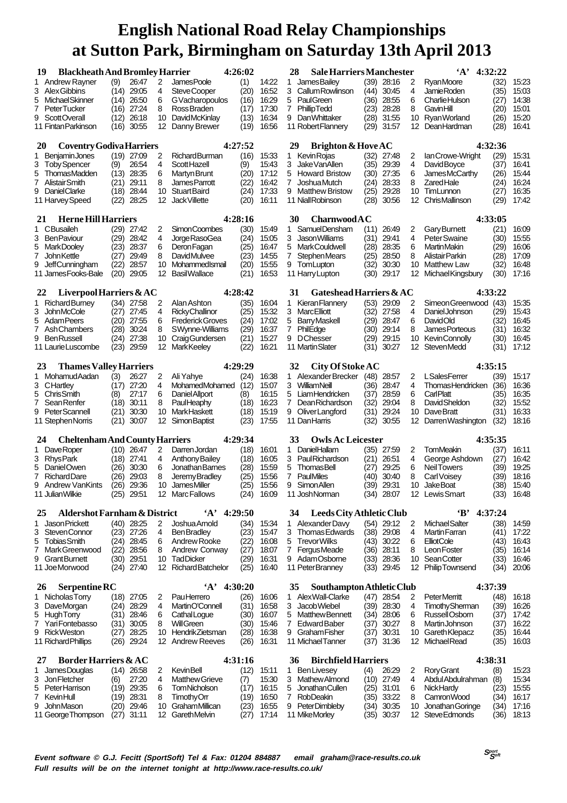| <b>Blackheath And Bromley Harrier</b><br>19                                                                                                                    |                                |          |                                            | 4:26:02      |                | 28<br><b>Sale Harriers Manchester</b>                   |              |                       |          | $\cdot_A$ ,                             | 4:32:22      |                |
|----------------------------------------------------------------------------------------------------------------------------------------------------------------|--------------------------------|----------|--------------------------------------------|--------------|----------------|---------------------------------------------------------|--------------|-----------------------|----------|-----------------------------------------|--------------|----------------|
| 1 Andrew Ravner                                                                                                                                                | (9)<br>26:47                   | 2        | JamesPoole                                 | (1)          | 14:22          | <b>JamesBailev</b><br>1                                 | (39)         | 28:16                 | 2        | <b>RyanMoore</b>                        | (32)         | 15:23          |
| 3 AlexGibbins                                                                                                                                                  | (14)<br>29:05                  | 4        | SteveCooper                                | (20)         | 16:52          | 3<br>Callum Rowlinson                                   | (44)         | 30:45                 | 4        | <b>JamieRoden</b>                       | (35)         | 15:03          |
| 5<br>Michael Skinner                                                                                                                                           | (14)<br>26:50                  | 6        | G Vacharopoulos                            | (16)         | 16:29          | 5<br>PaulGreen                                          | (36)         | 28:55                 | 6        | Charlie Hulson                          | (27)         | 14:38          |
| <b>PeterTucker</b><br>7<br>9 ScottOverall                                                                                                                      | (16)<br>27:24<br>(12)<br>26:18 | 8<br>10  | Ross Braden<br><b>DavidMcKinlay</b>        | (17)<br>(13) | 17:30<br>16:34 | 7<br><b>PhillipTedd</b><br><b>DanWhittaker</b><br>9     | (23)<br>(28) | 28:28<br>31:55        | 8<br>10  | <b>Gavin Hill</b><br>Ryan Worland       | (20)<br>(26) | 15:01<br>15:20 |
| 11 Fintan Parkinson                                                                                                                                            | 30:55<br>(16)                  | 12       | Danny Brewer                               | (19)         | 16:56          | 11 Robert Flannery                                      | (29)         | 31:57                 | 12       | DeanHardman                             | (28)         | 16:41          |
| <b>Coventry Godiva Harriers</b><br>20                                                                                                                          |                                |          | 4:27:52                                    |              |                | 29<br>Brighton & Hove AC                                |              |                       |          |                                         | 4:32:36      |                |
| 1 BenjaminJones                                                                                                                                                | $(19)$ 27:09                   | 2        | <b>RichardBurman</b>                       | (16)         | 15:33          | Kevin Rojas<br>1                                        | (32)         | 27:48                 | 2        | lan Crowe-Wright                        | (29)         | 15:31          |
| 3<br><b>Toby Spencer</b>                                                                                                                                       | (9)<br>26:54                   | 4        | <b>ScottHazell</b>                         | (9)          | 15:43          | 3<br>Jake Van Allen                                     | (35)         | 29:39                 | 4        | David Boyce                             | (37)         | 16:41          |
| 5<br><b>ThomasMadden</b>                                                                                                                                       | (13)<br>28:35                  | 6        | Martyn Brunt                               | (20)         | 17:12          | 5<br><b>Howard Bristow</b>                              | (30)         | 27:35                 | 6        | JamesMcCarthy                           | (26)         | 15:44          |
| 7 Alistair Smith                                                                                                                                               | 29:11<br>(21)                  | 8        | James Parrott                              | (22)         | 16:42          | 7<br>JoshuaMutch                                        | (24)         | 28:33                 | 8        | ZaredHale                               | (24)         | 16:24          |
| 9 DanielClarke<br>11 Harvey Speed                                                                                                                              | (18)<br>28:44<br>28:25<br>(22) | 10<br>12 | <b>Stuart Baird</b><br>Jack Villette       | (24)<br>(20) | 17:33<br>16:11 | 9<br><b>Matthew Bristow</b><br>11 Niall Robinson        | (25)<br>(28) | 29:28<br>30:56        | 10<br>12 | TimLunnon<br><b>ChrisMallinson</b>      | (27)<br>(29) | 16:35<br>17:42 |
| <b>Herne Hill Harriers</b>                                                                                                                                     |                                |          | 4:28:16                                    |              |                | 30<br><b>Charnwood A C</b>                              |              |                       |          | 4:33:05                                 |              |                |
| 21<br>CBusaileh<br>1.                                                                                                                                          | (29)<br>27:42                  | 2        | SimonCoombes                               | (30)         | 15:49          | <b>SamuelDensham</b><br>1                               | (11)         | 26:49                 | 2        | <b>Gary Burnett</b>                     | (21)         | 16:09          |
| 3 Ben Paviour                                                                                                                                                  | (29)<br>28:42                  | 4        | Jorge Raso Gea                             | (24)         | 15:05          | 3<br>Jason Williams                                     | (31)         | 29:41                 | 4        | Peter Swaine                            | (30)         | 15:55          |
| 5 MarkDooley                                                                                                                                                   | (23)<br>28:37                  | 6        | <b>DeronFagan</b>                          | (25)         | 16:47          | 5<br><b>MarkCouldwell</b>                               | (28)         | 28:35                 | 6        | <b>MartinMakin</b>                      | (29)         | 16:06          |
| $\mathbf{7}$<br><b>John Kettle</b>                                                                                                                             | 29:49<br>(27)                  | 8        | <b>DavidMulvee</b>                         | (23)         | 14:55          | 7<br>Stephen Mears                                      | (25)         | 28:50                 | 8        | Alistair Parkin                         | (28)         | 17:09          |
| 9 JeffCunningham                                                                                                                                               | (22)<br>28:57                  | 10       | MohammedIsmail                             | (20)         | 15:55          | TomLupton<br>9                                          | (32)         | 30:30                 | 10       | <b>Matthew Law</b>                      | (32)         | 16:48          |
| 11 James Fooks-Bale                                                                                                                                            | 29:05<br>(20)                  | 12       | <b>BasilWallace</b>                        | (21)         | 16:53          | 11 Harry Lupton                                         | (30)         | 29:17                 | 12       | Michael Kingsbury                       | (30)         | 17:16          |
| Liverpool Harriers & AC<br>22                                                                                                                                  |                                |          | 4:28:42                                    |              |                | Gateshead Harriers & AC<br>31                           |              |                       |          |                                         | 4:33:22      |                |
| 1 Richard Burney                                                                                                                                               | (34)<br>27:58                  | 2        | Alan Ashton                                | (35)         | 16:04          | 1<br><b>Kieran Flannery</b>                             | (53)         | 29:09                 | 2        | Simeon Greenwood (43)                   |              | 15:35          |
| 3 JohnMcCole                                                                                                                                                   | (27)<br>27:45                  | 4        | <b>Ricky Challinor</b>                     | (25)         | 15:32          | 3<br>MarcElliott                                        | (32)         | 27:58                 | 4        | <b>Daniel Johnson</b>                   | (29)         | 15:43          |
| <b>AdamPeers</b><br>5                                                                                                                                          | (20)<br>27:55<br>30:24         | 6<br>8   | <b>Frederick Groves</b><br>SWynne-Williams | (24)<br>(29) | 17:02<br>16:37 | 5<br><b>BarryMaskell</b><br>7<br>PhilEdge               | (29)         | 28:47<br>29:14        | 6<br>8   | David Old<br>James Porteous             | (32)<br>(31) | 16:45<br>16:32 |
| 7 AshChambers<br><b>Ben Russell</b><br>9                                                                                                                       | (28)<br>27:38<br>(24)          | 10       | Craig Gundersen                            | (21)         | 15:27          | 9<br><b>DChesser</b>                                    | (30)<br>(29) | 29:15                 | 10       | <b>KevinConnolly</b>                    | (30)         | 16:45          |
| 11 Laurie Luscombe                                                                                                                                             | (23)<br>29:59                  | 12       | <b>MarkKeeley</b>                          | (22)         | 16:21          | 11 Martin Slater                                        | (31)         | 30:27                 | 12       | Steven Medd                             | (31)         | 17:12          |
| <b>Thames Valley Harriers</b><br>4:29:29<br>23                                                                                                                 |                                |          |                                            |              |                | 32<br>City Of Stoke AC                                  |              |                       |          | 4:35:15                                 |              |                |
| 1 MohamudAadan                                                                                                                                                 | (3)<br>26:27                   | 2        | Ali Yahye                                  | (24)         | 16:38          | Alexander Brecker<br>1.                                 | (48)         | 28:57                 | 2        | <b>LSalesFerrer</b>                     | (39)         | 15:17          |
| 3 CHartley                                                                                                                                                     | 27:20<br>(17)                  | 4        | MohamedMohamed                             | (12)         | 15:07          | 3<br>WilliamNeill                                       | (36)         | 28:47                 | 4        | <b>ThomasHendricken</b>                 | (36)         | 16:36          |
| ChrisSmith<br>5                                                                                                                                                | 27:17<br>(8)                   | 6        | Daniel Allport                             | (8)          | 16:15          | 5<br>LiamHendricken                                     | (37)         | 28:59                 | 6        | CarlPlatt                               | (35)         | 16:35          |
| 7<br>Sean Renfer<br><b>PeterScannell</b><br>9                                                                                                                  | (18)<br>30:11<br>(21)<br>30:30 | 8<br>10  | PaulHeaphy<br>MarkHaskett                  | (18)<br>(18) | 16:23<br>15:19 | 7<br>Dean Richardson<br>Oliver Langford<br>9            | (32)<br>(31) | 29:04<br>29:24        | 8<br>10  | <b>DavidSheldon</b><br><b>DaveBratt</b> | (32)<br>(31) | 15:52<br>16:33 |
| 11 Stephen Norris                                                                                                                                              | (21)<br>30:07                  | 12       | Simon Baptist                              | (23)         | 17:55          | 11 Dan Harris                                           | (32)         | 30:55                 | 12       | Darren Washington                       | (32)         | 18:16          |
| <b>Cheltenham And County Harriers</b><br>24                                                                                                                    |                                |          |                                            | 4:29:34      |                | 33<br><b>Owls Ac Leicester</b>                          |              |                       |          | 4:35:35                                 |              |                |
| 1 DaveRoper                                                                                                                                                    | (10)<br>26:47                  | 2        | Darren Jordan                              | (18)         | 16:01          | <b>DanielHallam</b><br>1                                | (35)         | 27:59                 | 2        | <b>TomMeakin</b>                        | (37)         | 16:11          |
| 3 RhysPark                                                                                                                                                     | (18)<br>27:41                  | 4        | <b>Anthony Bailey</b>                      | (18)         | 16:05          | 3<br><b>PaulRichardson</b>                              | (21)         | 26:51                 | 4        | George Ashdown                          | (27)         | 16:42          |
| 5<br><b>DanielOwen</b>                                                                                                                                         | 30:30<br>(26)                  | 6        | Jonathan Barnes                            | (28)         | 15:59          | 5<br>ThomasBell                                         | (27)         | 29:25                 | 6        | <b>Neil Towers</b>                      | (39)         | 19:25          |
| 7 RichardDare                                                                                                                                                  | (26)<br>29:03                  | 8        | Jeremy Bradley                             | (25)         | 15:56          | 7<br>PaulMiles                                          | (40)         | 30:40                 | 8        | Carl Voisey                             | (39)         | 18:16          |
| 9 Andrew VanKints<br>11 JulianWilkie                                                                                                                           | 29:36<br>(26)<br>$(25)$ 29:51  | 10       | <b>JamesMiller</b><br>12 MarcFallows       | (25)<br>(24) | 15:56<br>16:09 | <b>Simon Allen</b><br>9<br>11 Josh Norman               | (39)         | 29:31<br>$(34)$ 28:07 | 10       | JakeBoat<br>12 Lewis Smart              | (38)<br>(33) | 15:40<br>16:48 |
|                                                                                                                                                                |                                |          |                                            |              |                |                                                         |              |                       |          |                                         |              |                |
| Aldershot Farnham & District<br>25                                                                                                                             |                                |          | $\mathbf{A}$<br>4:29:50                    |              |                | Leeds City Athletic Club<br>34                          |              |                       |          | $\cdot$ B<br>4:37:24                    |              |                |
| Jason Prickett<br>1.<br><b>StevenConnor</b><br>3                                                                                                               | (40)<br>28:25<br>(23)<br>27:26 | 2<br>4   | Joshua Arnold<br><b>Ben Bradley</b>        | (34)<br>(23) | 15:34<br>15:47 | 1 Alexander Davy<br>3<br><b>Thomas Edwards</b>          | (38)         | $(54)$ 29:12<br>29:08 | 2<br>4   | Michael Salter<br><b>Martin Farran</b>  | (38)<br>(41) | 14:59<br>17:22 |
| 5<br>TobiasSmith                                                                                                                                               | (24)<br>28:45                  | 6        | <b>Andrew Rooke</b>                        | (22)         | 16:08          | <b>Trevor Wilks</b><br>5                                | (43)         | 30:22                 | 6        | <b>ElliotCole</b>                       | (43)         | 16:43          |
| Mark Greenwood<br>7                                                                                                                                            | (22)<br>28:56                  | 8        | Andrew Conway                              | (27)         | 18:07          | 7<br>Fergus Meade                                       | (36)         | 28:11                 | 8        | Leon Foster                             | (35)         | 16:14          |
| 9 Grant Burnett                                                                                                                                                | 29:51<br>(30)                  | 10       | <b>TadDicker</b>                           | (29)         | 16:31          | 9 AdamOsborne                                           | (33)         | 28:36                 | 10       | Sean Cotter                             | (33)         | 16:46          |
| 11 Joe Morwood                                                                                                                                                 | (24)<br>27:40                  |          | 12 Richard Batchelor                       | (25)         | 16:40          | 11 PeterBranney                                         | (33)         | 29:45                 | 12       | <b>PhilipTownsend</b>                   | (34)         | 20:06          |
| Serpentine RC<br>26                                                                                                                                            |                                |          | $\mathbf{A}$<br>4:30:20                    |              |                | 35<br>Southampton Athletic Club                         |              |                       |          | 4:37:39                                 |              |                |
| 1 Nicholas Torry                                                                                                                                               | 27:05<br>(18)                  | 2        | PauHerrero                                 | (26)         | 16:06          | Alex Wall-Clarke<br>1                                   |              | $(47)$ 28:54          | 2        | <b>PeterMerritt</b>                     | (48)         | 16:18          |
| 3 DaveMorgan                                                                                                                                                   | 28:29<br>(24)                  | 4        | Martin <sub>O'Connell</sub>                | (31)         | 16:58          | 3<br>Jacob Wiebel                                       | (39)         | 28:30                 | 4        | <b>Timothy Sherman</b>                  | (39)         | 16:26          |
| 5 Hugh Torry<br>7<br>Yari Fontebasso                                                                                                                           | 28:46<br>(31)<br>(31)<br>30:05 | 6<br>8   | CathalLogue<br>WillGreen                   | (30)<br>(30) | 16:07<br>15:46 | 5<br><b>Matthew Bennett</b><br>7<br><b>Edward Baber</b> | (34)<br>(37) | 28:06<br>30:27        | 6<br>8   | <b>RussellOsborn</b><br>Martin Johnson  | (37)<br>(37) | 17:42<br>16:22 |
| <b>RickWeston</b><br>9                                                                                                                                         | 28:25<br>(27)                  | 10       | HendrikZietsman                            | (28)         | 16:38          | 9 Graham Fisher                                         | (37)         | 30:31                 | 10       | Gareth Klepacz                          | (35)         | 16:44          |
| (35)<br>11 Richard Phillips<br>(26)<br>29:24<br><b>Andrew Reeves</b><br>(26)<br>16:31<br>11 Michael Tanner<br>(37)<br>31:36<br>12<br><b>Michael Read</b><br>12 |                                |          |                                            |              |                |                                                         |              | 16:03                 |          |                                         |              |                |
| <b>Border Harriers &amp; AC</b><br>4:31:16<br>36<br><b>Birchfield Harriers</b><br>27                                                                           |                                |          |                                            |              |                | 4:38:31                                                 |              |                       |          |                                         |              |                |
| JamesDouglas<br>1                                                                                                                                              | $(14)$ 26:58                   | 2        | <b>Kevin Bell</b>                          | (12)         | 15:11          | BenLivesey<br>1                                         | (4)          | 26:29                 | 2        | <b>Rory Grant</b>                       | (8)          | 15:23          |
| 3 Jon Fletcher                                                                                                                                                 | 27:20<br>(6)                   | 4        | <b>Matthew Grieve</b>                      | (7)          | 15:30          | 3<br>Mathew Almond                                      | (10)         | 27:49                 | 4        | Abdul Abdulrahman                       | (8)          | 15:34          |
| Peter Harrison<br>5                                                                                                                                            | 29:35<br>(19)                  | 6        | TomNicholson                               | (17)         | 16:15          | 5<br>Jonathan Cullen                                    | (25)         | 31:01                 | 6        | <b>NickHardy</b>                        | (23)         | 15:55          |
| KevinHull<br>7<br>John Mason<br>9                                                                                                                              | (19)<br>28:31<br>(20)<br>29:46 | 8<br>10  | <b>Timothy Orr</b><br>GrahamMillican       | (19)<br>(23) | 16:50<br>16:55 | 7<br><b>RobDeakin</b><br>9 PeterDimbleby                | (34)         | $(35)$ 33:22<br>30:35 | 8<br>10  | Camron Wood<br>Jonathan Goringe         | (34)<br>(34) | 16:17<br>17:16 |
| 11 George Thompson                                                                                                                                             | (27)<br>31:11                  | 12       | <b>GarethMelvin</b>                        | (27)         | 17:14          | 11 MikeMorley                                           | (35)         | 30:37                 | 12       | <b>SteveEdmonds</b>                     | (36)         | 18:13          |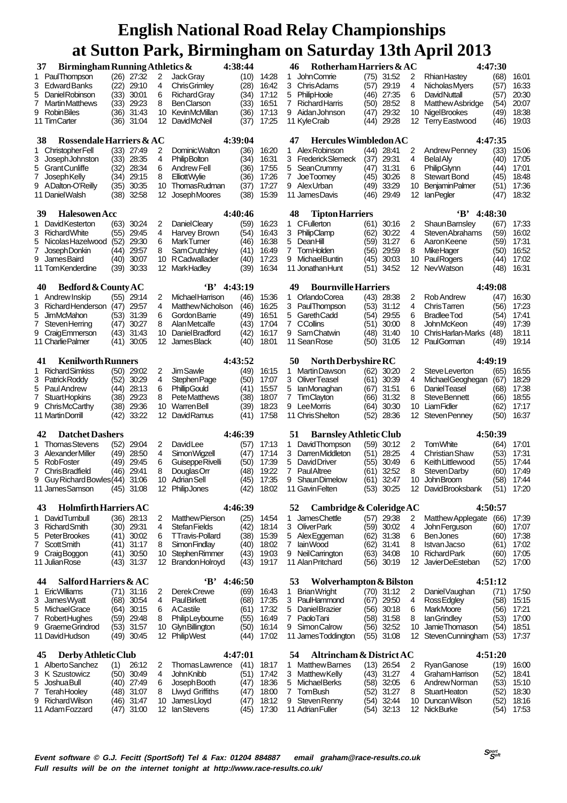| Birmingham Running Athletics &<br>37              |                                 |                              |                                                             | 4:38:44        | 46             | Rotherham Harriers & AC                           |              |                              |          |                                         | 4:47:30         |                |
|---------------------------------------------------|---------------------------------|------------------------------|-------------------------------------------------------------|----------------|----------------|---------------------------------------------------|--------------|------------------------------|----------|-----------------------------------------|-----------------|----------------|
| 1 PaulThompson                                    | $(26)$ 27:32                    | 2<br>Jack Gray               | (10)                                                        | 14:28          | 1.             | <b>John Comrie</b>                                |              | $(75)$ 31:52                 | 2        | <b>RhianHastey</b>                      | (68)            | 16:01          |
| 3 Edward Banks                                    | (22)<br>29:10                   | 4                            | <b>ChrisGrimley</b><br>(28)                                 | 16:42          | 3              | Chris Adams                                       | (57)         | 29:19                        | 4        | Nicholas Mvers                          | (57)            | 16:33          |
| 5<br><b>Daniel Robinson</b>                       | (33)<br>30:01                   | 6                            | <b>Richard Gray</b><br>(34)                                 | 17:12          | 5              | PhilipHoole                                       | (46)         | 27:35                        | 6        | <b>DavidNuttall</b>                     | (57)            | 20:30          |
| 7<br><b>MartinMatthews</b>                        | (33)<br>29:23                   | 8<br><b>BenClarson</b>       | (33)                                                        | 16:51          | 7              | <b>RichardHarris</b>                              | (50)         | 28:52                        | 8        | Matthew Asbridge                        | (54)            | 20:07          |
| 9 Robin Biles                                     | (36)<br>31:43                   | 10                           | KevinMcMillan<br>(36)                                       | 17:13          |                | 9 Aidan Johnson                                   | (47)         | 29:32                        |          | 10 NigelBrookes                         | (49)            | 18:38          |
| 11 TimCarter                                      | (36)<br>31:04                   | 12<br>DavidMcNeil            | (37)                                                        | 17:25          |                | 11 KyleCraib                                      | (44)         | 29:28                        | 12       | <b>Terry Eastwood</b>                   | (46)            | 19:03          |
| <b>Rossendale Harriers &amp; AC</b><br>38         |                                 |                              | 4:39:04                                                     |                | 47             | <b>Hercules Wimbledon AC</b>                      |              |                              |          |                                         | 4:47:35         |                |
| <b>ChristopherFell</b><br>1                       | $(33)$ 27:49                    | 2                            | Dominic Walton<br>(36)                                      | 16:20          | 1              | <b>Alex Robinson</b>                              | (44)         | 28:41                        | 2        | <b>Andrew Penney</b>                    | (33)            | 15:06          |
| 3<br>Joseph Johnston                              | (33)<br>28:35                   | 4<br><b>PhilipBolton</b>     | (34)                                                        | 16:31          |                | 3 FrederickSlemeck                                | (37)         | 29:31                        | 4        | <b>Belal Aly</b>                        | (40)            | 17:05          |
| 5<br><b>GrantCunliffe</b>                         | (32)<br>28:34                   | 6<br><b>Andrew Fell</b>      | (36)                                                        | 17:55          | 5              | SeanCrummy                                        | (47)         | 31:31                        | 6        | <b>PhilipGlynn</b>                      | (44)            | 17:01          |
| 7<br>Joseph Kelly                                 | (34)<br>29:15                   | 8<br>ElliottWylie            | (36)                                                        | 17:26          | 7              | JoeToomey                                         | (45)         | 30:26                        | 8        | <b>Stewart Bond</b>                     | (45)            | 18:48          |
| ADalton-O'Reilly<br>9<br>11 Daniel Walsh          | 30:35<br>(35)<br>(38)<br>32:58  | 10<br>12                     | (37)<br><b>ThomasRudman</b><br>Joseph Moores<br>(38)        | 17:27<br>15:39 |                | 9 AlexUrban<br>11 JamesDavis                      | (49)<br>(46) | 33:29<br>29:49               | 10<br>12 | <b>BeniaminPalmer</b><br>lanPegler      | (51)<br>(47)    | 17:36<br>18:32 |
|                                                   |                                 |                              |                                                             |                |                |                                                   |              |                              |          |                                         |                 |                |
| 39<br><b>Halesowen Acc</b>                        |                                 |                              | 4:40:46                                                     |                | 48             | <b>Tipton Harriers</b>                            |              |                              |          | $\mathbf{B}$<br>4:48:30                 |                 |                |
| DavidKesterton<br>1                               | 30:24<br>(63)                   | Daniel Cleary<br>2           | (59)                                                        | 16:23          | 1.             | CFullerton                                        | (61)         | 30:16                        | 2        | Shaun Barnsley                          | (67)            | 17:33          |
| 3 RichardWhite                                    | (55)<br>29:45                   | 4                            | Harvey Brown<br>(54)                                        | 16:43          |                | 3 PhilipClamp                                     | (62)         | 30:22                        | 4        | Steven Abrahams                         | (59)            | 16:02          |
| 5<br>Nicolas Hazelwood                            | (52)<br>29:30                   | 6<br><b>MarkTurner</b><br>8  | (46)                                                        | 16:38          | 5<br>7         | DeanHill<br>TomHolden                             | (59)         | 31:27                        | 6<br>8   | Aaron Keene                             | (59)            | 17:31          |
| 7<br>Joseph Donkin<br>9<br><b>JamesBaird</b>      | 29:57<br>(44)<br>(40)<br>30:07  | 10                           | <b>SamCrutchley</b><br>(41)<br><b>R</b> Cadwallader<br>(40) | 16:49<br>17:23 | 9              | <b>Michael Buntin</b>                             | (56)<br>(45) | 29:59<br>30:03               | 10       | <b>MikeHager</b><br>PaulRogers          | (50)<br>(44)    | 16:52<br>17:02 |
| 11 TomKenderdine                                  | (39)<br>30:33                   | 12<br><b>MarkHadley</b>      | (39)                                                        | 16:34          |                | 11 Jonathan Hunt                                  | (51)         | 34:52                        | 12       | <b>NevWatson</b>                        | (48)            | 16:31          |
|                                                   |                                 |                              |                                                             |                |                |                                                   |              |                              |          |                                         |                 |                |
| Bedford & County AC<br>40                         |                                 |                              | 'В'<br>4:43:19                                              |                | 49             | <b>Bournville Harriers</b>                        |              |                              |          |                                         | 4:49:08         |                |
| 1 Andrew Inskip<br>RichardHenderson<br>3          | 29:14<br>(55)<br>(47)<br>29:57  | 2<br>4                       | <b>MichaelHarrison</b><br>(46)<br>Matthew Nicholson<br>(46) | 15:36<br>16:25 | 1<br>3         | Orlando Corea<br>PaulThompson                     | (43)<br>(53) | 28:38<br>31:12               | 2<br>4   | <b>Rob Andrew</b><br><b>ChrisTarren</b> | (47)<br>(56)    | 16:30<br>17:23 |
| 5<br><b>JimMcMahon</b>                            | (53)<br>31:39                   | 6                            | Gordon Barrie<br>(49)                                       | 16:51          | 5              | <b>GarethCadd</b>                                 | (54)         | 29:55                        | 6        | <b>Bradlee Tod</b>                      | (54)            | 17:41          |
| 7<br>Steven Herring                               | (47)<br>30:27                   | 8                            | Alan Metcalfe<br>(43)                                       | 17:04          |                | 7 CCollins                                        | (51)         | 30:00                        | 8        | <b>JohnMcKeon</b>                       | (49)            | 17:39          |
| 9<br>CraigEmmerson                                | (43)<br>31:43                   | 10                           | (42)<br>Daniel Bradford                                     | 16:17          | 9              | SamChatwin                                        | (48)         | 31:40                        | 10       | ChrisHarlan-Marks                       | (48)            | 18:11          |
| 11 Charlie Palmer                                 | $(41)$ 30:05                    | 12 JamesBlack                | (40)                                                        | 18:01          |                | 11 Sean Rose                                      | (50)         | 31:05                        |          | 12 PaulGorman                           | (49)            | 19:14          |
|                                                   | <b>Kenilworth Runners</b><br>41 |                              |                                                             |                |                | North Derbyshire RC                               |              |                              |          |                                         | 4:49:19         |                |
| 1 Richard Simkiss                                 | 29:02<br>(50)                   | 2<br>Jim Sawle               | 4:43:52<br>(49)                                             | 16:15          | 50<br>1        | Martin Dawson                                     | (62)         | 30:20                        | 2        | <b>SteveLeverton</b>                    | (65)            | 16:55          |
| 3<br><b>Patrick Roddy</b>                         | (52)<br>30:29                   | 4                            | (50)<br>Stephen Page                                        | 17:07          | 3              | <b>OliverTeasel</b>                               | (61)         | 30:39                        | 4        | Michael Geoghegan                       | (67)            | 18:29          |
| 5<br>Paul Andrew                                  | 28:13<br>(44)                   | 6<br><b>PhillipGould</b>     | (41)                                                        | 15:57          | 5              | lanMonaghan                                       | (67)         | 31:51                        | 6        | <b>DanielTeasel</b>                     | (68)            | 17:38          |
| 7<br><b>StuartHopkins</b>                         | 29:23<br>(38)                   | 8                            | <b>PeteMatthews</b><br>(38)                                 | 18:07          | 7              | TimClayton                                        | (66)         | 31:32                        | 8        | <b>Steve Bennett</b>                    | (66)            | 18:55          |
| <b>ChrisMcCarthy</b><br>9                         | (38)<br>29:36                   | 10<br><b>WarrenBell</b>      | (39)                                                        | 18:23          | 9              | <b>Lee Morris</b>                                 | (64)         | 30:30                        | 10       | <b>LiamFidler</b>                       | (62)            | 17:17          |
| 11 Martin Dorrill                                 | (42)<br>33:22                   | 12<br>DavidRamus             | (41)                                                        | 17:58          |                | 11 Chris Shelton                                  | (52)         | 28:36                        |          | 12 Steven Penney                        | (50)            | 16:37          |
| <b>Datchet Dashers</b><br>42                      |                                 |                              | 4:46:39                                                     |                | 51             | <b>Barnsley Athletic Club</b>                     |              |                              |          |                                         | 4:50:39         |                |
| <b>Thomas Stevens</b><br>1.                       | (52)<br>29:04                   | 2<br>DavidLee                | (57)                                                        | 17:13          | 1              | <b>DavidThompson</b>                              | (59)         | 30:12                        | 2        | TomWhite                                | (64)            | 17:01          |
| Alexander Miller<br>3                             | (49)<br>28:50                   | 4                            | Simon Wigzell<br>(47)                                       | 17:14          | 3              | DarrenMiddleton                                   | (51)         | 28:25                        | 4        | <b>Christian Shaw</b>                   | (53)            | 17:31          |
| 5<br><b>RobFoster</b>                             | (49)<br>29:45                   | 6                            | Guiseppe Rivelli<br>(50)                                    | 17:39          | 5              | David Driver                                      | (55)         | 30:49                        | 6        | Keith Littlewood                        | (55)            | 17:44          |
| 7<br><b>ChrisBradfield</b>                        | (46)<br>29:41                   | 8<br>Douglas Orr             | (48)                                                        | 19:22          | 7              | <b>Paul Altree</b>                                | (61)         | 32:52                        | 8        | Steven Darby                            | (60)            | 17:49          |
| 9<br>Guy Richard Bowles (44)                      | 31:06                           | 10<br><b>Adrian Sell</b>     | (45)                                                        | 17:35          | 9              | Shaun Dimelow                                     | (61)         | 32:47                        | 10       | <b>JohnBroom</b>                        | (58)            | 17:44          |
| 11 James Samson                                   | $(45)$ 31:08                    | 12 PhilipJones               | (42)                                                        | 18:02          |                | 11 Gavin Felten                                   |              | $(53)$ 30.25                 |          | 12 DavidBrooksbank                      |                 | $(51)$ 17:20   |
| <b>Holmfirth Harriers AC</b><br>43                |                                 |                              | 4:46:39                                                     |                | 52             | Cambridge & Coleridge AC                          |              |                              |          |                                         | 4:50:57         |                |
| DavidTumbull<br>1                                 | $(36)$ 28:13                    | 2                            | <b>Matthew Pierson</b><br>(25)                              | 14:54          | 1              | <b>JamesChettle</b>                               |              | $(57)$ 29:38                 | 2        | Matthew Applegate                       | (66)            | 17:39          |
| 3<br>RichardSmith                                 | (30)<br>29:31                   | 4                            | (42)<br><b>Stefan Fields</b>                                | 18:14          | 3              | <b>OliverPark</b>                                 | (59)         | 30:02                        | 4        | John Ferguson                           | (60)            | 17:07          |
| 5<br><b>PeterBrookes</b>                          | $(41)$ 30:02                    | 6                            | (38)<br><b>TTravis-Pollard</b>                              | 15:39          |                | 5 AlexEggeman                                     |              | $(62)$ 31:38                 | 6        | <b>Ben Jones</b>                        | (60)            | 17:38          |
| <b>Scott Smith</b><br>7                           | $(41)$ 31:17                    | 8                            | <b>Simon Findlay</b><br>(40)<br><b>Stephen Rimmer</b>       | 18:02          | 7              | lainWood<br>9 NeilCarrington                      |              | $(62)$ 31:41                 | 8        | Istvan Jacso<br>10 Richard Park         | (61)            | 17:02          |
| 9 CraigBoggon<br>11 Julian Rose                   | $(41)$ 30:50<br>$(43)$ 31:37    | 10<br>12                     | (43)<br><b>Brandon Holroyd</b><br>(43)                      | 19:03<br>19:17 |                | 11 Alan Pritchard                                 | (63)<br>(56) | 34:08<br>30:19               | 12       | JavierDeEsteban                         | (60)<br>(52)    | 17:05<br>17:00 |
|                                                   |                                 |                              |                                                             |                |                |                                                   |              |                              |          |                                         |                 |                |
| Salford Harriers & AC<br>44                       |                                 |                              | $\cdot$ B<br>4:46:50                                        |                | 53             | Wolverhampton & Bilston                           |              |                              |          |                                         | 4:51:12         |                |
| <b>EricWilliams</b><br>1<br>3<br>James Wyatt      | $(71)$ 31:16<br>30:54<br>(68)   | 2<br>4<br><b>PaulBirkett</b> | Derek Crewe<br>(69)<br>(68)                                 | 16:43<br>17:35 | 1              | <b>Brian Wright</b><br>3 PaulHammond              |              | $(70)$ 31:12<br>$(67)$ 29:50 | 2<br>4   | Daniel Vaughan<br>Ross Edgley           | (71)<br>(58)    | 17:50<br>15:15 |
| 5<br><b>Michael Grace</b>                         | 30:15<br>(64)                   | 6<br><b>ACastile</b>         | (61)                                                        | 17:32          | 5              | Daniel Brazier                                    | (56)         | 30:18                        | 6        | <b>MarkMoore</b>                        | (56)            | 17:21          |
| 7<br><b>RobertHughes</b>                          | (59)<br>29:48                   | 8                            | (55)<br>PhilipLeybourne                                     | 16:49          | 7              | PaoloTani                                         |              | $(58)$ 31:58                 | 8        | lan Grindley                            | (53)            | 17:00          |
| Graeme Grindrod<br>9                              | $(53)$ 31:57                    | 10                           | <b>Glyn Billington</b><br>(50)                              | 16:14          |                | 9 Simon Calrow                                    | (56)         | 32:52                        | 10       | Jamie Thomason                          | (54)            | 18:51          |
| 11 DavidHudson                                    | $(49)$ 30:45                    | 12<br>PhilipWest             | (44)                                                        | 17:02          |                | 11 James Toddington                               | (55)         | 31:08                        | 12       | Steven Cunningham                       | (53)            | 17:37          |
|                                                   |                                 |                              |                                                             |                |                |                                                   |              |                              |          |                                         |                 |                |
| Derby Athletic Club<br>45<br>Alberto Sanchez<br>1 | (1)<br>26:12                    | 2                            | 4:47:01<br>(41)<br><b>Thomas Lawrence</b>                   | 18:17          | 54<br>1.       | Altrincham & District AC<br><b>Matthew Barnes</b> |              | $(13)$ 26:54                 | 2        | <b>RyanGanose</b>                       | 4:51:20<br>(19) | 16:00          |
| 3 K Szustowicz                                    | 30:49<br>(50)                   | 4<br>John Knibb              | (51)                                                        | 17:42          |                | 3 Matthew Kelly                                   |              | $(43)$ 31:27                 | 4        | Graham Harrison                         | (52)            | 18:41          |
| 5<br><b>JoshuaBull</b>                            | (40)<br>27:49                   | 6                            | (47)<br>Joseph Booth                                        | 18:36          | 5              | <b>MichaelBerks</b>                               |              | $(58)$ 32:05                 | 6        | Andrew Norman                           | (53)            | 15:10          |
| 7<br>Terah Hooley                                 | 31:07<br>(48)                   | 8                            | <b>Llwyd Griffiths</b><br>(47)                              | 18:00          | $\overline{7}$ | TomBush                                           | (52)         | 31:27                        | 8        | <b>StuartHeaton</b>                     | (52)            | 18:30          |
| RichardWilson<br>9                                | $(46)$ 31:47                    | 10<br>JamesLloyd             | (47)                                                        | 18:12          | 9              | <b>Steven Renny</b>                               | (54)         | 32:44                        | 10       | Duncan Wilson                           | (52)            | 18:16          |
| 11 Adam Fozzard                                   | $(47)$ 31:00                    | lan Stevens<br>12            | (45)                                                        | 17:30          |                | 11 Adrian Fuller                                  |              | $(54)$ 32:13                 |          | 12 NickBurke                            | (54)            | 17:53          |

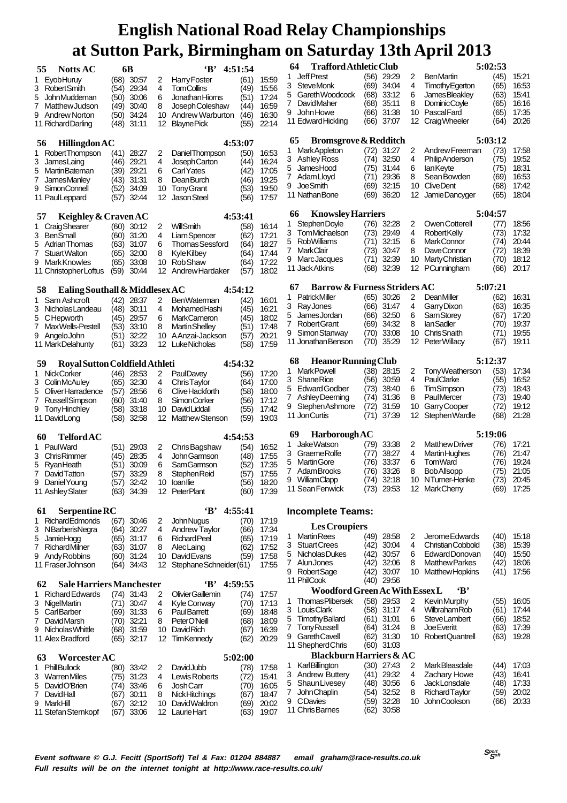|                                                            |                                |          |                                             |              |                | 64             | <b>Trafford Athletic Club</b>           |              |                |          |                                              | 5:02:53      |                |
|------------------------------------------------------------|--------------------------------|----------|---------------------------------------------|--------------|----------------|----------------|-----------------------------------------|--------------|----------------|----------|----------------------------------------------|--------------|----------------|
| <b>Notts AC</b><br>55<br>1 Eyob Huruy                      | 6B<br>(68)<br>30:57            | 2        | $B'$ 4:51:54<br>Harry Foster                | (61)         | 15:59          | 1              | <b>Jeff Prest</b>                       | (56)         | 29:29          | 2        | <b>BenMartin</b>                             | (45)         | 15:21          |
| 3<br>RobertSmith                                           | (54)<br>29:34                  | 4        | <b>TomCollins</b>                           | (49)         | 15:56          | 3              | <b>SteveMonk</b>                        | (69)         | 34:04          | 4        | <b>Timothy Egerton</b>                       | (65)         | 16:53          |
| 5 JohnMuddeman                                             | 30:06<br>(50)                  | 6        | Jonathan Hiorns                             | (51)         | 17:24          | 5              | Gareth Woodcock                         | (68)         | 33:12          | 6        | JamesBleakley                                | (63)         | 15:41          |
| $\overline{7}$<br>Matthew Judson                           | (49)<br>30:40                  | 8        | Joseph Coleshaw                             | (44)         | 16:59          | 7              | DavidMaher                              | (68)         | 35:11          | 8<br>10  | DominicCoyle<br><b>PascalFard</b>            | (65)<br>(65) | 16:16<br>17:35 |
| 9 Andrew Norton                                            | (50)<br>34:24                  | 10       | Andrew Warburton                            | (46)         | 16:30          |                | 9 John Howe<br>11 Edward Hickling       | (66)<br>(66) | 31:38<br>37:07 | 12       | Craig Wheeler                                | (64)         | 20:26          |
| 11 RichardDarling                                          | (48)<br>31:11                  | 12       | <b>Blayne Pick</b>                          | (55)         | 22:14          |                |                                         |              |                |          |                                              |              |                |
| <b>Hillingdon AC</b><br>56                                 |                                |          | 4:53:07                                     |              |                | 65             | <b>Bromsgrove &amp; Redditch</b>        |              |                |          |                                              | 5:03:12      |                |
| 1 RobertThompson                                           | 28:27<br>(41)                  | 2        | <b>DanielThompson</b>                       | (50)         | 16:53          | 1              | Mark Appleton                           | (72)         | 31:27          | 2        | Andrew Freeman                               | (73)         | 17:58          |
| 3<br>JamesLaing                                            | (46)<br>29:21                  | 4        | Joseph Carton                               | (44)         | 16:24          |                | 3 Ashley Ross                           | (74)         | 32:50          | 4        | Philip Anderson                              | (75)         | 19:52          |
| 5<br>Martin Bateman                                        | 29:21<br>(39)                  | 6        | Carl Yates                                  | (42)         | 17:05          | 5              | <b>JamesHood</b>                        | (75)         | 31:44          | 6        | lanKeyte                                     | (75)         | 18:31          |
| <b>JamesManley</b><br>7                                    | (43)<br>31:31                  | 8        | Dean Burch                                  | (46)         | 19:25          |                | 7 AdamLloyd<br>9 JoeSmith               | (71)<br>(69) | 29:36<br>32:15 | 8<br>10  | Sean Bowden<br><b>CliveDent</b>              | (69)<br>(68) | 16:53<br>17:42 |
| SimonConnell<br>9<br>11 PaulLeppard                        | (52)<br>34:09<br>32:44<br>(57) | 10<br>12 | <b>Tony Grant</b><br>Jason Steel            | (53)<br>(56) | 19:50<br>17:57 |                | 11 Nathan Bone                          | (69)         | 36:20          | 12       | Jamie Dancyger                               | (65)         | 18:04          |
|                                                            |                                |          |                                             |              |                |                |                                         |              |                |          |                                              |              |                |
| <b>Keighley &amp; Craven AC</b><br>57                      |                                |          | 4:53:41                                     |              |                | 66             | <b>Knowsley Harriers</b>                |              |                |          |                                              | 5:04:57      |                |
| 1 CraigShearer                                             | (60)<br>30:12                  | 2        | WillSmith                                   | (58)         | 16:14          | 1              | Stephen Doyle                           | (76)         | 32:28          | 2        | Owen Cotterell                               | (77)         | 18:56          |
| 3 BenSmall                                                 | 31:20<br>(60)                  | 4        | Liam Spencer                                | (62)         | 17:21          | 5              | 3 TomMichaelson<br><b>RobWilliams</b>   | (73)         | 29:49<br>32:15 | 4<br>6   | <b>RobertKelly</b><br>MarkConnor             | (73)<br>(74) | 17:32<br>20:44 |
| 5<br>Adrian Thomas                                         | (63)<br>31:07                  | 6        | <b>Thomas Sessford</b>                      | (64)         | 18:27          | 7              | MarkClair                               | (71)<br>(73) | 30:47          | 8        | DaveConnor                                   | (72)         | 18:39          |
| 7<br><b>Stuart Walton</b><br>9 Mark Knowles                | 32:00<br>(65)<br>33:08<br>(65) | 8<br>10  | <b>Kyle Kilbey</b><br>Rob Shaw              | (64)<br>(64) | 17:44<br>17:22 |                | 9 MarcJacques                           | (71)         | 32:39          | 10       | Marty Christian                              | (70)         | 18:12          |
| 11 Christopher Loftus                                      | (59)<br>30:44                  | 12       | Andrew Hardaker                             | (57)         | 18:02          |                | 11 Jack Atkins                          | (68)         | 32:39          | 12       | PCunningham                                  | (66)         | 20:17          |
|                                                            |                                |          |                                             |              |                |                |                                         |              |                |          |                                              |              |                |
| Ealing Southall & Middlesex AC<br>58                       |                                |          | 4:54:12                                     |              |                | 67             | <b>Barrow &amp; Furness Striders AC</b> |              |                |          |                                              | 5:07:21      |                |
| Sam Ashcroft<br>1.                                         | (42)<br>28:37                  | 2        | <b>BenWaterman</b>                          | (42)         | 16:01          | 1<br>3         | <b>PatrickMiller</b><br><b>RayJones</b> | (65)<br>(66) | 30:26<br>31:47 | 2<br>4   | <b>DeanMiller</b><br>Garry Dixon             | (62)<br>(63) | 16:31<br>16:35 |
| 3 Nicholas Landeau                                         | 30:11<br>(48)                  | 4        | MohamedHashi                                | (45)         | 16:21          | 5              | James Jordan                            | (66)         | 32:50          | 6        | <b>SamStorey</b>                             | (67)         | 17:20          |
| 5<br>CHepworth<br>7<br>MaxWells-Pestell                    | (45)<br>29:57<br>33:10<br>(53) | 6<br>8   | <b>MarkCameron</b><br><b>Martin Shelley</b> | (45)<br>(51) | 18:02<br>17:48 | 7              | <b>Robert Grant</b>                     | (69)         | 34:32          | 8        | lan Sadler                                   | (70)         | 19:37          |
| 9 AngeloJohn                                               | (51)<br>32:22                  | 10       | A Anzai-Jackson                             | (57)         | 20:21          | 9              | Simon Stanway                           | (70)         | 33:08          | 10       | Chris Snaith                                 | (71)         | 19:55          |
| 11 MarkDelahunty                                           | (61)<br>33:23                  | 12       | <b>LukeNicholas</b>                         | (58)         | 17:59          |                | 11 Jonathan Benson                      | (70)         | 35:29          |          | 12 PeterWillacy                              | (67)         | 19:11          |
|                                                            |                                |          |                                             |              |                | 68             | <b>Heanor Running Club</b>              |              |                |          |                                              | 5:12:37      |                |
| Royal Sutton Coldfield Athleti<br>59<br>1 NickCorker       | (46)<br>28:53                  | 2        | 4:54:32<br>PaulDavey                        | (56)         | 17:20          |                | 1 Mark Powell                           | (38)         | 28:15          | 2        | Tony Weatherson                              | (53)         | 17:34          |
| 3 ColinMcAuley                                             | 32:30<br>(65)                  | 4        | <b>ChrisTaylor</b>                          | (64)         | 17:00          | 3              | <b>Shane Rice</b>                       | (56)         | 30:59          | 4        | PaulClarke                                   | (55)         | 16:52          |
| Oliver Harradence<br>5                                     | (57)<br>28:56                  | 6        | Clive Hackforth                             | (58)         | 18:00          | 5.             | Edward Godber                           | (73)         | 38:40          | 6        | TimSimpson                                   | (73)         | 18:43          |
| 7 Russell Simpson                                          | (60)<br>31:40                  | 8        | Simon Corker                                | (56)         | 17:12          | 7              | Ashley Deeming                          | (74)         | 31:36          | 8        | PaulMercer                                   | (73)         | 19:40          |
| 9 Tony Hinchley                                            | (58)<br>33:18                  | 10       | <b>DavidLiddall</b>                         | (55)         | 17:42          | 9              | Stephen Ashmore<br>11 JonCurtis         | (72)<br>(71) | 31:59<br>37:39 | 10<br>12 | Garry Cooper<br>Stephen Wardle               | (72)<br>(68) | 19:12<br>21:28 |
| 11 DavidLong                                               | (58)<br>32:58                  | 12       | <b>Matthew Stenson</b>                      | (59)         | 19:03          |                |                                         |              |                |          |                                              |              |                |
| Telford AC<br>60                                           |                                |          | 4:54:53                                     |              |                | 69             | HarboroughAC                            |              |                |          |                                              | 5:19:06      |                |
| 1 PaulWard                                                 | (51)<br>29:03                  | 2        | Chris Bagshaw                               | (54)         | 16:52          | 1              | Jake Watson                             | (79)         | 33:38          | 2        | <b>Matthew Driver</b>                        | (76)         | 17:21          |
| ChrisRimmer<br>3                                           | (45)<br>28:35                  | 4        | John Garmson                                | (48)         | 17:55          | 3              | Graeme Rolfe                            | (77)         | 38:27          | 4        | <b>MartinHughes</b>                          | (76)         | 21:47          |
| 5<br>RyanHeath                                             | 30:09<br>(51)                  | 6        | <b>SamGarmson</b>                           | (52)         | 17:35          | 5<br>7         | MartinGore<br>Adam Brooks               | (76)<br>(76) | 33:37<br>33:26 | 6<br>8   | TomWard<br>Bob Allsopp                       | (76)<br>(75) | 19:24<br>21:05 |
| 7<br><b>DavidTatton</b><br>9 Daniel Young                  | 33:29<br>(57)<br>32:42         | 8<br>10  | Stephen Reid<br>loanllie                    | (57)<br>(56) | 17:55<br>18:20 | 9              | WilliamClapp                            | (74)         | 32:18          | 10       | NTurner-Henke                                | (73)         | 20:45          |
| 11 Ashley Slater                                           | (57)<br>$(63)$ 34:39           |          | 12 PeterPlant                               | (60)         | 17:39          |                | 11 Sean Fenwick                         |              | $(73)$ 29:53   |          | 12 MarkCherry                                | (69)         | 17:25          |
|                                                            |                                |          |                                             |              |                |                |                                         |              |                |          |                                              |              |                |
| Serpentine RC<br>61                                        |                                |          | $\mathbf{B}$<br>4:55:41                     |              |                |                | <b>Incomplete Teams:</b>                |              |                |          |                                              |              |                |
| 1 Richard Edmonds                                          | 30:46<br>(67)                  | 2        | <b>JohnNugus</b>                            | (70)         | 17:19          |                | <b>Les Croupiers</b>                    |              |                |          |                                              |              |                |
| 3<br>NBarberisNegra<br>5<br>JamieHogg                      | (64)<br>30:27<br>31:17<br>(65) | 4<br>6   | <b>Andrew Taylor</b><br><b>RichardPeel</b>  | (66)<br>(65) | 17:34<br>17:19 | 1              | <b>Martin Rees</b>                      | (49)         | 28:58          | 2        | Jerome Edwards                               | (40)         | 15:18          |
| RichardMilner<br>7                                         | 31:07<br>(63)                  | 8        | AlecLaing                                   | (62)         | 17:52          | 3              | <b>Stuart Crees</b>                     | (42)         | 30:04          | 4        | <b>Christian Cobbold</b>                     | (38)         | 15:39          |
| Andy Robbins<br>9                                          | (60)<br>31:24                  | 10       | <b>DavidEvans</b>                           | (59)         | 17:58          |                | 5 Nicholas Dukes                        | (42)         | 30:57          | 6        | Edward Donovan                               | (40)         | 15:50          |
| 11 Fraser Johnson                                          | $(64)$ 34:43                   | 12       | Stephane Schneider (61)                     |              | 17:55          | 7              | <b>Alun Jones</b>                       | (42)         | 32:06          | 8        | <b>Matthew Parkes</b>                        | (42)         | 18:06          |
|                                                            |                                |          |                                             |              |                | 11 PhilCook    | 9 Robert Sage                           | (42)<br>(40) | 30:07<br>29:56 | 10       | <b>Matthew Hopkins</b>                       | (41)         | 17:56          |
| <b>Sale Harriers Manchester</b><br>62<br>1 Richard Edwards |                                |          | $\mathbf{B}$<br>4:59:55                     |              |                |                | Woodford Green Ac With Essex L          |              |                |          | $\cdot$ B                                    |              |                |
| 3 NigelMartin                                              | (74) 31:43<br>(71)<br>30:47    | 2<br>4   | <b>OlivierGaillemin</b><br>Kyle Conway      | (74)<br>(70) | 17:57<br>17:13 | 1              | <b>ThomasPlibersek</b>                  | (58)         | 29:53          | 2        | <b>KevinMurphy</b>                           | (55)         | 16:05          |
| 5 CarlBarber                                               | 31:33<br>(69)                  | 6        | <b>PaulBarrett</b>                          | (69)         | 18:48          |                | 3 Louis Clark                           | (58)         | 31:17          | 4        | WilbrahamRob                                 | (61)         | 17:44          |
| 7<br>DavidMarsh                                            | (70)<br>32:21                  | 8        | PeterO'Neill                                | (68)         | 18:09          | 5              | <b>TimothyBallard</b>                   | (61)         | 31:01          | 6        | SteveLambert                                 | (66)         | 18:52          |
| 9<br>Nicholas Whittle                                      | (68)<br>31:59                  | 10       | DavidRich                                   | (67)         | 16:39          |                | 7 Tony Russell<br>9 Gareth Cavell       | (64)<br>(62) | 31:24<br>31:30 | 8<br>10  | <b>Joe Everitt</b><br><b>RobertQuantrell</b> | (63)<br>(63) | 17:39<br>19:28 |
| 11 Alex Bradford                                           | (65)<br>32:17                  |          | 12 TimKennedy                               | (62)         | 20:29          |                | 11 Shepherd Chris                       |              | $(60)$ 31:03   |          |                                              |              |                |
| Worcester AC<br>63                                         |                                |          | 5:02:00                                     |              |                |                | <b>Blackburn Harriers &amp; AC</b>      |              |                |          |                                              |              |                |
| 1 Phill Bullock                                            | 33:42<br>(80)                  | 2        | DavidJubb                                   | (78)         | 17:58          | 1              | KarlBillington                          |              | $(30)$ 27:43   | 2        | <b>MarkBleasdale</b>                         | (44)         | 17:03          |
| WarrenMiles<br>3                                           | (75)<br>31:23                  | 4        | Lewis Roberts                               | (72)         | 15:41          |                | 3 Andrew Buttery                        | (41)         | 29:32          | 4        | <b>Zachary Howe</b>                          | (43)         | 16:41          |
| DavidO'Brien<br>5                                          | 33:46<br>(74)                  | 6        | Josh Carr                                   | (70)         | 16:05          | 5              | ShaunLivesey                            | (48)         | 30:56          | 6        | <b>JackLonsdale</b>                          | (48)         | 17:33          |
| DavidHall<br>7                                             | 30:11<br>(67)                  | 8        | Nick Hitchings                              | (67)         | 18:47          | 7<br>9 CDavies | <b>John Chaplin</b>                     | (54)<br>(59) | 32:52<br>32:28 | 8<br>10  | <b>Richard Taylor</b><br>John Cookson        | (59)<br>(66) | 20:02<br>20:33 |
| 9<br>MarkHill<br>11 Stefan Sternkopf                       | 32:12<br>(67)<br>(67)<br>33:06 | 10       | DavidWaldron<br>12 Laurie Hart              | (69)<br>(63) | 20:02<br>19:07 |                | 11 Chris Barnes                         | (62)         | 30:58          |          |                                              |              |                |
|                                                            |                                |          |                                             |              |                |                |                                         |              |                |          |                                              |              |                |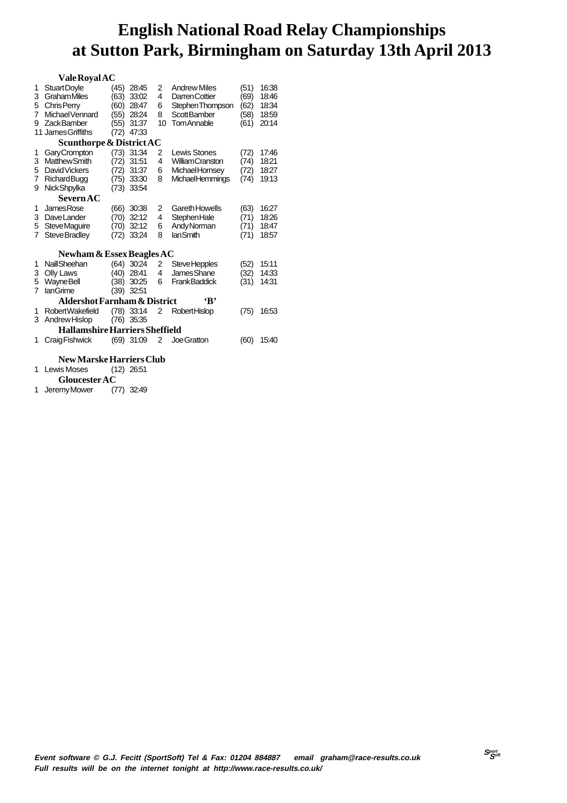|             | Vale Royal AC                                     |              |                                          |             |                                                           |                      |                         |  |  |  |  |  |  |
|-------------|---------------------------------------------------|--------------|------------------------------------------|-------------|-----------------------------------------------------------|----------------------|-------------------------|--|--|--|--|--|--|
| 1<br>3<br>5 | Stuart Doyle<br><b>GrahamMiles</b><br>Chris Perry |              | $(45)$ 28:45<br>(63) 33:02<br>(60) 28:47 | 2<br>4<br>6 | <b>Andrew Miles</b><br>Darren Cottier<br>Stephen Thompson | (51)<br>(69)<br>(62) | 16:38<br>18:46<br>18:34 |  |  |  |  |  |  |
| 7           | Michael Vennard                                   | (55)         | 28:24                                    | 8           | ScottBamber                                               | (58)                 | 18:59                   |  |  |  |  |  |  |
| 9           | ZackBamber                                        | (55)         | 31:37                                    | 10          | <b>Tom Annable</b>                                        | (61)                 | 20:14                   |  |  |  |  |  |  |
|             | 11 James Griffiths                                | (72)         | 47:33                                    |             |                                                           |                      |                         |  |  |  |  |  |  |
|             | <b>Scunthorpe &amp; District AC</b>               |              |                                          |             |                                                           |                      |                         |  |  |  |  |  |  |
| 1           | Gary Crompton                                     | (73)         | 31:34                                    | 2           | Lewis Stones                                              | (72)                 | 17:46                   |  |  |  |  |  |  |
| 3           | Matthew Smith                                     | (72)         | 31:51                                    | 4           | <b>WilliamCranston</b>                                    | (74)                 | 18:21                   |  |  |  |  |  |  |
| 5           | David Vickers                                     | (72)         | 31:37                                    | 6<br>8      | <b>MichaelHornsey</b>                                     | (72)                 | 18:27<br>19:13          |  |  |  |  |  |  |
| 7<br>9      | <b>RichardBugg</b><br>Nick Shpylka                | (75)<br>(73) | 33:30<br>33:54                           |             | <b>MichaelHemmings</b>                                    | (74)                 |                         |  |  |  |  |  |  |
|             | Severn AC                                         |              |                                          |             |                                                           |                      |                         |  |  |  |  |  |  |
|             |                                                   |              |                                          |             |                                                           |                      |                         |  |  |  |  |  |  |
| 1           | <b>JamesRose</b>                                  | (66)         | 30:38                                    | 2           | Gareth Howells                                            | (63)                 | 16:27                   |  |  |  |  |  |  |
| 3           | <b>DaveLander</b>                                 | (70)         | 32:12                                    | 4           | Stephen Hale                                              | (71)                 | 18:26                   |  |  |  |  |  |  |
| 5<br>7      | <b>SteveMaquire</b><br>Steve Bradley              | (70)<br>(72) | 32:12<br>33:24                           | 6<br>8      | Andy Norman<br>lanSmith                                   | (71)<br>(71)         | 18:47<br>18:57          |  |  |  |  |  |  |
|             |                                                   |              |                                          |             |                                                           |                      |                         |  |  |  |  |  |  |
|             | <b>Newham &amp; Essex Beagles AC</b>              |              |                                          |             |                                                           |                      |                         |  |  |  |  |  |  |
| 1           | <b>NaillSheehan</b>                               |              | $(64)$ 30:24                             | 2           | <b>SteveHepples</b>                                       | (52)                 | 15:11                   |  |  |  |  |  |  |
| 3           | Olly Laws                                         |              | (40) 28:41                               | 4           | James Shane                                               | (32)                 | 14:33                   |  |  |  |  |  |  |
| 5           | WayneBell                                         |              | $(38)$ 30:25                             | 6           | <b>FrankBaddick</b>                                       | (31)                 | 14:31                   |  |  |  |  |  |  |
| 7           | <b>lanGrime</b>                                   |              | $(39)$ 32:51                             |             |                                                           |                      |                         |  |  |  |  |  |  |
|             | <b>Aldershot Farnham &amp; District</b>           |              |                                          |             | $\mathbf{B}$                                              |                      |                         |  |  |  |  |  |  |
| 1           | Robert Wakefield                                  |              | $(78)$ 33:14                             | 2           | <b>RobertHislop</b>                                       | (75)                 | 16:53                   |  |  |  |  |  |  |
| 3           | Andrew Hislop                                     |              | (76) 35:35                               |             |                                                           |                      |                         |  |  |  |  |  |  |
|             | Hallamshire Harriers Sheffield                    |              |                                          |             |                                                           |                      |                         |  |  |  |  |  |  |
| 1           | Craig Fishwick                                    |              | $(69)$ 31:09                             | 2           | Joe Gratton                                               | (60)                 | 15:40                   |  |  |  |  |  |  |
|             | <b>New Marske Harriers Club</b>                   |              |                                          |             |                                                           |                      |                         |  |  |  |  |  |  |
| 1           | Lewis Moses                                       |              | $(12)$ 26:51                             |             |                                                           |                      |                         |  |  |  |  |  |  |
|             |                                                   |              |                                          |             |                                                           |                      |                         |  |  |  |  |  |  |

**Gloucester AC**<br> **EXECUTE:** THE 22:49 1 Jeremy Mower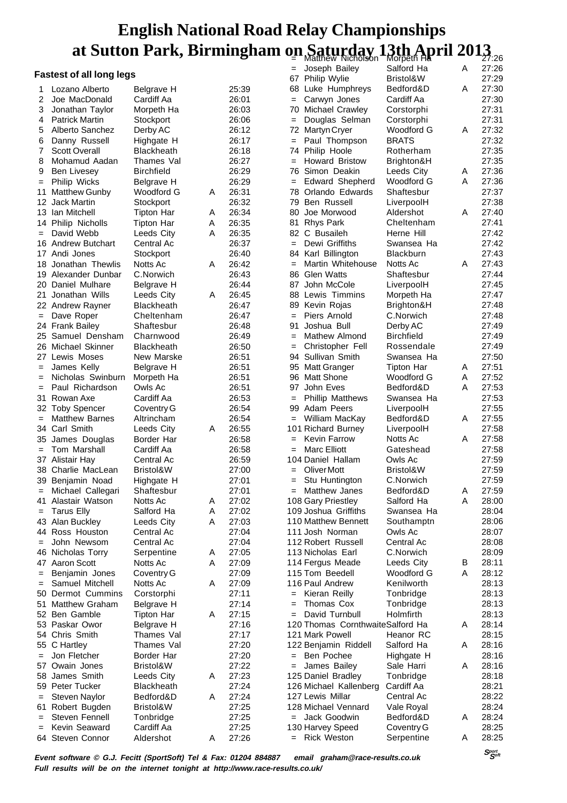# **English National Road Relay Championships** at Sutton Park, Birmingham on <u>Saturday</u> 13th April 201<u>3, 26</u>

#### **Fastest of all long legs**

|                   | <b>Fastest of all long legs</b>   |                       |   |                | $=$ | Joseph Bailey                       | Salford Ha                      | A      | 27:26          |
|-------------------|-----------------------------------|-----------------------|---|----------------|-----|-------------------------------------|---------------------------------|--------|----------------|
|                   |                                   |                       |   |                |     | 67 Philip Wylie                     | Bristol&W                       |        | 27:29          |
| 1                 | Lozano Alberto                    | Belgrave H            |   | 25:39          | 68  | Luke Humphreys                      | Bedford&D                       | A      | 27:30          |
| 2                 | Joe MacDonald                     | Cardiff Aa            |   | 26:01          | $=$ | Carwyn Jones                        | Cardiff Aa                      |        | 27:30          |
| 3                 | Jonathan Taylor                   | Morpeth Ha            |   | 26:03          |     | 70 Michael Crawley                  | Corstorphi                      |        | 27:31          |
| 4                 | <b>Patrick Martin</b>             | Stockport             |   | 26:06          | $=$ | Douglas Selman                      | Corstorphi                      |        | 27:31          |
| 5                 | Alberto Sanchez                   | Derby AC              |   | 26:12          |     | 72 Martyn Cryer                     | Woodford G                      | A      | 27:32          |
| 6                 | Danny Russell                     | Highgate H            |   | 26:17          | $=$ | Paul Thompson                       | <b>BRATS</b>                    |        | 27:32          |
| 7                 | <b>Scott Overall</b>              | <b>Blackheath</b>     |   | 26:18          |     | 74 Philip Hoole                     | Rotherham                       |        | 27:35          |
| 8                 | Mohamud Aadan                     | Thames Val            |   | 26:27          | $=$ | <b>Howard Bristow</b>               | Brighton&H                      |        | 27:35          |
| 9                 | <b>Ben Livesey</b>                | <b>Birchfield</b>     |   | 26:29          | 76  | Simon Deakin                        | Leeds City                      | A      | 27:36          |
| $=$               | Philip Wicks                      | Belgrave H            |   | 26:29          | $=$ | <b>Edward Shepherd</b>              | Woodford G                      | Α      | 27:36          |
| 11                | <b>Matthew Gunby</b>              | Woodford G            | A | 26:31          | 78  | Orlando Edwards                     | Shaftesbur                      |        | 27:37          |
|                   | 12 Jack Martin                    | Stockport             |   | 26:32          |     | 79 Ben Russell                      | LiverpoolH                      |        | 27:38          |
| 13                | Ian Mitchell                      | <b>Tipton Har</b>     | A | 26:34          | 80  | Joe Morwood                         | Aldershot                       | A      | 27:40          |
|                   | 14 Philip Nicholls                | Tipton Har            | Α | 26:35          |     | 81 Rhys Park                        | Cheltenham                      |        | 27:41          |
| $=$               | David Webb                        | Leeds City            | A | 26:35          |     | 82 C Busaileh                       | Herne Hill                      |        | 27:42          |
|                   | 16 Andrew Butchart                | Central Ac            |   | 26:37          | $=$ | Dewi Griffiths                      | Swansea Ha                      |        | 27:42          |
|                   | 17 Andi Jones                     | Stockport             |   | 26:40          |     | 84 Karl Billington                  | <b>Blackburn</b>                |        | 27:43          |
| 18                | Jonathan Thewlis                  | Notts Ac              | A | 26:42          | $=$ | Martin Whitehouse                   | Notts Ac                        | A      | 27:43          |
| 19                | Alexander Dunbar                  | C.Norwich             |   | 26:43          | 86  | <b>Glen Watts</b>                   | Shaftesbur                      |        | 27:44          |
| 20                | Daniel Mulhare                    | Belgrave H            |   | 26:44          | 87  | John McCole                         | LiverpoolH                      |        | 27:45          |
| 21                | Jonathan Wills                    | Leeds City            | Α | 26:45          |     | 88 Lewis Timmins                    | Morpeth Ha                      |        | 27:47          |
|                   | 22 Andrew Rayner                  | <b>Blackheath</b>     |   | 26:47          |     | 89 Kevin Rojas<br>Piers Arnold      | Brighton&H<br>C.Norwich         |        | 27:48<br>27:48 |
| $=$               | Dave Roper                        | Cheltenham            |   | 26:47          | $=$ |                                     |                                 |        |                |
|                   | 24 Frank Bailey<br>Samuel Densham | Shaftesbur            |   | 26:48          | 91  | Joshua Bull<br><b>Mathew Almond</b> | Derby AC                        |        | 27:49          |
| 25                |                                   | Charnwood             |   | 26:49          | $=$ |                                     | <b>Birchfield</b>               |        | 27:49          |
| 26                | Michael Skinner                   | <b>Blackheath</b>     |   | 26:50          | $=$ | Christopher Fell                    | Rossendale                      |        | 27:49          |
|                   | 27 Lewis Moses                    | New Marske            |   | 26:51          |     | 94 Sullivan Smith                   | Swansea Ha                      |        | 27:50<br>27:51 |
| $\qquad \qquad =$ | James Kelly<br>Nicholas Swinburn  | Belgrave H            |   | 26:51<br>26:51 |     | 95 Matt Granger<br>96 Matt Shone    | <b>Tipton Har</b><br>Woodford G | A<br>Α | 27:52          |
| $=$<br>$=$        | Paul Richardson                   | Morpeth Ha<br>Owls Ac |   | 26:51          | 97  | John Eves                           | Bedford&D                       | Α      | 27:53          |
| 31                | Rowan Axe                         | Cardiff Aa            |   | 26:53          | $=$ | <b>Phillip Matthews</b>             | Swansea Ha                      |        | 27:53          |
| 32                | <b>Toby Spencer</b>               | Coventry G            |   | 26:54          |     | 99 Adam Peers                       | LiverpoolH                      |        | 27:55          |
| $=$               | <b>Matthew Barnes</b>             | Altrincham            |   | 26:54          | $=$ | William MacKay                      | Bedford&D                       | Α      | 27:55          |
|                   | 34 Carl Smith                     | Leeds City            | A | 26:55          |     | 101 Richard Burney                  | LiverpoolH                      |        | 27:58          |
| 35                | James Douglas                     | Border Har            |   | 26:58          | $=$ | <b>Kevin Farrow</b>                 | Notts Ac                        | A      | 27:58          |
| $=$               | Tom Marshall                      | Cardiff Aa            |   | 26:58          | $=$ | <b>Marc Elliott</b>                 | Gateshead                       |        | 27:58          |
|                   | 37 Alistair Hay                   | Central Ac            |   | 26:59          |     | 104 Daniel Hallam                   | Owls Ac                         |        | 27:59          |
| 38                | Charlie MacLean                   | Bristol&W             |   | 27:00          |     | Oliver Mott                         | Bristol&W                       |        | 27:59          |
|                   | 39 Benjamin Noad                  | Highgate H            |   | 27:01          | $=$ | Stu Huntington                      | C.Norwich                       |        | 27:59          |
|                   | Michael Callegari                 | Shaftesbur            |   | 27:01          |     | = Matthew Janes                     | Bedford&D                       | Α      | 27:59          |
|                   | 41 Alastair Watson                | Notts Ac              | A | 27:02          |     | 108 Gary Priestley                  | Salford Ha                      | Α      | 28:00          |
| $\qquad \qquad =$ | <b>Tarus Elly</b>                 | Salford Ha            | A | 27:02          |     | 109 Joshua Griffiths                | Swansea Ha                      |        | 28:04          |
|                   | 43 Alan Buckley                   | Leeds City            | A | 27:03          |     | 110 Matthew Bennett                 | Southamptn                      |        | 28:06          |
|                   | 44 Ross Houston                   | Central Ac            |   | 27:04          |     | 111 Josh Norman                     | Owls Ac                         |        | 28:07          |
| $=$               | John Newsom                       | Central Ac            |   | 27:04          |     | 112 Robert Russell                  | Central Ac                      |        | 28:08          |
| 46                | Nicholas Torry                    | Serpentine            | A | 27:05          |     | 113 Nicholas Earl                   | C.Norwich                       |        | 28:09          |
|                   | 47 Aaron Scott                    | Notts Ac              | A | 27:09          |     | 114 Fergus Meade                    | Leeds City                      | B      | 28:11          |
| $=$               | Benjamin Jones                    | Coventry G            |   | 27:09          |     | 115 Tom Beedell                     | Woodford G                      | A      | 28:12          |
| $=$               | Samuel Mitchell                   | Notts Ac              | A | 27:09          |     | 116 Paul Andrew                     | Kenilworth                      |        | 28:13          |
|                   | 50 Dermot Cummins                 | Corstorphi            |   | 27:11          | $=$ | Kieran Reilly                       | Tonbridge                       |        | 28:13          |
| 51                | <b>Matthew Graham</b>             | Belgrave H            |   | 27:14          | $=$ | Thomas Cox                          | Tonbridge                       |        | 28:13          |
|                   | 52 Ben Gamble                     | Tipton Har            | A | 27:15          | $=$ | David Turnbull                      | Holmfirth                       |        | 28:13          |
|                   | 53 Paskar Owor                    | Belgrave H            |   | 27:16          |     | 120 Thomas CornthwaiteSalford Ha    |                                 | A      | 28:14          |
|                   | 54 Chris Smith                    | Thames Val            |   | 27:17          |     | 121 Mark Powell                     | Heanor RC                       |        | 28:15          |
|                   | 55 C Hartley                      | Thames Val            |   | 27:20          |     | 122 Benjamin Riddell                | Salford Ha                      | A      | 28:16          |
| $=$               | Jon Fletcher                      | Border Har            |   | 27:20          | $=$ | Ben Pochee                          | Highgate H                      |        | 28:16          |
|                   | 57 Owain Jones                    | Bristol&W             |   | 27:22          | $=$ | James Bailey                        | Sale Harri                      | A      | 28:16          |
| 58                | James Smith                       | Leeds City            | A | 27:23          |     | 125 Daniel Bradley                  | Tonbridge                       |        | 28:18          |
|                   | 59 Peter Tucker                   | <b>Blackheath</b>     |   | 27:24          |     | 126 Michael Kallenberg              | Cardiff Aa                      |        | 28:21          |
| $=$               | Steven Naylor                     | Bedford&D             | A | 27:24          |     | 127 Lewis Millar                    | Central Ac                      |        | 28:22          |
| 61                | Robert Bugden                     | Bristol&W             |   | 27:25          |     | 128 Michael Vennard                 | Vale Royal                      |        | 28:24          |
| $\qquad \qquad =$ | <b>Steven Fennell</b>             | Tonbridge             |   | 27:25          |     | = Jack Goodwin                      | Bedford&D                       | Α      | 28:24          |
| $=$               | Kevin Seaward                     | Cardiff Aa            |   | 27:25          |     | 130 Harvey Speed                    | Coventry G                      |        | 28:25          |
|                   | 64 Steven Connor                  | Aldershot             | A | 27:26          |     | = Rick Weston                       | Serpentine                      | A      | 28:25          |

**Event software © G.J. Fecitt (SportSoft) Tel & Fax: 01204 884887 email graham@race-results.co.uk Full results will be on the internet tonight at http://www.race-results.co.uk/**

**<sup>S</sup>port Soft**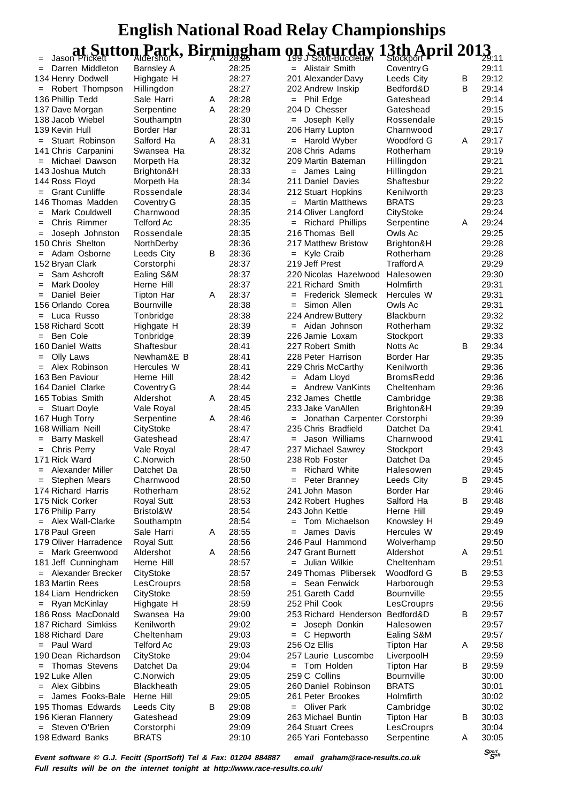| JASUII FIIUNUIL             | <b>AIGRISTIOL</b> | n | 20. <del>2</del> 0 | <b>1990 OCON-DUCCIONI</b>       | Ji∪unµUit <del>-</del> |   | 29. L L |
|-----------------------------|-------------------|---|--------------------|---------------------------------|------------------------|---|---------|
| $=$ Darren Middleton        | <b>Barnsley A</b> |   | 28:25              | = Alistair Smith                | Coventry G             |   | 29:11   |
| 134 Henry Dodwell           | Highgate H        |   | 28:27              | 201 Alexander Davy              | Leeds City             | в | 29:12   |
| = Robert Thompson           | Hillingdon        |   | 28:27              | 202 Andrew Inskip               | Bedford&D              | В | 29:14   |
| 136 Phillip Tedd            | Sale Harri        | Α | 28:28              | $=$ Phil Edge                   | Gateshead              |   | 29:14   |
| 137 Dave Morgan             | Serpentine        | Α | 28:29              | 204 D Chesser                   | Gateshead              |   | 29:15   |
| 138 Jacob Wiebel            |                   |   | 28:30              | = Joseph Kelly                  | Rossendale             |   | 29:15   |
|                             | Southamptn        |   |                    |                                 |                        |   |         |
| 139 Kevin Hull              | Border Har        |   | 28:31              | 206 Harry Lupton                | Charnwood              |   | 29:17   |
| = Stuart Robinson           | Salford Ha        | A | 28:31              | Harold Wyber<br>$=$             | <b>Woodford G</b>      | A | 29:17   |
| 141 Chris Carpanini         | Swansea Ha        |   | 28:32              | 208 Chris Adams                 | Rotherham              |   | 29:19   |
| = Michael Dawson            | Morpeth Ha        |   | 28:32              | 209 Martin Bateman              | Hillingdon             |   | 29:21   |
| 143 Joshua Mutch            | Brighton&H        |   | 28:33              | $=$ James Laing                 | Hillingdon             |   | 29:21   |
| 144 Ross Floyd              | Morpeth Ha        |   | 28:34              | 211 Daniel Davies               | Shaftesbur             |   | 29:22   |
|                             |                   |   |                    |                                 |                        |   |         |
| $=$ Grant Cunliffe          | Rossendale        |   | 28:34              | 212 Stuart Hopkins              | Kenilworth             |   | 29:23   |
| 146 Thomas Madden           | Coventry G        |   | 28:35              | <b>Martin Matthews</b>          | <b>BRATS</b>           |   | 29:23   |
| Mark Couldwell<br>$=$       | Charnwood         |   | 28:35              | 214 Oliver Langford             | CityStoke              |   | 29:24   |
| Chris Rimmer<br>$=$         | Telford Ac        |   | 28:35              | = Richard Phillips              | Serpentine             | A | 29:24   |
| Joseph Johnston<br>$=$      | Rossendale        |   | 28:35              | 216 Thomas Bell                 | Owls Ac                |   | 29:25   |
| 150 Chris Shelton           | NorthDerby        |   | 28:36              | 217 Matthew Bristow             | Brighton&H             |   | 29:28   |
| $=$ Adam Osborne            | Leeds City        | В | 28:36              | Kyle Craib                      | Rotherham              |   | 29:28   |
|                             |                   |   |                    |                                 |                        |   |         |
| 152 Bryan Clark             | Corstorphi        |   | 28:37              | 219 Jeff Prest                  | Trafford A             |   | 29:29   |
| $=$ Sam Ashcroft            | Ealing S&M        |   | 28:37              | 220 Nicolas Hazelwood           | Halesowen              |   | 29:30   |
| <b>Mark Dooley</b><br>$=$   | Herne Hill        |   | 28:37              | 221 Richard Smith               | Holmfirth              |   | 29:31   |
| Daniel Beier<br>$=$         | Tipton Har        | A | 28:37              | <b>Frederick Slemeck</b><br>$=$ | Hercules W             |   | 29:31   |
| 156 Orlando Corea           | Bournville        |   | 28:38              | Simon Allen<br>$=$              | Owls Ac                |   | 29:31   |
| $=$ Luca Russo              | Tonbridge         |   | 28:38              | 224 Andrew Buttery              | <b>Blackburn</b>       |   | 29:32   |
|                             |                   |   |                    |                                 |                        |   |         |
| 158 Richard Scott           | Highgate H        |   | 28:39              | = Aidan Johnson                 | Rotherham              |   | 29:32   |
| Ben Cole<br>$=$             | Tonbridge         |   | 28:39              | 226 Jamie Loxam                 | Stockport              |   | 29:33   |
| 160 Daniel Watts            | Shaftesbur        |   | 28:41              | 227 Robert Smith                | Notts Ac               | В | 29:34   |
| Olly Laws<br>$=$            | Newham&E B        |   | 28:41              | 228 Peter Harrison              | Border Har             |   | 29:35   |
| Alex Robinson               | Hercules W        |   | 28:41              | 229 Chris McCarthy              | Kenilworth             |   | 29:36   |
| 163 Ben Paviour             | Herne Hill        |   | 28:42              | = Adam Lloyd                    | <b>BromsRedd</b>       |   | 29:36   |
|                             |                   |   |                    |                                 |                        |   |         |
| 164 Daniel Clarke           | Coventry G        |   | 28:44              | $=$ Andrew VanKints             | Cheltenham             |   | 29:36   |
| 165 Tobias Smith            | Aldershot         | A | 28:45              | 232 James Chettle               | Cambridge              |   | 29:38   |
| <b>Stuart Doyle</b>         | Vale Royal        |   | 28:45              | 233 Jake VanAllen               | Brighton&H             |   | 29:39   |
| 167 Hugh Torry              | Serpentine        | Α | 28:46              | = Jonathan Carpenter Corstorphi |                        |   | 29:39   |
| 168 William Neill           | CityStoke         |   | 28:47              | 235 Chris Bradfield             | Datchet Da             |   | 29:41   |
| <b>Barry Maskell</b><br>$=$ | Gateshead         |   | 28:47              | = Jason Williams                | Charnwood              |   | 29:41   |
|                             |                   |   |                    |                                 |                        |   |         |
| <b>Chris Perry</b><br>$=$   | Vale Royal        |   | 28:47              | 237 Michael Sawrey              | Stockport              |   | 29:43   |
| 171 Rick Ward               | C.Norwich         |   | 28:50              | 238 Rob Foster                  | Datchet Da             |   | 29:45   |
| Alexander Miller            | Datchet Da        |   | 28:50              | <b>Richard White</b><br>$=$     | Halesowen              |   | 29:45   |
| Stephen Mears<br>$=$        | Charnwood         |   | 28:50              | Peter Branney<br>$=$            | Leeds City             | В | 29:45   |
| 174 Richard Harris          | Rotherham         |   | 28:52              | 241 John Mason                  | Border Har             |   | 29:46   |
| 175 Nick Corker             | <b>Royal Sutt</b> |   | 28:53              | 242 Robert Hughes               | Salford Ha             | В | 29:48   |
| 176 Philip Parry            | Bristol&W         |   | 28:54              | 243 John Kettle                 | Herne Hill             |   | 29:49   |
|                             |                   |   |                    |                                 |                        |   |         |
| $=$ Alex Wall-Clarke        | Southamptn        |   | 28:54              | Tom Michaelson<br>$=$           | Knowsley H             |   | 29:49   |
| 178 Paul Green              | Sale Harri        | Α | 28:55              | James Davis<br>$=$              | Hercules W             |   | 29:49   |
| 179 Oliver Harradence       | <b>Royal Sutt</b> |   | 28:56              | 246 Paul Hammond                | Wolverhamp             |   | 29:50   |
| = Mark Greenwood            | Aldershot         | Α | 28:56              | 247 Grant Burnett               | Aldershot              | Α | 29:51   |
| 181 Jeff Cunningham         | Herne Hill        |   | 28:57              | Julian Wilkie<br>$=$            | Cheltenham             |   | 29:51   |
| Alexander Brecker           | CityStoke         |   | 28:57              | 249 Thomas Plibersek            | Woodford G             | В | 29:53   |
|                             |                   |   |                    |                                 |                        |   |         |
| 183 Martin Rees             | LesCrouprs        |   | 28:58              | Sean Fenwick<br>$=$             | Harborough             |   | 29:53   |
| 184 Liam Hendricken         | CityStoke         |   | 28:59              | 251 Gareth Cadd                 | <b>Bournville</b>      |   | 29:55   |
| Ryan McKinlay<br>$=$        | Highgate H        |   | 28:59              | 252 Phil Cook                   | LesCrouprs             |   | 29:56   |
| 186 Ross MacDonald          | Swansea Ha        |   | 29:00              | 253 Richard Henderson           | Bedford&D              | В | 29:57   |
| 187 Richard Simkiss         | Kenilworth        |   | 29:02              | Joseph Donkin<br>$=$            | Halesowen              |   | 29:57   |
| 188 Richard Dare            | Cheltenham        |   | 29:03              | C Hepworth<br>$=$               | Ealing S&M             |   | 29:57   |
|                             |                   |   |                    |                                 |                        |   |         |
| $=$ Paul Ward               | <b>Telford Ac</b> |   | 29:03              | 256 Oz Ellis                    | <b>Tipton Har</b>      | A | 29:58   |
| 190 Dean Richardson         | CityStoke         |   | 29:04              | 257 Laurie Luscombe             | LiverpoolH             |   | 29:59   |
| <b>Thomas Stevens</b>       | Datchet Da        |   | 29:04              | Tom Holden                      | <b>Tipton Har</b>      | B | 29:59   |
| 192 Luke Allen              | C.Norwich         |   | 29:05              | 259 C Collins                   | <b>Bournville</b>      |   | 30:00   |
| = Alex Gibbins              | <b>Blackheath</b> |   | 29:05              | 260 Daniel Robinson             | <b>BRATS</b>           |   | 30:01   |
| James Fooks-Bale<br>$=$     | Herne Hill        |   | 29:05              | 261 Peter Brookes               | Holmfirth              |   | 30:02   |
|                             |                   |   |                    |                                 |                        |   |         |
| 195 Thomas Edwards          | Leeds City        | в | 29:08              | <b>Oliver Park</b><br>$=$       | Cambridge              |   | 30:02   |
| 196 Kieran Flannery         | Gateshead         |   | 29:09              | 263 Michael Buntin              | <b>Tipton Har</b>      | B | 30:03   |
| Steven O'Brien              | Corstorphi        |   | 29:09              | 264 Stuart Crees                | LesCrouprs             |   | 30:04   |
| 198 Edward Banks            | <b>BRATS</b>      |   | 29:10              | 265 Yari Fontebasso             | Serpentine             | A | 30:05   |
|                             |                   |   |                    |                                 |                        |   |         |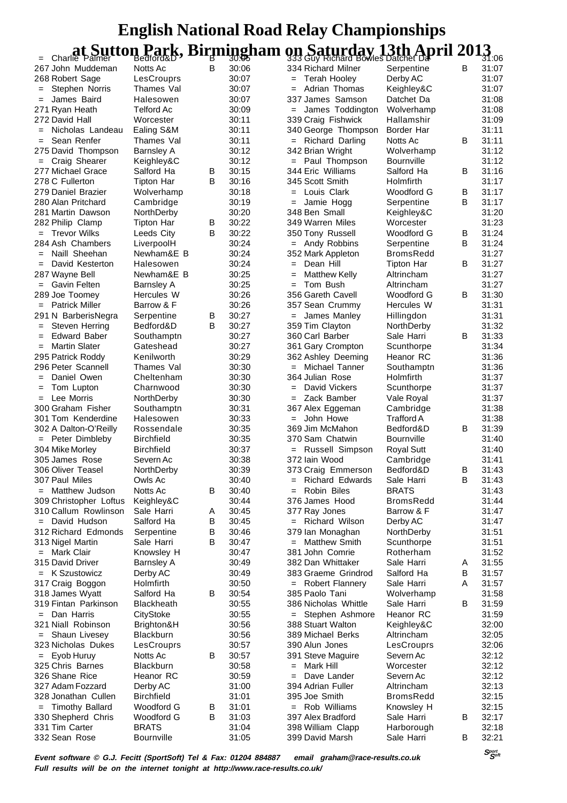| UITANIE FAINER                | Dealoidan .       |   | ບບ. <del>ບ</del> ບ | $333$ Guy inclided Dowles Daturet De- |                   |   | טט.וט |
|-------------------------------|-------------------|---|--------------------|---------------------------------------|-------------------|---|-------|
| 267 John Muddeman             | Notts Ac          | В | 30:06              | 334 Richard Milner                    | Serpentine        | B | 31:07 |
| 268 Robert Sage               | LesCrouprs        |   | 30:07              | = Terah Hooley                        | Derby AC          |   | 31:07 |
| Stephen Norris<br>$=$         | Thames Val        |   | 30:07              | Adrian Thomas<br>$=$                  | Keighley&C        |   | 31:07 |
| James Baird                   | Halesowen         |   | 30:07              | 337 James Samson                      | Datchet Da        |   | 31:08 |
| 271 Ryan Heath                | <b>Telford Ac</b> |   | 30:09              | = James Toddington                    | Wolverhamp        |   | 31:08 |
| 272 David Hall                | Worcester         |   | 30:11              | 339 Craig Fishwick                    | Hallamshir        |   | 31:09 |
| $=$ Nicholas Landeau          | Ealing S&M        |   | 30:11              | 340 George Thompson                   | Border Har        |   | 31:11 |
| Sean Renfer<br>$=$            | Thames Val        |   | 30:11              | = Richard Darling                     | Notts Ac          | B | 31:11 |
| 275 David Thompson            | <b>Barnsley A</b> |   | 30:12              | 342 Brian Wright                      | Wolverhamp        |   | 31:12 |
| = Craig Shearer               | Keighley&C        |   | 30:12              | = Paul Thompson                       | <b>Bournville</b> |   | 31:12 |
| 277 Michael Grace             | Salford Ha        | В | 30:15              | 344 Eric Williams                     | Salford Ha        | B | 31:16 |
| 278 C Fullerton               | <b>Tipton Har</b> | B | 30:16              | 345 Scott Smith                       | Holmfirth         |   | 31:17 |
| 279 Daniel Brazier            | Wolverhamp        |   | 30:18              | = Louis Clark                         | Woodford G        | в | 31:17 |
| 280 Alan Pritchard            |                   |   | 30:19              |                                       |                   | B | 31:17 |
|                               | Cambridge         |   |                    | = Jamie Hogg                          | Serpentine        |   |       |
| 281 Martin Dawson             | NorthDerby        |   | 30:20              | 348 Ben Small                         | Keighley&C        |   | 31:20 |
| 282 Philip Clamp              | <b>Tipton Har</b> | В | 30:22              | 349 Warren Miles                      | Worcester         |   | 31:23 |
| = Trevor Wilks                | Leeds City        | B | 30:22              | 350 Tony Russell                      | Woodford G        | в | 31:24 |
| 284 Ash Chambers              | LiverpoolH        |   | 30:24              | = Andy Robbins                        | Serpentine        | B | 31:24 |
| Naill Sheehan                 | Newham&E B        |   | 30:24              | 352 Mark Appleton                     | <b>BromsRedd</b>  |   | 31:27 |
| David Kesterton               | Halesowen         |   | 30:24              | $=$ Dean Hill                         | <b>Tipton Har</b> | в | 31:27 |
| 287 Wayne Bell                | Newham&E B        |   | 30:25              | <b>Matthew Kelly</b><br>$=$           | Altrincham        |   | 31:27 |
| $=$ Gavin Felten              | <b>Barnsley A</b> |   | 30:25              | Tom Bush<br>$=$                       | Altrincham        |   | 31:27 |
| 289 Joe Toomey                | Hercules W        |   | 30:26              | 356 Gareth Cavell                     | Woodford G        | В | 31:30 |
| $=$ Patrick Miller            | Barrow & F        |   | 30:26              | 357 Sean Crummy                       | Hercules W        |   | 31:31 |
| 291 N BarberisNegra           | Serpentine        | B | 30:27              | $=$ James Manley                      | Hillingdon        |   | 31:31 |
| Steven Herring<br>$=$         | Bedford&D         | B | 30:27              | 359 Tim Clayton                       | NorthDerby        |   | 31:32 |
| <b>Edward Baber</b><br>$=$    | Southamptn        |   | 30:27              | 360 Carl Barber                       | Sale Harri        | B | 31:33 |
| <b>Martin Slater</b><br>$=$   | Gateshead         |   | 30:27              | 361 Gary Crompton                     |                   |   | 31:34 |
|                               |                   |   |                    |                                       | Scunthorpe        |   |       |
| 295 Patrick Roddy             | Kenilworth        |   | 30:29              | 362 Ashley Deeming                    | Heanor RC         |   | 31:36 |
| 296 Peter Scannell            | Thames Val        |   | 30:30              | = Michael Tanner                      | Southamptn        |   | 31:36 |
| Daniel Owen<br>$=$            | Cheltenham        |   | 30:30              | 364 Julian Rose                       | Holmfirth         |   | 31:37 |
| Tom Lupton<br>$=$             | Charnwood         |   | 30:30              | = David Vickers                       | Scunthorpe        |   | 31:37 |
| Lee Morris<br>$=$             | NorthDerby        |   | 30:30              | = Zack Bamber                         | Vale Royal        |   | 31:37 |
| 300 Graham Fisher             | Southamptn        |   | 30:31              | 367 Alex Eggeman                      | Cambridge         |   | 31:38 |
| 301 Tom Kenderdine            | Halesowen         |   | 30:33              | = John Howe                           | Trafford A        |   | 31:38 |
| 302 A Dalton-O'Reilly         | Rossendale        |   | 30:35              | 369 Jim McMahon                       | Bedford&D         | B | 31:39 |
| = Peter Dimbleby              | <b>Birchfield</b> |   | 30:35              | 370 Sam Chatwin                       | <b>Bournville</b> |   | 31:40 |
| 304 Mike Morley               | <b>Birchfield</b> |   | 30:37              | = Russell Simpson                     | <b>Royal Sutt</b> |   | 31:40 |
| 305 James Rose                | Severn Ac         |   | 30:38              | 372 Iain Wood                         | Cambridge         |   | 31:41 |
| 306 Oliver Teasel             | NorthDerby        |   | 30:39              | 373 Craig Emmerson                    | Bedford&D         | в | 31:43 |
| 307 Paul Miles                | Owls Ac           |   | 30:40              | $=$ Richard Edwards                   | Sale Harri        | B | 31:43 |
| Matthew Judson                | Notts Ac          | В | 30:40              | Robin Biles<br>$=$                    | <b>BRATS</b>      |   | 31:43 |
| 309 Christopher Loftus        | Keighley&C        |   | 30:44              | 376 James Hood                        | <b>BromsRedd</b>  |   | 31:44 |
| 310 Callum Rowlinson          | Sale Harri        | Α | 30:45              | 377 Ray Jones                         | Barrow & F        |   | 31:47 |
| David Hudson<br>$=$           | Salford Ha        | Β | 30:45              | = Richard Wilson                      |                   |   | 31:47 |
|                               |                   |   |                    |                                       | Derby AC          |   |       |
| 312 Richard Edmonds           | Serpentine        | В | 30:46              | 379 Ian Monaghan                      | NorthDerby        |   | 31:51 |
| 313 Nigel Martin              | Sale Harri        | В | 30:47              | = Matthew Smith                       | Scunthorpe        |   | 31:51 |
| Mark Clair<br>$=$             | Knowsley H        |   | 30:47              | 381 John Comrie                       | Rotherham         |   | 31:52 |
| 315 David Driver              | Barnsley A        |   | 30:49              | 382 Dan Whittaker                     | Sale Harri        | Α | 31:55 |
| K Szustowicz<br>$=$           | Derby AC          |   | 30:49              | 383 Graeme Grindrod                   | Salford Ha        | В | 31:57 |
| 317 Craig Boggon              | Holmfirth         |   | 30:50              | $=$ Robert Flannery                   | Sale Harri        | Α | 31:57 |
| 318 James Wyatt               | Salford Ha        | В | 30:54              | 385 Paolo Tani                        | Wolverhamp        |   | 31:58 |
| 319 Fintan Parkinson          | <b>Blackheath</b> |   | 30:55              | 386 Nicholas Whittle                  | Sale Harri        | B | 31:59 |
| Dan Harris                    | CityStoke         |   | 30:55              | = Stephen Ashmore                     | Heanor RC         |   | 31:59 |
| 321 Niall Robinson            | Brighton&H        |   | 30:56              | 388 Stuart Walton                     | Keighley&C        |   | 32:00 |
| Shaun Livesey<br>$=$          | Blackburn         |   | 30:56              | 389 Michael Berks                     | Altrincham        |   | 32:05 |
| 323 Nicholas Dukes            | LesCrouprs        |   | 30:57              | 390 Alun Jones                        | LesCrouprs        |   | 32:06 |
| $= Eyob Huruy$                | Notts Ac          | В | 30:57              | 391 Steve Maguire                     | Severn Ac         |   | 32:12 |
| 325 Chris Barnes              | Blackburn         |   | 30:58              | Mark Hill<br>$=$                      | Worcester         |   | 32:12 |
| 326 Shane Rice                | Heanor RC         |   | 30:59              | Dave Lander<br>$=$                    | Severn Ac         |   | 32:12 |
|                               |                   |   |                    |                                       |                   |   |       |
| 327 Adam Fozzard              | Derby AC          |   | 31:00              | 394 Adrian Fuller                     | Altrincham        |   | 32:13 |
| 328 Jonathan Cullen           | <b>Birchfield</b> |   | 31:01              | 395 Joe Smith                         | <b>BromsRedd</b>  |   | 32:15 |
| <b>Timothy Ballard</b><br>$=$ | Woodford G        | B | 31:01              | = Rob Williams                        | Knowsley H        |   | 32:15 |
| 330 Shepherd Chris            | Woodford G        | В | 31:03              | 397 Alex Bradford                     | Sale Harri        | В | 32:17 |
| 331 Tim Carter                | <b>BRATS</b>      |   | 31:04              | 398 William Clapp                     | Harborough        |   | 32:18 |
| 332 Sean Rose                 | Bournville        |   | 31:05              | 399 David Marsh                       | Sale Harri        | В | 32:21 |

**Event software © G.J. Fecitt (SportSoft) Tel & Fax: 01204 884887 email graham@race-results.co.uk Full results will be on the internet tonight at http://www.race-results.co.uk/**

**<sup>S</sup>port Soft**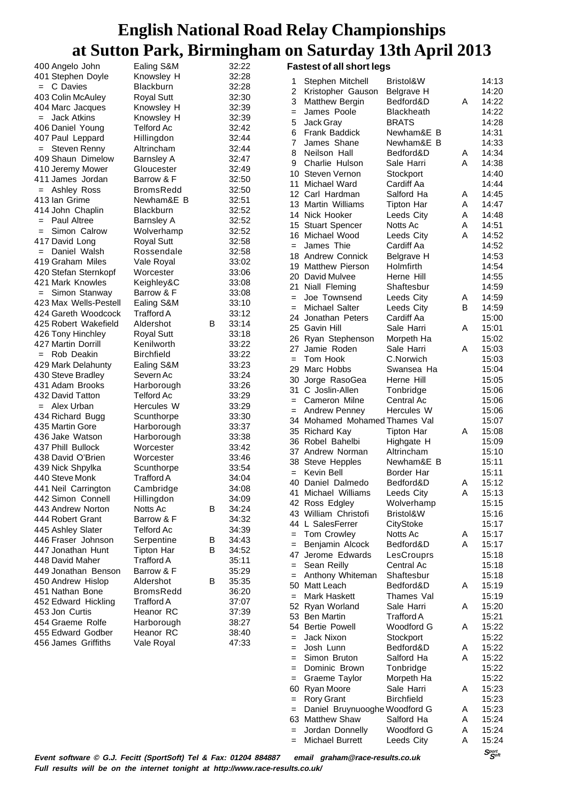**Fastest of all short legs**

| 400 Angelo John            | Ealing S&M        |   | 32:22 |
|----------------------------|-------------------|---|-------|
| 401 Stephen Doyle          | Knowsley H        |   | 32:28 |
| = C Davies                 | <b>Blackburn</b>  |   | 32:28 |
| 403 Colin McAuley          | <b>Royal Sutt</b> |   | 32:30 |
| 404 Marc Jacques           | Knowsley H        |   | 32:39 |
| = Jack Atkins              | Knowsley H        |   | 32:39 |
| 406 Daniel Young           | <b>Telford Ac</b> |   | 32:42 |
| 407 Paul Leppard           | Hillingdon        |   | 32:44 |
| <b>Steven Renny</b><br>$=$ | Altrincham        |   | 32:44 |
| 409 Shaun Dimelow          | Barnsley A        |   | 32:47 |
| 410 Jeremy Mower           | Gloucester        |   | 32:49 |
| 411 James Jordan           | Barrow & F        |   | 32:50 |
| $=$                        | <b>BromsRedd</b>  |   | 32:50 |
| Ashley Ross                |                   |   |       |
| 413 Ian Grime              | Newham&E B        |   | 32:51 |
| 414 John Chaplin           | <b>Blackburn</b>  |   | 32:52 |
| = Paul Altree              | <b>Barnsley A</b> |   | 32:52 |
| Simon Calrow<br>$=$        | Wolverhamp        |   | 32:52 |
| 417 David Long             | <b>Royal Sutt</b> |   | 32:58 |
| = Daniel Walsh             | Rossendale        |   | 32:58 |
| 419 Graham Miles           | Vale Royal        |   | 33:02 |
| 420 Stefan Sternkopf       | Worcester         |   | 33:06 |
| 421 Mark Knowles           | Keighley&C        |   | 33:08 |
| Simon Stanway<br>$=$       | Barrow & F        |   | 33:08 |
| 423 Max Wells-Pestell      | Ealing S&M        |   | 33:10 |
| 424 Gareth Woodcock        | Trafford A        |   | 33:12 |
| 425 Robert Wakefield       | Aldershot         | В | 33:14 |
| 426 Tony Hinchley          | <b>Royal Sutt</b> |   | 33:18 |
| 427 Martin Dorrill         | Kenilworth        |   | 33:22 |
| Rob Deakin<br>$=$          | <b>Birchfield</b> |   | 33:22 |
| 429 Mark Delahunty         | Ealing S&M        |   | 33:23 |
| 430 Steve Bradley          | Severn Ac         |   | 33:24 |
| 431 Adam Brooks            | Harborough        |   | 33:26 |
| 432 David Tatton           | <b>Telford Ac</b> |   | 33:29 |
| $=$ Alex Urban             | Hercules W        |   | 33:29 |
| 434 Richard Bugg           | Scunthorpe        |   | 33:30 |
| 435 Martin Gore            | Harborough        |   | 33:37 |
| 436 Jake Watson            | Harborough        |   | 33:38 |
| 437 Phill Bullock          | Worcester         |   | 33:42 |
| 438 David O'Brien          | Worcester         |   | 33:46 |
| 439 Nick Shpylka           | Scunthorpe        |   | 33:54 |
| 440 Steve Monk             | Trafford A        |   | 34:04 |
| 441 Neil Carrington        | Cambridge         |   | 34:08 |
| 442 Simon Connell          | Hillingdon        |   | 34:09 |
| 443 Andrew Norton          | Notts Ac          | в | 34:24 |
| 444 Robert Grant           | Barrow & F        |   | 34:32 |
| 445 Ashley Slater          | <b>Telford Ac</b> |   | 34:39 |
| 446 Fraser Johnson         | Serpentine        | в | 34:43 |
| 447 Jonathan Hunt          | <b>Tipton Har</b> | B |       |
|                            |                   |   | 34:52 |
| 448 David Maher            | Trafford A        |   | 35:11 |
| 449 Jonathan Benson        | Barrow & F        |   | 35:29 |
| 450 Andrew Hislop          | Aldershot         | в | 35:35 |
| 451 Nathan Bone            | BromsRedd         |   | 36:20 |
| 452 Edward Hickling        | <b>Trafford A</b> |   | 37:07 |
| 453 Jon Curtis             | Heanor RC         |   | 37:39 |
| 454 Graeme Rolfe           | Harborough        |   | 38:27 |
| 455 Edward Godber          | Heanor RC         |   | 38:40 |
| 456 James Griffiths        | Vale Royal        |   | 47:33 |

| ш 129         | u<br>L J | <sub>{</sub> |
|---------------|----------|--------------|
| S&M           |          | 32:2         |
| ley H         |          | 32:          |
| ourn          |          | 32:          |
| Sutt          |          | 32:          |
| <b>iley</b> H |          | 32:          |
| iley H        |          | 32:          |
| l Ac          |          | 32:          |
| don           |          | 32:          |
| ham           |          | 32:          |
| ey A          |          | 32:          |
| ester         |          | 32:          |
| 0 & F         |          | 32:5         |
| <b>Redd</b>   |          | 32:          |
| am&E B        |          | 32:5         |
| ourn          |          | 32:          |
| ey A          |          | 32:          |
| rhamp         |          | 32:          |
| Sutt          |          | 32:          |
| ndale:        |          | 32:          |
|               |          | 33:0         |
| oyal:         |          | 33:0         |
| ster          |          |              |
| ey&C          |          | 33:0         |
| v & F         |          | 33:          |
| S&M           |          | 33:          |
| dΑ            |          | $33$ :       |
| hot           | в        | 33:          |
| Sutt          |          | 33:          |
| orth/         |          | 33:          |
| eld           |          | 33:          |
| S&M           |          | 33:2         |
| າ Ac          |          | 33:2         |
| rough         |          | 33:          |
| l Ac          |          | 33:          |
| es W          |          | 33:          |
| าorpe         |          | 33:          |
| rough         |          | 33:          |
| rough         |          | 33:          |
| ster          |          | 33:          |
| ster          |          | 33:          |
| orpe          |          | 33:5         |
| dΑ            |          | 34:0         |
| ridge         |          | 34:          |
| don           |          | 34:          |
| ۹c            | B        | 34:          |
| v & F         |          | 34:          |
| d Ac          |          | 34:          |
| ntine         | B        | 34:          |
| Har           | в        | 34:          |
| d A           |          | 35:          |
| 0 & F         |          | 35:          |
| hot           | B        | 35:          |
| Redd;         |          | 36:          |
| d A           |          | 37:          |
| $r$ RC        |          | 37:          |
|               |          |              |
| rough         |          | 38:          |
| r RC          |          | 38:          |
| oyal          |          | 47:          |

| 1<br>2           | Stephen Mitchell<br>Kristopher Gauson         | Bristol&W<br>Belgrave H |   | 14:13<br>14:20 |
|------------------|-----------------------------------------------|-------------------------|---|----------------|
| 3                | <b>Matthew Bergin</b>                         | Bedford&D               | А | 14:22          |
| $=$              | James Poole                                   | Blackheath              |   | 14:22          |
| 5                | Jack Gray                                     | <b>BRATS</b>            |   | 14:28          |
| 6                | Frank Baddick                                 | Newham&E<br>- B         |   | 14:31          |
| 7                | James Shane                                   | Newham&E B              |   | 14:33          |
| 8                | Neilson Hall                                  | Bedford&D               | A | 14:34          |
| 9                | Charlie Hulson                                | Sale Harri              | А | 14:38          |
| 10               | Steven Vernon                                 | Stockport               |   | 14:40          |
| 11               | Michael Ward                                  | Cardiff Aa              |   | 14:44          |
| 12 <sup>°</sup>  | Carl Hardman                                  | Salford Ha              | Α | 14:45          |
| 13 <sup>13</sup> | Martin Williams                               | <b>Tipton Har</b>       | A | 14:47          |
| 14               | Nick Hooker                                   | Leeds City              | A | 14:48          |
| 15               | <b>Stuart Spencer</b>                         | Notts Ac                | Α | 14:51          |
| 16               | Michael Wood                                  | Leeds City              | A | 14:52          |
| $=$              | James Thie                                    | Cardiff Aa              |   | 14:52          |
| 18               | Andrew Connick<br>19 Matthew Pierson          | Belgrave H<br>Holmfirth |   | 14:53          |
|                  | 20 David Mulvee                               | Herne Hill              |   | 14:54<br>14:55 |
| 21               | Niall Fleming                                 | Shaftesbur              |   | 14:59          |
| $=$              | Joe Townsend                                  | Leeds City              | A | 14:59          |
| $=$              | Michael Salter                                | Leeds City              | В | 14:59          |
| 24               | Jonathan Peters                               | Cardiff Aa              |   | 15:00          |
| 25               | Gavin Hill                                    | Sale Harri              | А | 15:01          |
| 26               | Ryan Stephenson                               | Morpeth Ha              |   | 15:02          |
| 27               | Jamie Roden                                   | Sale Harri              | А | 15:03          |
| $=$              | Tom Hook                                      | C.Norwich               |   | 15:03          |
| 29.              | Marc Hobbs                                    | Swansea Ha              |   | 15:04          |
| 30               | Jorge RasoGea                                 | Herne Hill              |   | 15:05          |
| 31.              | C Joslin-Allen                                | Tonbridge               |   | 15:06          |
| $=$              | Cameron Milne                                 | Central Ac              |   | 15:06          |
| $=$              | <b>Andrew Penney</b>                          | Hercules W              |   | 15:06          |
| 34               | Mohamed Mohamed Thames Val                    |                         |   | 15:07          |
| 35               | <b>Richard Kay</b>                            | <b>Tipton Har</b>       | А | 15:08          |
| 36               | Robel Bahelbi                                 | Highgate H              |   | 15:09          |
| 37               | Andrew Norman                                 | Altrincham              |   | 15:10          |
| 38               | <b>Steve Hepples</b>                          | Newham&E B              |   | 15:11          |
| $=$              | Kevin Bell                                    | Border Har              |   | 15:11          |
| 40.              | Daniel Dalmedo                                | Bedford&D               | Α | 15:12          |
| 41               | Michael Williams                              | Leeds City              | А | 15:13          |
|                  | 42 Ross Edgley<br>43 William Christofi        | Wolverhamp<br>Bristol&W |   | 15:15<br>15:16 |
|                  | 44 L SalesFerrer                              | CityStoke               |   | 15:17          |
| $=$              | Tom Crowley                                   | Notts Ac                | A | 15:17          |
| $=$              | Benjamin Alcock                               | Bedford&D               | A | 15:17          |
| 47               | Jerome Edwards                                | LesCrouprs              |   | 15:18          |
| $=$              | Sean Reilly                                   | Central Ac              |   | 15:18          |
| $=$              | Anthony Whiteman                              | Shaftesbur              |   | 15:18          |
| 50               | Matt Leach                                    | Bedford&D               | Α | 15:19          |
| $=$              | Mark Haskett                                  | Thames Val              |   | 15:19          |
| 52               | Ryan Worland                                  | Sale Harri              | А | 15:20          |
| 53               | <b>Ben Martin</b>                             | Trafford A              |   | 15:21          |
|                  | 54 Bertie Powell                              | Woodford G              | A | 15:22          |
| $=$              | Jack Nixon                                    | Stockport               |   | 15:22          |
| $=$              | Josh Lunn                                     | Bedford&D               | Α | 15:22          |
| $=$              | Simon Bruton                                  | Salford Ha              | Α | 15:22          |
| $=$              | Dominic Brown                                 | Tonbridge               |   | 15:22          |
| $=$              | Graeme Taylor                                 | Morpeth Ha              |   | 15:22          |
| 60               | Ryan Moore                                    | Sale Harri              | A | 15:23          |
| $=$              | <b>Rory Grant</b>                             | <b>Birchfield</b>       | Α | 15:23          |
| $=$<br>63        | Daniel Bruynuooghe Woodford G<br>Matthew Shaw | Salford Ha              | A | 15:23<br>15:24 |
| $=$              | Jordan Donnelly                               | Woodford G              | Α | 15:24          |
| $=$              | <b>Michael Burrett</b>                        | Leeds City              | A | 15:24          |
|                  |                                               |                         |   | Sport<br>Sport |
|                  | email graham@race-results.co.uk               |                         |   |                |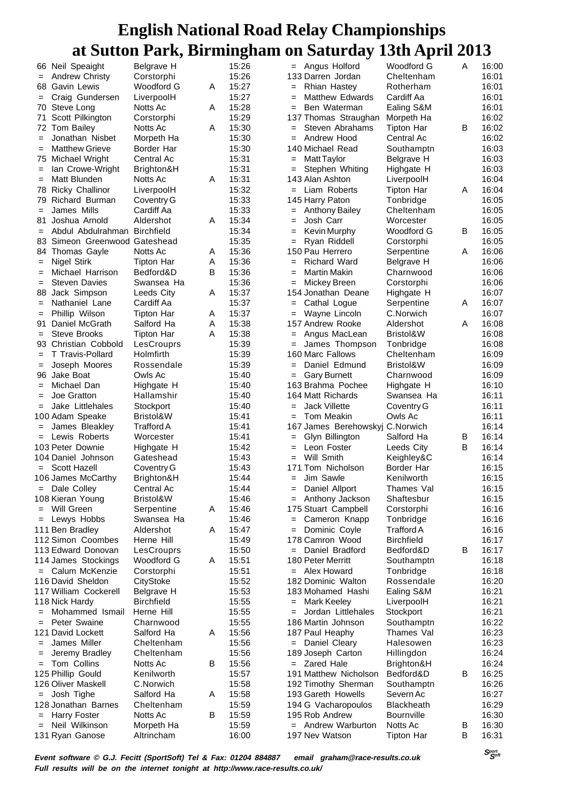| 15:26<br><b>Andrew Christy</b><br>Corstorphi<br>133 Darren Jordan<br>Cheltenham<br>$=$<br>15:27<br>68 Gavin Lewis<br>Woodford G<br>Α<br>Rhian Hastey<br>Rotherham<br>$=$<br>15:27<br>Craig Gundersen<br><b>Matthew Edwards</b><br>Cardiff Aa<br>LiverpoolH<br>$=$<br>$=$<br>15:28<br>70 Steve Long<br>Notts Ac<br>Ben Waterman<br>Ealing S&M<br>A<br>$=$<br>15:29<br>71 Scott Pilkington<br>137 Thomas Straughan<br>Corstorphi<br>Morpeth Ha<br>15:30<br>B<br>72 Tom Bailey<br>Steven Abrahams<br>Notts Ac<br>Α<br>Tipton Har<br>$=$<br>15:30<br>Jonathan Nisbet<br>Morpeth Ha<br>Andrew Hood<br>Central Ac<br>$=$<br>$=$<br>15:30<br><b>Matthew Grieve</b><br>140 Michael Read<br>Border Har<br>Southamptn<br>$=$<br>15:31<br>75 Michael Wright<br>Central Ac<br>Matt Taylor<br>Belgrave H<br>16:03<br>$=$<br>15:31<br>16:03<br>lan Crowe-Wright<br>Stephen Whiting<br>Brighton&H<br>Highgate H<br>$=$<br>$=$<br>15:31<br>Matt Blunden<br>Notts Ac<br>143 Alan Ashton<br>16:04<br>Α<br>LiverpoolH<br>$=$<br>15:32<br>16:04<br>78 Ricky Challinor<br>Liam Roberts<br>Α<br>LiverpoolH<br>Tipton Har<br>$=$<br>15:33<br>16:05<br>Coventry G<br>145 Harry Paton<br>Tonbridge<br>79 Richard Burman<br>James Mills<br>Cardiff Aa<br>15:33<br><b>Anthony Bailey</b><br>Cheltenham<br>16:05<br>$=$<br>$=$<br>15:34<br>16:05<br>Joshua Arnold<br>Aldershot<br>Josh Carr<br>Worcester<br>81<br>Α<br>$=$<br>15:34<br>B<br>Abdul Abdulrahman Birchfield<br><b>Kevin Murphy</b><br>Woodford G<br>16:05<br>$=$<br>$=$<br>15:35<br>Simeon Greenwood Gateshead<br>Ryan Riddell<br>83<br>Corstorphi<br>$=$<br>15:36<br><b>Thomas Gayle</b><br>Notts Ac<br>150 Pau Herrero<br>A<br>Serpentine<br>Α<br>84<br>15:36<br>Nigel Stirk<br><b>Richard Ward</b><br>Tipton Har<br>Α<br>Belgrave H<br>$=$<br>$=$<br>B<br>15:36<br>Michael Harrison<br>Bedford&D<br><b>Martin Makin</b><br>Charnwood<br>$=$<br>$=$<br>15:36<br><b>Steven Davies</b><br>Swansea Ha<br>Mickey Breen<br>Corstorphi<br>$=$<br>$=$<br>15:37<br>Jack Simpson<br>Leeds City<br>Α<br>88<br>154 Jonathan Deane<br>Highgate H<br>15:37<br>Cardiff Aa<br>Nathaniel Lane<br>Cathal Logue<br>Serpentine<br>Α<br>$=$<br>$=$<br>15:37<br>C.Norwich<br>Phillip Wilson<br>Tipton Har<br>Α<br>Wayne Lincoln<br>$=$<br>$=$<br>15:38<br>Daniel McGrath<br>Salford Ha<br>157 Andrew Rooke<br>Aldershot<br>91<br>Α<br>Α<br>15:38<br><b>Steve Brooks</b><br><b>Tipton Har</b><br>Bristol&W<br>A<br>Angus MacLean<br>$=$<br>$=$<br>15:39<br>93 Christian Cobbold<br>LesCrouprs<br>James Thompson<br>Tonbridge<br>$=$<br>T Travis-Pollard<br>Holmfirth<br>15:39<br>160 Marc Fallows<br>Cheltenham<br>$=$<br>Joseph Moores<br>Rossendale<br>15:39<br>Daniel Edmund<br>Bristol&W<br>$=$<br>$=$<br>16:09<br>96 Jake Boat<br>Owls Ac<br>15:40<br><b>Gary Burnett</b><br>Charnwood<br>$=$<br>Michael Dan<br>15:40<br>163 Brahma Pochee<br>16:10<br>Highgate H<br>Highgate H<br>$=$<br>Joe Gratton<br>Hallamshir<br>15:40<br>164 Matt Richards<br>16:11<br>Swansea Ha<br>$=$<br>15:40<br><b>Jack Villette</b><br>16:11<br>Jake Littlehales<br>Stockport<br>Coventry G<br>$=$<br>$=$<br>100 Adam Speake<br>Bristol&W<br>15:41<br><b>Tom Meakin</b><br>Owls Ac<br>16:11<br>$=$<br>16:14<br>James Bleakley<br><b>Trafford A</b><br>15:41<br>167 James Berehowskyj C.Norwich<br>$=$<br>15:41<br>Glyn Billington<br>Salford Ha<br>$=$ Lewis Roberts<br>Worcester<br>В<br>$=$<br>B<br>15:42<br>103 Peter Downie<br>Highgate H<br>Leon Foster<br>Leeds City<br>$=$<br>Will Smith<br>104 Daniel Johnson<br>15:43<br>Gateshead<br>Keighley&C<br>$=$<br>$=$ Scott Hazell<br>Coventry G<br>15:43<br>171 Tom Nicholson<br>Border Har<br>106 James McCarthy<br>Brighton&H<br>15:44<br>Jim Sawle<br>Kenilworth<br>$=$<br>= Dale Colley<br>Central Ac<br>15:44<br>Daniel Allport<br>Thames Val<br>Bristol&W<br>108 Kieran Young<br>15:46<br>= Anthony Jackson<br>Shaftesbur<br>= Will Green<br>15:46<br>Serpentine<br>A<br>175 Stuart Campbell<br>Corstorphi<br>Lewys Hobbs<br>15:46<br>Swansea Ha<br>Cameron Knapp<br>Tonbridge<br>$=$<br>$=$<br>111 Ben Bradley<br>Aldershot<br>15:47<br>Dominic Coyle<br>Trafford A<br>Α<br>$=$<br>15:49<br>112 Simon Coombes<br>Herne Hill<br>178 Camron Wood<br><b>Birchfield</b><br>15:50<br>B<br>113 Edward Donovan<br>Daniel Bradford<br>Bedford&D<br>LesCrouprs<br>$=$<br>15:51<br>114 James Stockings<br>Woodford G<br>180 Peter Merritt<br>Α<br>Southamptn<br>15:51<br>= Calum McKenzie<br>Corstorphi<br>= Alex Howard<br>Tonbridge<br>116 David Sheldon<br>CityStoke<br>15:52<br>182 Dominic Walton<br>Rossendale<br>16:21<br>117 William Cockerell<br>Belgrave H<br>15:53<br>183 Mohamed Hashi<br>Ealing S&M<br>118 Nick Hardy<br><b>Birchfield</b><br>15:55<br><b>Mark Keeley</b><br>LiverpoolH<br>16:21<br>$=$<br>Herne Hill<br>15:55<br>16:21<br>= Mohammed Ismail<br>Jordan Littlehales<br>Stockport<br>$=$<br>Peter Swaine<br>Charnwood<br>15:55<br>186 Martin Johnson<br>16:22<br>Southamptn<br>$=$<br>15:56<br>121 David Lockett<br>Salford Ha<br>Thames Val<br>16:23<br>Α<br>187 Paul Heaphy<br>15:56<br>James Miller<br>Cheltenham<br>Halesowen<br>= Daniel Cleary<br>$=$<br>15:56<br>Jeremy Bradley<br>Cheltenham<br>189 Joseph Carton<br>Hillingdon<br>Notts Ac<br>В<br>15:56<br>= Zared Hale<br>Tom Collins<br>Brighton&H<br>$=$<br>Kenilworth<br>15:57<br>191 Matthew Nicholson<br>Bedford&D<br>В<br>125 Phillip Gould<br>126 Oliver Maskell<br>C.Norwich<br>15:58<br>192 Timothy Sherman<br>Southamptn<br>15:58<br>= Josh Tighe<br>Salford Ha<br>193 Gareth Howells<br>Severn Ac<br>A<br>15:59<br>128 Jonathan Barnes<br>Cheltenham<br>194 G Vacharopoulos<br><b>Blackheath</b><br><b>Harry Foster</b><br>Notts Ac<br>В<br>15:59<br>195 Rob Andrew<br><b>Bournville</b><br>$=$<br>Neil Wilkinson<br>Morpeth Ha<br>15:59<br>Notts Ac<br>= Andrew Warburton<br>В<br>$=$<br>131 Ryan Ganose<br>Altrincham<br>16:00<br>197 Nev Watson<br><b>Tipton Har</b><br>в | 66 Neil Speaight | Belgrave H | 15:26 | = Angus Holford | Woodford G | Α | 16:00 |
|------------------------------------------------------------------------------------------------------------------------------------------------------------------------------------------------------------------------------------------------------------------------------------------------------------------------------------------------------------------------------------------------------------------------------------------------------------------------------------------------------------------------------------------------------------------------------------------------------------------------------------------------------------------------------------------------------------------------------------------------------------------------------------------------------------------------------------------------------------------------------------------------------------------------------------------------------------------------------------------------------------------------------------------------------------------------------------------------------------------------------------------------------------------------------------------------------------------------------------------------------------------------------------------------------------------------------------------------------------------------------------------------------------------------------------------------------------------------------------------------------------------------------------------------------------------------------------------------------------------------------------------------------------------------------------------------------------------------------------------------------------------------------------------------------------------------------------------------------------------------------------------------------------------------------------------------------------------------------------------------------------------------------------------------------------------------------------------------------------------------------------------------------------------------------------------------------------------------------------------------------------------------------------------------------------------------------------------------------------------------------------------------------------------------------------------------------------------------------------------------------------------------------------------------------------------------------------------------------------------------------------------------------------------------------------------------------------------------------------------------------------------------------------------------------------------------------------------------------------------------------------------------------------------------------------------------------------------------------------------------------------------------------------------------------------------------------------------------------------------------------------------------------------------------------------------------------------------------------------------------------------------------------------------------------------------------------------------------------------------------------------------------------------------------------------------------------------------------------------------------------------------------------------------------------------------------------------------------------------------------------------------------------------------------------------------------------------------------------------------------------------------------------------------------------------------------------------------------------------------------------------------------------------------------------------------------------------------------------------------------------------------------------------------------------------------------------------------------------------------------------------------------------------------------------------------------------------------------------------------------------------------------------------------------------------------------------------------------------------------------------------------------------------------------------------------------------------------------------------------------------------------------------------------------------------------------------------------------------------------------------------------------------------------------------------------------------------------------------------------------------------------------------------------------------------------------------------------------------------------------------------------------------------------------------------------------------------------------------------------------------------------------------------------------------------------------------------------------------------------------------------------------------------------------------------------------------------------------------------------------------------------------------------------------------------------------------------------------------------------------------------------------------------------------------------------------------------------------------------------------------------------------------------------------------------------------------------------------------------------------------------------------------------------------------------------------------------------------------------------------------------------------------------------------------------------------------------------------------------------------------------------------------------------------------|------------------|------------|-------|-----------------|------------|---|-------|
|                                                                                                                                                                                                                                                                                                                                                                                                                                                                                                                                                                                                                                                                                                                                                                                                                                                                                                                                                                                                                                                                                                                                                                                                                                                                                                                                                                                                                                                                                                                                                                                                                                                                                                                                                                                                                                                                                                                                                                                                                                                                                                                                                                                                                                                                                                                                                                                                                                                                                                                                                                                                                                                                                                                                                                                                                                                                                                                                                                                                                                                                                                                                                                                                                                                                                                                                                                                                                                                                                                                                                                                                                                                                                                                                                                                                                                                                                                                                                                                                                                                                                                                                                                                                                                                                                                                                                                                                                                                                                                                                                                                                                                                                                                                                                                                                                                                                                                                                                                                                                                                                                                                                                                                                                                                                                                                                                                                                                                                                                                                                                                                                                                                                                                                                                                                                                                                                                                                              |                  |            |       |                 |            |   | 16:01 |
|                                                                                                                                                                                                                                                                                                                                                                                                                                                                                                                                                                                                                                                                                                                                                                                                                                                                                                                                                                                                                                                                                                                                                                                                                                                                                                                                                                                                                                                                                                                                                                                                                                                                                                                                                                                                                                                                                                                                                                                                                                                                                                                                                                                                                                                                                                                                                                                                                                                                                                                                                                                                                                                                                                                                                                                                                                                                                                                                                                                                                                                                                                                                                                                                                                                                                                                                                                                                                                                                                                                                                                                                                                                                                                                                                                                                                                                                                                                                                                                                                                                                                                                                                                                                                                                                                                                                                                                                                                                                                                                                                                                                                                                                                                                                                                                                                                                                                                                                                                                                                                                                                                                                                                                                                                                                                                                                                                                                                                                                                                                                                                                                                                                                                                                                                                                                                                                                                                                              |                  |            |       |                 |            |   | 16:01 |
|                                                                                                                                                                                                                                                                                                                                                                                                                                                                                                                                                                                                                                                                                                                                                                                                                                                                                                                                                                                                                                                                                                                                                                                                                                                                                                                                                                                                                                                                                                                                                                                                                                                                                                                                                                                                                                                                                                                                                                                                                                                                                                                                                                                                                                                                                                                                                                                                                                                                                                                                                                                                                                                                                                                                                                                                                                                                                                                                                                                                                                                                                                                                                                                                                                                                                                                                                                                                                                                                                                                                                                                                                                                                                                                                                                                                                                                                                                                                                                                                                                                                                                                                                                                                                                                                                                                                                                                                                                                                                                                                                                                                                                                                                                                                                                                                                                                                                                                                                                                                                                                                                                                                                                                                                                                                                                                                                                                                                                                                                                                                                                                                                                                                                                                                                                                                                                                                                                                              |                  |            |       |                 |            |   | 16:01 |
|                                                                                                                                                                                                                                                                                                                                                                                                                                                                                                                                                                                                                                                                                                                                                                                                                                                                                                                                                                                                                                                                                                                                                                                                                                                                                                                                                                                                                                                                                                                                                                                                                                                                                                                                                                                                                                                                                                                                                                                                                                                                                                                                                                                                                                                                                                                                                                                                                                                                                                                                                                                                                                                                                                                                                                                                                                                                                                                                                                                                                                                                                                                                                                                                                                                                                                                                                                                                                                                                                                                                                                                                                                                                                                                                                                                                                                                                                                                                                                                                                                                                                                                                                                                                                                                                                                                                                                                                                                                                                                                                                                                                                                                                                                                                                                                                                                                                                                                                                                                                                                                                                                                                                                                                                                                                                                                                                                                                                                                                                                                                                                                                                                                                                                                                                                                                                                                                                                                              |                  |            |       |                 |            |   | 16:01 |
|                                                                                                                                                                                                                                                                                                                                                                                                                                                                                                                                                                                                                                                                                                                                                                                                                                                                                                                                                                                                                                                                                                                                                                                                                                                                                                                                                                                                                                                                                                                                                                                                                                                                                                                                                                                                                                                                                                                                                                                                                                                                                                                                                                                                                                                                                                                                                                                                                                                                                                                                                                                                                                                                                                                                                                                                                                                                                                                                                                                                                                                                                                                                                                                                                                                                                                                                                                                                                                                                                                                                                                                                                                                                                                                                                                                                                                                                                                                                                                                                                                                                                                                                                                                                                                                                                                                                                                                                                                                                                                                                                                                                                                                                                                                                                                                                                                                                                                                                                                                                                                                                                                                                                                                                                                                                                                                                                                                                                                                                                                                                                                                                                                                                                                                                                                                                                                                                                                                              |                  |            |       |                 |            |   | 16:02 |
|                                                                                                                                                                                                                                                                                                                                                                                                                                                                                                                                                                                                                                                                                                                                                                                                                                                                                                                                                                                                                                                                                                                                                                                                                                                                                                                                                                                                                                                                                                                                                                                                                                                                                                                                                                                                                                                                                                                                                                                                                                                                                                                                                                                                                                                                                                                                                                                                                                                                                                                                                                                                                                                                                                                                                                                                                                                                                                                                                                                                                                                                                                                                                                                                                                                                                                                                                                                                                                                                                                                                                                                                                                                                                                                                                                                                                                                                                                                                                                                                                                                                                                                                                                                                                                                                                                                                                                                                                                                                                                                                                                                                                                                                                                                                                                                                                                                                                                                                                                                                                                                                                                                                                                                                                                                                                                                                                                                                                                                                                                                                                                                                                                                                                                                                                                                                                                                                                                                              |                  |            |       |                 |            |   | 16:02 |
|                                                                                                                                                                                                                                                                                                                                                                                                                                                                                                                                                                                                                                                                                                                                                                                                                                                                                                                                                                                                                                                                                                                                                                                                                                                                                                                                                                                                                                                                                                                                                                                                                                                                                                                                                                                                                                                                                                                                                                                                                                                                                                                                                                                                                                                                                                                                                                                                                                                                                                                                                                                                                                                                                                                                                                                                                                                                                                                                                                                                                                                                                                                                                                                                                                                                                                                                                                                                                                                                                                                                                                                                                                                                                                                                                                                                                                                                                                                                                                                                                                                                                                                                                                                                                                                                                                                                                                                                                                                                                                                                                                                                                                                                                                                                                                                                                                                                                                                                                                                                                                                                                                                                                                                                                                                                                                                                                                                                                                                                                                                                                                                                                                                                                                                                                                                                                                                                                                                              |                  |            |       |                 |            |   | 16:02 |
|                                                                                                                                                                                                                                                                                                                                                                                                                                                                                                                                                                                                                                                                                                                                                                                                                                                                                                                                                                                                                                                                                                                                                                                                                                                                                                                                                                                                                                                                                                                                                                                                                                                                                                                                                                                                                                                                                                                                                                                                                                                                                                                                                                                                                                                                                                                                                                                                                                                                                                                                                                                                                                                                                                                                                                                                                                                                                                                                                                                                                                                                                                                                                                                                                                                                                                                                                                                                                                                                                                                                                                                                                                                                                                                                                                                                                                                                                                                                                                                                                                                                                                                                                                                                                                                                                                                                                                                                                                                                                                                                                                                                                                                                                                                                                                                                                                                                                                                                                                                                                                                                                                                                                                                                                                                                                                                                                                                                                                                                                                                                                                                                                                                                                                                                                                                                                                                                                                                              |                  |            |       |                 |            |   | 16:03 |
|                                                                                                                                                                                                                                                                                                                                                                                                                                                                                                                                                                                                                                                                                                                                                                                                                                                                                                                                                                                                                                                                                                                                                                                                                                                                                                                                                                                                                                                                                                                                                                                                                                                                                                                                                                                                                                                                                                                                                                                                                                                                                                                                                                                                                                                                                                                                                                                                                                                                                                                                                                                                                                                                                                                                                                                                                                                                                                                                                                                                                                                                                                                                                                                                                                                                                                                                                                                                                                                                                                                                                                                                                                                                                                                                                                                                                                                                                                                                                                                                                                                                                                                                                                                                                                                                                                                                                                                                                                                                                                                                                                                                                                                                                                                                                                                                                                                                                                                                                                                                                                                                                                                                                                                                                                                                                                                                                                                                                                                                                                                                                                                                                                                                                                                                                                                                                                                                                                                              |                  |            |       |                 |            |   |       |
|                                                                                                                                                                                                                                                                                                                                                                                                                                                                                                                                                                                                                                                                                                                                                                                                                                                                                                                                                                                                                                                                                                                                                                                                                                                                                                                                                                                                                                                                                                                                                                                                                                                                                                                                                                                                                                                                                                                                                                                                                                                                                                                                                                                                                                                                                                                                                                                                                                                                                                                                                                                                                                                                                                                                                                                                                                                                                                                                                                                                                                                                                                                                                                                                                                                                                                                                                                                                                                                                                                                                                                                                                                                                                                                                                                                                                                                                                                                                                                                                                                                                                                                                                                                                                                                                                                                                                                                                                                                                                                                                                                                                                                                                                                                                                                                                                                                                                                                                                                                                                                                                                                                                                                                                                                                                                                                                                                                                                                                                                                                                                                                                                                                                                                                                                                                                                                                                                                                              |                  |            |       |                 |            |   |       |
|                                                                                                                                                                                                                                                                                                                                                                                                                                                                                                                                                                                                                                                                                                                                                                                                                                                                                                                                                                                                                                                                                                                                                                                                                                                                                                                                                                                                                                                                                                                                                                                                                                                                                                                                                                                                                                                                                                                                                                                                                                                                                                                                                                                                                                                                                                                                                                                                                                                                                                                                                                                                                                                                                                                                                                                                                                                                                                                                                                                                                                                                                                                                                                                                                                                                                                                                                                                                                                                                                                                                                                                                                                                                                                                                                                                                                                                                                                                                                                                                                                                                                                                                                                                                                                                                                                                                                                                                                                                                                                                                                                                                                                                                                                                                                                                                                                                                                                                                                                                                                                                                                                                                                                                                                                                                                                                                                                                                                                                                                                                                                                                                                                                                                                                                                                                                                                                                                                                              |                  |            |       |                 |            |   |       |
|                                                                                                                                                                                                                                                                                                                                                                                                                                                                                                                                                                                                                                                                                                                                                                                                                                                                                                                                                                                                                                                                                                                                                                                                                                                                                                                                                                                                                                                                                                                                                                                                                                                                                                                                                                                                                                                                                                                                                                                                                                                                                                                                                                                                                                                                                                                                                                                                                                                                                                                                                                                                                                                                                                                                                                                                                                                                                                                                                                                                                                                                                                                                                                                                                                                                                                                                                                                                                                                                                                                                                                                                                                                                                                                                                                                                                                                                                                                                                                                                                                                                                                                                                                                                                                                                                                                                                                                                                                                                                                                                                                                                                                                                                                                                                                                                                                                                                                                                                                                                                                                                                                                                                                                                                                                                                                                                                                                                                                                                                                                                                                                                                                                                                                                                                                                                                                                                                                                              |                  |            |       |                 |            |   |       |
|                                                                                                                                                                                                                                                                                                                                                                                                                                                                                                                                                                                                                                                                                                                                                                                                                                                                                                                                                                                                                                                                                                                                                                                                                                                                                                                                                                                                                                                                                                                                                                                                                                                                                                                                                                                                                                                                                                                                                                                                                                                                                                                                                                                                                                                                                                                                                                                                                                                                                                                                                                                                                                                                                                                                                                                                                                                                                                                                                                                                                                                                                                                                                                                                                                                                                                                                                                                                                                                                                                                                                                                                                                                                                                                                                                                                                                                                                                                                                                                                                                                                                                                                                                                                                                                                                                                                                                                                                                                                                                                                                                                                                                                                                                                                                                                                                                                                                                                                                                                                                                                                                                                                                                                                                                                                                                                                                                                                                                                                                                                                                                                                                                                                                                                                                                                                                                                                                                                              |                  |            |       |                 |            |   |       |
|                                                                                                                                                                                                                                                                                                                                                                                                                                                                                                                                                                                                                                                                                                                                                                                                                                                                                                                                                                                                                                                                                                                                                                                                                                                                                                                                                                                                                                                                                                                                                                                                                                                                                                                                                                                                                                                                                                                                                                                                                                                                                                                                                                                                                                                                                                                                                                                                                                                                                                                                                                                                                                                                                                                                                                                                                                                                                                                                                                                                                                                                                                                                                                                                                                                                                                                                                                                                                                                                                                                                                                                                                                                                                                                                                                                                                                                                                                                                                                                                                                                                                                                                                                                                                                                                                                                                                                                                                                                                                                                                                                                                                                                                                                                                                                                                                                                                                                                                                                                                                                                                                                                                                                                                                                                                                                                                                                                                                                                                                                                                                                                                                                                                                                                                                                                                                                                                                                                              |                  |            |       |                 |            |   |       |
|                                                                                                                                                                                                                                                                                                                                                                                                                                                                                                                                                                                                                                                                                                                                                                                                                                                                                                                                                                                                                                                                                                                                                                                                                                                                                                                                                                                                                                                                                                                                                                                                                                                                                                                                                                                                                                                                                                                                                                                                                                                                                                                                                                                                                                                                                                                                                                                                                                                                                                                                                                                                                                                                                                                                                                                                                                                                                                                                                                                                                                                                                                                                                                                                                                                                                                                                                                                                                                                                                                                                                                                                                                                                                                                                                                                                                                                                                                                                                                                                                                                                                                                                                                                                                                                                                                                                                                                                                                                                                                                                                                                                                                                                                                                                                                                                                                                                                                                                                                                                                                                                                                                                                                                                                                                                                                                                                                                                                                                                                                                                                                                                                                                                                                                                                                                                                                                                                                                              |                  |            |       |                 |            |   |       |
|                                                                                                                                                                                                                                                                                                                                                                                                                                                                                                                                                                                                                                                                                                                                                                                                                                                                                                                                                                                                                                                                                                                                                                                                                                                                                                                                                                                                                                                                                                                                                                                                                                                                                                                                                                                                                                                                                                                                                                                                                                                                                                                                                                                                                                                                                                                                                                                                                                                                                                                                                                                                                                                                                                                                                                                                                                                                                                                                                                                                                                                                                                                                                                                                                                                                                                                                                                                                                                                                                                                                                                                                                                                                                                                                                                                                                                                                                                                                                                                                                                                                                                                                                                                                                                                                                                                                                                                                                                                                                                                                                                                                                                                                                                                                                                                                                                                                                                                                                                                                                                                                                                                                                                                                                                                                                                                                                                                                                                                                                                                                                                                                                                                                                                                                                                                                                                                                                                                              |                  |            |       |                 |            |   |       |
|                                                                                                                                                                                                                                                                                                                                                                                                                                                                                                                                                                                                                                                                                                                                                                                                                                                                                                                                                                                                                                                                                                                                                                                                                                                                                                                                                                                                                                                                                                                                                                                                                                                                                                                                                                                                                                                                                                                                                                                                                                                                                                                                                                                                                                                                                                                                                                                                                                                                                                                                                                                                                                                                                                                                                                                                                                                                                                                                                                                                                                                                                                                                                                                                                                                                                                                                                                                                                                                                                                                                                                                                                                                                                                                                                                                                                                                                                                                                                                                                                                                                                                                                                                                                                                                                                                                                                                                                                                                                                                                                                                                                                                                                                                                                                                                                                                                                                                                                                                                                                                                                                                                                                                                                                                                                                                                                                                                                                                                                                                                                                                                                                                                                                                                                                                                                                                                                                                                              |                  |            |       |                 |            |   |       |
|                                                                                                                                                                                                                                                                                                                                                                                                                                                                                                                                                                                                                                                                                                                                                                                                                                                                                                                                                                                                                                                                                                                                                                                                                                                                                                                                                                                                                                                                                                                                                                                                                                                                                                                                                                                                                                                                                                                                                                                                                                                                                                                                                                                                                                                                                                                                                                                                                                                                                                                                                                                                                                                                                                                                                                                                                                                                                                                                                                                                                                                                                                                                                                                                                                                                                                                                                                                                                                                                                                                                                                                                                                                                                                                                                                                                                                                                                                                                                                                                                                                                                                                                                                                                                                                                                                                                                                                                                                                                                                                                                                                                                                                                                                                                                                                                                                                                                                                                                                                                                                                                                                                                                                                                                                                                                                                                                                                                                                                                                                                                                                                                                                                                                                                                                                                                                                                                                                                              |                  |            |       |                 |            |   | 16:05 |
|                                                                                                                                                                                                                                                                                                                                                                                                                                                                                                                                                                                                                                                                                                                                                                                                                                                                                                                                                                                                                                                                                                                                                                                                                                                                                                                                                                                                                                                                                                                                                                                                                                                                                                                                                                                                                                                                                                                                                                                                                                                                                                                                                                                                                                                                                                                                                                                                                                                                                                                                                                                                                                                                                                                                                                                                                                                                                                                                                                                                                                                                                                                                                                                                                                                                                                                                                                                                                                                                                                                                                                                                                                                                                                                                                                                                                                                                                                                                                                                                                                                                                                                                                                                                                                                                                                                                                                                                                                                                                                                                                                                                                                                                                                                                                                                                                                                                                                                                                                                                                                                                                                                                                                                                                                                                                                                                                                                                                                                                                                                                                                                                                                                                                                                                                                                                                                                                                                                              |                  |            |       |                 |            |   | 16:06 |
|                                                                                                                                                                                                                                                                                                                                                                                                                                                                                                                                                                                                                                                                                                                                                                                                                                                                                                                                                                                                                                                                                                                                                                                                                                                                                                                                                                                                                                                                                                                                                                                                                                                                                                                                                                                                                                                                                                                                                                                                                                                                                                                                                                                                                                                                                                                                                                                                                                                                                                                                                                                                                                                                                                                                                                                                                                                                                                                                                                                                                                                                                                                                                                                                                                                                                                                                                                                                                                                                                                                                                                                                                                                                                                                                                                                                                                                                                                                                                                                                                                                                                                                                                                                                                                                                                                                                                                                                                                                                                                                                                                                                                                                                                                                                                                                                                                                                                                                                                                                                                                                                                                                                                                                                                                                                                                                                                                                                                                                                                                                                                                                                                                                                                                                                                                                                                                                                                                                              |                  |            |       |                 |            |   | 16:06 |
|                                                                                                                                                                                                                                                                                                                                                                                                                                                                                                                                                                                                                                                                                                                                                                                                                                                                                                                                                                                                                                                                                                                                                                                                                                                                                                                                                                                                                                                                                                                                                                                                                                                                                                                                                                                                                                                                                                                                                                                                                                                                                                                                                                                                                                                                                                                                                                                                                                                                                                                                                                                                                                                                                                                                                                                                                                                                                                                                                                                                                                                                                                                                                                                                                                                                                                                                                                                                                                                                                                                                                                                                                                                                                                                                                                                                                                                                                                                                                                                                                                                                                                                                                                                                                                                                                                                                                                                                                                                                                                                                                                                                                                                                                                                                                                                                                                                                                                                                                                                                                                                                                                                                                                                                                                                                                                                                                                                                                                                                                                                                                                                                                                                                                                                                                                                                                                                                                                                              |                  |            |       |                 |            |   | 16:06 |
|                                                                                                                                                                                                                                                                                                                                                                                                                                                                                                                                                                                                                                                                                                                                                                                                                                                                                                                                                                                                                                                                                                                                                                                                                                                                                                                                                                                                                                                                                                                                                                                                                                                                                                                                                                                                                                                                                                                                                                                                                                                                                                                                                                                                                                                                                                                                                                                                                                                                                                                                                                                                                                                                                                                                                                                                                                                                                                                                                                                                                                                                                                                                                                                                                                                                                                                                                                                                                                                                                                                                                                                                                                                                                                                                                                                                                                                                                                                                                                                                                                                                                                                                                                                                                                                                                                                                                                                                                                                                                                                                                                                                                                                                                                                                                                                                                                                                                                                                                                                                                                                                                                                                                                                                                                                                                                                                                                                                                                                                                                                                                                                                                                                                                                                                                                                                                                                                                                                              |                  |            |       |                 |            |   | 16:06 |
|                                                                                                                                                                                                                                                                                                                                                                                                                                                                                                                                                                                                                                                                                                                                                                                                                                                                                                                                                                                                                                                                                                                                                                                                                                                                                                                                                                                                                                                                                                                                                                                                                                                                                                                                                                                                                                                                                                                                                                                                                                                                                                                                                                                                                                                                                                                                                                                                                                                                                                                                                                                                                                                                                                                                                                                                                                                                                                                                                                                                                                                                                                                                                                                                                                                                                                                                                                                                                                                                                                                                                                                                                                                                                                                                                                                                                                                                                                                                                                                                                                                                                                                                                                                                                                                                                                                                                                                                                                                                                                                                                                                                                                                                                                                                                                                                                                                                                                                                                                                                                                                                                                                                                                                                                                                                                                                                                                                                                                                                                                                                                                                                                                                                                                                                                                                                                                                                                                                              |                  |            |       |                 |            |   | 16:07 |
|                                                                                                                                                                                                                                                                                                                                                                                                                                                                                                                                                                                                                                                                                                                                                                                                                                                                                                                                                                                                                                                                                                                                                                                                                                                                                                                                                                                                                                                                                                                                                                                                                                                                                                                                                                                                                                                                                                                                                                                                                                                                                                                                                                                                                                                                                                                                                                                                                                                                                                                                                                                                                                                                                                                                                                                                                                                                                                                                                                                                                                                                                                                                                                                                                                                                                                                                                                                                                                                                                                                                                                                                                                                                                                                                                                                                                                                                                                                                                                                                                                                                                                                                                                                                                                                                                                                                                                                                                                                                                                                                                                                                                                                                                                                                                                                                                                                                                                                                                                                                                                                                                                                                                                                                                                                                                                                                                                                                                                                                                                                                                                                                                                                                                                                                                                                                                                                                                                                              |                  |            |       |                 |            |   | 16:07 |
|                                                                                                                                                                                                                                                                                                                                                                                                                                                                                                                                                                                                                                                                                                                                                                                                                                                                                                                                                                                                                                                                                                                                                                                                                                                                                                                                                                                                                                                                                                                                                                                                                                                                                                                                                                                                                                                                                                                                                                                                                                                                                                                                                                                                                                                                                                                                                                                                                                                                                                                                                                                                                                                                                                                                                                                                                                                                                                                                                                                                                                                                                                                                                                                                                                                                                                                                                                                                                                                                                                                                                                                                                                                                                                                                                                                                                                                                                                                                                                                                                                                                                                                                                                                                                                                                                                                                                                                                                                                                                                                                                                                                                                                                                                                                                                                                                                                                                                                                                                                                                                                                                                                                                                                                                                                                                                                                                                                                                                                                                                                                                                                                                                                                                                                                                                                                                                                                                                                              |                  |            |       |                 |            |   | 16:07 |
|                                                                                                                                                                                                                                                                                                                                                                                                                                                                                                                                                                                                                                                                                                                                                                                                                                                                                                                                                                                                                                                                                                                                                                                                                                                                                                                                                                                                                                                                                                                                                                                                                                                                                                                                                                                                                                                                                                                                                                                                                                                                                                                                                                                                                                                                                                                                                                                                                                                                                                                                                                                                                                                                                                                                                                                                                                                                                                                                                                                                                                                                                                                                                                                                                                                                                                                                                                                                                                                                                                                                                                                                                                                                                                                                                                                                                                                                                                                                                                                                                                                                                                                                                                                                                                                                                                                                                                                                                                                                                                                                                                                                                                                                                                                                                                                                                                                                                                                                                                                                                                                                                                                                                                                                                                                                                                                                                                                                                                                                                                                                                                                                                                                                                                                                                                                                                                                                                                                              |                  |            |       |                 |            |   | 16:08 |
|                                                                                                                                                                                                                                                                                                                                                                                                                                                                                                                                                                                                                                                                                                                                                                                                                                                                                                                                                                                                                                                                                                                                                                                                                                                                                                                                                                                                                                                                                                                                                                                                                                                                                                                                                                                                                                                                                                                                                                                                                                                                                                                                                                                                                                                                                                                                                                                                                                                                                                                                                                                                                                                                                                                                                                                                                                                                                                                                                                                                                                                                                                                                                                                                                                                                                                                                                                                                                                                                                                                                                                                                                                                                                                                                                                                                                                                                                                                                                                                                                                                                                                                                                                                                                                                                                                                                                                                                                                                                                                                                                                                                                                                                                                                                                                                                                                                                                                                                                                                                                                                                                                                                                                                                                                                                                                                                                                                                                                                                                                                                                                                                                                                                                                                                                                                                                                                                                                                              |                  |            |       |                 |            |   | 16:08 |
|                                                                                                                                                                                                                                                                                                                                                                                                                                                                                                                                                                                                                                                                                                                                                                                                                                                                                                                                                                                                                                                                                                                                                                                                                                                                                                                                                                                                                                                                                                                                                                                                                                                                                                                                                                                                                                                                                                                                                                                                                                                                                                                                                                                                                                                                                                                                                                                                                                                                                                                                                                                                                                                                                                                                                                                                                                                                                                                                                                                                                                                                                                                                                                                                                                                                                                                                                                                                                                                                                                                                                                                                                                                                                                                                                                                                                                                                                                                                                                                                                                                                                                                                                                                                                                                                                                                                                                                                                                                                                                                                                                                                                                                                                                                                                                                                                                                                                                                                                                                                                                                                                                                                                                                                                                                                                                                                                                                                                                                                                                                                                                                                                                                                                                                                                                                                                                                                                                                              |                  |            |       |                 |            |   | 16:08 |
|                                                                                                                                                                                                                                                                                                                                                                                                                                                                                                                                                                                                                                                                                                                                                                                                                                                                                                                                                                                                                                                                                                                                                                                                                                                                                                                                                                                                                                                                                                                                                                                                                                                                                                                                                                                                                                                                                                                                                                                                                                                                                                                                                                                                                                                                                                                                                                                                                                                                                                                                                                                                                                                                                                                                                                                                                                                                                                                                                                                                                                                                                                                                                                                                                                                                                                                                                                                                                                                                                                                                                                                                                                                                                                                                                                                                                                                                                                                                                                                                                                                                                                                                                                                                                                                                                                                                                                                                                                                                                                                                                                                                                                                                                                                                                                                                                                                                                                                                                                                                                                                                                                                                                                                                                                                                                                                                                                                                                                                                                                                                                                                                                                                                                                                                                                                                                                                                                                                              |                  |            |       |                 |            |   | 16:09 |
|                                                                                                                                                                                                                                                                                                                                                                                                                                                                                                                                                                                                                                                                                                                                                                                                                                                                                                                                                                                                                                                                                                                                                                                                                                                                                                                                                                                                                                                                                                                                                                                                                                                                                                                                                                                                                                                                                                                                                                                                                                                                                                                                                                                                                                                                                                                                                                                                                                                                                                                                                                                                                                                                                                                                                                                                                                                                                                                                                                                                                                                                                                                                                                                                                                                                                                                                                                                                                                                                                                                                                                                                                                                                                                                                                                                                                                                                                                                                                                                                                                                                                                                                                                                                                                                                                                                                                                                                                                                                                                                                                                                                                                                                                                                                                                                                                                                                                                                                                                                                                                                                                                                                                                                                                                                                                                                                                                                                                                                                                                                                                                                                                                                                                                                                                                                                                                                                                                                              |                  |            |       |                 |            |   | 16:09 |
|                                                                                                                                                                                                                                                                                                                                                                                                                                                                                                                                                                                                                                                                                                                                                                                                                                                                                                                                                                                                                                                                                                                                                                                                                                                                                                                                                                                                                                                                                                                                                                                                                                                                                                                                                                                                                                                                                                                                                                                                                                                                                                                                                                                                                                                                                                                                                                                                                                                                                                                                                                                                                                                                                                                                                                                                                                                                                                                                                                                                                                                                                                                                                                                                                                                                                                                                                                                                                                                                                                                                                                                                                                                                                                                                                                                                                                                                                                                                                                                                                                                                                                                                                                                                                                                                                                                                                                                                                                                                                                                                                                                                                                                                                                                                                                                                                                                                                                                                                                                                                                                                                                                                                                                                                                                                                                                                                                                                                                                                                                                                                                                                                                                                                                                                                                                                                                                                                                                              |                  |            |       |                 |            |   |       |
|                                                                                                                                                                                                                                                                                                                                                                                                                                                                                                                                                                                                                                                                                                                                                                                                                                                                                                                                                                                                                                                                                                                                                                                                                                                                                                                                                                                                                                                                                                                                                                                                                                                                                                                                                                                                                                                                                                                                                                                                                                                                                                                                                                                                                                                                                                                                                                                                                                                                                                                                                                                                                                                                                                                                                                                                                                                                                                                                                                                                                                                                                                                                                                                                                                                                                                                                                                                                                                                                                                                                                                                                                                                                                                                                                                                                                                                                                                                                                                                                                                                                                                                                                                                                                                                                                                                                                                                                                                                                                                                                                                                                                                                                                                                                                                                                                                                                                                                                                                                                                                                                                                                                                                                                                                                                                                                                                                                                                                                                                                                                                                                                                                                                                                                                                                                                                                                                                                                              |                  |            |       |                 |            |   |       |
|                                                                                                                                                                                                                                                                                                                                                                                                                                                                                                                                                                                                                                                                                                                                                                                                                                                                                                                                                                                                                                                                                                                                                                                                                                                                                                                                                                                                                                                                                                                                                                                                                                                                                                                                                                                                                                                                                                                                                                                                                                                                                                                                                                                                                                                                                                                                                                                                                                                                                                                                                                                                                                                                                                                                                                                                                                                                                                                                                                                                                                                                                                                                                                                                                                                                                                                                                                                                                                                                                                                                                                                                                                                                                                                                                                                                                                                                                                                                                                                                                                                                                                                                                                                                                                                                                                                                                                                                                                                                                                                                                                                                                                                                                                                                                                                                                                                                                                                                                                                                                                                                                                                                                                                                                                                                                                                                                                                                                                                                                                                                                                                                                                                                                                                                                                                                                                                                                                                              |                  |            |       |                 |            |   |       |
|                                                                                                                                                                                                                                                                                                                                                                                                                                                                                                                                                                                                                                                                                                                                                                                                                                                                                                                                                                                                                                                                                                                                                                                                                                                                                                                                                                                                                                                                                                                                                                                                                                                                                                                                                                                                                                                                                                                                                                                                                                                                                                                                                                                                                                                                                                                                                                                                                                                                                                                                                                                                                                                                                                                                                                                                                                                                                                                                                                                                                                                                                                                                                                                                                                                                                                                                                                                                                                                                                                                                                                                                                                                                                                                                                                                                                                                                                                                                                                                                                                                                                                                                                                                                                                                                                                                                                                                                                                                                                                                                                                                                                                                                                                                                                                                                                                                                                                                                                                                                                                                                                                                                                                                                                                                                                                                                                                                                                                                                                                                                                                                                                                                                                                                                                                                                                                                                                                                              |                  |            |       |                 |            |   |       |
|                                                                                                                                                                                                                                                                                                                                                                                                                                                                                                                                                                                                                                                                                                                                                                                                                                                                                                                                                                                                                                                                                                                                                                                                                                                                                                                                                                                                                                                                                                                                                                                                                                                                                                                                                                                                                                                                                                                                                                                                                                                                                                                                                                                                                                                                                                                                                                                                                                                                                                                                                                                                                                                                                                                                                                                                                                                                                                                                                                                                                                                                                                                                                                                                                                                                                                                                                                                                                                                                                                                                                                                                                                                                                                                                                                                                                                                                                                                                                                                                                                                                                                                                                                                                                                                                                                                                                                                                                                                                                                                                                                                                                                                                                                                                                                                                                                                                                                                                                                                                                                                                                                                                                                                                                                                                                                                                                                                                                                                                                                                                                                                                                                                                                                                                                                                                                                                                                                                              |                  |            |       |                 |            |   |       |
|                                                                                                                                                                                                                                                                                                                                                                                                                                                                                                                                                                                                                                                                                                                                                                                                                                                                                                                                                                                                                                                                                                                                                                                                                                                                                                                                                                                                                                                                                                                                                                                                                                                                                                                                                                                                                                                                                                                                                                                                                                                                                                                                                                                                                                                                                                                                                                                                                                                                                                                                                                                                                                                                                                                                                                                                                                                                                                                                                                                                                                                                                                                                                                                                                                                                                                                                                                                                                                                                                                                                                                                                                                                                                                                                                                                                                                                                                                                                                                                                                                                                                                                                                                                                                                                                                                                                                                                                                                                                                                                                                                                                                                                                                                                                                                                                                                                                                                                                                                                                                                                                                                                                                                                                                                                                                                                                                                                                                                                                                                                                                                                                                                                                                                                                                                                                                                                                                                                              |                  |            |       |                 |            |   |       |
|                                                                                                                                                                                                                                                                                                                                                                                                                                                                                                                                                                                                                                                                                                                                                                                                                                                                                                                                                                                                                                                                                                                                                                                                                                                                                                                                                                                                                                                                                                                                                                                                                                                                                                                                                                                                                                                                                                                                                                                                                                                                                                                                                                                                                                                                                                                                                                                                                                                                                                                                                                                                                                                                                                                                                                                                                                                                                                                                                                                                                                                                                                                                                                                                                                                                                                                                                                                                                                                                                                                                                                                                                                                                                                                                                                                                                                                                                                                                                                                                                                                                                                                                                                                                                                                                                                                                                                                                                                                                                                                                                                                                                                                                                                                                                                                                                                                                                                                                                                                                                                                                                                                                                                                                                                                                                                                                                                                                                                                                                                                                                                                                                                                                                                                                                                                                                                                                                                                              |                  |            |       |                 |            |   |       |
|                                                                                                                                                                                                                                                                                                                                                                                                                                                                                                                                                                                                                                                                                                                                                                                                                                                                                                                                                                                                                                                                                                                                                                                                                                                                                                                                                                                                                                                                                                                                                                                                                                                                                                                                                                                                                                                                                                                                                                                                                                                                                                                                                                                                                                                                                                                                                                                                                                                                                                                                                                                                                                                                                                                                                                                                                                                                                                                                                                                                                                                                                                                                                                                                                                                                                                                                                                                                                                                                                                                                                                                                                                                                                                                                                                                                                                                                                                                                                                                                                                                                                                                                                                                                                                                                                                                                                                                                                                                                                                                                                                                                                                                                                                                                                                                                                                                                                                                                                                                                                                                                                                                                                                                                                                                                                                                                                                                                                                                                                                                                                                                                                                                                                                                                                                                                                                                                                                                              |                  |            |       |                 |            |   | 16:14 |
|                                                                                                                                                                                                                                                                                                                                                                                                                                                                                                                                                                                                                                                                                                                                                                                                                                                                                                                                                                                                                                                                                                                                                                                                                                                                                                                                                                                                                                                                                                                                                                                                                                                                                                                                                                                                                                                                                                                                                                                                                                                                                                                                                                                                                                                                                                                                                                                                                                                                                                                                                                                                                                                                                                                                                                                                                                                                                                                                                                                                                                                                                                                                                                                                                                                                                                                                                                                                                                                                                                                                                                                                                                                                                                                                                                                                                                                                                                                                                                                                                                                                                                                                                                                                                                                                                                                                                                                                                                                                                                                                                                                                                                                                                                                                                                                                                                                                                                                                                                                                                                                                                                                                                                                                                                                                                                                                                                                                                                                                                                                                                                                                                                                                                                                                                                                                                                                                                                                              |                  |            |       |                 |            |   | 16:14 |
|                                                                                                                                                                                                                                                                                                                                                                                                                                                                                                                                                                                                                                                                                                                                                                                                                                                                                                                                                                                                                                                                                                                                                                                                                                                                                                                                                                                                                                                                                                                                                                                                                                                                                                                                                                                                                                                                                                                                                                                                                                                                                                                                                                                                                                                                                                                                                                                                                                                                                                                                                                                                                                                                                                                                                                                                                                                                                                                                                                                                                                                                                                                                                                                                                                                                                                                                                                                                                                                                                                                                                                                                                                                                                                                                                                                                                                                                                                                                                                                                                                                                                                                                                                                                                                                                                                                                                                                                                                                                                                                                                                                                                                                                                                                                                                                                                                                                                                                                                                                                                                                                                                                                                                                                                                                                                                                                                                                                                                                                                                                                                                                                                                                                                                                                                                                                                                                                                                                              |                  |            |       |                 |            |   | 16:14 |
|                                                                                                                                                                                                                                                                                                                                                                                                                                                                                                                                                                                                                                                                                                                                                                                                                                                                                                                                                                                                                                                                                                                                                                                                                                                                                                                                                                                                                                                                                                                                                                                                                                                                                                                                                                                                                                                                                                                                                                                                                                                                                                                                                                                                                                                                                                                                                                                                                                                                                                                                                                                                                                                                                                                                                                                                                                                                                                                                                                                                                                                                                                                                                                                                                                                                                                                                                                                                                                                                                                                                                                                                                                                                                                                                                                                                                                                                                                                                                                                                                                                                                                                                                                                                                                                                                                                                                                                                                                                                                                                                                                                                                                                                                                                                                                                                                                                                                                                                                                                                                                                                                                                                                                                                                                                                                                                                                                                                                                                                                                                                                                                                                                                                                                                                                                                                                                                                                                                              |                  |            |       |                 |            |   | 16:15 |
|                                                                                                                                                                                                                                                                                                                                                                                                                                                                                                                                                                                                                                                                                                                                                                                                                                                                                                                                                                                                                                                                                                                                                                                                                                                                                                                                                                                                                                                                                                                                                                                                                                                                                                                                                                                                                                                                                                                                                                                                                                                                                                                                                                                                                                                                                                                                                                                                                                                                                                                                                                                                                                                                                                                                                                                                                                                                                                                                                                                                                                                                                                                                                                                                                                                                                                                                                                                                                                                                                                                                                                                                                                                                                                                                                                                                                                                                                                                                                                                                                                                                                                                                                                                                                                                                                                                                                                                                                                                                                                                                                                                                                                                                                                                                                                                                                                                                                                                                                                                                                                                                                                                                                                                                                                                                                                                                                                                                                                                                                                                                                                                                                                                                                                                                                                                                                                                                                                                              |                  |            |       |                 |            |   | 16:15 |
|                                                                                                                                                                                                                                                                                                                                                                                                                                                                                                                                                                                                                                                                                                                                                                                                                                                                                                                                                                                                                                                                                                                                                                                                                                                                                                                                                                                                                                                                                                                                                                                                                                                                                                                                                                                                                                                                                                                                                                                                                                                                                                                                                                                                                                                                                                                                                                                                                                                                                                                                                                                                                                                                                                                                                                                                                                                                                                                                                                                                                                                                                                                                                                                                                                                                                                                                                                                                                                                                                                                                                                                                                                                                                                                                                                                                                                                                                                                                                                                                                                                                                                                                                                                                                                                                                                                                                                                                                                                                                                                                                                                                                                                                                                                                                                                                                                                                                                                                                                                                                                                                                                                                                                                                                                                                                                                                                                                                                                                                                                                                                                                                                                                                                                                                                                                                                                                                                                                              |                  |            |       |                 |            |   | 16:15 |
|                                                                                                                                                                                                                                                                                                                                                                                                                                                                                                                                                                                                                                                                                                                                                                                                                                                                                                                                                                                                                                                                                                                                                                                                                                                                                                                                                                                                                                                                                                                                                                                                                                                                                                                                                                                                                                                                                                                                                                                                                                                                                                                                                                                                                                                                                                                                                                                                                                                                                                                                                                                                                                                                                                                                                                                                                                                                                                                                                                                                                                                                                                                                                                                                                                                                                                                                                                                                                                                                                                                                                                                                                                                                                                                                                                                                                                                                                                                                                                                                                                                                                                                                                                                                                                                                                                                                                                                                                                                                                                                                                                                                                                                                                                                                                                                                                                                                                                                                                                                                                                                                                                                                                                                                                                                                                                                                                                                                                                                                                                                                                                                                                                                                                                                                                                                                                                                                                                                              |                  |            |       |                 |            |   | 16:15 |
|                                                                                                                                                                                                                                                                                                                                                                                                                                                                                                                                                                                                                                                                                                                                                                                                                                                                                                                                                                                                                                                                                                                                                                                                                                                                                                                                                                                                                                                                                                                                                                                                                                                                                                                                                                                                                                                                                                                                                                                                                                                                                                                                                                                                                                                                                                                                                                                                                                                                                                                                                                                                                                                                                                                                                                                                                                                                                                                                                                                                                                                                                                                                                                                                                                                                                                                                                                                                                                                                                                                                                                                                                                                                                                                                                                                                                                                                                                                                                                                                                                                                                                                                                                                                                                                                                                                                                                                                                                                                                                                                                                                                                                                                                                                                                                                                                                                                                                                                                                                                                                                                                                                                                                                                                                                                                                                                                                                                                                                                                                                                                                                                                                                                                                                                                                                                                                                                                                                              |                  |            |       |                 |            |   | 16:16 |
|                                                                                                                                                                                                                                                                                                                                                                                                                                                                                                                                                                                                                                                                                                                                                                                                                                                                                                                                                                                                                                                                                                                                                                                                                                                                                                                                                                                                                                                                                                                                                                                                                                                                                                                                                                                                                                                                                                                                                                                                                                                                                                                                                                                                                                                                                                                                                                                                                                                                                                                                                                                                                                                                                                                                                                                                                                                                                                                                                                                                                                                                                                                                                                                                                                                                                                                                                                                                                                                                                                                                                                                                                                                                                                                                                                                                                                                                                                                                                                                                                                                                                                                                                                                                                                                                                                                                                                                                                                                                                                                                                                                                                                                                                                                                                                                                                                                                                                                                                                                                                                                                                                                                                                                                                                                                                                                                                                                                                                                                                                                                                                                                                                                                                                                                                                                                                                                                                                                              |                  |            |       |                 |            |   | 16:16 |
|                                                                                                                                                                                                                                                                                                                                                                                                                                                                                                                                                                                                                                                                                                                                                                                                                                                                                                                                                                                                                                                                                                                                                                                                                                                                                                                                                                                                                                                                                                                                                                                                                                                                                                                                                                                                                                                                                                                                                                                                                                                                                                                                                                                                                                                                                                                                                                                                                                                                                                                                                                                                                                                                                                                                                                                                                                                                                                                                                                                                                                                                                                                                                                                                                                                                                                                                                                                                                                                                                                                                                                                                                                                                                                                                                                                                                                                                                                                                                                                                                                                                                                                                                                                                                                                                                                                                                                                                                                                                                                                                                                                                                                                                                                                                                                                                                                                                                                                                                                                                                                                                                                                                                                                                                                                                                                                                                                                                                                                                                                                                                                                                                                                                                                                                                                                                                                                                                                                              |                  |            |       |                 |            |   | 16:16 |
|                                                                                                                                                                                                                                                                                                                                                                                                                                                                                                                                                                                                                                                                                                                                                                                                                                                                                                                                                                                                                                                                                                                                                                                                                                                                                                                                                                                                                                                                                                                                                                                                                                                                                                                                                                                                                                                                                                                                                                                                                                                                                                                                                                                                                                                                                                                                                                                                                                                                                                                                                                                                                                                                                                                                                                                                                                                                                                                                                                                                                                                                                                                                                                                                                                                                                                                                                                                                                                                                                                                                                                                                                                                                                                                                                                                                                                                                                                                                                                                                                                                                                                                                                                                                                                                                                                                                                                                                                                                                                                                                                                                                                                                                                                                                                                                                                                                                                                                                                                                                                                                                                                                                                                                                                                                                                                                                                                                                                                                                                                                                                                                                                                                                                                                                                                                                                                                                                                                              |                  |            |       |                 |            |   | 16:17 |
|                                                                                                                                                                                                                                                                                                                                                                                                                                                                                                                                                                                                                                                                                                                                                                                                                                                                                                                                                                                                                                                                                                                                                                                                                                                                                                                                                                                                                                                                                                                                                                                                                                                                                                                                                                                                                                                                                                                                                                                                                                                                                                                                                                                                                                                                                                                                                                                                                                                                                                                                                                                                                                                                                                                                                                                                                                                                                                                                                                                                                                                                                                                                                                                                                                                                                                                                                                                                                                                                                                                                                                                                                                                                                                                                                                                                                                                                                                                                                                                                                                                                                                                                                                                                                                                                                                                                                                                                                                                                                                                                                                                                                                                                                                                                                                                                                                                                                                                                                                                                                                                                                                                                                                                                                                                                                                                                                                                                                                                                                                                                                                                                                                                                                                                                                                                                                                                                                                                              |                  |            |       |                 |            |   | 16:17 |
|                                                                                                                                                                                                                                                                                                                                                                                                                                                                                                                                                                                                                                                                                                                                                                                                                                                                                                                                                                                                                                                                                                                                                                                                                                                                                                                                                                                                                                                                                                                                                                                                                                                                                                                                                                                                                                                                                                                                                                                                                                                                                                                                                                                                                                                                                                                                                                                                                                                                                                                                                                                                                                                                                                                                                                                                                                                                                                                                                                                                                                                                                                                                                                                                                                                                                                                                                                                                                                                                                                                                                                                                                                                                                                                                                                                                                                                                                                                                                                                                                                                                                                                                                                                                                                                                                                                                                                                                                                                                                                                                                                                                                                                                                                                                                                                                                                                                                                                                                                                                                                                                                                                                                                                                                                                                                                                                                                                                                                                                                                                                                                                                                                                                                                                                                                                                                                                                                                                              |                  |            |       |                 |            |   | 16:18 |
|                                                                                                                                                                                                                                                                                                                                                                                                                                                                                                                                                                                                                                                                                                                                                                                                                                                                                                                                                                                                                                                                                                                                                                                                                                                                                                                                                                                                                                                                                                                                                                                                                                                                                                                                                                                                                                                                                                                                                                                                                                                                                                                                                                                                                                                                                                                                                                                                                                                                                                                                                                                                                                                                                                                                                                                                                                                                                                                                                                                                                                                                                                                                                                                                                                                                                                                                                                                                                                                                                                                                                                                                                                                                                                                                                                                                                                                                                                                                                                                                                                                                                                                                                                                                                                                                                                                                                                                                                                                                                                                                                                                                                                                                                                                                                                                                                                                                                                                                                                                                                                                                                                                                                                                                                                                                                                                                                                                                                                                                                                                                                                                                                                                                                                                                                                                                                                                                                                                              |                  |            |       |                 |            |   | 16:18 |
|                                                                                                                                                                                                                                                                                                                                                                                                                                                                                                                                                                                                                                                                                                                                                                                                                                                                                                                                                                                                                                                                                                                                                                                                                                                                                                                                                                                                                                                                                                                                                                                                                                                                                                                                                                                                                                                                                                                                                                                                                                                                                                                                                                                                                                                                                                                                                                                                                                                                                                                                                                                                                                                                                                                                                                                                                                                                                                                                                                                                                                                                                                                                                                                                                                                                                                                                                                                                                                                                                                                                                                                                                                                                                                                                                                                                                                                                                                                                                                                                                                                                                                                                                                                                                                                                                                                                                                                                                                                                                                                                                                                                                                                                                                                                                                                                                                                                                                                                                                                                                                                                                                                                                                                                                                                                                                                                                                                                                                                                                                                                                                                                                                                                                                                                                                                                                                                                                                                              |                  |            |       |                 |            |   | 16:20 |
|                                                                                                                                                                                                                                                                                                                                                                                                                                                                                                                                                                                                                                                                                                                                                                                                                                                                                                                                                                                                                                                                                                                                                                                                                                                                                                                                                                                                                                                                                                                                                                                                                                                                                                                                                                                                                                                                                                                                                                                                                                                                                                                                                                                                                                                                                                                                                                                                                                                                                                                                                                                                                                                                                                                                                                                                                                                                                                                                                                                                                                                                                                                                                                                                                                                                                                                                                                                                                                                                                                                                                                                                                                                                                                                                                                                                                                                                                                                                                                                                                                                                                                                                                                                                                                                                                                                                                                                                                                                                                                                                                                                                                                                                                                                                                                                                                                                                                                                                                                                                                                                                                                                                                                                                                                                                                                                                                                                                                                                                                                                                                                                                                                                                                                                                                                                                                                                                                                                              |                  |            |       |                 |            |   |       |
|                                                                                                                                                                                                                                                                                                                                                                                                                                                                                                                                                                                                                                                                                                                                                                                                                                                                                                                                                                                                                                                                                                                                                                                                                                                                                                                                                                                                                                                                                                                                                                                                                                                                                                                                                                                                                                                                                                                                                                                                                                                                                                                                                                                                                                                                                                                                                                                                                                                                                                                                                                                                                                                                                                                                                                                                                                                                                                                                                                                                                                                                                                                                                                                                                                                                                                                                                                                                                                                                                                                                                                                                                                                                                                                                                                                                                                                                                                                                                                                                                                                                                                                                                                                                                                                                                                                                                                                                                                                                                                                                                                                                                                                                                                                                                                                                                                                                                                                                                                                                                                                                                                                                                                                                                                                                                                                                                                                                                                                                                                                                                                                                                                                                                                                                                                                                                                                                                                                              |                  |            |       |                 |            |   |       |
|                                                                                                                                                                                                                                                                                                                                                                                                                                                                                                                                                                                                                                                                                                                                                                                                                                                                                                                                                                                                                                                                                                                                                                                                                                                                                                                                                                                                                                                                                                                                                                                                                                                                                                                                                                                                                                                                                                                                                                                                                                                                                                                                                                                                                                                                                                                                                                                                                                                                                                                                                                                                                                                                                                                                                                                                                                                                                                                                                                                                                                                                                                                                                                                                                                                                                                                                                                                                                                                                                                                                                                                                                                                                                                                                                                                                                                                                                                                                                                                                                                                                                                                                                                                                                                                                                                                                                                                                                                                                                                                                                                                                                                                                                                                                                                                                                                                                                                                                                                                                                                                                                                                                                                                                                                                                                                                                                                                                                                                                                                                                                                                                                                                                                                                                                                                                                                                                                                                              |                  |            |       |                 |            |   |       |
|                                                                                                                                                                                                                                                                                                                                                                                                                                                                                                                                                                                                                                                                                                                                                                                                                                                                                                                                                                                                                                                                                                                                                                                                                                                                                                                                                                                                                                                                                                                                                                                                                                                                                                                                                                                                                                                                                                                                                                                                                                                                                                                                                                                                                                                                                                                                                                                                                                                                                                                                                                                                                                                                                                                                                                                                                                                                                                                                                                                                                                                                                                                                                                                                                                                                                                                                                                                                                                                                                                                                                                                                                                                                                                                                                                                                                                                                                                                                                                                                                                                                                                                                                                                                                                                                                                                                                                                                                                                                                                                                                                                                                                                                                                                                                                                                                                                                                                                                                                                                                                                                                                                                                                                                                                                                                                                                                                                                                                                                                                                                                                                                                                                                                                                                                                                                                                                                                                                              |                  |            |       |                 |            |   |       |
|                                                                                                                                                                                                                                                                                                                                                                                                                                                                                                                                                                                                                                                                                                                                                                                                                                                                                                                                                                                                                                                                                                                                                                                                                                                                                                                                                                                                                                                                                                                                                                                                                                                                                                                                                                                                                                                                                                                                                                                                                                                                                                                                                                                                                                                                                                                                                                                                                                                                                                                                                                                                                                                                                                                                                                                                                                                                                                                                                                                                                                                                                                                                                                                                                                                                                                                                                                                                                                                                                                                                                                                                                                                                                                                                                                                                                                                                                                                                                                                                                                                                                                                                                                                                                                                                                                                                                                                                                                                                                                                                                                                                                                                                                                                                                                                                                                                                                                                                                                                                                                                                                                                                                                                                                                                                                                                                                                                                                                                                                                                                                                                                                                                                                                                                                                                                                                                                                                                              |                  |            |       |                 |            |   |       |
|                                                                                                                                                                                                                                                                                                                                                                                                                                                                                                                                                                                                                                                                                                                                                                                                                                                                                                                                                                                                                                                                                                                                                                                                                                                                                                                                                                                                                                                                                                                                                                                                                                                                                                                                                                                                                                                                                                                                                                                                                                                                                                                                                                                                                                                                                                                                                                                                                                                                                                                                                                                                                                                                                                                                                                                                                                                                                                                                                                                                                                                                                                                                                                                                                                                                                                                                                                                                                                                                                                                                                                                                                                                                                                                                                                                                                                                                                                                                                                                                                                                                                                                                                                                                                                                                                                                                                                                                                                                                                                                                                                                                                                                                                                                                                                                                                                                                                                                                                                                                                                                                                                                                                                                                                                                                                                                                                                                                                                                                                                                                                                                                                                                                                                                                                                                                                                                                                                                              |                  |            |       |                 |            |   |       |
|                                                                                                                                                                                                                                                                                                                                                                                                                                                                                                                                                                                                                                                                                                                                                                                                                                                                                                                                                                                                                                                                                                                                                                                                                                                                                                                                                                                                                                                                                                                                                                                                                                                                                                                                                                                                                                                                                                                                                                                                                                                                                                                                                                                                                                                                                                                                                                                                                                                                                                                                                                                                                                                                                                                                                                                                                                                                                                                                                                                                                                                                                                                                                                                                                                                                                                                                                                                                                                                                                                                                                                                                                                                                                                                                                                                                                                                                                                                                                                                                                                                                                                                                                                                                                                                                                                                                                                                                                                                                                                                                                                                                                                                                                                                                                                                                                                                                                                                                                                                                                                                                                                                                                                                                                                                                                                                                                                                                                                                                                                                                                                                                                                                                                                                                                                                                                                                                                                                              |                  |            |       |                 |            |   | 16:23 |
|                                                                                                                                                                                                                                                                                                                                                                                                                                                                                                                                                                                                                                                                                                                                                                                                                                                                                                                                                                                                                                                                                                                                                                                                                                                                                                                                                                                                                                                                                                                                                                                                                                                                                                                                                                                                                                                                                                                                                                                                                                                                                                                                                                                                                                                                                                                                                                                                                                                                                                                                                                                                                                                                                                                                                                                                                                                                                                                                                                                                                                                                                                                                                                                                                                                                                                                                                                                                                                                                                                                                                                                                                                                                                                                                                                                                                                                                                                                                                                                                                                                                                                                                                                                                                                                                                                                                                                                                                                                                                                                                                                                                                                                                                                                                                                                                                                                                                                                                                                                                                                                                                                                                                                                                                                                                                                                                                                                                                                                                                                                                                                                                                                                                                                                                                                                                                                                                                                                              |                  |            |       |                 |            |   | 16:24 |
|                                                                                                                                                                                                                                                                                                                                                                                                                                                                                                                                                                                                                                                                                                                                                                                                                                                                                                                                                                                                                                                                                                                                                                                                                                                                                                                                                                                                                                                                                                                                                                                                                                                                                                                                                                                                                                                                                                                                                                                                                                                                                                                                                                                                                                                                                                                                                                                                                                                                                                                                                                                                                                                                                                                                                                                                                                                                                                                                                                                                                                                                                                                                                                                                                                                                                                                                                                                                                                                                                                                                                                                                                                                                                                                                                                                                                                                                                                                                                                                                                                                                                                                                                                                                                                                                                                                                                                                                                                                                                                                                                                                                                                                                                                                                                                                                                                                                                                                                                                                                                                                                                                                                                                                                                                                                                                                                                                                                                                                                                                                                                                                                                                                                                                                                                                                                                                                                                                                              |                  |            |       |                 |            |   | 16:24 |
|                                                                                                                                                                                                                                                                                                                                                                                                                                                                                                                                                                                                                                                                                                                                                                                                                                                                                                                                                                                                                                                                                                                                                                                                                                                                                                                                                                                                                                                                                                                                                                                                                                                                                                                                                                                                                                                                                                                                                                                                                                                                                                                                                                                                                                                                                                                                                                                                                                                                                                                                                                                                                                                                                                                                                                                                                                                                                                                                                                                                                                                                                                                                                                                                                                                                                                                                                                                                                                                                                                                                                                                                                                                                                                                                                                                                                                                                                                                                                                                                                                                                                                                                                                                                                                                                                                                                                                                                                                                                                                                                                                                                                                                                                                                                                                                                                                                                                                                                                                                                                                                                                                                                                                                                                                                                                                                                                                                                                                                                                                                                                                                                                                                                                                                                                                                                                                                                                                                              |                  |            |       |                 |            |   | 16:25 |
|                                                                                                                                                                                                                                                                                                                                                                                                                                                                                                                                                                                                                                                                                                                                                                                                                                                                                                                                                                                                                                                                                                                                                                                                                                                                                                                                                                                                                                                                                                                                                                                                                                                                                                                                                                                                                                                                                                                                                                                                                                                                                                                                                                                                                                                                                                                                                                                                                                                                                                                                                                                                                                                                                                                                                                                                                                                                                                                                                                                                                                                                                                                                                                                                                                                                                                                                                                                                                                                                                                                                                                                                                                                                                                                                                                                                                                                                                                                                                                                                                                                                                                                                                                                                                                                                                                                                                                                                                                                                                                                                                                                                                                                                                                                                                                                                                                                                                                                                                                                                                                                                                                                                                                                                                                                                                                                                                                                                                                                                                                                                                                                                                                                                                                                                                                                                                                                                                                                              |                  |            |       |                 |            |   | 16:26 |
|                                                                                                                                                                                                                                                                                                                                                                                                                                                                                                                                                                                                                                                                                                                                                                                                                                                                                                                                                                                                                                                                                                                                                                                                                                                                                                                                                                                                                                                                                                                                                                                                                                                                                                                                                                                                                                                                                                                                                                                                                                                                                                                                                                                                                                                                                                                                                                                                                                                                                                                                                                                                                                                                                                                                                                                                                                                                                                                                                                                                                                                                                                                                                                                                                                                                                                                                                                                                                                                                                                                                                                                                                                                                                                                                                                                                                                                                                                                                                                                                                                                                                                                                                                                                                                                                                                                                                                                                                                                                                                                                                                                                                                                                                                                                                                                                                                                                                                                                                                                                                                                                                                                                                                                                                                                                                                                                                                                                                                                                                                                                                                                                                                                                                                                                                                                                                                                                                                                              |                  |            |       |                 |            |   | 16:27 |
|                                                                                                                                                                                                                                                                                                                                                                                                                                                                                                                                                                                                                                                                                                                                                                                                                                                                                                                                                                                                                                                                                                                                                                                                                                                                                                                                                                                                                                                                                                                                                                                                                                                                                                                                                                                                                                                                                                                                                                                                                                                                                                                                                                                                                                                                                                                                                                                                                                                                                                                                                                                                                                                                                                                                                                                                                                                                                                                                                                                                                                                                                                                                                                                                                                                                                                                                                                                                                                                                                                                                                                                                                                                                                                                                                                                                                                                                                                                                                                                                                                                                                                                                                                                                                                                                                                                                                                                                                                                                                                                                                                                                                                                                                                                                                                                                                                                                                                                                                                                                                                                                                                                                                                                                                                                                                                                                                                                                                                                                                                                                                                                                                                                                                                                                                                                                                                                                                                                              |                  |            |       |                 |            |   | 16:29 |
|                                                                                                                                                                                                                                                                                                                                                                                                                                                                                                                                                                                                                                                                                                                                                                                                                                                                                                                                                                                                                                                                                                                                                                                                                                                                                                                                                                                                                                                                                                                                                                                                                                                                                                                                                                                                                                                                                                                                                                                                                                                                                                                                                                                                                                                                                                                                                                                                                                                                                                                                                                                                                                                                                                                                                                                                                                                                                                                                                                                                                                                                                                                                                                                                                                                                                                                                                                                                                                                                                                                                                                                                                                                                                                                                                                                                                                                                                                                                                                                                                                                                                                                                                                                                                                                                                                                                                                                                                                                                                                                                                                                                                                                                                                                                                                                                                                                                                                                                                                                                                                                                                                                                                                                                                                                                                                                                                                                                                                                                                                                                                                                                                                                                                                                                                                                                                                                                                                                              |                  |            |       |                 |            |   | 16:30 |
|                                                                                                                                                                                                                                                                                                                                                                                                                                                                                                                                                                                                                                                                                                                                                                                                                                                                                                                                                                                                                                                                                                                                                                                                                                                                                                                                                                                                                                                                                                                                                                                                                                                                                                                                                                                                                                                                                                                                                                                                                                                                                                                                                                                                                                                                                                                                                                                                                                                                                                                                                                                                                                                                                                                                                                                                                                                                                                                                                                                                                                                                                                                                                                                                                                                                                                                                                                                                                                                                                                                                                                                                                                                                                                                                                                                                                                                                                                                                                                                                                                                                                                                                                                                                                                                                                                                                                                                                                                                                                                                                                                                                                                                                                                                                                                                                                                                                                                                                                                                                                                                                                                                                                                                                                                                                                                                                                                                                                                                                                                                                                                                                                                                                                                                                                                                                                                                                                                                              |                  |            |       |                 |            |   | 16:30 |
|                                                                                                                                                                                                                                                                                                                                                                                                                                                                                                                                                                                                                                                                                                                                                                                                                                                                                                                                                                                                                                                                                                                                                                                                                                                                                                                                                                                                                                                                                                                                                                                                                                                                                                                                                                                                                                                                                                                                                                                                                                                                                                                                                                                                                                                                                                                                                                                                                                                                                                                                                                                                                                                                                                                                                                                                                                                                                                                                                                                                                                                                                                                                                                                                                                                                                                                                                                                                                                                                                                                                                                                                                                                                                                                                                                                                                                                                                                                                                                                                                                                                                                                                                                                                                                                                                                                                                                                                                                                                                                                                                                                                                                                                                                                                                                                                                                                                                                                                                                                                                                                                                                                                                                                                                                                                                                                                                                                                                                                                                                                                                                                                                                                                                                                                                                                                                                                                                                                              |                  |            |       |                 |            |   | 16:31 |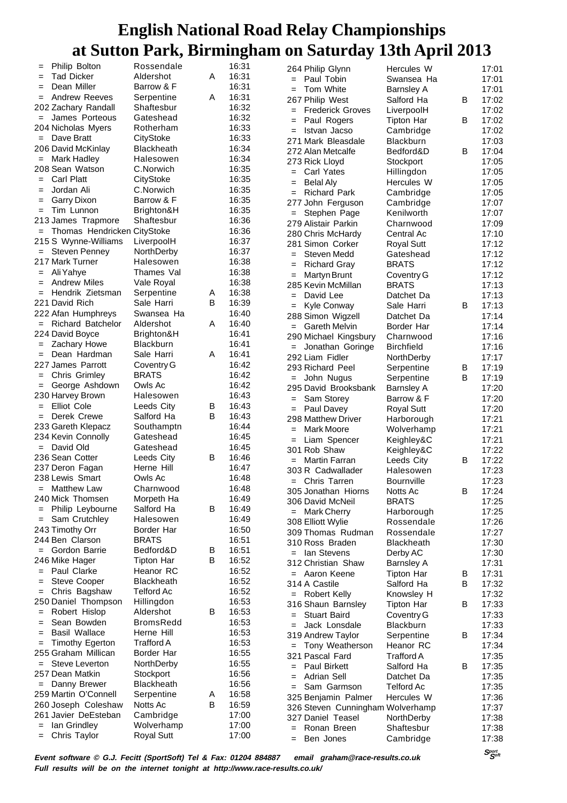|     | Philip Bolton                      | Rossendale              |   | 16:31 |     | 264 Philip Glynn                 | Hercules W        |   | 17:01 |
|-----|------------------------------------|-------------------------|---|-------|-----|----------------------------------|-------------------|---|-------|
| $=$ | <b>Tad Dicker</b>                  | Aldershot               | A | 16:31 |     | Paul Tobin                       | Swansea Ha        |   | 17:01 |
| $=$ | Dean Miller                        | Barrow & F              |   | 16:31 |     | Tom White                        | <b>Barnsley A</b> |   | 17:01 |
| $=$ | <b>Andrew Reeves</b>               | Serpentine              | A | 16:31 |     | 267 Philip West                  | Salford Ha        | B | 17:02 |
|     | 202 Zachary Randall                | Shaftesbur              |   | 16:32 | $=$ | <b>Frederick Groves</b>          | LiverpoolH        |   | 17:02 |
|     | = James Porteous                   | Gateshead               |   | 16:32 | $=$ | Paul Rogers                      | <b>Tipton Har</b> | B | 17:02 |
|     | 204 Nicholas Myers                 | Rotherham               |   | 16:33 | $=$ | Istvan Jacso                     | Cambridge         |   | 17:02 |
| $=$ | Dave Bratt                         | CityStoke               |   | 16:33 |     | 271 Mark Bleasdale               | Blackburn         |   | 17:03 |
|     | 206 David McKinlay                 | <b>Blackheath</b>       |   | 16:34 |     | 272 Alan Metcalfe                | Bedford&D         | B | 17:04 |
|     | <b>Mark Hadley</b>                 | Halesowen               |   | 16:34 |     | 273 Rick Lloyd                   | Stockport         |   | 17:05 |
|     | 208 Sean Watson                    | C.Norwich               |   | 16:35 | $=$ | Carl Yates                       | Hillingdon        |   | 17:05 |
| $=$ | Carl Platt                         | CityStoke               |   | 16:35 | $=$ | <b>Belal Aly</b>                 | Hercules W        |   | 17:05 |
| $=$ | Jordan Ali                         | C.Norwich               |   | 16:35 |     | <b>Richard Park</b>              | Cambridge         |   | 17:05 |
| $=$ | <b>Garry Dixon</b>                 | Barrow & F              |   | 16:35 |     | 277 John Ferguson                | Cambridge         |   | 17:07 |
| $=$ | Tim Lunnon                         | Brighton&H              |   | 16:35 | $=$ | Stephen Page                     | Kenilworth        |   | 17:07 |
|     | 213 James Trapmore                 | Shaftesbur              |   | 16:36 |     | 279 Alistair Parkin              | Charnwood         |   | 17:09 |
|     | = Thomas Hendricken CityStoke      |                         |   | 16:36 |     | 280 Chris McHardy                | Central Ac        |   | 17:10 |
|     | 215 S Wynne-Williams               | LiverpoolH              |   | 16:37 |     | 281 Simon Corker                 | <b>Royal Sutt</b> |   | 17:12 |
|     | $=$ Steven Penney                  | NorthDerby              |   | 16:37 | $=$ | Steven Medd                      | Gateshead         |   | 17:12 |
|     | 217 Mark Turner                    | Halesowen               |   | 16:38 | $=$ | <b>Richard Gray</b>              | <b>BRATS</b>      |   | 17:12 |
| $=$ | Ali Yahye                          | Thames Val              |   | 16:38 | $=$ | Martyn Brunt                     | Coventry G        |   | 17:12 |
| $=$ | <b>Andrew Miles</b>                | Vale Royal              |   | 16:38 |     | 285 Kevin McMillan               | <b>BRATS</b>      |   | 17:13 |
| $=$ | Hendrik Zietsman                   | Serpentine              | Α | 16:38 | $=$ | David Lee                        | Datchet Da        |   | 17:13 |
|     | 221 David Rich                     | Sale Harri              | B | 16:39 |     |                                  | Sale Harri        | B |       |
|     | 222 Afan Humphreys                 | Swansea Ha              |   | 16:40 | $=$ | Kyle Conway                      |                   |   | 17:13 |
|     | <b>Richard Batchelor</b>           | Aldershot               | Α | 16:40 |     | 288 Simon Wigzell                | Datchet Da        |   | 17:14 |
|     | 224 David Boyce                    | Brighton&H              |   | 16:41 |     | $=$ Gareth Melvin                | Border Har        |   | 17:14 |
|     | = Zachary Howe                     | <b>Blackburn</b>        |   | 16:41 |     | 290 Michael Kingsbury            | Charnwood         |   | 17:16 |
| $=$ | Dean Hardman                       | Sale Harri              | A | 16:41 |     | Jonathan Goringe                 | <b>Birchfield</b> |   | 17:16 |
|     | 227 James Parrott                  | Coventry G              |   | 16:42 |     | 292 Liam Fidler                  | NorthDerby        |   | 17:17 |
| $=$ | <b>Chris Grimley</b>               | <b>BRATS</b>            |   | 16:42 |     | 293 Richard Peel                 | Serpentine        | B | 17:19 |
|     |                                    | Owls Ac                 |   | 16:42 |     | = John Nugus                     | Serpentine        | B | 17:19 |
| $=$ | George Ashdown<br>230 Harvey Brown | Halesowen               |   | 16:43 |     | 295 David Brooksbank             | <b>Barnsley A</b> |   | 17:20 |
|     | <b>Elliot Cole</b>                 |                         | B | 16:43 | $=$ | Sam Storey                       | Barrow & F        |   | 17:20 |
| $=$ |                                    | Leeds City              | B |       | $=$ | Paul Davey                       | <b>Royal Sutt</b> |   | 17:20 |
|     | Derek Crewe                        | Salford Ha              |   | 16:43 |     | 298 Matthew Driver               | Harborough        |   | 17:21 |
|     | 233 Gareth Klepacz                 | Southamptn<br>Gateshead |   | 16:44 | $=$ | <b>Mark Moore</b>                | Wolverhamp        |   | 17:21 |
|     | 234 Kevin Connolly                 |                         |   | 16:45 | $=$ | Liam Spencer                     | Keighley&C        |   | 17:21 |
|     | $=$ David Old                      | Gateshead               |   | 16:45 |     | 301 Rob Shaw                     | Keighley&C        |   | 17:22 |
|     | 236 Sean Cotter                    | Leeds City              | в | 16:46 | $=$ | <b>Martin Farran</b>             | Leeds City        | B | 17:22 |
|     | 237 Deron Fagan                    | Herne Hill              |   | 16:47 |     | 303 R Cadwallader                | Halesowen         |   | 17:23 |
|     | 238 Lewis Smart                    | Owls Ac                 |   | 16:48 | $=$ | Chris Tarren                     | <b>Bournville</b> |   | 17:23 |
|     | = Matthew Law                      | Charnwood               |   | 16:48 |     | 305 Jonathan Hiorns              | Notts Ac          | В | 17:24 |
|     | 240 Mick Thomsen                   | Morpeth Ha              |   | 16:49 |     | 306 David McNeil                 | <b>BRATS</b>      |   | 17:25 |
| $=$ | Philip Leybourne                   | Salford Ha              | B | 16:49 |     | $=$ Mark Cherry                  | Harborough        |   | 17:25 |
| $=$ | Sam Crutchley                      | Halesowen               |   | 16:49 |     | 308 Elliott Wylie                | Rossendale        |   | 17:26 |
|     | 243 Timothy Orr                    | Border Har              |   | 16:50 |     | 309 Thomas Rudman                | Rossendale        |   | 17:27 |
|     | 244 Ben Clarson                    | <b>BRATS</b>            |   | 16:51 |     | 310 Ross Braden                  | <b>Blackheath</b> |   | 17:30 |
| $=$ | Gordon Barrie                      | Bedford&D               | В | 16:51 | $=$ | lan Stevens                      | Derby AC          |   | 17:30 |
|     | 246 Mike Hager                     | Tipton Har              | В | 16:52 |     | 312 Christian Shaw               | <b>Barnsley A</b> |   | 17:31 |
|     | Paul Clarke                        | Heanor RC               |   | 16:52 |     | $=$ Aaron Keene                  | <b>Tipton Har</b> | B | 17:31 |
| $=$ | <b>Steve Cooper</b>                | <b>Blackheath</b>       |   | 16:52 |     | 314 A Castile                    | Salford Ha        | В | 17:32 |
| $=$ | Chris Bagshaw                      | <b>Telford Ac</b>       |   | 16:52 |     | = Robert Kelly                   | Knowsley H        |   | 17:32 |
|     | 250 Daniel Thompson                | Hillingdon              |   | 16:53 |     | 316 Shaun Barnsley               | <b>Tipton Har</b> | B | 17:33 |
| $=$ | Robert Hislop                      | Aldershot               | В | 16:53 | $=$ | <b>Stuart Baird</b>              | Coventry G        |   | 17:33 |
| $=$ | Sean Bowden                        | <b>BromsRedd</b>        |   | 16:53 | $=$ | Jack Lonsdale                    | <b>Blackburn</b>  |   | 17:33 |
|     | <b>Basil Wallace</b>               | Herne Hill              |   | 16:53 |     | 319 Andrew Taylor                | Serpentine        | в | 17:34 |
| $=$ | <b>Timothy Egerton</b>             | Trafford A              |   | 16:53 | $=$ | Tony Weatherson                  | Heanor RC         |   | 17:34 |
|     | 255 Graham Millican                | Border Har              |   | 16:55 |     | 321 Pascal Fard                  | <b>Trafford A</b> |   | 17:35 |
|     | Steve Leverton                     | NorthDerby              |   | 16:55 | $=$ | <b>Paul Birkett</b>              | Salford Ha        | B | 17:35 |
|     | 257 Dean Matkin                    | Stockport               |   | 16:56 | $=$ | <b>Adrian Sell</b>               | Datchet Da        |   | 17:35 |
|     | Danny Brewer                       | <b>Blackheath</b>       |   | 16:56 | $=$ | Sam Garmson                      | <b>Telford Ac</b> |   | 17:35 |
|     | 259 Martin O'Connell               | Serpentine              | Α | 16:58 |     | 325 Benjamin Palmer              | Hercules W        |   | 17:36 |
|     | 260 Joseph Coleshaw                | Notts Ac                | В | 16:59 |     | 326 Steven Cunningham Wolverhamp |                   |   | 17:37 |
|     | 261 Javier DeEsteban               | Cambridge               |   | 17:00 |     | 327 Daniel Teasel                | NorthDerby        |   | 17:38 |
|     | lan Grindley                       | Wolverhamp              |   | 17:00 | $=$ | Ronan Breen                      | Shaftesbur        |   | 17:38 |
| $=$ | Chris Taylor                       | <b>Royal Sutt</b>       |   | 17:00 | $=$ | Ben Jones                        | Cambridge         |   | 17:38 |